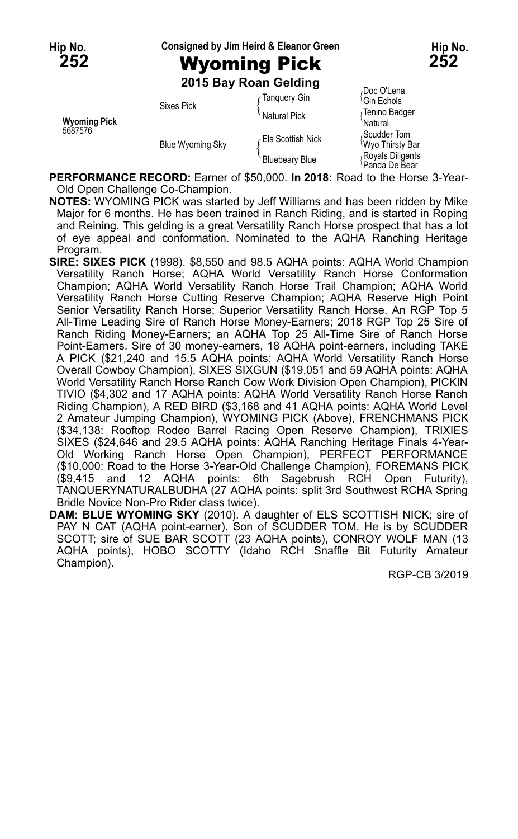**Hip No. Consigned by Jim Heird & Eleanor Green Hip No.**

# **252** Wyoming Pick **252**

**2015 Bay Roan Gelding**

| Wyoming Pick<br>5687576 | <b>Sixes Pick</b>       | ∙ Tanquery Gin        | Doc O'Lena<br><sup>≀</sup> Gin Echols |
|-------------------------|-------------------------|-----------------------|---------------------------------------|
|                         |                         | Natural Pick          | √Tenino Badger<br><b>Natural</b>      |
|                         | <b>Blue Wyoming Sky</b> | Els Scottish Nick     | Scudder Tom<br><b>Wyo Thirsty Bar</b> |
|                         |                         | <b>Bluebeary Blue</b> | Royals Diligents<br>!Panda De Bear    |

**PERFORMANCE RECORD:** Earner of \$50,000. **In 2018:** Road to the Horse 3-Year-Old Open Challenge Co-Champion.

**NOTES:** WYOMING PICK was started by Jeff Williams and has been ridden by Mike Major for 6 months. He has been trained in Ranch Riding, and is started in Roping and Reining. This gelding is a great Versatility Ranch Horse prospect that has a lot of eye appeal and conformation. Nominated to the AQHA Ranching Heritage Program.

- **SIRE: SIXES PICK** (1998). \$8,550 and 98.5 AQHA points: AQHA World Champion Versatility Ranch Horse; AQHA World Versatility Ranch Horse Conformation Champion; AQHA World Versatility Ranch Horse Trail Champion; AQHA World Versatility Ranch Horse Cutting Reserve Champion; AQHA Reserve High Point Senior Versatility Ranch Horse; Superior Versatility Ranch Horse. An RGP Top 5 All-Time Leading Sire of Ranch Horse Money-Earners; 2018 RGP Top 25 Sire of Ranch Riding Money-Earners; an AQHA Top 25 All-Time Sire of Ranch Horse Point-Earners. Sire of 30 money-earners, 18 AQHA point-earners, including TAKE A PICK (\$21,240 and 15.5 AQHA points: AQHA World Versatility Ranch Horse Overall Cowboy Champion), SIXES SIXGUN (\$19,051 and 59 AQHA points: AQHA World Versatility Ranch Horse Ranch Cow Work Division Open Champion), PICKIN TIVIO (\$4,302 and 17 AQHA points: AQHA World Versatility Ranch Horse Ranch Riding Champion), A RED BIRD (\$3,168 and 41 AQHA points: AQHA World Level 2 Amateur Jumping Champion), WYOMING PICK (Above), FRENCHMANS PICK (\$34,138: Rooftop Rodeo Barrel Racing Open Reserve Champion), TRIXIES SIXES (\$24,646 and 29.5 AQHA points: AQHA Ranching Heritage Finals 4-Year-Old Working Ranch Horse Open Champion), PERFECT PERFORMANCE (\$10,000: Road to the Horse 3-Year-Old Challenge Champion), FOREMANS PICK (\$9,415 and 12 AQHA points: 6th Sagebrush RCH Open Futurity), TANQUERYNATURALBUDHA (27 AQHA points: split 3rd Southwest RCHA Spring Bridle Novice Non-Pro Rider class twice).
- **DAM: BLUE WYOMING SKY** (2010). A daughter of ELS SCOTTISH NICK; sire of PAY N CAT (AQHA point-earner). Son of SCUDDER TOM. He is by SCUDDER SCOTT; sire of SUE BAR SCOTT (23 AQHA points), CONROY WOLF MAN (13 AQHA points), HOBO SCOTTY (Idaho RCH Snaffle Bit Futurity Amateur Champion).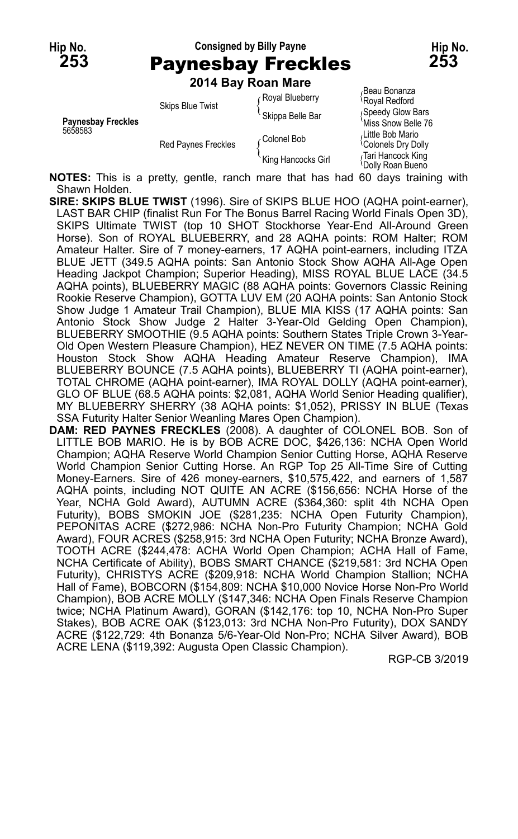## **Hip No. Consigned by Billy Payne Hip No. 253** Paynesbay Freckles **253**

**2014 Bay Roan Mare**

|                                      |                                                       | $201$ T Day Noan Marc |                                                       |
|--------------------------------------|-------------------------------------------------------|-----------------------|-------------------------------------------------------|
| <b>Paynesbay Freckles</b><br>5658583 | <b>Skips Blue Twist</b><br><b>Red Paynes Freckles</b> | Royal Blueberry       | Beau Bonanza<br>Royal Redford                         |
|                                      |                                                       | Skippa Belle Bar      | Speedy Glow Bars<br>Miss Snow Belle 76                |
|                                      |                                                       | Colonel Bob           | لLittle Bob Mario،<br><sup>{</sup> Colonels Dry Dolly |
|                                      |                                                       | 'King Hancocks Girl   | Tari Hancock King<br>Dolly Roan Bueno                 |

**NOTES:** This is a pretty, gentle, ranch mare that has had 60 days training with Shawn Holden.

- **SIRE: SKIPS BLUE TWIST** (1996). Sire of SKIPS BLUE HOO (AQHA point-earner), LAST BAR CHIP (finalist Run For The Bonus Barrel Racing World Finals Open 3D), SKIPS Ultimate TWIST (top 10 SHOT Stockhorse Year-End All-Around Green Horse). Son of ROYAL BLUEBERRY, and 28 AQHA points: ROM Halter; ROM Amateur Halter. Sire of 7 money-earners, 17 AQHA point-earners, including ITZA BLUE JETT (349.5 AQHA points: San Antonio Stock Show AQHA All-Age Open Heading Jackpot Champion; Superior Heading), MISS ROYAL BLUE LACE (34.5 AQHA points), BLUEBERRY MAGIC (88 AQHA points: Governors Classic Reining Rookie Reserve Champion), GOTTA LUV EM (20 AQHA points: San Antonio Stock Show Judge 1 Amateur Trail Champion), BLUE MIA KISS (17 AQHA points: San Antonio Stock Show Judge 2 Halter 3-Year-Old Gelding Open Champion), BLUEBERRY SMOOTHIE (9.5 AQHA points: Southern States Triple Crown 3-Year-Old Open Western Pleasure Champion), HEZ NEVER ON TIME (7.5 AQHA points: Houston Stock Show AQHA Heading Amateur Reserve Champion), IMA BLUEBERRY BOUNCE (7.5 AQHA points), BLUEBERRY TI (AQHA point-earner), TOTAL CHROME (AQHA point-earner), IMA ROYAL DOLLY (AQHA point-earner), GLO OF BLUE (68.5 AQHA points: \$2,081, AQHA World Senior Heading qualifier), MY BLUEBERRY SHERRY (38 AQHA points: \$1,052), PRISSY IN BLUE (Texas SSA Futurity Halter Senior Weanling Mares Open Champion).
- DAM: RED PAYNES FRECKLES (2008). A daughter of COLONEL BOB. Son of LITTLE BOB MARIO. He is by BOB ACRE DOC, \$426,136: NCHA Open World Champion; AQHA Reserve World Champion Senior Cutting Horse, AQHA Reserve World Champion Senior Cutting Horse. An RGP Top 25 All-Time Sire of Cutting Money-Earners. Sire of 426 money-earners, \$10,575,422, and earners of 1,587 AQHA points, including NOT QUITE AN ACRE (\$156,656: NCHA Horse of the Year, NCHA Gold Award), AUTUMN ACRE (\$364,360: split 4th NCHA Open Futurity), BOBS SMOKIN JOE (\$281,235: NCHA Open Futurity Champion), PEPONITAS ACRE (\$272,986: NCHA Non-Pro Futurity Champion; NCHA Gold Award), FOUR ACRES (\$258,915: 3rd NCHA Open Futurity; NCHA Bronze Award), TOOTH ACRE (\$244,478: ACHA World Open Champion; ACHA Hall of Fame, NCHA Certificate of Ability), BOBS SMART CHANCE (\$219,581: 3rd NCHA Open Futurity), CHRISTYS ACRE (\$209,918: NCHA World Champion Stallion; NCHA Hall of Fame), BOBCORN (\$154,809: NCHA \$10,000 Novice Horse Non-Pro World Champion), BOB ACRE MOLLY (\$147,346: NCHA Open Finals Reserve Champion twice; NCHA Platinum Award), GORAN (\$142,176: top 10, NCHA Non-Pro Super Stakes), BOB ACRE OAK (\$123,013: 3rd NCHA Non-Pro Futurity), DOX SANDY ACRE (\$122,729: 4th Bonanza 5/6-Year-Old Non-Pro; NCHA Silver Award), BOB ACRE LENA (\$119,392: Augusta Open Classic Champion).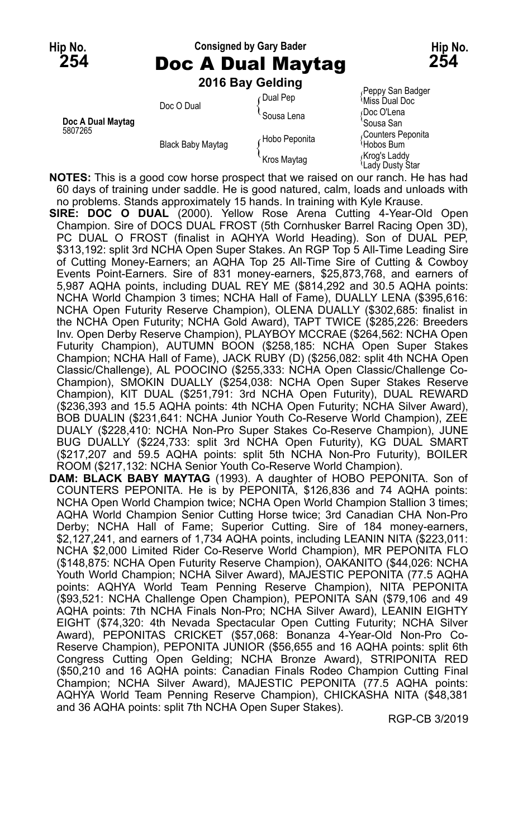### **Hip No. Consigned by Gary Bader Hip No. 254** Doc A Dual Maytag **254 2016 Bay Gelding**

|                   | Doc O Dual               | Dual Pep      | Peppy San Badger<br><sup><i>'Miss Dual Doc</i></sup>      |
|-------------------|--------------------------|---------------|-----------------------------------------------------------|
| Doc A Dual Maytag |                          | Sousa Lena    | ∩Doc O'Lena                                               |
| 5807265           | <b>Black Baby Maytag</b> | Hobo Peponita | 'Sousa San<br>Counters Peponita<br><sup>1</sup> Hobos Bum |
|                   |                          | Kros Maytag   | Krog's Laddy<br><sup>{</sup> Lady Dusty Star              |

**NOTES:** This is a good cow horse prospect that we raised on our ranch. He has had 60 days of training under saddle. He is good natured, calm, loads and unloads with no problems. Stands approximately 15 hands. In training with Kyle Krause.

**SIRE: DOC O DUAL** (2000). Yellow Rose Arena Cutting 4-Year-Old Open Champion. Sire of DOCS DUAL FROST (5th Cornhusker Barrel Racing Open 3D), PC DUAL O FROST (finalist in AQHYA World Heading). Son of DUAL PEP, \$313,192: split 3rd NCHA Open Super Stakes. An RGP Top 5 All-Time Leading Sire of Cutting Money-Earners; an AQHA Top 25 All-Time Sire of Cutting & Cowboy Events Point-Earners. Sire of 831 money-earners, \$25,873,768, and earners of 5,987 AQHA points, including DUAL REY ME (\$814,292 and 30.5 AQHA points: NCHA World Champion 3 times; NCHA Hall of Fame), DUALLY LENA (\$395,616: NCHA Open Futurity Reserve Champion), OLENA DUALLY (\$302,685: finalist in the NCHA Open Futurity; NCHA Gold Award), TAPT TWICE (\$285,226: Breeders Inv. Open Derby Reserve Champion), PLAYBOY MCCRAE (\$264,562: NCHA Open Futurity Champion), AUTUMN BOON (\$258,185: NCHA Open Super Stakes Champion; NCHA Hall of Fame), JACK RUBY (D) (\$256,082: split 4th NCHA Open Classic/Challenge), AL POOCINO (\$255,333: NCHA Open Classic/Challenge Co-Champion), SMOKIN DUALLY (\$254,038: NCHA Open Super Stakes Reserve Champion), KIT DUAL (\$251,791: 3rd NCHA Open Futurity), DUAL REWARD (\$236,393 and 15.5 AQHA points: 4th NCHA Open Futurity; NCHA Silver Award), BOB DUALIN (\$231,641: NCHA Junior Youth Co-Reserve World Champion), ZEE DUALY (\$228,410: NCHA Non-Pro Super Stakes Co-Reserve Champion), JUNE BUG DUALLY (\$224,733: split 3rd NCHA Open Futurity), KG DUAL SMART (\$217,207 and 59.5 AQHA points: split 5th NCHA Non-Pro Futurity), BOILER ROOM (\$217,132: NCHA Senior Youth Co-Reserve World Champion).

**DAM: BLACK BABY MAYTAG** (1993). A daughter of HOBO PEPONITA. Son of COUNTERS PEPONITA. He is by PEPONITA, \$126,836 and 74 AQHA points: NCHA Open World Champion twice; NCHA Open World Champion Stallion 3 times; AQHA World Champion Senior Cutting Horse twice; 3rd Canadian CHA Non-Pro Derby; NCHA Hall of Fame; Superior Cutting. Sire of 184 money-earners, \$2,127,241, and earners of 1,734 AQHA points, including LEANIN NITA (\$223,011: NCHA \$2,000 Limited Rider Co-Reserve World Champion), MR PEPONITA FLO (\$148,875: NCHA Open Futurity Reserve Champion), OAKANITO (\$44,026: NCHA Youth World Champion; NCHA Silver Award), MAJESTIC PEPONITA (77.5 AQHA points: AQHYA World Team Penning Reserve Champion), NITA PEPONITA (\$93,521: NCHA Challenge Open Champion), PEPONITA SAN (\$79,106 and 49 AQHA points: 7th NCHA Finals Non-Pro; NCHA Silver Award), LEANIN EIGHTY EIGHT (\$74,320: 4th Nevada Spectacular Open Cutting Futurity; NCHA Silver Award), PEPONITAS CRICKET (\$57,068: Bonanza 4-Year-Old Non-Pro Co-Reserve Champion), PEPONITA JUNIOR (\$56,655 and 16 AQHA points: split 6th Congress Cutting Open Gelding; NCHA Bronze Award), STRIPONITA RED (\$50,210 and 16 AQHA points: Canadian Finals Rodeo Champion Cutting Final Champion; NCHA Silver Award), MAJESTIC PEPONITA (77.5 AQHA points: AQHYA World Team Penning Reserve Champion), CHICKASHA NITA (\$48,381 and 36 AQHA points: split 7th NCHA Open Super Stakes).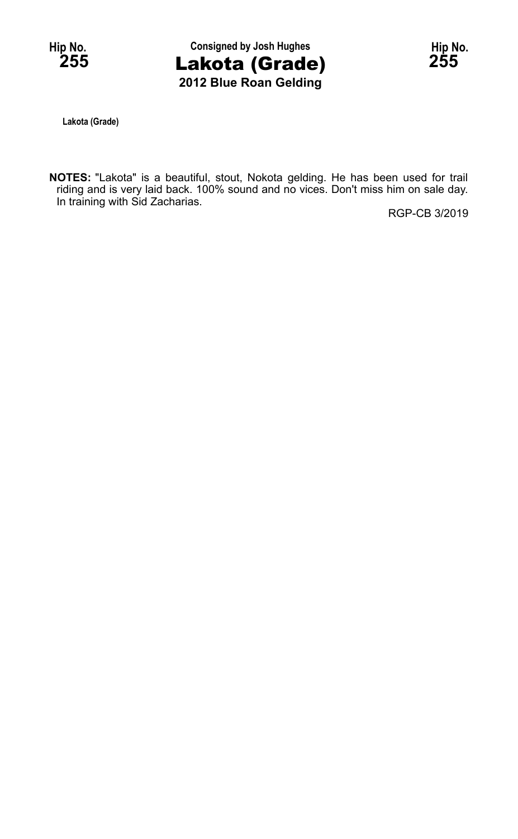

**Lakota (Grade)**

**NOTES:** "Lakota" is a beautiful, stout, Nokota gelding. He has been used for trail riding and is very laid back. 100% sound and no vices. Don't miss him on sale day. In training with Sid Zacharias.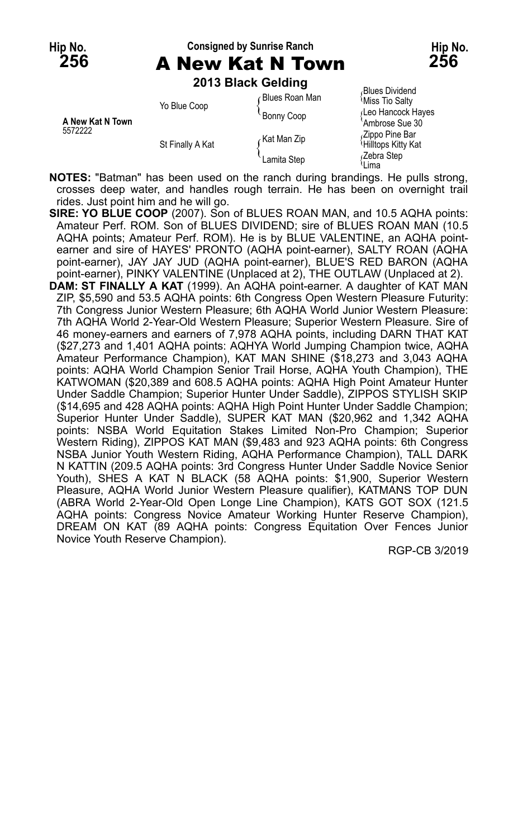## **Hip No. Consigned by Sunrise Ranch Hip No. 256** A New Kat N Town **256**



**2013 Black Gelding**

| A New Kat N Town<br>5572222 | Yo Blue Coop     | Blues Roan Man | <b>Blues Dividend</b><br>≀Miss Tio Salty                |
|-----------------------------|------------------|----------------|---------------------------------------------------------|
|                             |                  | Bonny Coop     | Leo Hancock Hayes                                       |
|                             | St Finally A Kat | Kat Man Zip    | Ambrose Sue 30<br>Zippo Pine Bar<br>ਪHilltops Kitty Kat |
|                             |                  | Lamita Step    | Zebra Step،<br>Lima                                     |

**NOTES:** "Batman" has been used on the ranch during brandings. He pulls strong, crosses deep water, and handles rough terrain. He has been on overnight trail rides. Just point him and he will go.

**SIRE: YO BLUE COOP** (2007). Son of BLUES ROAN MAN, and 10.5 AQHA points: Amateur Perf. ROM. Son of BLUES DIVIDEND; sire of BLUES ROAN MAN (10.5 AQHA points; Amateur Perf. ROM). He is by BLUE VALENTINE, an AQHA pointearner and sire of HAYES' PRONTO (AQHA point-earner), SALTY ROAN (AQHA point-earner), JAY JAY JUD (AQHA point-earner), BLUE'S RED BARON (AQHA point-earner), PINKY VALENTINE (Unplaced at 2), THE OUTLAW (Unplaced at 2).

**DAM: ST FINALLY A KAT** (1999). An AQHA point-earner. A daughter of KAT MAN ZIP, \$5,590 and 53.5 AQHA points: 6th Congress Open Western Pleasure Futurity: 7th Congress Junior Western Pleasure; 6th AQHA World Junior Western Pleasure: 7th AQHA World 2-Year-Old Western Pleasure; Superior Western Pleasure. Sire of 46 money-earners and earners of 7,978 AQHA points, including DARN THAT KAT (\$27,273 and 1,401 AQHA points: AQHYA World Jumping Champion twice, AQHA Amateur Performance Champion), KAT MAN SHINE (\$18,273 and 3,043 AQHA points: AQHA World Champion Senior Trail Horse, AQHA Youth Champion), THE KATWOMAN (\$20,389 and 608.5 AQHA points: AQHA High Point Amateur Hunter Under Saddle Champion; Superior Hunter Under Saddle), ZIPPOS STYLISH SKIP (\$14,695 and 428 AQHA points: AQHA High Point Hunter Under Saddle Champion; Superior Hunter Under Saddle), SUPER KAT MAN (\$20,962 and 1,342 AQHA points: NSBA World Equitation Stakes Limited Non-Pro Champion; Superior Western Riding), ZIPPOS KAT MAN (\$9,483 and 923 AQHA points: 6th Congress NSBA Junior Youth Western Riding, AQHA Performance Champion), TALL DARK N KATTIN (209.5 AQHA points: 3rd Congress Hunter Under Saddle Novice Senior Youth), SHES A KAT N BLACK (58 AQHA points: \$1,900, Superior Western Pleasure, AQHA World Junior Western Pleasure qualifier), KATMANS TOP DUN (ABRA World 2-Year-Old Open Longe Line Champion), KATS GOT SOX (121.5 AQHA points: Congress Novice Amateur Working Hunter Reserve Champion), DREAM ON KAT (89 AQHA points: Congress Equitation Over Fences Junior Novice Youth Reserve Champion).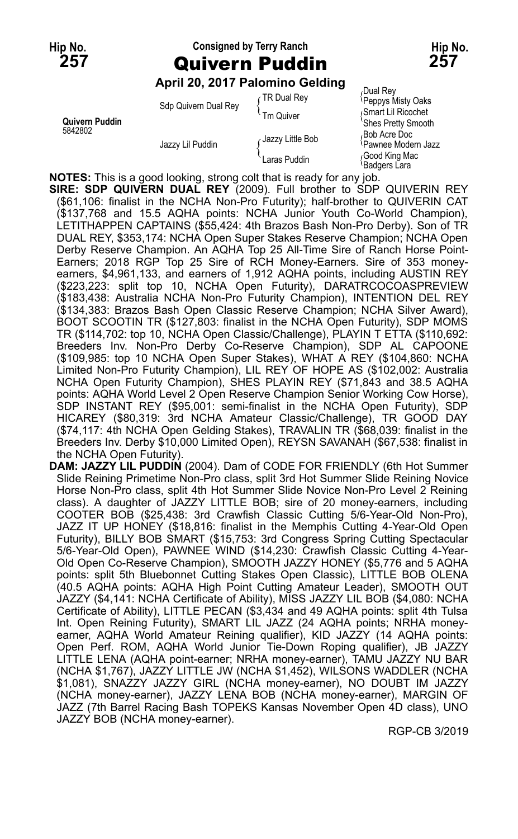# **Hip No. Consigned by Terry Ranch Hip No. 257** Quivern Puddin **257**

### **April 20, 2017 Palomino Gelding**

| Quivern Puddin<br>5842802 | Sdp Quivern Dual Rey | TR Dual Rey<br>Tm Quiver | Dual Rev،<br>Peppys Misty Oaks<br>Smart Lil Ricochet      |
|---------------------------|----------------------|--------------------------|-----------------------------------------------------------|
|                           | Jazzy Lil Puddin     | Jazzy Little Bob         | 'Shes Pretty Smooth<br>Bob Acre Doc<br>Pawnee Modern Jazz |
|                           |                      | Laras Puddin             | Good King Mac<br><i><b>Badgers Lara</b></i>               |

**NOTES:** This is a good looking, strong colt that is ready for any job.

**SIRE: SDP QUIVERN DUAL REY** (2009). Full brother to SDP QUIVERIN REY (\$61,106: finalist in the NCHA Non-Pro Futurity); half-brother to QUIVERIN CAT (\$137,768 and 15.5 AQHA points: NCHA Junior Youth Co-World Champion), LETITHAPPEN CAPTAINS (\$55,424: 4th Brazos Bash Non-Pro Derby). Son of TR DUAL REY, \$353,174: NCHA Open Super Stakes Reserve Champion; NCHA Open Derby Reserve Champion. An AQHA Top 25 All-Time Sire of Ranch Horse Point-Earners; 2018 RGP Top 25 Sire of RCH Money-Earners. Sire of 353 moneyearners, \$4,961,133, and earners of 1,912 AQHA points, including AUSTIN REY (\$223,223: split top 10, NCHA Open Futurity), DARATRCOCOASPREVIEW (\$183,438: Australia NCHA Non-Pro Futurity Champion), INTENTION DEL REY (\$134,383: Brazos Bash Open Classic Reserve Champion; NCHA Silver Award), BOOT SCOOTIN TR (\$127,803: finalist in the NCHA Open Futurity), SDP MOMS TR (\$114,702: top 10, NCHA Open Classic/Challenge), PLAYIN T ETTA (\$110,692: Breeders Inv. Non-Pro Derby Co-Reserve Champion), SDP AL CAPOONE (\$109,985: top 10 NCHA Open Super Stakes), WHAT A REY (\$104,860: NCHA Limited Non-Pro Futurity Champion), LIL REY OF HOPE AS (\$102,002: Australia NCHA Open Futurity Champion), SHES PLAYIN REY (\$71,843 and 38.5 AQHA points: AQHA World Level 2 Open Reserve Champion Senior Working Cow Horse), SDP INSTANT REY (\$95,001: semi-finalist in the NCHA Open Futurity), SDP HICAREY (\$80,319: 3rd NCHA Amateur Classic/Challenge), TR GOOD DAY (\$74,117: 4th NCHA Open Gelding Stakes), TRAVALIN TR (\$68,039: finalist in the Breeders Inv. Derby \$10,000 Limited Open), REYSN SAVANAH (\$67,538: finalist in the NCHA Open Futurity).

**DAM: JAZZY LIL PUDDIN** (2004). Dam of CODE FOR FRIENDLY (6th Hot Summer Slide Reining Primetime Non-Pro class, split 3rd Hot Summer Slide Reining Novice Horse Non-Pro class, split 4th Hot Summer Slide Novice Non-Pro Level 2 Reining class). A daughter of JAZZY LITTLE BOB; sire of 20 money-earners, including COOTER BOB (\$25,438: 3rd Crawfish Classic Cutting 5/6-Year-Old Non-Pro), JAZZ IT UP HONEY (\$18,816: finalist in the Memphis Cutting 4-Year-Old Open Futurity), BILLY BOB SMART (\$15,753: 3rd Congress Spring Cutting Spectacular 5/6-Year-Old Open), PAWNEE WIND (\$14,230: Crawfish Classic Cutting 4-Year-Old Open Co-Reserve Champion), SMOOTH JAZZY HONEY (\$5,776 and 5 AQHA points: split 5th Bluebonnet Cutting Stakes Open Classic), LITTLE BOB OLENA (40.5 AQHA points: AQHA High Point Cutting Amateur Leader), SMOOTH OUT JAZZY (\$4,141: NCHA Certificate of Ability), MISS JAZZY LIL BOB (\$4,080: NCHA Certificate of Ability), LITTLE PECAN (\$3,434 and 49 AQHA points: split 4th Tulsa Int. Open Reining Futurity), SMART LIL JAZZ (24 AQHA points; NRHA moneyearner, AQHA World Amateur Reining qualifier), KID JAZZY (14 AQHA points: Open Perf. ROM, AQHA World Junior Tie-Down Roping qualifier), JB JAZZY LITTLE LENA (AQHA point-earner; NRHA money-earner), TAMU JAZZY NU BAR (NCHA \$1,767), JAZZY LITTLE JW (NCHA \$1,452), WILSONS WADDLER (NCHA \$1,081), SNAZZY JAZZY GIRL (NCHA money-earner), NO DOUBT IM JAZZY (NCHA money-earner), JAZZY LENA BOB (NCHA money-earner), MARGIN OF JAZZ (7th Barrel Racing Bash TOPEKS Kansas November Open 4D class), UNO JAZZY BOB (NCHA money-earner).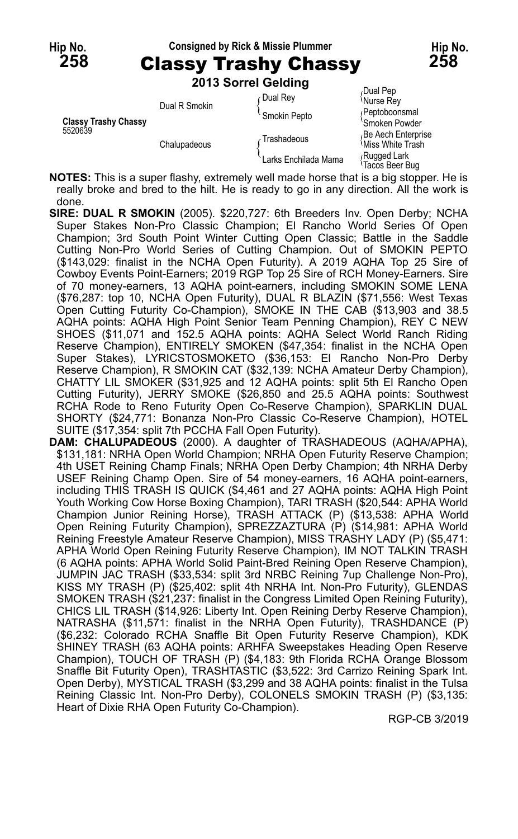| Hip No.<br><b>258</b>                  |              |               | <b>Consigned by Rick &amp; Missie Plummer</b><br><b>Classy Trashy Chassy</b> |                                                                       | Hip No.<br>258 |
|----------------------------------------|--------------|---------------|------------------------------------------------------------------------------|-----------------------------------------------------------------------|----------------|
|                                        |              |               | 2013 Sorrel Gelding                                                          |                                                                       |                |
|                                        |              |               | <b>Dual Rey</b>                                                              | Dual Pep<br><sup><i>i</i></sup> Nurse Rev                             |                |
| <b>Classy Trashy Chassy</b><br>5520639 |              | Dual R Smokin | Smokin Pepto                                                                 | /Peptoboonsmal                                                        |                |
|                                        | Chalupadeous |               | Trashadeous                                                                  | 'Smoken Powder<br>Be Aech Enterprise<br><sup>{</sup> Miss White Trash |                |
|                                        |              |               | Larks Enchilada Mama                                                         | ∫Rugged Lark<br><sup>∖</sup> Tacos Beer Bug                           |                |

**NOTES:** This is a super flashy, extremely well made horse that is a big stopper. He is really broke and bred to the hilt. He is ready to go in any direction. All the work is done.

- **SIRE: DUAL R SMOKIN** (2005). \$220,727: 6th Breeders Inv. Open Derby; NCHA Super Stakes Non-Pro Classic Champion; El Rancho World Series Of Open Champion; 3rd South Point Winter Cutting Open Classic; Battle in the Saddle Cutting Non-Pro World Series of Cutting Champion. Out of SMOKIN PEPTO (\$143,029: finalist in the NCHA Open Futurity). A 2019 AQHA Top 25 Sire of Cowboy Events Point-Earners; 2019 RGP Top 25 Sire of RCH Money-Earners. Sire of 70 money-earners, 13 AQHA point-earners, including SMOKIN SOME LENA (\$76,287: top 10, NCHA Open Futurity), DUAL R BLAZIN (\$71,556: West Texas Open Cutting Futurity Co-Champion), SMOKE IN THE CAB (\$13,903 and 38.5 AQHA points: AQHA High Point Senior Team Penning Champion), REY C NEW SHOES (\$11,071 and 152.5 AQHA points: AQHA Select World Ranch Riding Reserve Champion), ENTIRELY SMOKEN (\$47,354: finalist in the NCHA Open Super Stakes), LYRICSTOSMOKETO (\$36,153: El Rancho Non-Pro Derby Reserve Champion), R SMOKIN CAT (\$32,139: NCHA Amateur Derby Champion), CHATTY LIL SMOKER (\$31,925 and 12 AQHA points: split 5th El Rancho Open Cutting Futurity), JERRY SMOKE (\$26,850 and 25.5 AQHA points: Southwest RCHA Rode to Reno Futurity Open Co-Reserve Champion), SPARKLIN DUAL SHORTY (\$24,771: Bonanza Non-Pro Classic Co-Reserve Champion), HOTEL SUITE (\$17,354: split 7th PCCHA Fall Open Futurity).
- **DAM: CHALUPADEOUS** (2000). A daughter of TRASHADEOUS (AQHA/APHA), \$131,181: NRHA Open World Champion; NRHA Open Futurity Reserve Champion; 4th USET Reining Champ Finals; NRHA Open Derby Champion; 4th NRHA Derby USEF Reining Champ Open. Sire of 54 money-earners, 16 AQHA point-earners, including THIS TRASH IS QUICK (\$4,461 and 27 AQHA points: AQHA High Point Youth Working Cow Horse Boxing Champion), TARI TRASH (\$20,544: APHA World Champion Junior Reining Horse), TRASH ATTACK (P) (\$13,538: APHA World Open Reining Futurity Champion), SPREZZAZTURA (P) (\$14,981: APHA World Reining Freestyle Amateur Reserve Champion), MISS TRASHY LADY (P) (\$5,471: APHA World Open Reining Futurity Reserve Champion), IM NOT TALKIN TRASH (6 AQHA points: APHA World Solid Paint-Bred Reining Open Reserve Champion), JUMPIN JAC TRASH (\$33,534: split 3rd NRBC Reining 7up Challenge Non-Pro), KISS MY TRASH (P) (\$25,402: split 4th NRHA Int. Non-Pro Futurity), GLENDAS SMOKEN TRASH (\$21,237: finalist in the Congress Limited Open Reining Futurity), CHICS LIL TRASH (\$14,926: Liberty Int. Open Reining Derby Reserve Champion), NATRASHA (\$11,571: finalist in the NRHA Open Futurity), TRASHDANCE (P) (\$6,232: Colorado RCHA Snaffle Bit Open Futurity Reserve Champion), KDK SHINEY TRASH (63 AQHA points: ARHFA Sweepstakes Heading Open Reserve Champion), TOUCH OF TRASH (P) (\$4,183: 9th Florida RCHA Orange Blossom Snaffle Bit Futurity Open), TRASHTASTIC (\$3,522: 3rd Carrizo Reining Spark Int. Open Derby), MYSTICAL TRASH (\$3,299 and 38 AQHA points: finalist in the Tulsa Reining Classic Int. Non-Pro Derby), COLONELS SMOKIN TRASH (P) (\$3,135: Heart of Dixie RHA Open Futurity Co-Champion).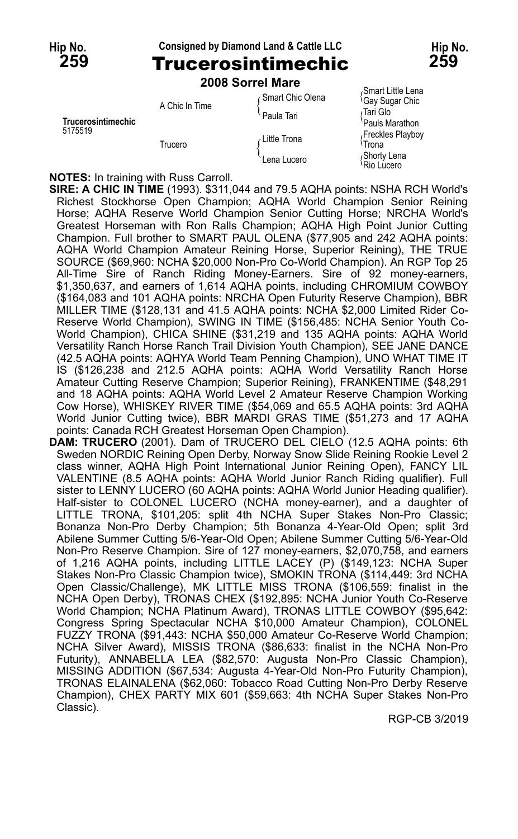### **Hip No. Consigned by Diamond Land & Cattle LLC Hip No. 259** Trucerosintimechic **259**



# **2008 Sorrel Mare**

| Trucerosintimechic<br>5175519 | A Chic In Time | Smart Chic Olena<br>Paula Tari | Smart Little Lena<br><sup>l</sup> Gay Sugar Chic<br>∫Tari Glo<br>Pauls Marathon |
|-------------------------------|----------------|--------------------------------|---------------------------------------------------------------------------------|
|                               | Trucero        | Little Trona<br>Lena Lucero    | Freckles Playboy<br>≀Trona<br>Shorty Lena                                       |
|                               |                |                                | Rio Lucero                                                                      |

**NOTES:** In training with Russ Carroll.

**SIRE: A CHIC IN TIME** (1993). \$311,044 and 79.5 AQHA points: NSHA RCH World's Richest Stockhorse Open Champion; AQHA World Champion Senior Reining Horse; AQHA Reserve World Champion Senior Cutting Horse; NRCHA World's Greatest Horseman with Ron Ralls Champion; AQHA High Point Junior Cutting Champion. Full brother to SMART PAUL OLENA (\$77,905 and 242 AQHA points: AQHA World Champion Amateur Reining Horse, Superior Reining), THE TRUE SOURCE (\$69,960: NCHA \$20,000 Non-Pro Co-World Champion). An RGP Top 25 All-Time Sire of Ranch Riding Money-Earners. Sire of 92 money-earners, \$1,350,637, and earners of 1,614 AQHA points, including CHROMIUM COWBOY (\$164,083 and 101 AQHA points: NRCHA Open Futurity Reserve Champion), BBR MILLER TIME (\$128,131 and 41.5 AQHA points: NCHA \$2,000 Limited Rider Co-Reserve World Champion), SWING IN TIME (\$156,485: NCHA Senior Youth Co-World Champion), CHICA SHINE (\$31,219 and 135 AQHA points: AQHA World Versatility Ranch Horse Ranch Trail Division Youth Champion), SEE JANE DANCE (42.5 AQHA points: AQHYA World Team Penning Champion), UNO WHAT TIME IT IS (\$126,238 and 212.5 AQHA points: AQHA World Versatility Ranch Horse Amateur Cutting Reserve Champion; Superior Reining), FRANKENTIME (\$48,291 and 18 AQHA points: AQHA World Level 2 Amateur Reserve Champion Working Cow Horse), WHISKEY RIVER TIME (\$54,069 and 65.5 AQHA points: 3rd AQHA World Junior Cutting twice), BBR MARDI GRAS TIME (\$51,273 and 17 AQHA points: Canada RCH Greatest Horseman Open Champion).

**DAM: TRUCERO** (2001). Dam of TRUCERO DEL CIELO (12.5 AQHA points: 6th Sweden NORDIC Reining Open Derby, Norway Snow Slide Reining Rookie Level 2 class winner, AQHA High Point International Junior Reining Open), FANCY LIL VALENTINE (8.5 AQHA points: AQHA World Junior Ranch Riding qualifier). Full sister to LENNY LUCERO (60 AQHA points: AQHA World Junior Heading qualifier). Half-sister to COLONEL LUCERO (NCHA money-earner), and a daughter of LITTLE TRONA, \$101,205: split 4th NCHA Super Stakes Non-Pro Classic; Bonanza Non-Pro Derby Champion; 5th Bonanza 4-Year-Old Open; split 3rd Abilene Summer Cutting 5/6-Year-Old Open; Abilene Summer Cutting 5/6-Year-Old Non-Pro Reserve Champion. Sire of 127 money-earners, \$2,070,758, and earners of 1,216 AQHA points, including LITTLE LACEY (P) (\$149,123: NCHA Super Stakes Non-Pro Classic Champion twice), SMOKIN TRONA (\$114,449: 3rd NCHA Open Classic/Challenge), MK LITTLE MISS TRONA (\$106,559: finalist in the NCHA Open Derby), TRONAS CHEX (\$192,895: NCHA Junior Youth Co-Reserve World Champion; NCHA Platinum Award), TRONAS LITTLE COWBOY (\$95,642: Congress Spring Spectacular NCHA \$10,000 Amateur Champion), COLONEL FUZZY TRONA (\$91,443: NCHA \$50,000 Amateur Co-Reserve World Champion; NCHA Silver Award), MISSIS TRONA (\$86,633: finalist in the NCHA Non-Pro Futurity), ANNABELLA LEA (\$82,570: Augusta Non-Pro Classic Champion), MISSING ADDITION (\$67,534: Augusta 4-Year-Old Non-Pro Futurity Champion), TRONAS ELAINALENA (\$62,060: Tobacco Road Cutting Non-Pro Derby Reserve Champion), CHEX PARTY MIX 601 (\$59,663: 4th NCHA Super Stakes Non-Pro Classic).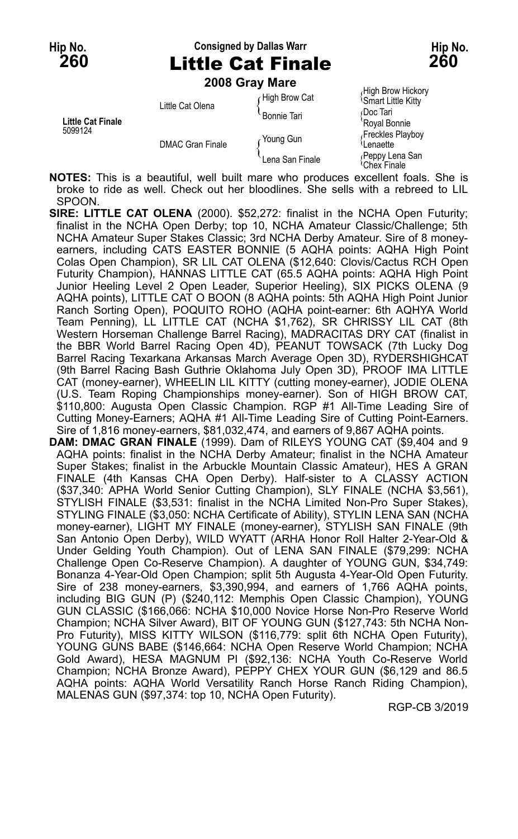### **Hip No. Consigned by Dallas Warr Hip No. 260** Little Cat Finale **260**

**2008 Gray Mare**

|                                     |                         | 2008 Gray Mare     |                                                |
|-------------------------------------|-------------------------|--------------------|------------------------------------------------|
| <b>Little Cat Finale</b><br>5099124 | Little Cat Olena        | High Brow Cat      | High Brow Hickory<br><b>Smart Little Kitty</b> |
|                                     |                         | <b>Bonnie Tari</b> | Doc Tari<br>'Royal Bonnie                      |
|                                     | <b>DMAC Gran Finale</b> | Young Gun          | Freckles Playboy<br>Lenaette                   |
|                                     |                         | Lena San Finale    | Peppy Lena San<br>≀Chex Finale                 |

**NOTES:** This is a beautiful, well built mare who produces excellent foals. She is broke to ride as well. Check out her bloodlines. She sells with a rebreed to LIL SPOON.

- **SIRE: LITTLE CAT OLENA** (2000). \$52,272: finalist in the NCHA Open Futurity; finalist in the NCHA Open Derby; top 10, NCHA Amateur Classic/Challenge; 5th NCHA Amateur Super Stakes Classic; 3rd NCHA Derby Amateur. Sire of 8 moneyearners, including CATS EASTER BONNIE (5 AQHA points: AQHA High Point Colas Open Champion), SR LIL CAT OLENA (\$12,640: Clovis/Cactus RCH Open Futurity Champion), HANNAS LITTLE CAT (65.5 AQHA points: AQHA High Point Junior Heeling Level 2 Open Leader, Superior Heeling), SIX PICKS OLENA (9 AQHA points), LITTLE CAT O BOON (8 AQHA points: 5th AQHA High Point Junior Ranch Sorting Open), POQUITO ROHO (AQHA point-earner: 6th AQHYA World Team Penning), LL LITTLE CAT (NCHA \$1,762), SR CHRISSY LIL CAT (8th Western Horseman Challenge Barrel Racing), MADRACITAS DRY CAT (finalist in the BBR World Barrel Racing Open 4D), PEANUT TOWSACK (7th Lucky Dog Barrel Racing Texarkana Arkansas March Average Open 3D), RYDERSHIGHCAT (9th Barrel Racing Bash Guthrie Oklahoma July Open 3D), PROOF IMA LITTLE CAT (money-earner), WHEELIN LIL KITTY (cutting money-earner), JODIE OLENA (U.S. Team Roping Championships money-earner). Son of HIGH BROW CAT, \$110,800: Augusta Open Classic Champion. RGP #1 All-Time Leading Sire of Cutting Money-Earners; AQHA #1 All-Time Leading Sire of Cutting Point-Earners. Sire of 1,816 money-earners, \$81,032,474, and earners of 9,867 AQHA points.
- **DAM: DMAC GRAN FINALE** (1999). Dam of RILEYS YOUNG CAT (\$9,404 and 9 AQHA points: finalist in the NCHA Derby Amateur; finalist in the NCHA Amateur Super Stakes; finalist in the Arbuckle Mountain Classic Amateur), HES A GRAN FINALE (4th Kansas CHA Open Derby). Half-sister to A CLASSY ACTION (\$37,340: APHA World Senior Cutting Champion), SLY FINALE (NCHA \$3,561), STYLISH FINALE (\$3,531: finalist in the NCHA Limited Non-Pro Super Stakes), STYLING FINALE (\$3,050: NCHA Certificate of Ability), STYLIN LENA SAN (NCHA money-earner), LIGHT MY FINALE (money-earner), STYLISH SAN FINALE (9th San Antonio Open Derby), WILD WYATT (ARHA Honor Roll Halter 2-Year-Old & Under Gelding Youth Champion). Out of LENA SAN FINALE (\$79,299: NCHA Challenge Open Co-Reserve Champion). A daughter of YOUNG GUN, \$34,749: Bonanza 4-Year-Old Open Champion; split 5th Augusta 4-Year-Old Open Futurity. Sire of 238 money-earners, \$3,390,994, and earners of 1,766 AQHA points, including BIG GUN (P) (\$240,112: Memphis Open Classic Champion), YOUNG GUN CLASSIC (\$166,066: NCHA \$10,000 Novice Horse Non-Pro Reserve World Champion; NCHA Silver Award), BIT OF YOUNG GUN (\$127,743: 5th NCHA Non-Pro Futurity), MISS KITTY WILSON (\$116,779: split 6th NCHA Open Futurity), YOUNG GUNS BABE (\$146,664: NCHA Open Reserve World Champion; NCHA Gold Award), HESA MAGNUM PI (\$92,136: NCHA Youth Co-Reserve World Champion; NCHA Bronze Award), PEPPY CHEX YOUR GUN (\$6,129 and 86.5 AQHA points: AQHA World Versatility Ranch Horse Ranch Riding Champion), MALENAS GUN (\$97,374: top 10, NCHA Open Futurity).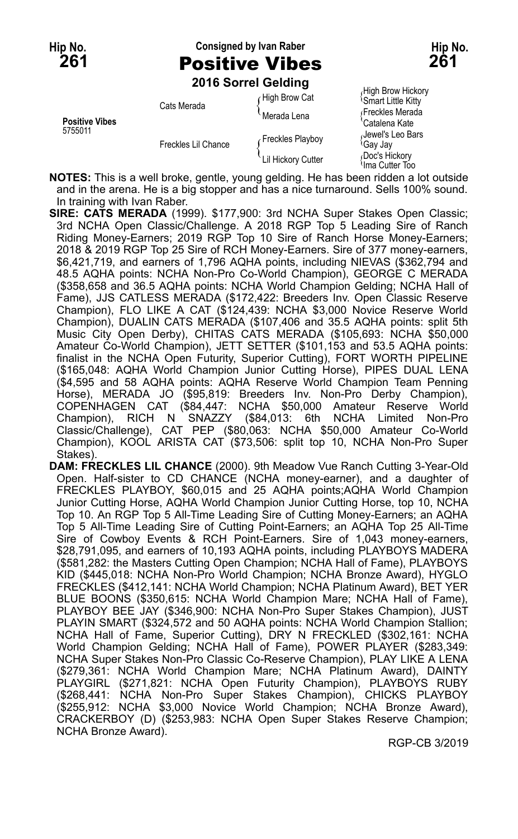## **Hip No. Consigned by Ivan Raber Hip No. 261** Positive Vibes **261**

**2016 Sorrel Gelding**

| <b>Positive Vibes</b><br>5755011 | Cats Merada         | High Brow Cat      | (FIIGH DIUW FIICKUI<br><b>Smart Little Kitty</b> |
|----------------------------------|---------------------|--------------------|--------------------------------------------------|
|                                  |                     | Merada Lena        | Freckles Merada<br>'Catalena Kate                |
|                                  | Freckles Lil Chance | Freckles Playboy   | Jewel's Leo Bars<br><sup>≀</sup> Gav Jav         |
|                                  |                     | Lil Hickory Cutter | Doc's Hickory<br>$Ima$ Cuttor Too                |

High Brow Hickory<br><sup>{</sup>Smart Little Kitty el's Leo Bars<br>Jay <sup>i</sup>lma Cutter Too

**NOTES:** This is a well broke, gentle, young gelding. He has been ridden a lot outside and in the arena. He is a big stopper and has a nice turnaround. Sells 100% sound. In training with Ivan Raber.

**SIRE: CATS MERADA** (1999). \$177,900: 3rd NCHA Super Stakes Open Classic; 3rd NCHA Open Classic/Challenge. A 2018 RGP Top 5 Leading Sire of Ranch Riding Money-Earners; 2019 RGP Top 10 Sire of Ranch Horse Money-Earners; 2018 & 2019 RGP Top 25 Sire of RCH Money-Earners. Sire of 377 money-earners, \$6,421,719, and earners of 1,796 AQHA points, including NIEVAS (\$362,794 and 48.5 AQHA points: NCHA Non-Pro Co-World Champion), GEORGE C MERADA (\$358,658 and 36.5 AQHA points: NCHA World Champion Gelding; NCHA Hall of Fame), JJS CATLESS MERADA (\$172,422: Breeders Inv. Open Classic Reserve Champion), FLO LIKE A CAT (\$124,439: NCHA \$3,000 Novice Reserve World Champion), DUALIN CATS MERADA (\$107,406 and 35.5 AQHA points: split 5th Music City Open Derby), CHITAS CATS MERADA (\$105,693: NCHA \$50,000 Amateur Co-World Champion), JETT SETTER (\$101,153 and 53.5 AQHA points: finalist in the NCHA Open Futurity, Superior Cutting), FORT WORTH PIPELINE (\$165,048: AQHA World Champion Junior Cutting Horse), PIPES DUAL LENA (\$4,595 and 58 AQHA points: AQHA Reserve World Champion Team Penning Horse), MERADA JO (\$95,819: Breeders Inv. Non-Pro Derby Champion), COPENHAGEN CAT (\$84,447: NCHA \$50,000 Amateur Reserve World Champion), RICH N SNAZZY (\$84,013: 6th NCHA Limited Non-Pro Classic/Challenge), CAT PEP (\$80,063: NCHA \$50,000 Amateur Co-World Champion), KOOL ARISTA CAT (\$73,506: split top 10, NCHA Non-Pro Super Stakes).

**DAM: FRECKLES LIL CHANCE** (2000). 9th Meadow Vue Ranch Cutting 3-Year-Old Open. Half-sister to CD CHANCE (NCHA money-earner), and a daughter of FRECKLES PLAYBOY, \$60,015 and 25 AQHA points;AQHA World Champion Junior Cutting Horse, AQHA World Champion Junior Cutting Horse, top 10, NCHA Top 10. An RGP Top 5 All-Time Leading Sire of Cutting Money-Earners; an AQHA Top 5 All-Time Leading Sire of Cutting Point-Earners; an AQHA Top 25 All-Time Sire of Cowboy Events & RCH Point-Earners. Sire of 1,043 money-earners, \$28,791,095, and earners of 10,193 AQHA points, including PLAYBOYS MADERA (\$581,282: the Masters Cutting Open Champion; NCHA Hall of Fame), PLAYBOYS KID (\$445,018: NCHA Non-Pro World Champion; NCHA Bronze Award), HYGLO FRECKLES (\$412,141: NCHA World Champion; NCHA Platinum Award), BET YER BLUE BOONS (\$350,615: NCHA World Champion Mare; NCHA Hall of Fame), PLAYBOY BEE JAY (\$346,900: NCHA Non-Pro Super Stakes Champion), JUST PLAYIN SMART (\$324,572 and 50 AQHA points: NCHA World Champion Stallion; NCHA Hall of Fame, Superior Cutting), DRY N FRECKLED (\$302,161: NCHA World Champion Gelding; NCHA Hall of Fame), POWER PLAYER (\$283,349: NCHA Super Stakes Non-Pro Classic Co-Reserve Champion), PLAY LIKE A LENA (\$279,361: NCHA World Champion Mare; NCHA Platinum Award), DAINTY PLAYGIRL (\$271,821: NCHA Open Futurity Champion), PLAYBOYS RUBY (\$268,441: NCHA Non-Pro Super Stakes Champion), CHICKS PLAYBOY (\$255,912: NCHA \$3,000 Novice World Champion; NCHA Bronze Award), CRACKERBOY (D) (\$253,983: NCHA Open Super Stakes Reserve Champion; NCHA Bronze Award).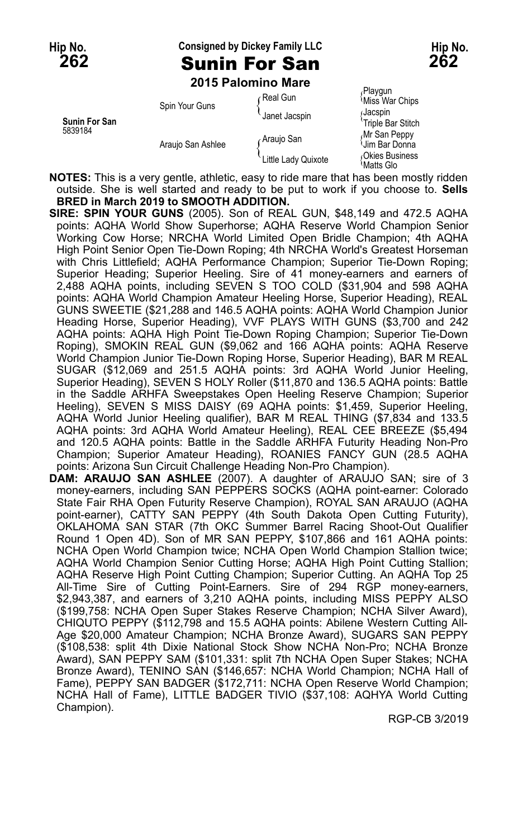### **Hip No. Consigned by Dickey Family LLC Hip No.**

**262** Sunin For San **262**

**2015 Palomino Mare**

| Sunin For San<br>5839184 | Spin Your Guns<br>Araujo San Ashlee | ∩Real Gun           | Playgun<br>Miss War Chips           |
|--------------------------|-------------------------------------|---------------------|-------------------------------------|
|                          |                                     | Janet Jacspin       | ∫Jacspin<br>'Triple Bar Stitch      |
|                          |                                     | Araujo San          | Mr San Peppy<br><b>Um Bar Donna</b> |
|                          |                                     | Little Lady Quixote | Okies Business<br>Matts Glo         |

**NOTES:** This is a very gentle, athletic, easy to ride mare that has been mostly ridden outside. She is well started and ready to be put to work if you choose to. **Sells BRED in March 2019 to SMOOTH ADDITION.**

- **SIRE: SPIN YOUR GUNS** (2005). Son of REAL GUN, \$48,149 and 472.5 AQHA points: AQHA World Show Superhorse; AQHA Reserve World Champion Senior Working Cow Horse; NRCHA World Limited Open Bridle Champion; 4th AQHA High Point Senior Open Tie-Down Roping; 4th NRCHA World's Greatest Horseman with Chris Littlefield; AQHA Performance Champion; Superior Tie-Down Roping; Superior Heading; Superior Heeling. Sire of 41 money-earners and earners of 2,488 AQHA points, including SEVEN S TOO COLD (\$31,904 and 598 AQHA points: AQHA World Champion Amateur Heeling Horse, Superior Heading), REAL GUNS SWEETIE (\$21,288 and 146.5 AQHA points: AQHA World Champion Junior Heading Horse, Superior Heading), VVF PLAYS WITH GUNS (\$3,700 and 242 AQHA points: AQHA High Point Tie-Down Roping Champion; Superior Tie-Down Roping), SMOKIN REAL GUN (\$9,062 and 166 AQHA points: AQHA Reserve World Champion Junior Tie-Down Roping Horse, Superior Heading), BAR M REAL SUGAR (\$12,069 and 251.5 AQHA points: 3rd AQHA World Junior Heeling, Superior Heading), SEVEN S HOLY Roller (\$11,870 and 136.5 AQHA points: Battle in the Saddle ARHFA Sweepstakes Open Heeling Reserve Champion; Superior Heeling), SEVEN S MISS DAISY (69 AQHA points: \$1,459, Superior Heeling, AQHA World Junior Heeling qualifier), BAR M REAL THING (\$7,834 and 133.5 AQHA points: 3rd AQHA World Amateur Heeling), REAL CEE BREEZE (\$5,494 and 120.5 AQHA points: Battle in the Saddle ARHFA Futurity Heading Non-Pro Champion; Superior Amateur Heading), ROANIES FANCY GUN (28.5 AQHA points: Arizona Sun Circuit Challenge Heading Non-Pro Champion).
- **DAM: ARAUJO SAN ASHLEE** (2007). A daughter of ARAUJO SAN; sire of 3 money-earners, including SAN PEPPERS SOCKS (AQHA point-earner: Colorado State Fair RHA Open Futurity Reserve Champion), ROYAL SAN ARAUJO (AQHA point-earner), CATTY SAN PEPPY (4th South Dakota Open Cutting Futurity), OKLAHOMA SAN STAR (7th OKC Summer Barrel Racing Shoot-Out Qualifier Round 1 Open 4D). Son of MR SAN PEPPY, \$107,866 and 161 AQHA points: NCHA Open World Champion twice; NCHA Open World Champion Stallion twice; AQHA World Champion Senior Cutting Horse; AQHA High Point Cutting Stallion; AQHA Reserve High Point Cutting Champion; Superior Cutting. An AQHA Top 25 All-Time Sire of Cutting Point-Earners. Sire of 294 RGP money-earners, \$2,943,387, and earners of 3,210 AQHA points, including MISS PEPPY ALSO (\$199,758: NCHA Open Super Stakes Reserve Champion; NCHA Silver Award), CHIQUTO PEPPY (\$112,798 and 15.5 AQHA points: Abilene Western Cutting All-Age \$20,000 Amateur Champion; NCHA Bronze Award), SUGARS SAN PEPPY (\$108,538: split 4th Dixie National Stock Show NCHA Non-Pro; NCHA Bronze Award), SAN PEPPY SAM (\$101,331: split 7th NCHA Open Super Stakes; NCHA Bronze Award), TENINO SAN (\$146,657: NCHA World Champion; NCHA Hall of Fame), PEPPY SAN BADGER (\$172,711: NCHA Open Reserve World Champion; NCHA Hall of Fame), LITTLE BADGER TIVIO (\$37,108: AQHYA World Cutting Champion).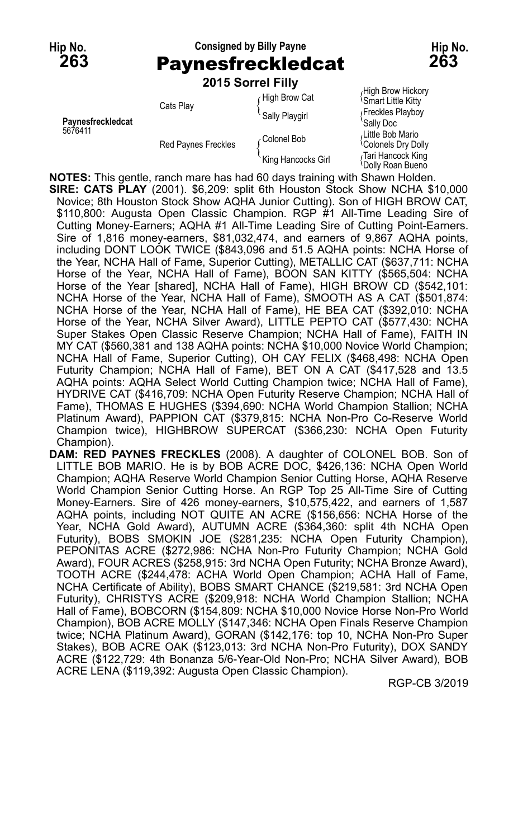### **Hip No. Consigned by Billy Payne Hip No. 263** Paynesfreckledcat **263 2015 Sorrel Filly**

|                              |                            | <b>2015 Sorrel Filly</b> |                                                     |
|------------------------------|----------------------------|--------------------------|-----------------------------------------------------|
|                              | Cats Play                  | High Brow Cat            | High Brow Hickory<br><b>Smart Little Kitty</b>      |
| Paynesfreckledcat<br>5676411 |                            | Sally Playgirl           | Freckles Playboy<br>Sally Doc                       |
|                              | <b>Red Paynes Freckles</b> | ∠Colonel Bob             | Little Bob Mario<br><sup>{</sup> Colonels Dry Dolly |
|                              |                            | King Hancocks Girl       | Tari Hancock King<br><b>Dolly Roan Bueno</b>        |

**NOTES:** This gentle, ranch mare has had 60 days training with Shawn Holden.

**SIRE: CATS PLAY** (2001). \$6,209: split 6th Houston Stock Show NCHA \$10,000 Novice; 8th Houston Stock Show AQHA Junior Cutting). Son of HIGH BROW CAT, \$110,800: Augusta Open Classic Champion. RGP #1 All-Time Leading Sire of Cutting Money-Earners; AQHA #1 All-Time Leading Sire of Cutting Point-Earners. Sire of 1,816 money-earners, \$81,032,474, and earners of 9,867 AQHA points, including DONT LOOK TWICE (\$843,096 and 51.5 AQHA points: NCHA Horse of the Year, NCHA Hall of Fame, Superior Cutting), METALLIC CAT (\$637,711: NCHA Horse of the Year, NCHA Hall of Fame), BOON SAN KITTY (\$565,504: NCHA Horse of the Year [shared], NCHA Hall of Fame), HIGH BROW CD (\$542,101: NCHA Horse of the Year, NCHA Hall of Fame), SMOOTH AS A CAT (\$501,874: NCHA Horse of the Year, NCHA Hall of Fame), HE BEA CAT (\$392,010: NCHA Horse of the Year, NCHA Silver Award), LITTLE PEPTO CAT (\$577,430: NCHA Super Stakes Open Classic Reserve Champion; NCHA Hall of Fame), FAITH IN MY CAT (\$560,381 and 138 AQHA points: NCHA \$10,000 Novice World Champion; NCHA Hall of Fame, Superior Cutting), OH CAY FELIX (\$468,498: NCHA Open Futurity Champion; NCHA Hall of Fame), BET ON A CAT (\$417,528 and 13.5 AQHA points: AQHA Select World Cutting Champion twice; NCHA Hall of Fame), HYDRIVE CAT (\$416,709: NCHA Open Futurity Reserve Champion; NCHA Hall of Fame), THOMAS E HUGHES (\$394,690: NCHA World Champion Stallion; NCHA Platinum Award), PAPPION CAT (\$379,815: NCHA Non-Pro Co-Reserve World Champion twice), HIGHBROW SUPERCAT (\$366,230: NCHA Open Futurity Champion).

**DAM: RED PAYNES FRECKLES** (2008). A daughter of COLONEL BOB. Son of LITTLE BOB MARIO. He is by BOB ACRE DOC, \$426,136: NCHA Open World Champion; AQHA Reserve World Champion Senior Cutting Horse, AQHA Reserve World Champion Senior Cutting Horse. An RGP Top 25 All-Time Sire of Cutting Money-Earners. Sire of 426 money-earners, \$10,575,422, and earners of 1,587 AQHA points, including NOT QUITE AN ACRE (\$156,656: NCHA Horse of the Year, NCHA Gold Award), AUTUMN ACRE (\$364,360: split 4th NCHA Open Futurity), BOBS SMOKIN JOE (\$281,235: NCHA Open Futurity Champion), PEPONITAS ACRE (\$272,986: NCHA Non-Pro Futurity Champion; NCHA Gold Award), FOUR ACRES (\$258,915: 3rd NCHA Open Futurity; NCHA Bronze Award), TOOTH ACRE (\$244,478: ACHA World Open Champion; ACHA Hall of Fame, NCHA Certificate of Ability), BOBS SMART CHANCE (\$219,581: 3rd NCHA Open Futurity), CHRISTYS ACRE (\$209,918: NCHA World Champion Stallion; NCHA Hall of Fame), BOBCORN (\$154,809: NCHA \$10,000 Novice Horse Non-Pro World Champion), BOB ACRE MOLLY (\$147,346: NCHA Open Finals Reserve Champion twice; NCHA Platinum Award), GORAN (\$142,176: top 10, NCHA Non-Pro Super Stakes), BOB ACRE OAK (\$123,013: 3rd NCHA Non-Pro Futurity), DOX SANDY ACRE (\$122,729: 4th Bonanza 5/6-Year-Old Non-Pro; NCHA Silver Award), BOB ACRE LENA (\$119,392: Augusta Open Classic Champion).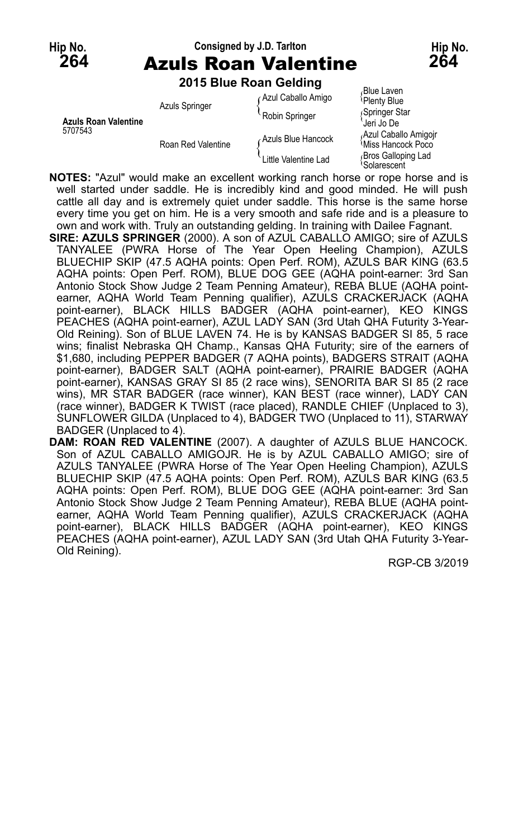## **Hip No. Consigned by J.D. Tarlton Hip No. 264** Azuls Roan Valentine **264**

**2015 Blue Roan Gelding**

| <b>Azuls Roan Valentine</b><br>5707543 | <b>Azuls Springer</b> | Azul Caballo Amigo<br>Robin Springer | <sub></sub> Blue Laven<br>Plenty Blue<br>Springer Star<br>Jeri Jo De |
|----------------------------------------|-----------------------|--------------------------------------|----------------------------------------------------------------------|
|                                        | Roan Red Valentine    | ∠Azuls Blue Hancock                  | Azul Caballo Amigoir<br><i><b>Miss Hancock Poco</b></i>              |
|                                        |                       | Little Valentine Lad                 | Bros Galloping Lad<br>Solarescent                                    |

**NOTES:** "Azul" would make an excellent working ranch horse or rope horse and is well started under saddle. He is incredibly kind and good minded. He will push cattle all day and is extremely quiet under saddle. This horse is the same horse every time you get on him. He is a very smooth and safe ride and is a pleasure to own and work with. Truly an outstanding gelding. In training with Dailee Fagnant.

- **SIRE: AZULS SPRINGER** (2000). A son of AZUL CABALLO AMIGO; sire of AZULS TANYALEE (PWRA Horse of The Year Open Heeling Champion), AZULS BLUECHIP SKIP (47.5 AQHA points: Open Perf. ROM), AZULS BAR KING (63.5 AQHA points: Open Perf. ROM), BLUE DOG GEE (AQHA point-earner: 3rd San Antonio Stock Show Judge 2 Team Penning Amateur), REBA BLUE (AQHA pointearner, AQHA World Team Penning qualifier), AZULS CRACKERJACK (AQHA point-earner), BLACK HILLS BADGER (AQHA point-earner), KEO KINGS PEACHES (AQHA point-earner), AZUL LADY SAN (3rd Utah QHA Futurity 3-Year-Old Reining). Son of BLUE LAVEN 74. He is by KANSAS BADGER SI 85, 5 race wins; finalist Nebraska QH Champ., Kansas QHA Futurity; sire of the earners of \$1,680, including PEPPER BADGER (7 AQHA points), BADGERS STRAIT (AQHA point-earner), BADGER SALT (AQHA point-earner), PRAIRIE BADGER (AQHA point-earner), KANSAS GRAY SI 85 (2 race wins), SENORITA BAR SI 85 (2 race wins), MR STAR BADGER (race winner), KAN BEST (race winner), LADY CAN (race winner), BADGER K TWIST (race placed), RANDLE CHIEF (Unplaced to 3), SUNFLOWER GILDA (Unplaced to 4), BADGER TWO (Unplaced to 11), STARWAY BADGER (Unplaced to 4).
- **DAM: ROAN RED VALENTINE** (2007). A daughter of AZULS BLUE HANCOCK. Son of AZUL CABALLO AMIGOJR. He is by AZUL CABALLO AMIGO; sire of AZULS TANYALEE (PWRA Horse of The Year Open Heeling Champion), AZULS BLUECHIP SKIP (47.5 AQHA points: Open Perf. ROM), AZULS BAR KING (63.5 AQHA points: Open Perf. ROM), BLUE DOG GEE (AQHA point-earner: 3rd San Antonio Stock Show Judge 2 Team Penning Amateur), REBA BLUE (AQHA pointearner, AQHA World Team Penning qualifier), AZULS CRACKERJACK (AQHA point-earner), BLACK HILLS BADGER (AQHA point-earner), KEO KINGS PEACHES (AQHA point-earner), AZUL LADY SAN (3rd Utah QHA Futurity 3-Year-Old Reining).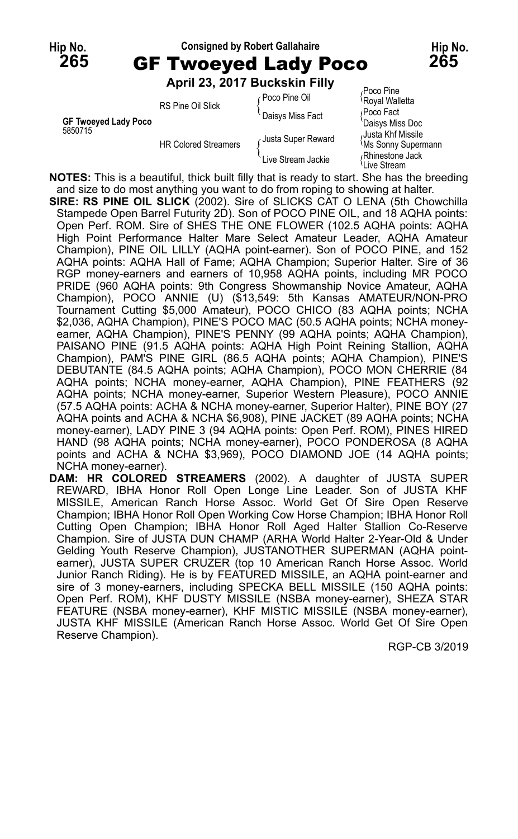| Hip No. | <b>Consigned by Robert Gallahaire</b> |                               | Hip No.                                  |     |
|---------|---------------------------------------|-------------------------------|------------------------------------------|-----|
| 265     | <b>GF Twoeyed Lady Poco</b>           |                               |                                          | 265 |
|         |                                       | April 23, 2017 Buckskin Filly |                                          |     |
|         | DO Dina Oil Olialz                    | ∠Poco Pine Oil                | Poco Pine<br><sup>{</sup> Royal Walletta |     |

|                      | RS Pine Oil Slick           | r Poco Pine Oil    | <sup>{</sup> Royal Walletta                    |
|----------------------|-----------------------------|--------------------|------------------------------------------------|
|                      |                             | Daisys Miss Fact   | Poco Fact                                      |
| GF Twoeyed Lady Poco |                             |                    | 'Daisys Miss Doc                               |
| 5850715              | <b>HR Colored Streamers</b> | Justa Super Reward | Justa Khf Missile<br><b>Ms Sonny Supermann</b> |
|                      |                             | Live Stream Jackie | Rhinestone Jack<br><sup>l</sup> Live Stream    |

**NOTES:** This is a beautiful, thick built filly that is ready to start. She has the breeding and size to do most anything you want to do from roping to showing at halter.

- **SIRE: RS PINE OIL SLICK** (2002). Sire of SLICKS CAT O LENA (5th Chowchilla Stampede Open Barrel Futurity 2D). Son of POCO PINE OIL, and 18 AQHA points: Open Perf. ROM. Sire of SHES THE ONE FLOWER (102.5 AQHA points: AQHA High Point Performance Halter Mare Select Amateur Leader, AQHA Amateur Champion), PINE OIL LILLY (AQHA point-earner). Son of POCO PINE, and 152 AQHA points: AQHA Hall of Fame; AQHA Champion; Superior Halter. Sire of 36 RGP money-earners and earners of 10,958 AQHA points, including MR POCO PRIDE (960 AQHA points: 9th Congress Showmanship Novice Amateur, AQHA Champion), POCO ANNIE (U) (\$13,549: 5th Kansas AMATEUR/NON-PRO Tournament Cutting \$5,000 Amateur), POCO CHICO (83 AQHA points; NCHA \$2,036, AQHA Champion), PINE'S POCO MAC (50.5 AQHA points; NCHA moneyearner, AQHA Champion), PINE'S PENNY (99 AQHA points; AQHA Champion), PAISANO PINE (91.5 AQHA points: AQHA High Point Reining Stallion, AQHA Champion), PAM'S PINE GIRL (86.5 AQHA points; AQHA Champion), PINE'S DEBUTANTE (84.5 AQHA points; AQHA Champion), POCO MON CHERRIE (84 AQHA points; NCHA money-earner, AQHA Champion), PINE FEATHERS (92 AQHA points; NCHA money-earner, Superior Western Pleasure), POCO ANNIE (57.5 AQHA points: ACHA & NCHA money-earner, Superior Halter), PINE BOY (27 AQHA points and ACHA & NCHA \$6,908), PINE JACKET (89 AQHA points; NCHA money-earner), LADY PINE 3 (94 AQHA points: Open Perf. ROM), PINES HIRED HAND (98 AQHA points; NCHA money-earner), POCO PONDEROSA (8 AQHA points and ACHA & NCHA \$3,969), POCO DIAMOND JOE (14 AQHA points; NCHA money-earner).
- **DAM: HR COLORED STREAMERS** (2002). A daughter of JUSTA SUPER REWARD, IBHA Honor Roll Open Longe Line Leader. Son of JUSTA KHF MISSILE, American Ranch Horse Assoc. World Get Of Sire Open Reserve Champion; IBHA Honor Roll Open Working Cow Horse Champion; IBHA Honor Roll Cutting Open Champion; IBHA Honor Roll Aged Halter Stallion Co-Reserve Champion. Sire of JUSTA DUN CHAMP (ARHA World Halter 2-Year-Old & Under Gelding Youth Reserve Champion), JUSTANOTHER SUPERMAN (AQHA pointearner), JUSTA SUPER CRUZER (top 10 American Ranch Horse Assoc. World Junior Ranch Riding). He is by FEATURED MISSILE, an AQHA point-earner and sire of 3 money-earners, including SPECKA BELL MISSILE (150 AQHA points: Open Perf. ROM), KHF DUSTY MISSILE (NSBA money-earner), SHEZA STAR FEATURE (NSBA money-earner), KHF MISTIC MISSILE (NSBA money-earner), JUSTA KHF MISSILE (American Ranch Horse Assoc. World Get Of Sire Open Reserve Champion).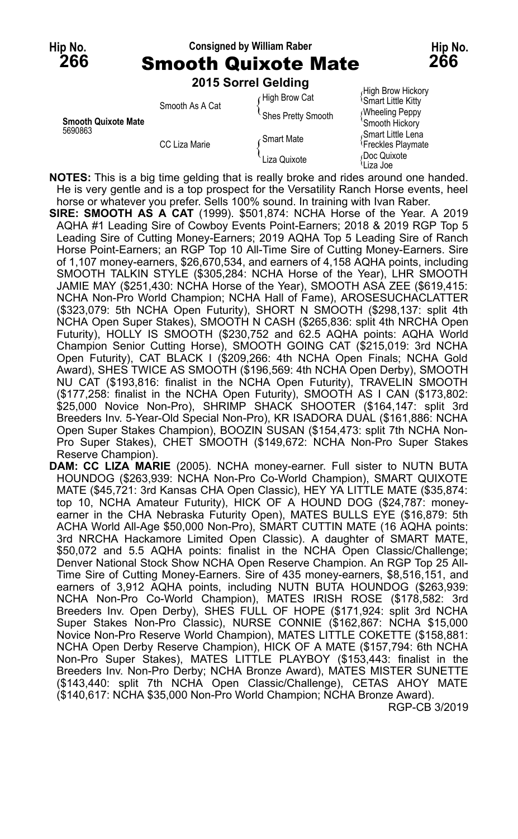### **Hip No. Consigned by William Raber Hip No. 266** Smooth Quixote Mate **266**

**2015 Sorrel Gelding**

|                            | <b>LUTS IST DESIGNED</b>         |                    |                                                     |
|----------------------------|----------------------------------|--------------------|-----------------------------------------------------|
|                            | Smooth As A Cat<br>CC Liza Marie | High Brow Cat      | High Brow Hickory<br><b>Smart Little Kitty</b>      |
| <b>Smooth Quixote Mate</b> |                                  | Shes Pretty Smooth | Wheeling Peppy<br>'Smooth Hickory                   |
| 5690863                    |                                  | Smart Mate         | Smart Little Lena<br><sup>{</sup> Freckles Playmate |
|                            |                                  | Liza Quixote       | Doc Quixote<br>≀Liza Joe                            |

**NOTES:** This is a big time gelding that is really broke and rides around one handed. He is very gentle and is a top prospect for the Versatility Ranch Horse events, heel horse or whatever you prefer. Sells 100% sound. In training with Ivan Raber.

**SIRE: SMOOTH AS A CAT** (1999). \$501,874: NCHA Horse of the Year. A 2019 AQHA #1 Leading Sire of Cowboy Events Point-Earners; 2018 & 2019 RGP Top 5 Leading Sire of Cutting Money-Earners; 2019 AQHA Top 5 Leading Sire of Ranch Horse Point-Earners; an RGP Top 10 All-Time Sire of Cutting Money-Earners. Sire of 1,107 money-earners, \$26,670,534, and earners of 4,158 AQHA points, including SMOOTH TALKIN STYLE (\$305,284: NCHA Horse of the Year), LHR SMOOTH JAMIE MAY (\$251,430: NCHA Horse of the Year), SMOOTH ASA ZEE (\$619,415: NCHA Non-Pro World Champion; NCHA Hall of Fame), AROSESUCHACLATTER (\$323,079: 5th NCHA Open Futurity), SHORT N SMOOTH (\$298,137: split 4th NCHA Open Super Stakes), SMOOTH N CASH (\$265,836: split 4th NRCHA Open Futurity), HOLLY IS SMOOTH (\$230,752 and 62.5 AQHA points: AQHA World Champion Senior Cutting Horse), SMOOTH GOING CAT (\$215,019: 3rd NCHA Open Futurity), CAT BLACK I (\$209,266: 4th NCHA Open Finals; NCHA Gold Award), SHES TWICE AS SMOOTH (\$196,569: 4th NCHA Open Derby), SMOOTH NU CAT (\$193,816: finalist in the NCHA Open Futurity), TRAVELIN SMOOTH (\$177,258: finalist in the NCHA Open Futurity), SMOOTH AS I CAN (\$173,802: \$25,000 Novice Non-Pro), SHRIMP SHACK SHOOTER (\$164,147: split 3rd Breeders Inv. 5-Year-Old Special Non-Pro), KR ISADORA DUAL (\$161,886: NCHA Open Super Stakes Champion), BOOZIN SUSAN (\$154,473: split 7th NCHA Non-Pro Super Stakes), CHET SMOOTH (\$149,672: NCHA Non-Pro Super Stakes Reserve Champion).

**DAM: CC LIZA MARIE** (2005). NCHA money-earner. Full sister to NUTN BUTA HOUNDOG (\$263,939: NCHA Non-Pro Co-World Champion), SMART QUIXOTE MATE (\$45,721: 3rd Kansas CHA Open Classic), HEY YA LITTLE MATE (\$35,874: top 10, NCHA Amateur Futurity), HICK OF A HOUND DOG (\$24,787: moneyearner in the CHA Nebraska Futurity Open), MATES BULLS EYE (\$16,879: 5th ACHA World All-Age \$50,000 Non-Pro), SMART CUTTIN MATE (16 AQHA points: 3rd NRCHA Hackamore Limited Open Classic). A daughter of SMART MATE, \$50,072 and 5.5 AQHA points: finalist in the NCHA Open Classic/Challenge; Denver National Stock Show NCHA Open Reserve Champion. An RGP Top 25 All-Time Sire of Cutting Money-Earners. Sire of 435 money-earners, \$8,516,151, and earners of 3,912 AQHA points, including NUTN BUTA HOUNDOG (\$263,939: NCHA Non-Pro Co-World Champion), MATES IRISH ROSE (\$178,582: 3rd Breeders Inv. Open Derby), SHES FULL OF HOPE (\$171,924: split 3rd NCHA Super Stakes Non-Pro Classic), NURSE CONNIE (\$162,867: NCHA \$15,000 Novice Non-Pro Reserve World Champion), MATES LITTLE COKETTE (\$158,881: NCHA Open Derby Reserve Champion), HICK OF A MATE (\$157,794: 6th NCHA Non-Pro Super Stakes), MATES LITTLE PLAYBOY (\$153,443: finalist in the Breeders Inv. Non-Pro Derby; NCHA Bronze Award), MATES MISTER SUNETTE (\$143,440: split 7th NCHA Open Classic/Challenge), CETAS AHOY MATE (\$140,617: NCHA \$35,000 Non-Pro World Champion; NCHA Bronze Award).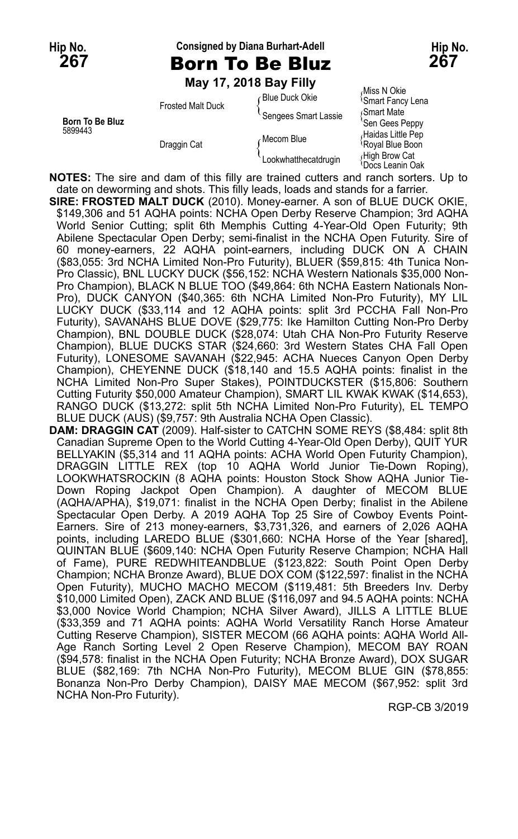**Hip No. Consigned by Diana Burhart-Adell Hip No.**

**267** Born To Be Bluz **267**

**May 17, 2018 Bay Filly**

|                 | $1114$ $11.421010$ $104$ $1111$ |                      |                                               |
|-----------------|---------------------------------|----------------------|-----------------------------------------------|
|                 | <b>Frosted Malt Duck</b>        | ∈Blue Duck Okie      | Miss N Okie<br><b>Smart Fancy Lena</b>        |
| Born To Be Bluz |                                 | Sengees Smart Lassie | Smart Mate<br>'Sen Gees Peppy                 |
| 5899443         | Draggin Cat                     | Mecom Blue           | Haidas Little Pep<br>Royal Blue Boon          |
|                 |                                 | Lookwhatthecatdrugin | High Brow Cat<br><sup>1</sup> Docs Leanin Oak |

**NOTES:** The sire and dam of this filly are trained cutters and ranch sorters. Up to date on deworming and shots. This filly leads, loads and stands for a farrier.

**SIRE: FROSTED MALT DUCK** (2010). Money-earner. A son of BLUE DUCK OKIE, \$149,306 and 51 AQHA points: NCHA Open Derby Reserve Champion; 3rd AQHA World Senior Cutting; split 6th Memphis Cutting 4-Year-Old Open Futurity; 9th Abilene Spectacular Open Derby; semi-finalist in the NCHA Open Futurity. Sire of 60 money-earners, 22 AQHA point-earners, including DUCK ON A CHAIN (\$83,055: 3rd NCHA Limited Non-Pro Futurity), BLUER (\$59,815: 4th Tunica Non-Pro Classic), BNL LUCKY DUCK (\$56,152: NCHA Western Nationals \$35,000 Non-Pro Champion), BLACK N BLUE TOO (\$49,864: 6th NCHA Eastern Nationals Non-Pro), DUCK CANYON (\$40,365: 6th NCHA Limited Non-Pro Futurity), MY LIL LUCKY DUCK (\$33,114 and 12 AQHA points: split 3rd PCCHA Fall Non-Pro Futurity), SAVANAHS BLUE DOVE (\$29,775: Ike Hamilton Cutting Non-Pro Derby Champion), BNL DOUBLE DUCK (\$28,074: Utah CHA Non-Pro Futurity Reserve Champion), BLUE DUCKS STAR (\$24,660: 3rd Western States CHA Fall Open Futurity), LONESOME SAVANAH (\$22,945: ACHA Nueces Canyon Open Derby Champion), CHEYENNE DUCK (\$18,140 and 15.5 AQHA points: finalist in the NCHA Limited Non-Pro Super Stakes), POINTDUCKSTER (\$15,806: Southern Cutting Futurity \$50,000 Amateur Champion), SMART LIL KWAK KWAK (\$14,653), RANGO DUCK (\$13,272: split 5th NCHA Limited Non-Pro Futurity), EL TEMPO BLUE DUCK (AUS) (\$9,757: 9th Australia NCHA Open Classic).

**DAM: DRAGGIN CAT** (2009). Half-sister to CATCHN SOME REYS (\$8,484: split 8th Canadian Supreme Open to the World Cutting 4-Year-Old Open Derby), QUIT YUR BELLYAKIN (\$5,314 and 11 AQHA points: ACHA World Open Futurity Champion), DRAGGIN LITTLE REX (top 10 AQHA World Junior Tie-Down Roping), LOOKWHATSROCKIN (8 AQHA points: Houston Stock Show AQHA Junior Tie-Down Roping Jackpot Open Champion). A daughter of MECOM BLUE (AQHA/APHA), \$19,071: finalist in the NCHA Open Derby; finalist in the Abilene Spectacular Open Derby. A 2019 AQHA Top 25 Sire of Cowboy Events Point-Earners. Sire of 213 money-earners, \$3,731,326, and earners of 2,026 AQHA points, including LAREDO BLUE (\$301,660: NCHA Horse of the Year [shared], QUINTAN BLUE (\$609,140: NCHA Open Futurity Reserve Champion; NCHA Hall of Fame), PURE REDWHITEANDBLUE (\$123,822: South Point Open Derby Champion; NCHA Bronze Award), BLUE DOX COM (\$122,597: finalist in the NCHA Open Futurity), MUCHO MACHO MECOM (\$119,481: 5th Breeders Inv. Derby \$10,000 Limited Open), ZACK AND BLUE (\$116,097 and 94.5 AQHA points: NCHA \$3,000 Novice World Champion; NCHA Silver Award), JILLS A LITTLE BLUE (\$33,359 and 71 AQHA points: AQHA World Versatility Ranch Horse Amateur Cutting Reserve Champion), SISTER MECOM (66 AQHA points: AQHA World All-Age Ranch Sorting Level 2 Open Reserve Champion), MECOM BAY ROAN (\$94,578: finalist in the NCHA Open Futurity; NCHA Bronze Award), DOX SUGAR BLUE (\$82,169: 7th NCHA Non-Pro Futurity), MECOM BLUE GIN (\$78,855: Bonanza Non-Pro Derby Champion), DAISY MAE MECOM (\$67,952: split 3rd NCHA Non-Pro Futurity).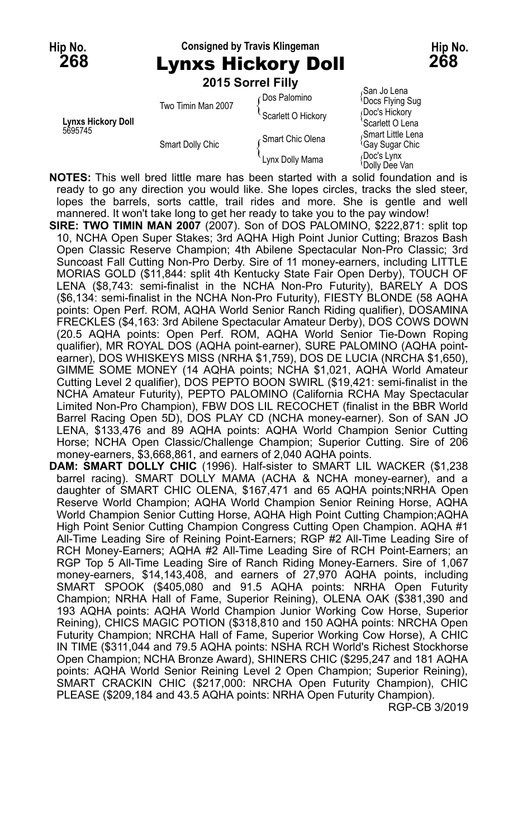## **Hip No. Consigned by Travis Klingeman Hip No. 268** Lynxs Hickory Doll **268**

|                           |                    | 2015 Sorrel Filly  |                                                  |
|---------------------------|--------------------|--------------------|--------------------------------------------------|
|                           | Two Timin Man 2007 | ∈Dos Palomino      | San Jo Lena<br><b>Docs Flying Sug</b>            |
| <b>Lynxs Hickory Doll</b> |                    | Scarlett O Hickory | Doc's Hickory<br>Scarlett O Lena                 |
| 5695745                   | Smart Dolly Chic   | Smart Chic Olena   | Smart Little Lena<br><sup>t</sup> Gay Sugar Chic |
|                           |                    | Lynx Dolly Mama    | Doc's Lynx<br>Dolly Dee Van                      |

**NOTES:** This well bred little mare has been started with a solid foundation and is ready to go any direction you would like. She lopes circles, tracks the sled steer, lopes the barrels, sorts cattle, trail rides and more. She is gentle and well mannered. It won't take long to get her ready to take you to the pay window!

**SIRE: TWO TIMIN MAN 2007** (2007). Son of DOS PALOMINO, \$222,871: split top 10, NCHA Open Super Stakes; 3rd AQHA High Point Junior Cutting; Brazos Bash Open Classic Reserve Champion; 4th Abilene Spectacular Non-Pro Classic; 3rd Suncoast Fall Cutting Non-Pro Derby. Sire of 11 money-earners, including LITTLE MORIAS GOLD (\$11,844: split 4th Kentucky State Fair Open Derby), TOUCH OF LENA (\$8,743: semi-finalist in the NCHA Non-Pro Futurity), BARELY A DOS (\$6,134: semi-finalist in the NCHA Non-Pro Futurity), FIESTY BLONDE (58 AQHA points: Open Perf. ROM, AQHA World Senior Ranch Riding qualifier), DOSAMINA FRECKLES (\$4,163: 3rd Abilene Spectacular Amateur Derby), DOS COWS DOWN (20.5 AQHA points: Open Perf. ROM, AQHA World Senior Tie-Down Roping qualifier), MR ROYAL DOS (AQHA point-earner), SURE PALOMINO (AQHA pointearner), DOS WHISKEYS MISS (NRHA \$1,759), DOS DE LUCIA (NRCHA \$1,650), GIMME SOME MONEY (14 AQHA points; NCHA \$1,021, AQHA World Amateur Cutting Level 2 qualifier), DOS PEPTO BOON SWIRL (\$19,421: semi-finalist in the NCHA Amateur Futurity), PEPTO PALOMINO (California RCHA May Spectacular Limited Non-Pro Champion), FBW DOS LIL RECOCHET (finalist in the BBR World Barrel Racing Open 5D), DOS PLAY CD (NCHA money-earner). Son of SAN JO LENA, \$133,476 and 89 AQHA points: AQHA World Champion Senior Cutting Horse; NCHA Open Classic/Challenge Champion; Superior Cutting. Sire of 206 money-earners, \$3,668,861, and earners of 2,040 AQHA points.

**DAM: SMART DOLLY CHIC** (1996). Half-sister to SMART LIL WACKER (\$1,238 barrel racing). SMART DOLLY MAMA (ACHA & NCHA money-earner), and a daughter of SMART CHIC OLENA, \$167,471 and 65 AQHA points;NRHA Open Reserve World Champion; AQHA World Champion Senior Reining Horse, AQHA World Champion Senior Cutting Horse, AQHA High Point Cutting Champion;AQHA High Point Senior Cutting Champion Congress Cutting Open Champion. AQHA #1 All-Time Leading Sire of Reining Point-Earners; RGP #2 All-Time Leading Sire of RCH Money-Earners; AQHA #2 All-Time Leading Sire of RCH Point-Earners; an RGP Top 5 All-Time Leading Sire of Ranch Riding Money-Earners. Sire of 1,067 money-earners, \$14,143,408, and earners of 27,970 AQHA points, including SMART SPOOK (\$405,080 and 91.5 AQHA points: NRHA Open Futurity Champion; NRHA Hall of Fame, Superior Reining), OLENA OAK (\$381,390 and 193 AQHA points: AQHA World Champion Junior Working Cow Horse, Superior Reining), CHICS MAGIC POTION (\$318,810 and 150 AQHA points: NRCHA Open Futurity Champion; NRCHA Hall of Fame, Superior Working Cow Horse), A CHIC IN TIME (\$311,044 and 79.5 AQHA points: NSHA RCH World's Richest Stockhorse Open Champion; NCHA Bronze Award), SHINERS CHIC (\$295,247 and 181 AQHA points: AQHA World Senior Reining Level 2 Open Champion; Superior Reining), SMART CRACKIN CHIC (\$217,000: NRCHA Open Futurity Champion), CHIC PLEASE (\$209,184 and 43.5 AQHA points: NRHA Open Futurity Champion).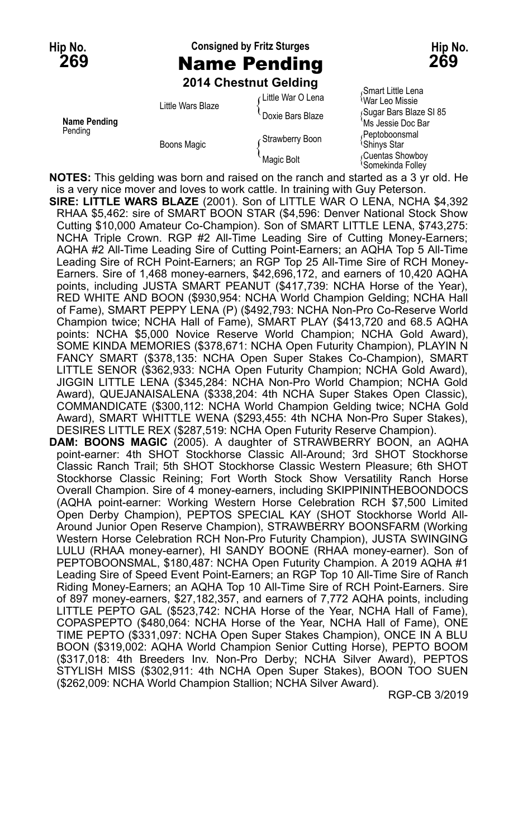# **Hip No. Consigned by Fritz Sturges Hip No. 269** Name Pending **269**

**2014 Chestnut Gelding**

| Name Pending<br>Pending | Little Wars Blaze<br>Boons Magic | ∠Little War O Lena | Smart Little Lena<br>War Leo Missie          |
|-------------------------|----------------------------------|--------------------|----------------------------------------------|
|                         |                                  | Doxie Bars Blaze   | Sugar Bars Blaze SI 85<br>`Ms Jessie Doc Bar |
|                         |                                  | Strawberry Boon    | Peptoboonsmal<br><sup>≀</sup> Shinys Star    |
|                         |                                  | Magic Bolt         | Cuentas Showboy<br>Somekinda Folley          |

**NOTES:** This gelding was born and raised on the ranch and started as a 3 yr old. He is a very nice mover and loves to work cattle. In training with Guy Peterson.

**SIRE: LITTLE WARS BLAZE** (2001). Son of LITTLE WAR O LENA, NCHA \$4,392 RHAA \$5,462: sire of SMART BOON STAR (\$4,596: Denver National Stock Show Cutting \$10,000 Amateur Co-Champion). Son of SMART LITTLE LENA, \$743,275: NCHA Triple Crown. RGP #2 All-Time Leading Sire of Cutting Money-Earners; AQHA #2 All-Time Leading Sire of Cutting Point-Earners; an AQHA Top 5 All-Time Leading Sire of RCH Point-Earners; an RGP Top 25 All-Time Sire of RCH Money-Earners. Sire of 1,468 money-earners, \$42,696,172, and earners of 10,420 AQHA points, including JUSTA SMART PEANUT (\$417,739: NCHA Horse of the Year), RED WHITE AND BOON (\$930,954: NCHA World Champion Gelding; NCHA Hall of Fame), SMART PEPPY LENA (P) (\$492,793: NCHA Non-Pro Co-Reserve World Champion twice; NCHA Hall of Fame), SMART PLAY (\$413,720 and 68.5 AQHA points: NCHA \$5,000 Novice Reserve World Champion; NCHA Gold Award), SOME KINDA MEMORIES (\$378,671: NCHA Open Futurity Champion), PLAYIN N FANCY SMART (\$378,135: NCHA Open Super Stakes Co-Champion), SMART LITTLE SENOR (\$362,933: NCHA Open Futurity Champion; NCHA Gold Award), JIGGIN LITTLE LENA (\$345,284: NCHA Non-Pro World Champion; NCHA Gold Award), QUEJANAISALENA (\$338,204: 4th NCHA Super Stakes Open Classic), COMMANDICATE (\$300,112: NCHA World Champion Gelding twice; NCHA Gold Award), SMART WHITTLE WENA (\$293,455: 4th NCHA Non-Pro Super Stakes), DESIRES LITTLE REX (\$287,519: NCHA Open Futurity Reserve Champion).

**DAM: BOONS MAGIC** (2005). A daughter of STRAWBERRY BOON, an AQHA point-earner: 4th SHOT Stockhorse Classic All-Around; 3rd SHOT Stockhorse Classic Ranch Trail; 5th SHOT Stockhorse Classic Western Pleasure; 6th SHOT Stockhorse Classic Reining; Fort Worth Stock Show Versatility Ranch Horse Overall Champion. Sire of 4 money-earners, including SKIPPININTHEBOONDOCS (AQHA point-earner: Working Western Horse Celebration RCH \$7,500 Limited Open Derby Champion), PEPTOS SPECIAL KAY (SHOT Stockhorse World All-Around Junior Open Reserve Champion), STRAWBERRY BOONSFARM (Working Western Horse Celebration RCH Non-Pro Futurity Champion), JUSTA SWINGING LULU (RHAA money-earner), HI SANDY BOONE (RHAA money-earner). Son of PEPTOBOONSMAL, \$180,487: NCHA Open Futurity Champion. A 2019 AQHA #1 Leading Sire of Speed Event Point-Earners; an RGP Top 10 All-Time Sire of Ranch Riding Money-Earners; an AQHA Top 10 All-Time Sire of RCH Point-Earners. Sire of 897 money-earners, \$27,182,357, and earners of 7,772 AQHA points, including LITTLE PEPTO GAL (\$523,742: NCHA Horse of the Year, NCHA Hall of Fame), COPASPEPTO (\$480,064: NCHA Horse of the Year, NCHA Hall of Fame), ONE TIME PEPTO (\$331,097: NCHA Open Super Stakes Champion), ONCE IN A BLU BOON (\$319,002: AQHA World Champion Senior Cutting Horse), PEPTO BOOM (\$317,018: 4th Breeders Inv. Non-Pro Derby; NCHA Silver Award), PEPTOS STYLISH MISS (\$302,911: 4th NCHA Open Super Stakes), BOON TOO SUEN (\$262,009: NCHA World Champion Stallion; NCHA Silver Award).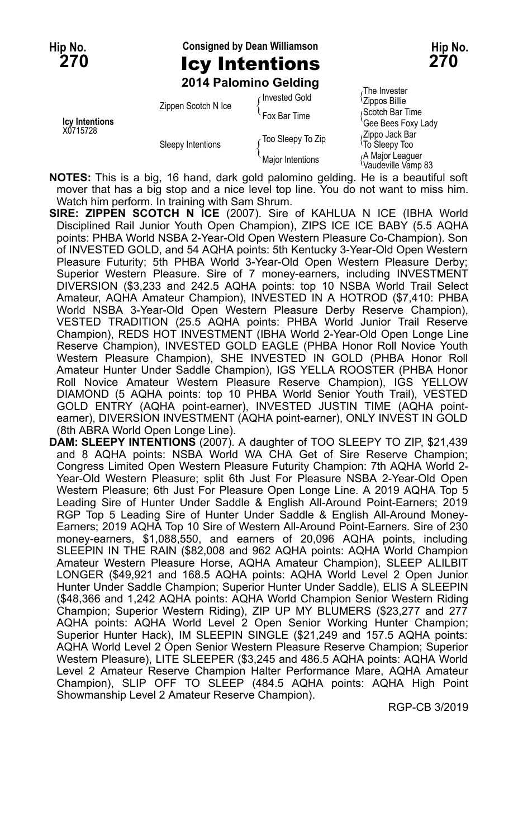# **Hip No. Consigned by Dean Williamson Hip No. 270** Icy Intentions **270**

**2014 Palomino Gelding**

|                            | Zippen Scotch N Ice | Invested Gold       | 7111e invester<br><sup>1</sup> Zippos Billie       |
|----------------------------|---------------------|---------------------|----------------------------------------------------|
| Icy Intentions<br>X0715728 |                     | Fox Bar Time        | Scotch Bar Time<br>'Gee Bees Foxy Lady             |
|                            | Sleepy Intentions   | Too Sleepy To Zip ، | Zippo Jack Bar<br><sup>1</sup> To Sleepy Too       |
|                            |                     | Major Intentions    | A Major Leaguer<br><sup>i</sup> Vaudeville Vămp 83 |

<sub>S</sub>The Invester<br><sup>I</sup>Zippos Billie  $\beta$ Cotch Bar Time

**NOTES:** This is a big, 16 hand, dark gold palomino gelding. He is a beautiful soft mover that has a big stop and a nice level top line. You do not want to miss him. Watch him perform. In training with Sam Shrum.

**SIRE: ZIPPEN SCOTCH N ICE** (2007). Sire of KAHLUA N ICE (IBHA World Disciplined Rail Junior Youth Open Champion), ZIPS ICE ICE BABY (5.5 AQHA points: PHBA World NSBA 2-Year-Old Open Western Pleasure Co-Champion). Son of INVESTED GOLD, and 54 AQHA points: 5th Kentucky 3-Year-Old Open Western Pleasure Futurity; 5th PHBA World 3-Year-Old Open Western Pleasure Derby; Superior Western Pleasure. Sire of 7 money-earners, including INVESTMENT DIVERSION (\$3,233 and 242.5 AQHA points: top 10 NSBA World Trail Select Amateur, AQHA Amateur Champion), INVESTED IN A HOTROD (\$7,410: PHBA World NSBA 3-Year-Old Open Western Pleasure Derby Reserve Champion), VESTED TRADITION (25.5 AQHA points: PHBA World Junior Trail Reserve Champion), REDS HOT INVESTMENT (IBHA World 2-Year-Old Open Longe Line Reserve Champion), INVESTED GOLD EAGLE (PHBA Honor Roll Novice Youth Western Pleasure Champion), SHE INVESTED IN GOLD (PHBA Honor Roll Amateur Hunter Under Saddle Champion), IGS YELLA ROOSTER (PHBA Honor Roll Novice Amateur Western Pleasure Reserve Champion), IGS YELLOW DIAMOND (5 AQHA points: top 10 PHBA World Senior Youth Trail), VESTED GOLD ENTRY (AQHA point-earner), INVESTED JUSTIN TIME (AQHA pointearner), DIVERSION INVESTMENT (AQHA point-earner), ONLY INVEST IN GOLD (8th ABRA World Open Longe Line).

**DAM: SLEEPY INTENTIONS** (2007). A daughter of TOO SLEEPY TO ZIP, \$21,439 and 8 AQHA points: NSBA World WA CHA Get of Sire Reserve Champion; Congress Limited Open Western Pleasure Futurity Champion: 7th AQHA World 2- Year-Old Western Pleasure; split 6th Just For Pleasure NSBA 2-Year-Old Open Western Pleasure; 6th Just For Pleasure Open Longe Line. A 2019 AQHA Top 5 Leading Sire of Hunter Under Saddle & English All-Around Point-Earners; 2019 RGP Top 5 Leading Sire of Hunter Under Saddle & English All-Around Money-Earners; 2019 AQHA Top 10 Sire of Western All-Around Point-Earners. Sire of 230 money-earners, \$1,088,550, and earners of 20,096 AQHA points, including SLEEPIN IN THE RAIN (\$82,008 and 962 AQHA points: AQHA World Champion Amateur Western Pleasure Horse, AQHA Amateur Champion), SLEEP ALILBIT LONGER (\$49,921 and 168.5 AQHA points: AQHA World Level 2 Open Junior Hunter Under Saddle Champion; Superior Hunter Under Saddle), ELIS A SLEEPIN (\$48,366 and 1,242 AQHA points: AQHA World Champion Senior Western Riding Champion; Superior Western Riding), ZIP UP MY BLUMERS (\$23,277 and 277 AQHA points: AQHA World Level 2 Open Senior Working Hunter Champion; Superior Hunter Hack), IM SLEEPIN SINGLE (\$21,249 and 157.5 AQHA points: AQHA World Level 2 Open Senior Western Pleasure Reserve Champion; Superior Western Pleasure), LITE SLEEPER (\$3,245 and 486.5 AQHA points: AQHA World Level 2 Amateur Reserve Champion Halter Performance Mare, AQHA Amateur Champion), SLIP OFF TO SLEEP (484.5 AQHA points: AQHA High Point Showmanship Level 2 Amateur Reserve Champion).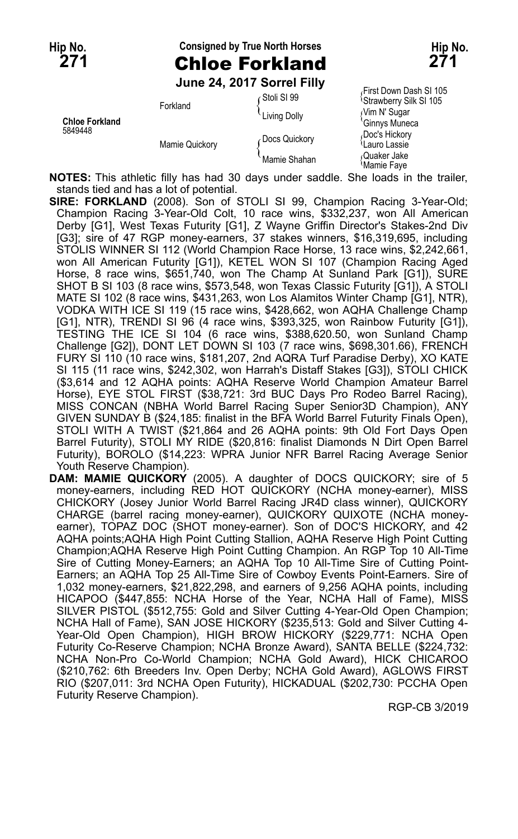## **Hip No. Consigned by True North Horses Hip No. 271** Chloe Forkland **271**

**June 24, 2017 Sorrel Filly**

First Down Dash SI 105 Stoll Strawberry Silk SI 105<br>Forkland The Colly The Music Control of Strawberry Silk SI<br>Ginnys Muneca **Chloe Forkland** Chloe Chloe Chloe Chloe Chloe Chloe Chloe Chloe Chloe Chloe Chloe Chloe Chloe Chloe Chloe Chloe<br>Chloe's Hickory Chloe Chloe Chloe Chloe Chloe Chloe Chloe Chloe Chloe Chloe Chloe Chloe Chloe Chloe Chloe Chl 5849448 Doc's Hickory (Docs Quickory Pooc's Hickory<br>Mamie Quickory { Docs Quickory { Lauro Lassie<br>Quaker Jake Mamie Shahan {Mamie Faye

**NOTES:** This athletic filly has had 30 days under saddle. She loads in the trailer, stands tied and has a lot of potential.

- **SIRE: FORKLAND** (2008). Son of STOLI SI 99, Champion Racing 3-Year-Old; Champion Racing 3-Year-Old Colt, 10 race wins, \$332,237, won All American Derby [G1], West Texas Futurity [G1], Z Wayne Griffin Director's Stakes-2nd Div [G3]; sire of 47 RGP money-earners, 37 stakes winners, \$16,319,695, including STOLIS WINNER SI 112 (World Champion Race Horse, 13 race wins, \$2,242,661, won All American Futurity [G1]), KETEL WON SI 107 (Champion Racing Aged Horse, 8 race wins, \$651,740, won The Champ At Sunland Park [G1]), SURE SHOT B SI 103 (8 race wins, \$573,548, won Texas Classic Futurity [G1]), A STOLI MATE SI 102 (8 race wins, \$431,263, won Los Alamitos Winter Champ [G1], NTR), VODKA WITH ICE SI 119 (15 race wins, \$428,662, won AQHA Challenge Champ [G1], NTR), TRENDI SI 96 (4 race wins, \$393,325, won Rainbow Futurity [G1]), TESTING THE ICE SI 104 (6 race wins, \$388,620.50, won Sunland Champ Challenge [G2]), DONT LET DOWN SI 103 (7 race wins, \$698,301.66), FRENCH FURY SI 110 (10 race wins, \$181,207, 2nd AQRA Turf Paradise Derby), XO KATE SI 115 (11 race wins, \$242,302, won Harrah's Distaff Stakes [G3]), STOLI CHICK (\$3,614 and 12 AQHA points: AQHA Reserve World Champion Amateur Barrel Horse), EYE STOL FIRST (\$38,721: 3rd BUC Days Pro Rodeo Barrel Racing), MISS CONCAN (NBHA World Barrel Racing Super Senior3D Champion), ANY GIVEN SUNDAY B (\$24,185: finalist in the BFA World Barrel Futurity Finals Open), STOLI WITH A TWIST (\$21,864 and 26 AQHA points: 9th Old Fort Days Open Barrel Futurity), STOLI MY RIDE (\$20,816: finalist Diamonds N Dirt Open Barrel Futurity), BOROLO (\$14,223: WPRA Junior NFR Barrel Racing Average Senior Youth Reserve Champion).
- **DAM: MAMIE QUICKORY** (2005). A daughter of DOCS QUICKORY; sire of 5 money-earners, including RED HOT QUICKORY (NCHA money-earner), MISS CHICKORY (Josey Junior World Barrel Racing JR4D class winner), QUICKORY CHARGE (barrel racing money-earner), QUICKORY QUIXOTE (NCHA moneyearner), TOPAZ DOC (SHOT money-earner). Son of DOC'S HICKORY, and 42 AQHA points;AQHA High Point Cutting Stallion, AQHA Reserve High Point Cutting Champion;AQHA Reserve High Point Cutting Champion. An RGP Top 10 All-Time Sire of Cutting Money-Earners; an AQHA Top 10 All-Time Sire of Cutting Point-Earners; an AQHA Top 25 All-Time Sire of Cowboy Events Point-Earners. Sire of 1,032 money-earners, \$21,822,298, and earners of 9,256 AQHA points, including HICAPOO (\$447,855: NCHA Horse of the Year, NCHA Hall of Fame), MISS SILVER PISTOL (\$512,755: Gold and Silver Cutting 4-Year-Old Open Champion; NCHA Hall of Fame), SAN JOSE HICKORY (\$235,513: Gold and Silver Cutting 4- Year-Old Open Champion), HIGH BROW HICKORY (\$229,771: NCHA Open Futurity Co-Reserve Champion; NCHA Bronze Award), SANTA BELLE (\$224,732: NCHA Non-Pro Co-World Champion; NCHA Gold Award), HICK CHICAROO (\$210,762: 6th Breeders Inv. Open Derby; NCHA Gold Award), AGLOWS FIRST RIO (\$207,011: 3rd NCHA Open Futurity), HICKADUAL (\$202,730: PCCHA Open Futurity Reserve Champion).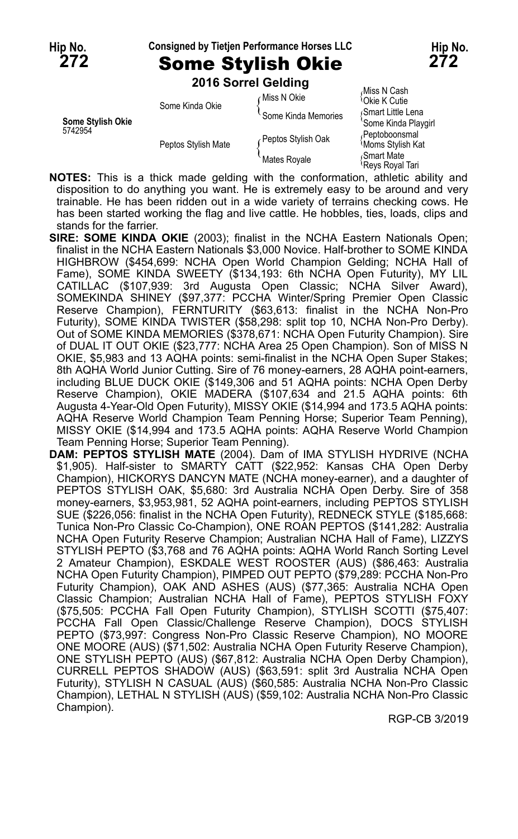# **Hip No. Consigned by Tietjen Performance Horses LLC Hip No.**

**272** Some Stylish Okie **272 2016 Sorrel Gelding**

|                   |                     | LUTU UUTTUI UURIIRI |                                           |
|-------------------|---------------------|---------------------|-------------------------------------------|
|                   | Some Kinda Okie     | Miss N Okie         | Miss N Cash،<br><sup>1</sup> Okie K Cutie |
| Some Stylish Okie |                     | Some Kinda Memories | Smart Little Lena<br>'Some Kinda Playgirl |
| 5742954           | Peptos Stylish Mate | Peptos Stylish Oak  | Peptoboonsmal<br><b>Moms Stylish Kat</b>  |
|                   |                     | Mates Royale        | <sub></sub> Smart Mate<br>Reys Royal Tari |

**NOTES:** This is a thick made gelding with the conformation, athletic ability and disposition to do anything you want. He is extremely easy to be around and very trainable. He has been ridden out in a wide variety of terrains checking cows. He has been started working the flag and live cattle. He hobbles, ties, loads, clips and stands for the farrier.

- **SIRE: SOME KINDA OKIE** (2003); finalist in the NCHA Eastern Nationals Open; finalist in the NCHA Eastern Nationals \$3,000 Novice. Half-brother to SOME KINDA HIGHBROW (\$454,699: NCHA Open World Champion Gelding; NCHA Hall of Fame), SOME KINDA SWEETY (\$134,193: 6th NCHA Open Futurity), MY LIL CATILLAC (\$107,939: 3rd Augusta Open Classic; NCHA Silver Award), SOMEKINDA SHINEY (\$97,377: PCCHA Winter/Spring Premier Open Classic Reserve Champion), FERNTURITY (\$63,613: finalist in the NCHA Non-Pro Futurity), SOME KINDA TWISTER (\$58,298: split top 10, NCHA Non-Pro Derby). Out of SOME KINDA MEMORIES (\$378,671: NCHA Open Futurity Champion). Sire of DUAL IT OUT OKIE (\$23,777: NCHA Area 25 Open Champion). Son of MISS N OKIE, \$5,983 and 13 AQHA points: semi-finalist in the NCHA Open Super Stakes; 8th AQHA World Junior Cutting. Sire of 76 money-earners, 28 AQHA point-earners, including BLUE DUCK OKIE (\$149,306 and 51 AQHA points: NCHA Open Derby Reserve Champion), OKIE MADERA (\$107,634 and 21.5 AQHA points: 6th Augusta 4-Year-Old Open Futurity), MISSY OKIE (\$14,994 and 173.5 AQHA points: AQHA Reserve World Champion Team Penning Horse; Superior Team Penning), MISSY OKIE (\$14,994 and 173.5 AQHA points: AQHA Reserve World Champion Team Penning Horse; Superior Team Penning).
- **DAM: PEPTOS STYLISH MATE** (2004). Dam of IMA STYLISH HYDRIVE (NCHA \$1,905). Half-sister to SMARTY CATT (\$22,952: Kansas CHA Open Derby Champion), HICKORYS DANCYN MATE (NCHA money-earner), and a daughter of PEPTOS STYLISH OAK, \$5,680: 3rd Australia NCHA Open Derby. Sire of 358 money-earners, \$3,953,981, 52 AQHA point-earners, including PEPTOS STYLISH SUE (\$226,056: finalist in the NCHA Open Futurity), REDNECK STYLE (\$185,668: Tunica Non-Pro Classic Co-Champion), ONE ROAN PEPTOS (\$141,282: Australia NCHA Open Futurity Reserve Champion; Australian NCHA Hall of Fame), LIZZYS STYLISH PEPTO (\$3,768 and 76 AQHA points: AQHA World Ranch Sorting Level 2 Amateur Champion), ESKDALE WEST ROOSTER (AUS) (\$86,463: Australia NCHA Open Futurity Champion), PIMPED OUT PEPTO (\$79,289: PCCHA Non-Pro Futurity Champion), OAK AND ASHES (AUS) (\$77,365: Australia NCHA Open Classic Champion; Australian NCHA Hall of Fame), PEPTOS STYLISH FOXY (\$75,505: PCCHA Fall Open Futurity Champion), STYLISH SCOTTI (\$75,407: PCCHA Fall Open Classic/Challenge Reserve Champion), DOCS STYLISH PEPTO (\$73,997: Congress Non-Pro Classic Reserve Champion), NO MOORE ONE MOORE (AUS) (\$71,502: Australia NCHA Open Futurity Reserve Champion), ONE STYLISH PEPTO (AUS) (\$67,812: Australia NCHA Open Derby Champion), CURRELL PEPTOS SHADOW (AUS) (\$63,591: split 3rd Australia NCHA Open Futurity), STYLISH N CASUAL (AUS) (\$60,585: Australia NCHA Non-Pro Classic Champion), LETHAL N STYLISH (AUS) (\$59,102: Australia NCHA Non-Pro Classic Champion).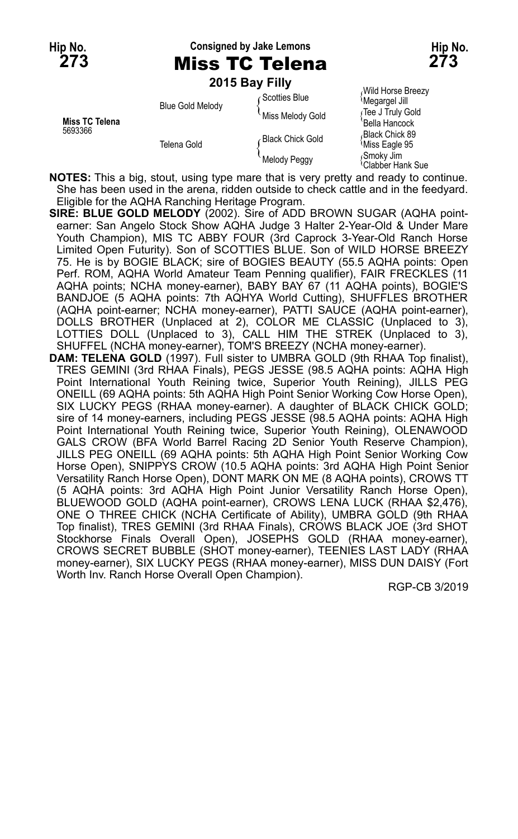**Hip No. Consigned by Jake Lemons Hip No.**

|                                  |                         | 2015 Bay Filly   |                                     |
|----------------------------------|-------------------------|------------------|-------------------------------------|
|                                  | <b>Blue Gold Melody</b> | ⊊Scotties Blue   | Wild Horse Breezy<br>Megargel Jill  |
| <b>Miss TC Telena</b><br>5693366 |                         | Miss Melody Gold | ∫Tee J Truly Gold<br>'Bella Hancock |
|                                  | Telena Gold             | Black Chick Gold | Black Chick 89<br>Miss Eagle 95     |
|                                  |                         | Melody Peggy     | Smoky Jim<br>Ì∩lahhar Hank Sua      |

Clabber Hank Sue

**NOTES:** This a big, stout, using type mare that is very pretty and ready to continue. She has been used in the arena, ridden outside to check cattle and in the feedyard. Eligible for the AQHA Ranching Heritage Program.

**SIRE: BLUE GOLD MELODY** (2002). Sire of ADD BROWN SUGAR (AQHA pointearner: San Angelo Stock Show AQHA Judge 3 Halter 2-Year-Old & Under Mare Youth Champion), MIS TC ABBY FOUR (3rd Caprock 3-Year-Old Ranch Horse Limited Open Futurity). Son of SCOTTIES BLUE. Son of WILD HORSE BREEZY 75. He is by BOGIE BLACK; sire of BOGIES BEAUTY (55.5 AQHA points: Open Perf. ROM, AQHA World Amateur Team Penning qualifier), FAIR FRECKLES (11 AQHA points; NCHA money-earner), BABY BAY 67 (11 AQHA points), BOGIE'S BANDJOE (5 AQHA points: 7th AQHYA World Cutting), SHUFFLES BROTHER (AQHA point-earner; NCHA money-earner), PATTI SAUCE (AQHA point-earner), DOLLS BROTHER (Unplaced at 2), COLOR ME CLASSIC (Unplaced to 3), LOTTIES DOLL (Unplaced to 3), CALL HIM THE STREK (Unplaced to 3), SHUFFEL (NCHA money-earner), TOM'S BREEZY (NCHA money-earner). **DAM: TELENA GOLD** (1997). Full sister to UMBRA GOLD (9th RHAA Top finalist), TRES GEMINI (3rd RHAA Finals), PEGS JESSE (98.5 AQHA points: AQHA High Point International Youth Reining twice, Superior Youth Reining), JILLS PEG ONEILL (69 AQHA points: 5th AQHA High Point Senior Working Cow Horse Open), SIX LUCKY PEGS (RHAA money-earner). A daughter of BLACK CHICK GOLD; sire of 14 money-earners, including PEGS JESSE (98.5 AQHA points: AQHA High Point International Youth Reining twice, Superior Youth Reining), OLENAWOOD

GALS CROW (BFA World Barrel Racing 2D Senior Youth Reserve Champion), JILLS PEG ONEILL (69 AQHA points: 5th AQHA High Point Senior Working Cow Horse Open), SNIPPYS CROW (10.5 AQHA points: 3rd AQHA High Point Senior Versatility Ranch Horse Open), DONT MARK ON ME (8 AQHA points), CROWS TT (5 AQHA points: 3rd AQHA High Point Junior Versatility Ranch Horse Open), BLUEWOOD GOLD (AQHA point-earner), CROWS LENA LUCK (RHAA \$2,476), ONE O THREE CHICK (NCHA Certificate of Ability), UMBRA GOLD (9th RHAA Top finalist), TRES GEMINI (3rd RHAA Finals), CROWS BLACK JOE (3rd SHOT Stockhorse Finals Overall Open), JOSEPHS GOLD (RHAA money-earner), CROWS SECRET BUBBLE (SHOT money-earner), TEENIES LAST LADY (RHAA money-earner), SIX LUCKY PEGS (RHAA money-earner), MISS DUN DAISY (Fort Worth Inv. Ranch Horse Overall Open Champion).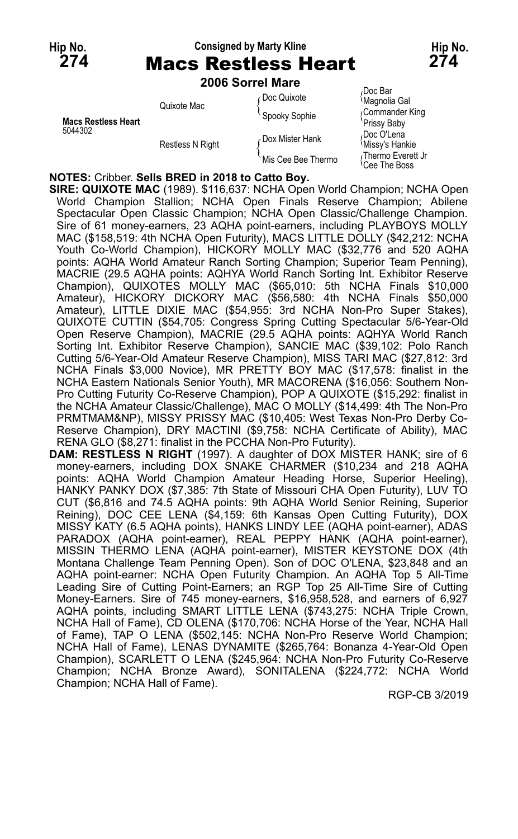# **Hip No. Consigned by Marty Kline Hip No.**

| 274                        | 274<br><b>Macs Restless Heart</b> |                        |                                                 |  |  |
|----------------------------|-----------------------------------|------------------------|-------------------------------------------------|--|--|
|                            |                                   | 2006 Sorrel Mare       |                                                 |  |  |
|                            | Quixote Mac                       | Doc Quixote            | Doc Bar،<br><sup>{</sup> Magnolia Gal           |  |  |
| <b>Macs Restless Heart</b> |                                   | Spooky Sophie          | Commander King<br>'Prissy Baby                  |  |  |
| 5044302                    | <b>Restless N Right</b>           | <b>Dox Mister Hank</b> | Doc O'Lena<br><sup>1</sup> Missy's Hankie       |  |  |
|                            |                                   | Mis Cee Bee Thermo     | √Thermo Everett Jr<br><sup>l</sup> Cee The Boss |  |  |

**NOTES:** Cribber. **Sells BRED in 2018 to Catto Boy.**

**SIRE: QUIXOTE MAC** (1989). \$116,637: NCHA Open World Champion; NCHA Open World Champion Stallion; NCHA Open Finals Reserve Champion; Abilene Spectacular Open Classic Champion; NCHA Open Classic/Challenge Champion. Sire of 61 money-earners, 23 AQHA point-earners, including PLAYBOYS MOLLY MAC (\$158,519: 4th NCHA Open Futurity), MACS LITTLE DOLLY (\$42,212: NCHA Youth Co-World Champion), HICKORY MOLLY MAC (\$32,776 and 520 AQHA points: AQHA World Amateur Ranch Sorting Champion; Superior Team Penning), MACRIE (29.5 AQHA points: AQHYA World Ranch Sorting Int. Exhibitor Reserve Champion), QUIXOTES MOLLY MAC (\$65,010: 5th NCHA Finals \$10,000 Amateur), HICKORY DICKORY MAC (\$56,580: 4th NCHA Finals \$50,000 Amateur), LITTLE DIXIE MAC (\$54,955: 3rd NCHA Non-Pro Super Stakes), QUIXOTE CUTTIN (\$54,705: Congress Spring Cutting Spectacular 5/6-Year-Old Open Reserve Champion), MACRIE (29.5 AQHA points: AQHYA World Ranch Sorting Int. Exhibitor Reserve Champion), SANCIE MAC (\$39,102: Polo Ranch Cutting 5/6-Year-Old Amateur Reserve Champion), MISS TARI MAC (\$27,812: 3rd NCHA Finals \$3,000 Novice), MR PRETTY BOY MAC (\$17,578: finalist in the NCHA Eastern Nationals Senior Youth), MR MACORENA (\$16,056: Southern Non-Pro Cutting Futurity Co-Reserve Champion), POP A QUIXOTE (\$15,292: finalist in the NCHA Amateur Classic/Challenge), MAC O MOLLY (\$14,499: 4th The Non-Pro PRMTMAM&NP), MISSY PRISSY MAC (\$10,405: West Texas Non-Pro Derby Co-Reserve Champion), DRY MACTINI (\$9,758: NCHA Certificate of Ability), MAC RENA GLO (\$8,271: finalist in the PCCHA Non-Pro Futurity).

**DAM: RESTLESS N RIGHT** (1997). A daughter of DOX MISTER HANK; sire of 6 money-earners, including DOX SNAKE CHARMER (\$10,234 and 218 AQHA points: AQHA World Champion Amateur Heading Horse, Superior Heeling), HANKY PANKY DOX (\$7,385: 7th State of Missouri CHA Open Futurity), LUV TO CUT (\$6,816 and 74.5 AQHA points: 9th AQHA World Senior Reining, Superior Reining), DOC CEE LENA (\$4,159: 6th Kansas Open Cutting Futurity), DOX MISSY KATY (6.5 AQHA points), HANKS LINDY LEE (AQHA point-earner), ADAS PARADOX (AQHA point-earner), REAL PEPPY HANK (AQHA point-earner), MISSIN THERMO LENA (AQHA point-earner), MISTER KEYSTONE DOX (4th Montana Challenge Team Penning Open). Son of DOC O'LENA, \$23,848 and an AQHA point-earner: NCHA Open Futurity Champion. An AQHA Top 5 All-Time Leading Sire of Cutting Point-Earners; an RGP Top 25 All-Time Sire of Cutting Money-Earners. Sire of 745 money-earners, \$16,958,528, and earners of 6,927 AQHA points, including SMART LITTLE LENA (\$743,275: NCHA Triple Crown, NCHA Hall of Fame), CD OLENA (\$170,706: NCHA Horse of the Year, NCHA Hall of Fame), TAP O LENA (\$502,145: NCHA Non-Pro Reserve World Champion; NCHA Hall of Fame), LENAS DYNAMITE (\$265,764: Bonanza 4-Year-Old Open Champion), SCARLETT O LENA (\$245,964: NCHA Non-Pro Futurity Co-Reserve Champion; NCHA Bronze Award), SONITALENA (\$224,772: NCHA World Champion; NCHA Hall of Fame).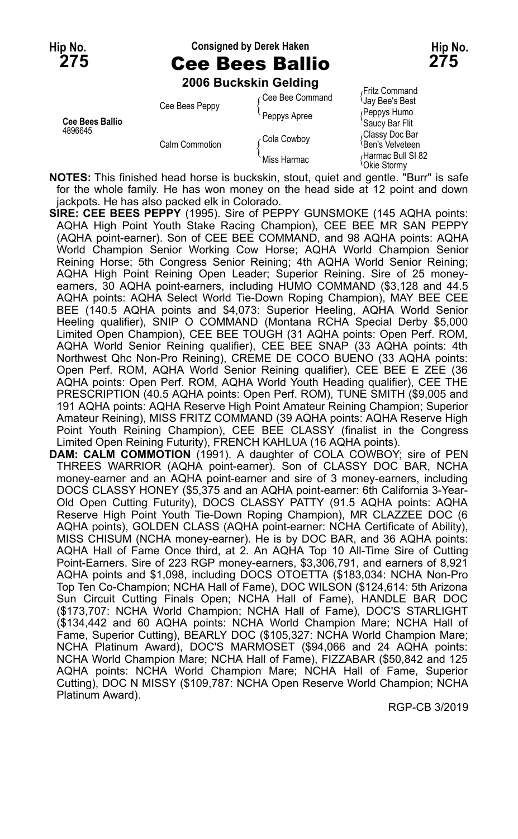### **Hip No. Consigned by Derek Haken Hip No.**

### **2006 Buckskin Gelding**

| <b>Cee Bees Ballio</b><br>4896645 | Cee Bees Peppy | Cee Bee Command<br>Peppys Apree | Fritz Command<br>∪ay Bee's Best<br>Reppys Humo<br>'Saucy Bar Flit |
|-----------------------------------|----------------|---------------------------------|-------------------------------------------------------------------|
|                                   | Calm Commotion | Cola Cowboy                     | Classy Doc Bar،<br><sup>≀</sup> Ben's Velveteen                   |
|                                   |                | Miss Harmac                     | Harmac Bull SI 82<br><sup>{</sup> Okie Stormy                     |

**NOTES:** This finished head horse is buckskin, stout, quiet and gentle. "Burr" is safe for the whole family. He has won money on the head side at 12 point and down jackpots. He has also packed elk in Colorado.

- **SIRE: CEE BEES PEPPY** (1995). Sire of PEPPY GUNSMOKE (145 AQHA points: AQHA High Point Youth Stake Racing Champion), CEE BEE MR SAN PEPPY (AQHA point-earner). Son of CEE BEE COMMAND, and 98 AQHA points: AQHA World Champion Senior Working Cow Horse; AQHA World Champion Senior Reining Horse; 5th Congress Senior Reining; 4th AQHA World Senior Reining; AQHA High Point Reining Open Leader; Superior Reining. Sire of 25 moneyearners, 30 AQHA point-earners, including HUMO COMMAND (\$3,128 and 44.5 AQHA points: AQHA Select World Tie-Down Roping Champion), MAY BEE CEE BEE (140.5 AQHA points and \$4,073: Superior Heeling, AQHA World Senior Heeling qualifier), SNIP O COMMAND (Montana RCHA Special Derby \$5,000 Limited Open Champion), CEE BEE TOUGH (31 AQHA points: Open Perf. ROM, AQHA World Senior Reining qualifier), CEE BEE SNAP (33 AQHA points: 4th Northwest Qhc Non-Pro Reining), CREME DE COCO BUENO (33 AQHA points: Open Perf. ROM, AQHA World Senior Reining qualifier), CEE BEE E ZEE (36 AQHA points: Open Perf. ROM, AQHA World Youth Heading qualifier), CEE THE PRESCRIPTION (40.5 AQHA points: Open Perf. ROM), TUNE SMITH (\$9,005 and 191 AQHA points: AQHA Reserve High Point Amateur Reining Champion; Superior Amateur Reining), MISS FRITZ COMMAND (39 AQHA points: AQHA Reserve High Point Youth Reining Champion), CEE BEE CLASSY (finalist in the Congress Limited Open Reining Futurity), FRENCH KAHLUA (16 AQHA points).
- **DAM: CALM COMMOTION** (1991). A daughter of COLA COWBOY; sire of PEN THREES WARRIOR (AQHA point-earner). Son of CLASSY DOC BAR, NCHA money-earner and an AQHA point-earner and sire of 3 money-earners, including DOCS CLASSY HONEY (\$5,375 and an AQHA point-earner: 6th California 3-Year-Old Open Cutting Futurity), DOCS CLASSY PATTY (91.5 AQHA points: AQHA Reserve High Point Youth Tie-Down Roping Champion), MR CLAZZEE DOC (6 AQHA points), GOLDEN CLASS (AQHA point-earner: NCHA Certificate of Ability), MISS CHISUM (NCHA money-earner). He is by DOC BAR, and 36 AQHA points: AQHA Hall of Fame Once third, at 2. An AQHA Top 10 All-Time Sire of Cutting Point-Earners. Sire of 223 RGP money-earners, \$3,306,791, and earners of 8,921 AQHA points and \$1,098, including DOCS OTOETTA (\$183,034: NCHA Non-Pro Top Ten Co-Champion; NCHA Hall of Fame), DOC WILSON (\$124,614: 5th Arizona Sun Circuit Cutting Finals Open; NCHA Hall of Fame), HANDLE BAR DOC (\$173,707: NCHA World Champion; NCHA Hall of Fame), DOC'S STARLIGHT (\$134,442 and 60 AQHA points: NCHA World Champion Mare; NCHA Hall of Fame, Superior Cutting), BEARLY DOC (\$105,327: NCHA World Champion Mare; NCHA Platinum Award), DOC'S MARMOSET (\$94,066 and 24 AQHA points: NCHA World Champion Mare; NCHA Hall of Fame), FIZZABAR (\$50,842 and 125 AQHA points: NCHA World Champion Mare; NCHA Hall of Fame, Superior Cutting), DOC N MISSY (\$109,787: NCHA Open Reserve World Champion; NCHA Platinum Award).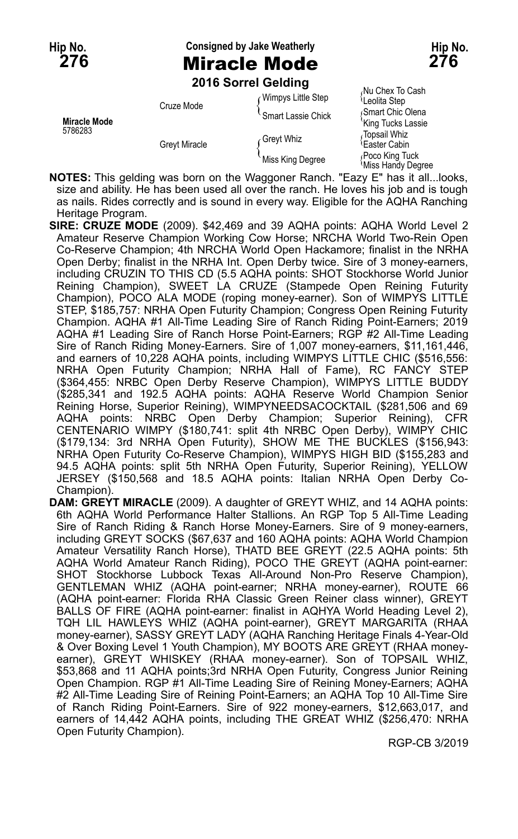**Hip No. Consigned by Jake Weatherly Hip No. 276** Miracle Mode **276**

**2016 Sorrel Gelding**

|                                | <b>LUTU JULICI OCIUILU</b> |                         |                                        |
|--------------------------------|----------------------------|-------------------------|----------------------------------------|
| <b>Miracle Mode</b><br>5786283 | Cruze Mode                 | Wimpys Little Step      | Nu Chex To Cash<br>Leolita Step        |
|                                |                            | Smart Lassie Chick      | Smart Chic Olena<br>'King Tucks Lassie |
|                                | <b>Greyt Miracle</b>       | Greyt Whiz <sub>،</sub> | Topsail Whiz،<br>Easter Cabin          |
|                                |                            | Miss King Degree        | Poco King Tuck<br>Miss Handy Degree    |

**NOTES:** This gelding was born on the Waggoner Ranch. "Eazy E" has it all...looks, size and ability. He has been used all over the ranch. He loves his job and is tough as nails. Rides correctly and is sound in every way. Eligible for the AQHA Ranching Heritage Program.

- **SIRE: CRUZE MODE** (2009). \$42,469 and 39 AQHA points: AQHA World Level 2 Amateur Reserve Champion Working Cow Horse; NRCHA World Two-Rein Open Co-Reserve Champion; 4th NRCHA World Open Hackamore; finalist in the NRHA Open Derby; finalist in the NRHA Int. Open Derby twice. Sire of 3 money-earners, including CRUZIN TO THIS CD (5.5 AQHA points: SHOT Stockhorse World Junior Reining Champion), SWEET LA CRUZE (Stampede Open Reining Futurity Champion), POCO ALA MODE (roping money-earner). Son of WIMPYS LITTLE STEP, \$185,757: NRHA Open Futurity Champion; Congress Open Reining Futurity Champion. AQHA #1 All-Time Leading Sire of Ranch Riding Point-Earners; 2019 AQHA #1 Leading Sire of Ranch Horse Point-Earners; RGP #2 All-Time Leading Sire of Ranch Riding Money-Earners. Sire of 1,007 money-earners, \$11,161,446, and earners of 10,228 AQHA points, including WIMPYS LITTLE CHIC (\$516,556: NRHA Open Futurity Champion; NRHA Hall of Fame), RC FANCY STEP (\$364,455: NRBC Open Derby Reserve Champion), WIMPYS LITTLE BUDDY (\$285,341 and 192.5 AQHA points: AQHA Reserve World Champion Senior Reining Horse, Superior Reining), WIMPYNEEDSACOCKTAIL (\$281,506 and 69 AQHA points: NRBC Open Derby Champion; Superior Reining), CFR CENTENARIO WIMPY (\$180,741: split 4th NRBC Open Derby), WIMPY CHIC (\$179,134: 3rd NRHA Open Futurity), SHOW ME THE BUCKLES (\$156,943: NRHA Open Futurity Co-Reserve Champion), WIMPYS HIGH BID (\$155,283 and 94.5 AQHA points: split 5th NRHA Open Futurity, Superior Reining), YELLOW JERSEY (\$150,568 and 18.5 AQHA points: Italian NRHA Open Derby Co-Champion).
- **DAM: GREYT MIRACLE** (2009). A daughter of GREYT WHIZ, and 14 AQHA points: 6th AQHA World Performance Halter Stallions. An RGP Top 5 All-Time Leading Sire of Ranch Riding & Ranch Horse Money-Earners. Sire of 9 money-earners, including GREYT SOCKS (\$67,637 and 160 AQHA points: AQHA World Champion Amateur Versatility Ranch Horse), THATD BEE GREYT (22.5 AQHA points: 5th AQHA World Amateur Ranch Riding), POCO THE GREYT (AQHA point-earner: SHOT Stockhorse Lubbock Texas All-Around Non-Pro Reserve Champion), GENTLEMAN WHIZ (AQHA point-earner; NRHA money-earner), ROUTE 66 (AQHA point-earner: Florida RHA Classic Green Reiner class winner), GREYT BALLS OF FIRE (AQHA point-earner: finalist in AQHYA World Heading Level 2), TQH LIL HAWLEYS WHIZ (AQHA point-earner), GREYT MARGARITA (RHAA money-earner), SASSY GREYT LADY (AQHA Ranching Heritage Finals 4-Year-Old & Over Boxing Level 1 Youth Champion), MY BOOTS ARE GREYT (RHAA moneyearner), GREYT WHISKEY (RHAA money-earner). Son of TOPSAIL WHIZ, \$53,868 and 11 AQHA points;3rd NRHA Open Futurity, Congress Junior Reining Open Champion. RGP #1 All-Time Leading Sire of Reining Money-Earners; AQHA #2 All-Time Leading Sire of Reining Point-Earners; an AQHA Top 10 All-Time Sire of Ranch Riding Point-Earners. Sire of 922 money-earners, \$12,663,017, and earners of 14,442 AQHA points, including THE GREAT WHIZ (\$256,470: NRHA Open Futurity Champion).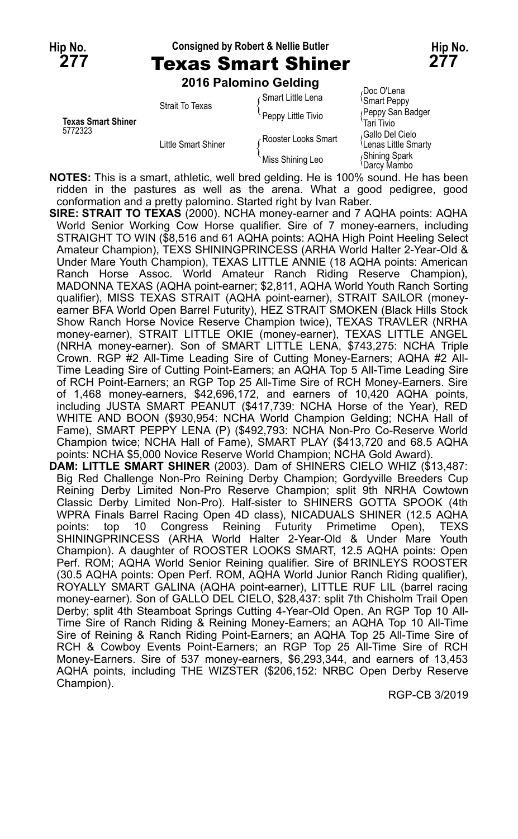Champion).

### **Hip No. Consigned by Robert & Nellie Butler Hip No.**

### **277** Texas Smart Shiner **277 2016 Palomino Gelding**

| <b>Texas Smart Shiner</b><br>5772323 | Strait To Texas     | Gmart Little Lena   | Doc O'Lena<br><b>Smart Peppy</b>                    |
|--------------------------------------|---------------------|---------------------|-----------------------------------------------------|
|                                      |                     | Peppy Little Tivio  | Peppy San Badger<br>Tari Tivio                      |
|                                      | Little Smart Shiner | Rooster Looks Smart | Gallo Del Cielo<br><sup>1</sup> Lenas Little Smarty |
|                                      |                     | Miss Shining Leo    | Shining Spark<br>≀Darcv Mambo                       |

**NOTES:** This is a smart, athletic, well bred gelding. He is 100% sound. He has been ridden in the pastures as well as the arena. What a good pedigree, good conformation and a pretty palomino. Started right by Ivan Raber.

**SIRE: STRAIT TO TEXAS** (2000). NCHA money-earner and 7 AQHA points: AQHA World Senior Working Cow Horse qualifier. Sire of 7 money-earners, including STRAIGHT TO WIN (\$8,516 and 61 AQHA points: AQHA High Point Heeling Select Amateur Champion), TEXS SHININGPRINCESS (ARHA World Halter 2-Year-Old & Under Mare Youth Champion), TEXAS LITTLE ANNIE (18 AQHA points: American Ranch Horse Assoc. World Amateur Ranch Riding Reserve Champion), MADONNA TEXAS (AQHA point-earner; \$2,811, AQHA World Youth Ranch Sorting qualifier), MISS TEXAS STRAIT (AQHA point-earner), STRAIT SAILOR (moneyearner BFA World Open Barrel Futurity), HEZ STRAIT SMOKEN (Black Hills Stock Show Ranch Horse Novice Reserve Champion twice), TEXAS TRAVLER (NRHA money-earner), STRAIT LITTLE OKIE (money-earner), TEXAS LITTLE ANGEL (NRHA money-earner). Son of SMART LITTLE LENA, \$743,275: NCHA Triple Crown. RGP #2 All-Time Leading Sire of Cutting Money-Earners; AQHA #2 All-Time Leading Sire of Cutting Point-Earners; an AQHA Top 5 All-Time Leading Sire of RCH Point-Earners; an RGP Top 25 All-Time Sire of RCH Money-Earners. Sire of 1,468 money-earners, \$42,696,172, and earners of 10,420 AQHA points, including JUSTA SMART PEANUT (\$417,739: NCHA Horse of the Year), RED WHITE AND BOON (\$930,954: NCHA World Champion Gelding; NCHA Hall of Fame), SMART PEPPY LENA (P) (\$492,793: NCHA Non-Pro Co-Reserve World Champion twice; NCHA Hall of Fame), SMART PLAY (\$413,720 and 68.5 AQHA points: NCHA \$5,000 Novice Reserve World Champion; NCHA Gold Award). **DAM: LITTLE SMART SHINER** (2003). Dam of SHINERS CIELO WHIZ (\$13,487: Big Red Challenge Non-Pro Reining Derby Champion; Gordyville Breeders Cup Reining Derby Limited Non-Pro Reserve Champion; split 9th NRHA Cowtown Classic Derby Limited Non-Pro). Half-sister to SHINERS GOTTA SPOOK (4th WPRA Finals Barrel Racing Open 4D class), NICADUALS SHINER (12.5 AQHA points: top 10 Congress Reining Futurity Primetime Open), TEXS

SHININGPRINCESS (ARHA World Halter 2-Year-Old & Under Mare Youth Champion). A daughter of ROOSTER LOOKS SMART, 12.5 AQHA points: Open Perf. ROM; AQHA World Senior Reining qualifier. Sire of BRINLEYS ROOSTER (30.5 AQHA points: Open Perf. ROM, AQHA World Junior Ranch Riding qualifier), ROYALLY SMART GALINA (AQHA point-earner), LITTLE RUF LIL (barrel racing money-earner). Son of GALLO DEL CIELO, \$28,437: split 7th Chisholm Trail Open Derby; split 4th Steamboat Springs Cutting 4-Year-Old Open. An RGP Top 10 All-Time Sire of Ranch Riding & Reining Money-Earners; an AQHA Top 10 All-Time Sire of Reining & Ranch Riding Point-Earners; an AQHA Top 25 All-Time Sire of RCH & Cowboy Events Point-Earners; an RGP Top 25 All-Time Sire of RCH Money-Earners. Sire of 537 money-earners, \$6,293,344, and earners of 13,453 AQHA points, including THE WIZSTER (\$206,152: NRBC Open Derby Reserve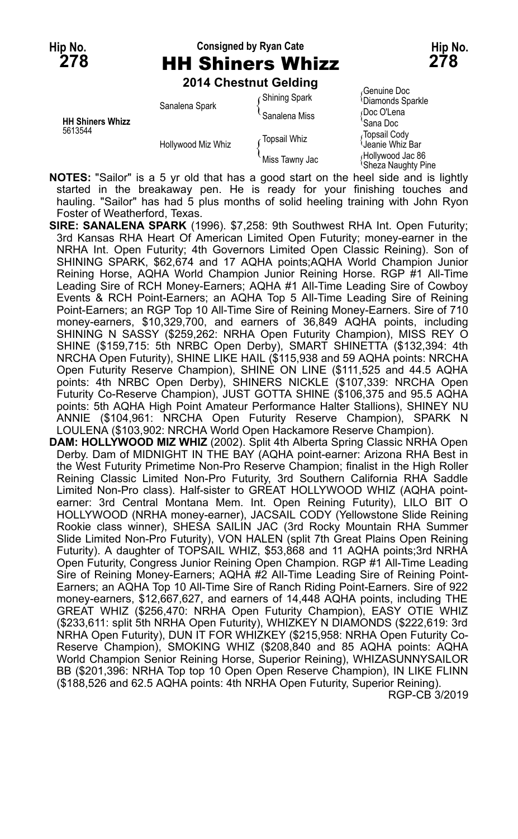# **Hip No. Consigned by Ryan Cate Hip No. 278** HH Shiners Whizz **278**

**2014 Chestnut Gelding**

|                                    | Sanalena Spark     | <b>Shining Spark</b> | Genuine Doc<br><sup>1</sup> Diamonds Sparkle  |
|------------------------------------|--------------------|----------------------|-----------------------------------------------|
|                                    |                    | Sanalena Miss        | Doc O'Lena                                    |
| <b>HH Shiners Whizz</b><br>5613544 | Hollywood Miz Whiz |                      | `Sana Doc                                     |
|                                    |                    | <b>Topsail Whiz</b>  | Topsail Cody<br>Jeanie Whiz Bar               |
|                                    |                    | Miss Tawny Jac       | Hollywood Jac 86<br><b>Sheza Naughty Pine</b> |

**NOTES:** "Sailor" is a 5 yr old that has a good start on the heel side and is lightly started in the breakaway pen. He is ready for your finishing touches and hauling. "Sailor" has had 5 plus months of solid heeling training with John Ryon Foster of Weatherford, Texas.

- **SIRE: SANALENA SPARK** (1996). \$7,258: 9th Southwest RHA Int. Open Futurity; 3rd Kansas RHA Heart Of American Limited Open Futurity; money-earner in the NRHA Int. Open Futurity; 4th Governors Limited Open Classic Reining). Son of SHINING SPARK, \$62,674 and 17 AQHA points; AQHA World Champion Junior Reining Horse, AQHA World Champion Junior Reining Horse. RGP #1 All-Time Leading Sire of RCH Money-Earners; AQHA #1 All-Time Leading Sire of Cowboy Events & RCH Point-Earners; an AQHA Top 5 All-Time Leading Sire of Reining Point-Earners; an RGP Top 10 All-Time Sire of Reining Money-Earners. Sire of 710 money-earners, \$10,329,700, and earners of 36,849 AQHA points, including SHINING N SASSY (\$259,262: NRHA Open Futurity Champion), MISS REY O SHINE (\$159,715: 5th NRBC Open Derby), SMART SHINETTA (\$132,394: 4th NRCHA Open Futurity), SHINE LIKE HAIL (\$115,938 and 59 AQHA points: NRCHA Open Futurity Reserve Champion), SHINE ON LINE (\$111,525 and 44.5 AQHA points: 4th NRBC Open Derby), SHINERS NICKLE (\$107,339: NRCHA Open Futurity Co-Reserve Champion), JUST GOTTA SHINE (\$106,375 and 95.5 AQHA points: 5th AQHA High Point Amateur Performance Halter Stallions), SHINEY NU ANNIE (\$104,961: NRCHA Open Futurity Reserve Champion), SPARK N LOULENA (\$103,902: NRCHA World Open Hackamore Reserve Champion).
- **DAM: HOLLYWOOD MIZ WHIZ** (2002). Split 4th Alberta Spring Classic NRHA Open Derby. Dam of MIDNIGHT IN THE BAY (AQHA point-earner: Arizona RHA Best in the West Futurity Primetime Non-Pro Reserve Champion; finalist in the High Roller Reining Classic Limited Non-Pro Futurity, 3rd Southern California RHA Saddle Limited Non-Pro class). Half-sister to GREAT HOLLYWOOD WHIZ (AQHA pointearner: 3rd Central Montana Mem. Int. Open Reining Futurity), LILO BIT O HOLLYWOOD (NRHA money-earner), JACSAIL CODY (Yellowstone Slide Reining Rookie class winner), SHESA SAILIN JAC (3rd Rocky Mountain RHA Summer Slide Limited Non-Pro Futurity), VON HALEN (split 7th Great Plains Open Reining Futurity). A daughter of TOPSAIL WHIZ, \$53,868 and 11 AQHA points;3rd NRHA Open Futurity, Congress Junior Reining Open Champion. RGP #1 All-Time Leading Sire of Reining Money-Earners; AQHA #2 All-Time Leading Sire of Reining Point-Earners; an AQHA Top 10 All-Time Sire of Ranch Riding Point-Earners. Sire of 922 money-earners, \$12,667,627, and earners of 14,448 AQHA points, including THE GREAT WHIZ (\$256,470: NRHA Open Futurity Champion), EASY OTIE WHIZ (\$233,611: split 5th NRHA Open Futurity), WHIZKEY N DIAMONDS (\$222,619: 3rd NRHA Open Futurity), DUN IT FOR WHIZKEY (\$215,958: NRHA Open Futurity Co-Reserve Champion), SMOKING WHIZ (\$208,840 and 85 AQHA points: AQHA World Champion Senior Reining Horse, Superior Reining), WHIZASUNNYSAILOR BB (\$201,396: NRHA Top top 10 Open Open Reserve Champion), IN LIKE FLINN (\$188,526 and 62.5 AQHA points: 4th NRHA Open Futurity, Superior Reining). RGP-CB 3/2019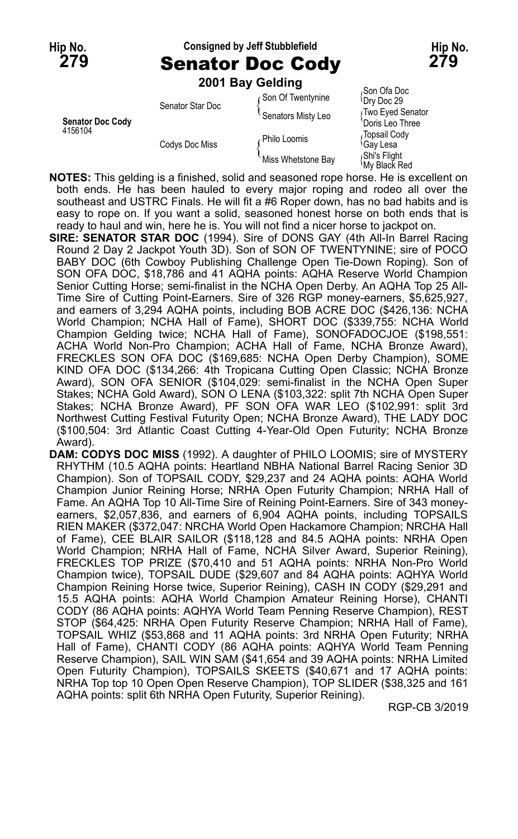### **Hip No. Consigned by Jeff Stubblefield Hip No.**

**279** Senator Doc Cody **279**

**2001 Bay Gelding** Son Ofa Doc<br>Son Of Twentynine { Dry Doc 29} Senator Star Doc de March Senator Star Doc<br>Senators Misty Leo {Two Eyed Senator<br>Doris Leo Three **Senator Doc Cody** Doris Leo Three 4156104<br>Topsail Cody Philo Loomis (Population) Codys Doc Miss Fight Gay Less { Shill Loomis<br>Cay Lesa {Gay Less {\Gay Less {\Gay Red<br>Miss Whetstone Bay {\Shi's Flight {My Black Red

**NOTES:** This gelding is a finished, solid and seasoned rope horse. He is excellent on both ends. He has been hauled to every major roping and rodeo all over the southeast and USTRC Finals. He will fit a #6 Roper down, has no bad habits and is easy to rope on. If you want a solid, seasoned honest horse on both ends that is ready to haul and win, here he is. You will not find a nicer horse to jackpot on.

**SIRE: SENATOR STAR DOC** (1994). Sire of DONS GAY (4th All-In Barrel Racing Round 2 Day 2 Jackpot Youth 3D). Son of SON OF TWENTYNINE; sire of POCO BABY DOC (6th Cowboy Publishing Challenge Open Tie-Down Roping). Son of SON OFA DOC, \$18,786 and 41 AQHA points: AQHA Reserve World Champion Senior Cutting Horse; semi-finalist in the NCHA Open Derby. An AQHA Top 25 All-Time Sire of Cutting Point-Earners. Sire of 326 RGP money-earners, \$5,625,927, and earners of 3,294 AQHA points, including BOB ACRE DOC (\$426,136: NCHA World Champion; NCHA Hall of Fame), SHORT DOC (\$339,755: NCHA World Champion Gelding twice; NCHA Hall of Fame), SONOFADOCJOE (\$198,551: ACHA World Non-Pro Champion; ACHA Hall of Fame, NCHA Bronze Award), FRECKLES SON OFA DOC (\$169,685: NCHA Open Derby Champion), SOME KIND OFA DOC (\$134,266: 4th Tropicana Cutting Open Classic; NCHA Bronze Award), SON OFA SENIOR (\$104,029: semi-finalist in the NCHA Open Super Stakes; NCHA Gold Award), SON O LENA (\$103,322: split 7th NCHA Open Super Stakes; NCHA Bronze Award), PF SON OFA WAR LEO (\$102,991: split 3rd Northwest Cutting Festival Futurity Open; NCHA Bronze Award), THE LADY DOC (\$100,504: 3rd Atlantic Coast Cutting 4-Year-Old Open Futurity; NCHA Bronze Award).

**DAM: CODYS DOC MISS** (1992). A daughter of PHILO LOOMIS; sire of MYSTERY RHYTHM (10.5 AQHA points: Heartland NBHA National Barrel Racing Senior 3D Champion). Son of TOPSAIL CODY, \$29,237 and 24 AQHA points: AQHA World Champion Junior Reining Horse; NRHA Open Futurity Champion; NRHA Hall of Fame. An AQHA Top 10 All-Time Sire of Reining Point-Earners. Sire of 343 moneyearners, \$2,057,836, and earners of 6,904 AQHA points, including TOPSAILS RIEN MAKER (\$372,047: NRCHA World Open Hackamore Champion; NRCHA Hall of Fame), CEE BLAIR SAILOR (\$118,128 and 84.5 AQHA points: NRHA Open World Champion; NRHA Hall of Fame, NCHA Silver Award, Superior Reining), FRECKLES TOP PRIZE (\$70,410 and 51 AQHA points: NRHA Non-Pro World Champion twice), TOPSAIL DUDE (\$29,607 and 84 AQHA points: AQHYA World Champion Reining Horse twice, Superior Reining), CASH IN CODY (\$29,291 and 15.5 AQHA points: AQHA World Champion Amateur Reining Horse), CHANTI CODY (86 AQHA points: AQHYA World Team Penning Reserve Champion), REST STOP (\$64,425: NRHA Open Futurity Reserve Champion; NRHA Hall of Fame), TOPSAIL WHIZ (\$53,868 and 11 AQHA points: 3rd NRHA Open Futurity; NRHA Hall of Fame), CHANTI CODY (86 AQHA points: AQHYA World Team Penning Reserve Champion), SAIL WIN SAM (\$41,654 and 39 AQHA points: NRHA Limited Open Futurity Champion), TOPSAILS SKEETS (\$40,671 and 17 AQHA points: NRHA Top top 10 Open Open Reserve Champion), TOP SLIDER (\$38,325 and 161 AQHA points: split 6th NRHA Open Futurity, Superior Reining).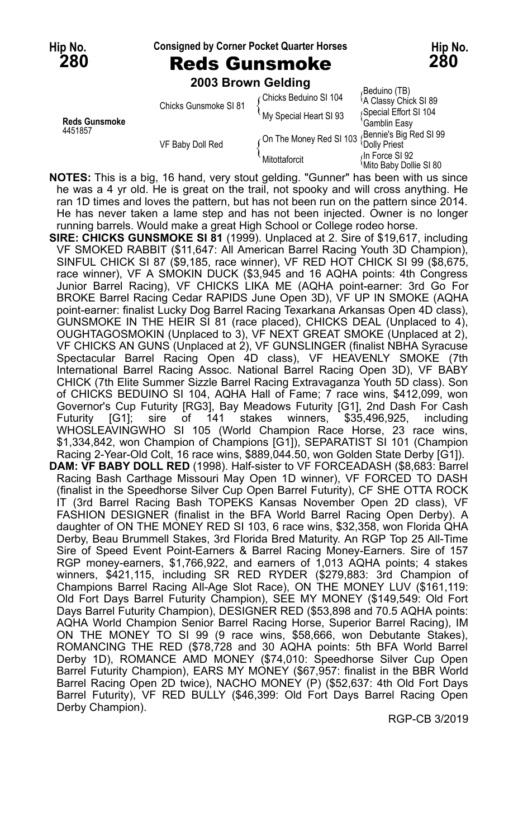**280** Reds Gunsmoke **280**

**Hip No. Consigned by Corner Pocket Quarter Horses Hip No.**

**2003 Brown Gelding**

| <b>Reds Gunsmoke</b><br>4451857 | Chicks Gunsmoke SI 81 | ⊊Chicks Beduino SI 104  | (Beduino (TB)<br><sup>1</sup> A Classy Chick SI 89 |
|---------------------------------|-----------------------|-------------------------|----------------------------------------------------|
|                                 |                       | My Special Heart SI 93  | Special Effort SI 104                              |
|                                 | VF Baby Doll Red      |                         | Gamblin Easy                                       |
|                                 |                       | On The Money Red SI 103 | Bennie's Big Red SI 99                             |
|                                 |                       |                         | <b>Dolly Priest</b>                                |
|                                 |                       | Mitottaforcit           | dn Force SI 92                                     |
|                                 |                       |                         | Mito Baby Dollie SI 80                             |

**NOTES:** This is a big, 16 hand, very stout gelding. "Gunner" has been with us since he was a 4 yr old. He is great on the trail, not spooky and will cross anything. He ran 1D times and loves the pattern, but has not been run on the pattern since 2014. He has never taken a lame step and has not been injected. Owner is no longer running barrels. Would make a great High School or College rodeo horse.

**SIRE: CHICKS GUNSMOKE SI 81** (1999). Unplaced at 2. Sire of \$19,617, including VF SMOKED RABBIT (\$11,647: All American Barrel Racing Youth 3D Champion), SINFUL CHICK SI 87 (\$9,185, race winner), VF RED HOT CHICK SI 99 (\$8,675, race winner), VF A SMOKIN DUCK (\$3,945 and 16 AQHA points: 4th Congress Junior Barrel Racing), VF CHICKS LIKA ME (AQHA point-earner: 3rd Go For BROKE Barrel Racing Cedar RAPIDS June Open 3D), VF UP IN SMOKE (AQHA point-earner: finalist Lucky Dog Barrel Racing Texarkana Arkansas Open 4D class), GUNSMOKE IN THE HEIR SI 81 (race placed), CHICKS DEAL (Unplaced to 4), OUGHTAGOSMOKIN (Unplaced to 3), VF NEXT GREAT SMOKE (Unplaced at 2), VF CHICKS AN GUNS (Unplaced at 2), VF GUNSLINGER (finalist NBHA Syracuse Spectacular Barrel Racing Open 4D class), VF HEAVENLY SMOKE (7th International Barrel Racing Assoc. National Barrel Racing Open 3D), VF BABY CHICK (7th Elite Summer Sizzle Barrel Racing Extravaganza Youth 5D class). Son of CHICKS BEDUINO SI 104, AQHA Hall of Fame; 7 race wins, \$412,099, won Governor's Cup Futurity [RG3], Bay Meadows Futurity [G1], 2nd Dash For Cash<br>Futurity [G1]; sire of 141 stakes winners, \$35,496,925, including Futurity [G1]; sire of 141 stakes winners, \$35,496,925, including WHOSLEAVINGWHO SI 105 (World Champion Race Horse, 23 race wins, \$1,334,842, won Champion of Champions [G1]), SEPARATIST SI 101 (Champion Racing 2-Year-Old Colt, 16 race wins, \$889,044.50, won Golden State Derby [G1]). **DAM: VF BABY DOLL RED** (1998). Half-sister to VF FORCEADASH (\$8,683: Barrel Racing Bash Carthage Missouri May Open 1D winner), VF FORCED TO DASH (finalist in the Speedhorse Silver Cup Open Barrel Futurity), CF SHE OTTA ROCK IT (3rd Barrel Racing Bash TOPEKS Kansas November Open 2D class), VF FASHION DESIGNER (finalist in the BFA World Barrel Racing Open Derby). A daughter of ON THE MONEY RED SI 103, 6 race wins, \$32,358, won Florida QHA Derby, Beau Brummell Stakes, 3rd Florida Bred Maturity. An RGP Top 25 All-Time Sire of Speed Event Point-Earners & Barrel Racing Money-Earners. Sire of 157 RGP money-earners, \$1,766,922, and earners of 1,013 AQHA points; 4 stakes winners, \$421,115, including SR RED RYDER (\$279,883: 3rd Champion of Champions Barrel Racing All-Age Slot Race), ON THE MONEY LUV (\$161,119: Old Fort Days Barrel Futurity Champion), SEE MY MONEY (\$149,549: Old Fort Days Barrel Futurity Champion), DESIGNER RED (\$53,898 and 70.5 AQHA points: AQHA World Champion Senior Barrel Racing Horse, Superior Barrel Racing), IM ON THE MONEY TO SI 99 (9 race wins, \$58,666, won Debutante Stakes), ROMANCING THE RED (\$78,728 and 30 AQHA points: 5th BFA World Barrel Derby 1D), ROMANCE AMD MONEY (\$74,010: Speedhorse Silver Cup Open Barrel Futurity Champion), EARS MY MONEY (\$67,957: finalist in the BBR World Barrel Racing Open 2D twice), NACHO MONEY (P) (\$52,637: 4th Old Fort Days Barrel Futurity), VF RED BULLY (\$46,399: Old Fort Days Barrel Racing Open Derby Champion).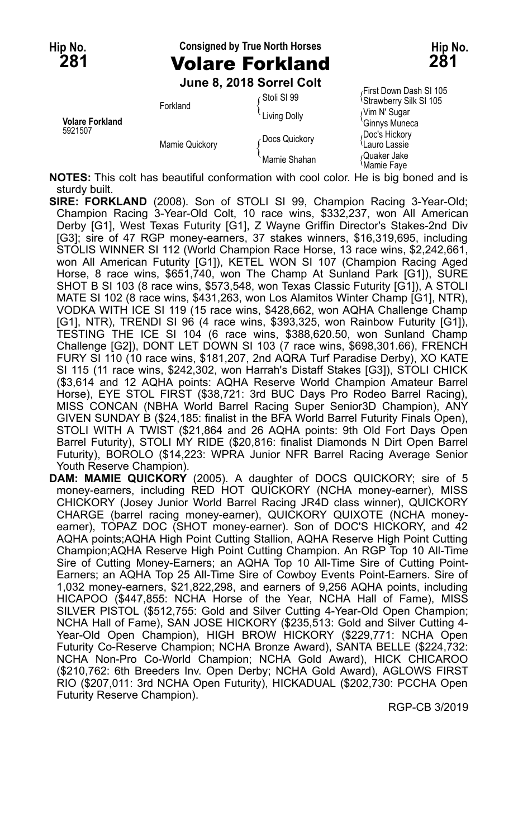## **Hip No. Consigned by True North Horses Hip No. 281** Volare Forkland **281**

**June 8, 2018 Sorrel Colt**

|                                   |                | <u>UMIN U. LUTU UUITUI UUIT</u> |                                                               |
|-----------------------------------|----------------|---------------------------------|---------------------------------------------------------------|
| <b>Volare Forkland</b><br>5921507 | Forkland       | ⊊Stoli SI 99                    | First Down Dash SI 105<br><sup>1</sup> Strawberry Silk SI 105 |
|                                   |                | Living Dolly                    | Nim N' Sugar                                                  |
|                                   | Mamie Quickory | Docs Quickory                   | 'Ginnys Muneca<br>Doc's Hickory<br>Lauro Lassie               |
|                                   |                | Mamie Shahan                    | ،Quaker Jake<br>≀Mamie Fave                                   |

**NOTES:** This colt has beautiful conformation with cool color. He is big boned and is sturdy built.

- **SIRE: FORKLAND** (2008). Son of STOLI SI 99, Champion Racing 3-Year-Old; Champion Racing 3-Year-Old Colt, 10 race wins, \$332,237, won All American Derby [G1], West Texas Futurity [G1], Z Wayne Griffin Director's Stakes-2nd Div [G3]; sire of 47 RGP money-earners, 37 stakes winners, \$16,319,695, including STOLIS WINNER SI 112 (World Champion Race Horse, 13 race wins, \$2,242,661, won All American Futurity [G1]), KETEL WON SI 107 (Champion Racing Aged Horse, 8 race wins, \$651,740, won The Champ At Sunland Park [G1]), SURE SHOT B SI 103 (8 race wins, \$573,548, won Texas Classic Futurity [G1]), A STOLI MATE SI 102 (8 race wins, \$431,263, won Los Alamitos Winter Champ [G1], NTR), VODKA WITH ICE SI 119 (15 race wins, \$428,662, won AQHA Challenge Champ [G1], NTR), TRENDI SI 96 (4 race wins, \$393,325, won Rainbow Futurity [G1]), TESTING THE ICE SI 104 (6 race wins, \$388,620.50, won Sunland Champ Challenge [G2]), DONT LET DOWN SI 103 (7 race wins, \$698,301.66), FRENCH FURY SI 110 (10 race wins, \$181,207, 2nd AQRA Turf Paradise Derby), XO KATE SI 115 (11 race wins, \$242,302, won Harrah's Distaff Stakes [G3]), STOLI CHICK (\$3,614 and 12 AQHA points: AQHA Reserve World Champion Amateur Barrel Horse), EYE STOL FIRST (\$38,721: 3rd BUC Days Pro Rodeo Barrel Racing), MISS CONCAN (NBHA World Barrel Racing Super Senior3D Champion), ANY GIVEN SUNDAY B (\$24,185: finalist in the BFA World Barrel Futurity Finals Open), STOLI WITH A TWIST (\$21,864 and 26 AQHA points: 9th Old Fort Davs Open Barrel Futurity), STOLI MY RIDE (\$20,816: finalist Diamonds N Dirt Open Barrel Futurity), BOROLO (\$14,223: WPRA Junior NFR Barrel Racing Average Senior Youth Reserve Champion).
- **DAM: MAMIE QUICKORY** (2005). A daughter of DOCS QUICKORY; sire of 5 money-earners, including RED HOT QUICKORY (NCHA money-earner), MISS CHICKORY (Josey Junior World Barrel Racing JR4D class winner), QUICKORY CHARGE (barrel racing money-earner), QUICKORY QUIXOTE (NCHA moneyearner), TOPAZ DOC (SHOT money-earner). Son of DOC'S HICKORY, and 42 AQHA points;AQHA High Point Cutting Stallion, AQHA Reserve High Point Cutting Champion;AQHA Reserve High Point Cutting Champion. An RGP Top 10 All-Time Sire of Cutting Money-Earners; an AQHA Top 10 All-Time Sire of Cutting Point-Earners; an AQHA Top 25 All-Time Sire of Cowboy Events Point-Earners. Sire of 1,032 money-earners, \$21,822,298, and earners of 9,256 AQHA points, including HICAPOO (\$447,855: NCHA Horse of the Year, NCHA Hall of Fame), MISS SILVER PISTOL (\$512,755: Gold and Silver Cutting 4-Year-Old Open Champion; NCHA Hall of Fame), SAN JOSE HICKORY (\$235,513: Gold and Silver Cutting 4- Year-Old Open Champion), HIGH BROW HICKORY (\$229,771: NCHA Open Futurity Co-Reserve Champion; NCHA Bronze Award), SANTA BELLE (\$224,732: NCHA Non-Pro Co-World Champion; NCHA Gold Award), HICK CHICAROO (\$210,762: 6th Breeders Inv. Open Derby; NCHA Gold Award), AGLOWS FIRST RIO (\$207,011: 3rd NCHA Open Futurity), HICKADUAL (\$202,730: PCCHA Open Futurity Reserve Champion).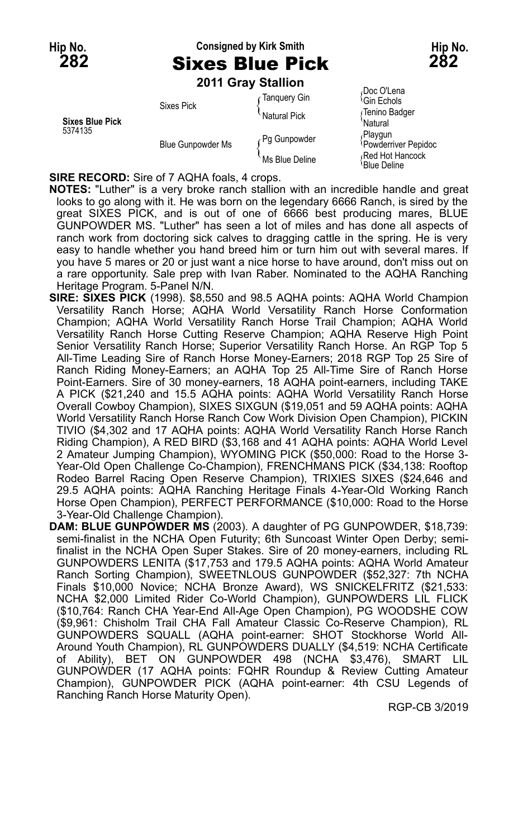## **Hip No. Consigned by Kirk Smith Hip No. 282** Sixes Blue Pick **282**

**2011 Gray Stallion**

| <b>Sixes Blue Pick</b><br>5374135 | <b>Sixes Pick</b>        | Tanguery Gin   | Doc O'Lena<br><sup>∖</sup> Gin Echols |
|-----------------------------------|--------------------------|----------------|---------------------------------------|
|                                   |                          | Natural Pick   | ∫Tenino Badger<br><b>Natural</b>      |
|                                   | <b>Blue Gunpowder Ms</b> | Pq Gunpowder ، | Playgun<br>Powderriver Pepidoc        |
|                                   |                          | Ms Blue Deline | Red Hot Hancock<br>'Blue Deline       |

**SIRE RECORD:** Sire of 7 AQHA foals, 4 crops.

**NOTES:** "Luther" is a very broke ranch stallion with an incredible handle and great looks to go along with it. He was born on the legendary 6666 Ranch, is sired by the great SIXES PICK, and is out of one of 6666 best producing mares, BLUE GUNPOWDER MS. "Luther" has seen a lot of miles and has done all aspects of ranch work from doctoring sick calves to dragging cattle in the spring. He is very easy to handle whether you hand breed him or turn him out with several mares. If you have 5 mares or 20 or just want a nice horse to have around, don't miss out on a rare opportunity. Sale prep with Ivan Raber. Nominated to the AQHA Ranching Heritage Program. 5-Panel N/N.

- **SIRE: SIXES PICK** (1998). \$8,550 and 98.5 AQHA points: AQHA World Champion Versatility Ranch Horse; AQHA World Versatility Ranch Horse Conformation Champion; AQHA World Versatility Ranch Horse Trail Champion; AQHA World Versatility Ranch Horse Cutting Reserve Champion; AQHA Reserve High Point Senior Versatility Ranch Horse; Superior Versatility Ranch Horse. An RGP Top 5 All-Time Leading Sire of Ranch Horse Money-Earners; 2018 RGP Top 25 Sire of Ranch Riding Money-Earners; an AQHA Top 25 All-Time Sire of Ranch Horse Point-Earners. Sire of 30 money-earners, 18 AQHA point-earners, including TAKE A PICK (\$21,240 and 15.5 AQHA points: AQHA World Versatility Ranch Horse Overall Cowboy Champion), SIXES SIXGUN (\$19,051 and 59 AQHA points: AQHA World Versatility Ranch Horse Ranch Cow Work Division Open Champion), PICKIN TIVIO (\$4,302 and 17 AQHA points: AQHA World Versatility Ranch Horse Ranch Riding Champion), A RED BIRD (\$3,168 and 41 AQHA points: AQHA World Level 2 Amateur Jumping Champion), WYOMING PICK (\$50,000: Road to the Horse 3- Year-Old Open Challenge Co-Champion), FRENCHMANS PICK (\$34,138: Rooftop Rodeo Barrel Racing Open Reserve Champion), TRIXIES SIXES (\$24,646 and 29.5 AQHA points: AQHA Ranching Heritage Finals 4-Year-Old Working Ranch Horse Open Champion), PERFECT PERFORMANCE (\$10,000: Road to the Horse 3-Year-Old Challenge Champion).
- **DAM: BLUE GUNPOWDER MS** (2003). A daughter of PG GUNPOWDER, \$18,739: semi-finalist in the NCHA Open Futurity; 6th Suncoast Winter Open Derby; semifinalist in the NCHA Open Super Stakes. Sire of 20 money-earners, including RL GUNPOWDERS LENITA (\$17,753 and 179.5 AQHA points: AQHA World Amateur Ranch Sorting Champion), SWEETNLOUS GUNPOWDER (\$52,327: 7th NCHA Finals \$10,000 Novice; NCHA Bronze Award), WS SNICKELFRITZ (\$21,533: NCHA \$2,000 Limited Rider Co-World Champion), GUNPOWDERS LIL FLICK (\$10,764: Ranch CHA Year-End All-Age Open Champion), PG WOODSHE COW (\$9,961: Chisholm Trail CHA Fall Amateur Classic Co-Reserve Champion), RL GUNPOWDERS SQUALL (AQHA point-earner: SHOT Stockhorse World All-Around Youth Champion), RL GUNPOWDERS DUALLY (\$4,519: NCHA Certificate of Ability), BET ON GUNPOWDER 498 (NCHA \$3,476), SMART LIL GUNPOWDER (17 AQHA points: FQHR Roundup & Review Cutting Amateur Champion), GUNPOWDER PICK (AQHA point-earner: 4th CSU Legends of Ranching Ranch Horse Maturity Open).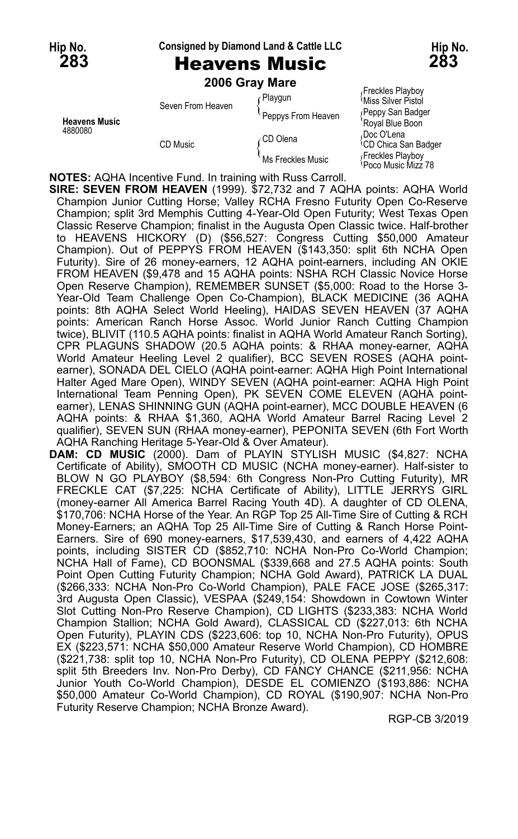### **Hip No. Consigned by Diamond Land & Cattle LLC Hip No.**

### **283** Heavens Music **283**

|                                 |                   | 2006 Gray Mare     |                                                      |
|---------------------------------|-------------------|--------------------|------------------------------------------------------|
| <b>Heavens Music</b><br>4880080 | Seven From Heaven | r Playgun          | Freckles Playboy<br>Miss Silver Pistol               |
|                                 |                   | Peppys From Heaven | (Peppy San Badger<br>'Royal Blue Boon                |
|                                 | CD Music          | ∈CD Olena          | Doc O'Lena<br><sup><i>i</i>CD</sup> Chica San Badger |
|                                 |                   | Ms Freckles Music  | Freckles Playboy<br>Poco Music Mizz 78               |

**NOTES:** AQHA Incentive Fund. In training with Russ Carroll.

**SIRE: SEVEN FROM HEAVEN** (1999). \$72,732 and 7 AQHA points: AQHA World Champion Junior Cutting Horse; Valley RCHA Fresno Futurity Open Co-Reserve Champion; split 3rd Memphis Cutting 4-Year-Old Open Futurity; West Texas Open Classic Reserve Champion; finalist in the Augusta Open Classic twice. Half-brother to HEAVENS HICKORY (D) (\$56,527: Congress Cutting \$50,000 Amateur Champion). Out of PEPPYS FROM HEAVEN (\$143,350: split 6th NCHA Open Futurity). Sire of 26 money-earners, 12 AQHA point-earners, including AN OKIE FROM HEAVEN (\$9,478 and 15 AQHA points: NSHA RCH Classic Novice Horse Open Reserve Champion), REMEMBER SUNSET (\$5,000: Road to the Horse 3- Year-Old Team Challenge Open Co-Champion), BLACK MEDICINE (36 AQHA points: 8th AQHA Select World Heeling), HAIDAS SEVEN HEAVEN (37 AQHA points: American Ranch Horse Assoc. World Junior Ranch Cutting Champion twice), BLIVIT (110.5 AQHA points: finalist in AQHA World Amateur Ranch Sorting), CPR PLAGUNS SHADOW (20.5 AQHA points: & RHAA money-earner, AQHA World Amateur Heeling Level 2 qualifier), BCC SEVEN ROSES (AQHA pointearner), SONADA DEL CIELO (AQHA point-earner: AQHA High Point International Halter Aged Mare Open), WINDY SEVEN (AQHA point-earner: AQHA High Point International Team Penning Open), PK SEVEN COME ELEVEN (AQHA pointearner), LENAS SHINNING GUN (AQHA point-earner), MCC DOUBLE HEAVEN (6 AQHA points: & RHAA \$1,360, AQHA World Amateur Barrel Racing Level 2 qualifier), SEVEN SUN (RHAA money-earner), PEPONITA SEVEN (6th Fort Worth AQHA Ranching Heritage 5-Year-Old & Over Amateur).

**DAM: CD MUSIC** (2000). Dam of PLAYIN STYLISH MUSIC (\$4,827: NCHA Certificate of Ability), SMOOTH CD MUSIC (NCHA money-earner). Half-sister to BLOW N GO PLAYBOY (\$8,594: 6th Congress Non-Pro Cutting Futurity), MR FRECKLE CAT (\$7,225: NCHA Certificate of Ability), LITTLE JERRYS GIRL (money-earner All America Barrel Racing Youth 4D). A daughter of CD OLENA, \$170,706: NCHA Horse of the Year. An RGP Top 25 All-Time Sire of Cutting & RCH Money-Earners; an AQHA Top 25 All-Time Sire of Cutting & Ranch Horse Point-Earners. Sire of 690 money-earners, \$17,539,430, and earners of 4,422 AQHA points, including SISTER CD (\$852,710: NCHA Non-Pro Co-World Champion; NCHA Hall of Fame), CD BOONSMAL (\$339,668 and 27.5 AQHA points: South Point Open Cutting Futurity Champion; NCHA Gold Award), PATRICK LA DUAL (\$266,333: NCHA Non-Pro Co-World Champion), PALE FACE JOSE (\$265,317: 3rd Augusta Open Classic), VESPAA (\$249,154: Showdown in Cowtown Winter Slot Cutting Non-Pro Reserve Champion), CD LIGHTS (\$233,383: NCHA World Champion Stallion; NCHA Gold Award), CLASSICAL CD (\$227,013: 6th NCHA Open Futurity), PLAYIN CDS (\$223,606: top 10, NCHA Non-Pro Futurity), OPUS EX (\$223,571: NCHA \$50,000 Amateur Reserve World Champion), CD HOMBRE (\$221,738: split top 10, NCHA Non-Pro Futurity), CD OLENA PEPPY (\$212,608: split 5th Breeders Inv. Non-Pro Derby), CD FANCY CHANCE (\$211,956: NCHA Junior Youth Co-World Champion), DESDE EL COMIENZO (\$193,886: NCHA \$50,000 Amateur Co-World Champion), CD ROYAL (\$190,907: NCHA Non-Pro Futurity Reserve Champion; NCHA Bronze Award).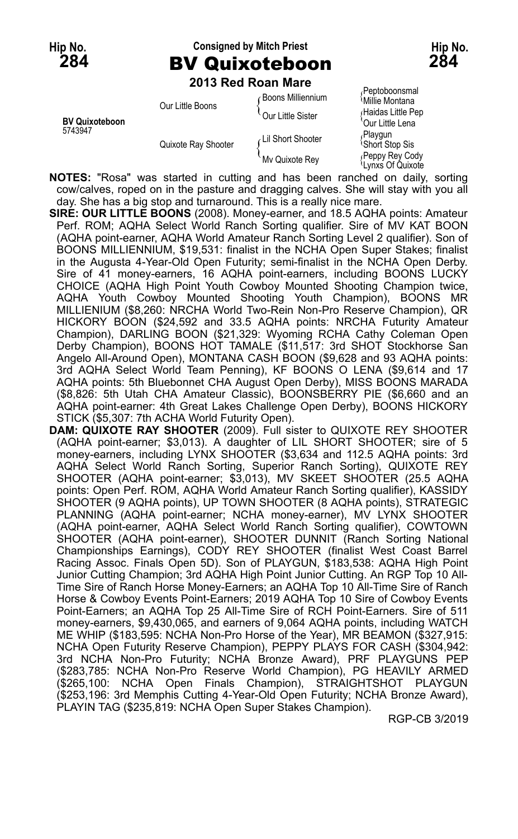## **Hip No. Consigned by Mitch Priest Hip No. 284** BV Quixoteboon **284**

**2013 Red Roan Mare**

| <b>BV Quixoteboon</b> | Our Little Boons    | <b>Boons Milliennium</b><br>Our Little Sister | Peptoboonsmal<br><sup>≀</sup> Millie Montana<br>Haidas Little Pep<br>'Our Little Lena |
|-----------------------|---------------------|-----------------------------------------------|---------------------------------------------------------------------------------------|
| 5743947               | Quixote Ray Shooter | Lil Short Shooter<br>My Quixote Rey           | Playgun<br><b>Short Stop Sis</b><br>Peppy Rey Codyب                                   |
|                       |                     |                                               | Lynxs Of Quixote                                                                      |

**NOTES:** "Rosa" was started in cutting and has been ranched on daily, sorting cow/calves, roped on in the pasture and dragging calves. She will stay with you all day. She has a big stop and turnaround. This is a really nice mare.

- **SIRE: OUR LITTLE BOONS** (2008). Money-earner, and 18.5 AQHA points: Amateur Perf. ROM; AQHA Select World Ranch Sorting qualifier. Sire of MV KAT BOON (AQHA point-earner, AQHA World Amateur Ranch Sorting Level 2 qualifier). Son of BOONS MILLIENNIUM, \$19,531: finalist in the NCHA Open Super Stakes; finalist in the Augusta 4-Year-Old Open Futurity; semi-finalist in the NCHA Open Derby. Sire of 41 money-earners, 16 AQHA point-earners, including BOONS LUCKY CHOICE (AQHA High Point Youth Cowboy Mounted Shooting Champion twice, AQHA Youth Cowboy Mounted Shooting Youth Champion), BOONS MR MILLIENIUM (\$8,260: NRCHA World Two-Rein Non-Pro Reserve Champion), QR HICKORY BOON (\$24,592 and 33.5 AQHA points: NRCHA Futurity Amateur Champion), DARLING BOON (\$21,329: Wyoming RCHA Cathy Coleman Open Derby Champion), BOONS HOT TAMALE (\$11,517: 3rd SHOT Stockhorse San Angelo All-Around Open), MONTANA CASH BOON (\$9,628 and 93 AQHA points: 3rd AQHA Select World Team Penning), KF BOONS O LENA (\$9,614 and 17 AQHA points: 5th Bluebonnet CHA August Open Derby), MISS BOONS MARADA (\$8,826: 5th Utah CHA Amateur Classic), BOONSBERRY PIE (\$6,660 and an AQHA point-earner: 4th Great Lakes Challenge Open Derby), BOONS HICKORY STICK (\$5,307: 7th ACHA World Futurity Open).
- **DAM: QUIXOTE RAY SHOOTER** (2009). Full sister to QUIXOTE REY SHOOTER (AQHA point-earner; \$3,013). A daughter of LIL SHORT SHOOTER; sire of 5 money-earners, including LYNX SHOOTER (\$3,634 and 112.5 AQHA points: 3rd AQHA Select World Ranch Sorting, Superior Ranch Sorting), QUIXOTE REY SHOOTER (AQHA point-earner; \$3,013), MV SKEET SHOOTER (25.5 AQHA points: Open Perf. ROM, AQHA World Amateur Ranch Sorting qualifier), KASSIDY SHOOTER (9 AQHA points), UP TOWN SHOOTER (8 AQHA points), STRATEGIC PLANNING (AQHA point-earner; NCHA money-earner), MV LYNX SHOOTER (AQHA point-earner, AQHA Select World Ranch Sorting qualifier), COWTOWN SHOOTER (AQHA point-earner), SHOOTER DUNNIT (Ranch Sorting National Championships Earnings), CODY REY SHOOTER (finalist West Coast Barrel Racing Assoc. Finals Open 5D). Son of PLAYGUN, \$183,538: AQHA High Point Junior Cutting Champion; 3rd AQHA High Point Junior Cutting. An RGP Top 10 All-Time Sire of Ranch Horse Money-Earners; an AQHA Top 10 All-Time Sire of Ranch Horse & Cowboy Events Point-Earners; 2019 AQHA Top 10 Sire of Cowboy Events Point-Earners; an AQHA Top 25 All-Time Sire of RCH Point-Earners. Sire of 511 money-earners, \$9,430,065, and earners of 9,064 AQHA points, including WATCH ME WHIP (\$183,595: NCHA Non-Pro Horse of the Year), MR BEAMON (\$327,915: NCHA Open Futurity Reserve Champion), PEPPY PLAYS FOR CASH (\$304,942: 3rd NCHA Non-Pro Futurity; NCHA Bronze Award), PRF PLAYGUNS PEP (\$283,785: NCHA Non-Pro Reserve World Champion), PG HEAVILY ARMED (\$265,100: NCHA Open Finals Champion), STRAIGHTSHOT PLAYGUN (\$253,196: 3rd Memphis Cutting 4-Year-Old Open Futurity; NCHA Bronze Award), PLAYIN TAG (\$235,819: NCHA Open Super Stakes Champion).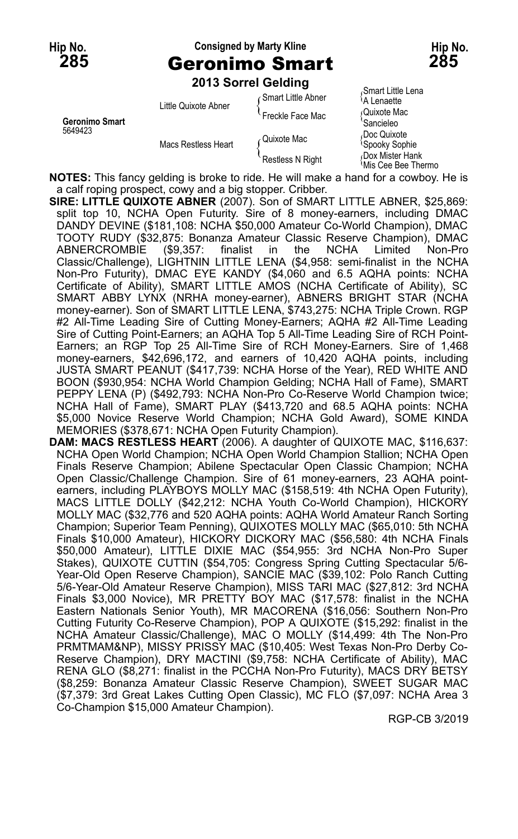### **Hip No. Consigned by Marty Kline Hip No. 285** Geronimo Smart **285**

**2013 Sorrel Gelding**

|                           | $\sim$ 19 991161 96191119 |                      |                                                        |
|---------------------------|---------------------------|----------------------|--------------------------------------------------------|
| Geronimo Smart<br>5649423 | Little Quixote Abner      | ∩ Smart Little Abner | Smart Little Lena<br>A Lenaette<br>Quixote Mac         |
|                           |                           | Freckle Face Mac     |                                                        |
|                           | Macs Restless Heart       | ∠Quixote Mac         | Sancieleo<br>Doc Quixote<br><sup>l</sup> Spooky Sophie |
|                           |                           | Restless N Right     | Dox Mister Hank<br>≀Mis Cee Bee Thermo                 |

**NOTES:** This fancy gelding is broke to ride. He will make a hand for a cowboy. He is a calf roping prospect, cowy and a big stopper. Cribber.

- **SIRE: LITTLE QUIXOTE ABNER** (2007). Son of SMART LITTLE ABNER, \$25,869: split top 10, NCHA Open Futurity. Sire of 8 money-earners, including DMAC DANDY DEVINE (\$181,108: NCHA \$50,000 Amateur Co-World Champion), DMAC TOOTY RUDY (\$32,875: Bonanza Amateur Classic Reserve Champion), DMAC ABNERCROMBIE (\$9,357: finalist in the NCHA Limited Non-Pro Classic/Challenge), LIGHTNIN LITTLE LENA (\$4,958: semi-finalist in the NCHA Non-Pro Futurity), DMAC EYE KANDY (\$4,060 and 6.5 AQHA points: NCHA Certificate of Ability), SMART LITTLE AMOS (NCHA Certificate of Ability), SC SMART ABBY LYNX (NRHA money-earner), ABNERS BRIGHT STAR (NCHA money-earner). Son of SMART LITTLE LENA, \$743,275: NCHA Triple Crown. RGP #2 All-Time Leading Sire of Cutting Money-Earners; AQHA #2 All-Time Leading Sire of Cutting Point-Earners; an AQHA Top 5 All-Time Leading Sire of RCH Point-Earners; an RGP Top 25 All-Time Sire of RCH Money-Earners. Sire of 1,468 money-earners, \$42,696,172, and earners of 10,420 AQHA points, including JUSTA SMART PEANUT (\$417,739: NCHA Horse of the Year), RED WHITE AND BOON (\$930,954: NCHA World Champion Gelding; NCHA Hall of Fame), SMART PEPPY LENA (P) (\$492,793: NCHA Non-Pro Co-Reserve World Champion twice; NCHA Hall of Fame), SMART PLAY (\$413,720 and 68.5 AQHA points: NCHA \$5,000 Novice Reserve World Champion; NCHA Gold Award), SOME KINDA MEMORIES (\$378,671: NCHA Open Futurity Champion).
- **DAM: MACS RESTLESS HEART** (2006). A daughter of QUIXOTE MAC, \$116,637: NCHA Open World Champion; NCHA Open World Champion Stallion; NCHA Open Finals Reserve Champion; Abilene Spectacular Open Classic Champion; NCHA Open Classic/Challenge Champion. Sire of 61 money-earners, 23 AQHA pointearners, including PLAYBOYS MOLLY MAC (\$158,519: 4th NCHA Open Futurity), MACS LITTLE DOLLY (\$42,212: NCHA Youth Co-World Champion), HICKORY MOLLY MAC (\$32,776 and 520 AQHA points: AQHA World Amateur Ranch Sorting Champion; Superior Team Penning), QUIXOTES MOLLY MAC (\$65,010: 5th NCHA Finals \$10,000 Amateur), HICKORY DICKORY MAC (\$56,580: 4th NCHA Finals \$50,000 Amateur), LITTLE DIXIE MAC (\$54,955: 3rd NCHA Non-Pro Super Stakes), QUIXOTE CUTTIN (\$54,705: Congress Spring Cutting Spectacular 5/6- Year-Old Open Reserve Champion), SANCIE MAC (\$39,102: Polo Ranch Cutting 5/6-Year-Old Amateur Reserve Champion), MISS TARI MAC (\$27,812: 3rd NCHA Finals \$3,000 Novice), MR PRETTY BOY MAC (\$17,578: finalist in the NCHA Eastern Nationals Senior Youth), MR MACORENA (\$16,056: Southern Non-Pro Cutting Futurity Co-Reserve Champion), POP A QUIXOTE (\$15,292: finalist in the NCHA Amateur Classic/Challenge), MAC O MOLLY (\$14,499: 4th The Non-Pro PRMTMAM&NP), MISSY PRISSY MAC (\$10,405: West Texas Non-Pro Derby Co-Reserve Champion), DRY MACTINI (\$9,758: NCHA Certificate of Ability), MAC RENA GLO (\$8,271: finalist in the PCCHA Non-Pro Futurity), MACS DRY BETSY (\$8,259: Bonanza Amateur Classic Reserve Champion), SWEET SUGAR MAC (\$7,379: 3rd Great Lakes Cutting Open Classic), MC FLO (\$7,097: NCHA Area 3 Co-Champion \$15,000 Amateur Champion).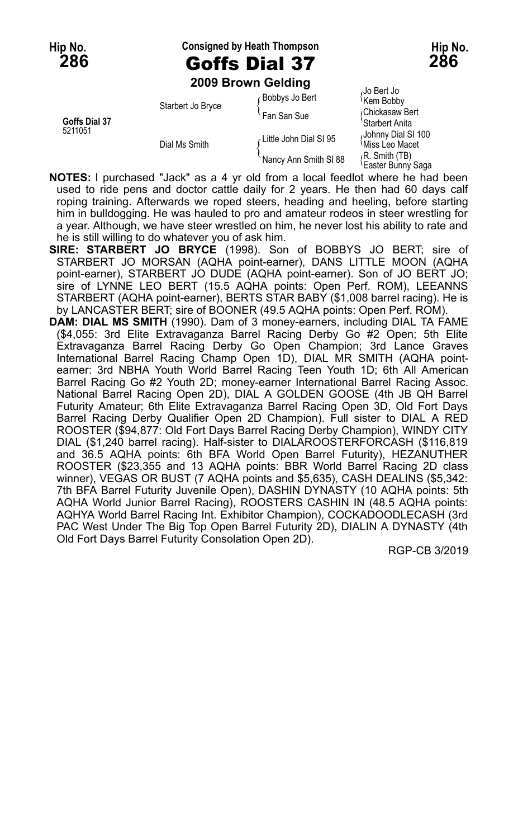**Hip No. Consigned by Heath Thompson Hip No. 286** Goffs Dial 37 **286**

**2009 Brown Gelding**

| Goffs Dial 37<br>5211051 | Starbert Jo Bryce | Bobbys Jo Bert         | Jo Bert Jo،<br><sup>{</sup> Kem Bobby              |
|--------------------------|-------------------|------------------------|----------------------------------------------------|
|                          |                   | <b>Fan San Sue</b>     | Chickasaw Bert<br>'Starbert Anita                  |
|                          | Dial Ms Smith     | Little John Dial SI 95 | Johnny Dial SI 100<br><i><b>Miss Leo Macet</b></i> |
|                          |                   | Nancy Ann Smith SI 88  | R. Smith (TB)<br><sup>1</sup> Easter Bunny Saga    |

- **NOTES:** I purchased "Jack" as a 4 yr old from a local feedlot where he had been used to ride pens and doctor cattle daily for 2 years. He then had 60 days calf roping training. Afterwards we roped steers, heading and heeling, before starting him in bulldogging. He was hauled to pro and amateur rodeos in steer wrestling for a year. Although, we have steer wrestled on him, he never lost his ability to rate and he is still willing to do whatever you of ask him.
- **SIRE: STARBERT JO BRYCE** (1998). Son of BOBBYS JO BERT; sire of STARBERT JO MORSAN (AQHA point-earner), DANS LITTLE MOON (AQHA point-earner), STARBERT JO DUDE (AQHA point-earner). Son of JO BERT JO; sire of LYNNE LEO BERT (15.5 AQHA points: Open Perf. ROM), LEEANNS STARBERT (AQHA point-earner), BERTS STAR BABY (\$1,008 barrel racing). He is by LANCASTER BERT; sire of BOONER (49.5 AQHA points: Open Perf. ROM).
- **DAM: DIAL MS SMITH** (1990). Dam of 3 money-earners, including DIAL TA FAME (\$4,055: 3rd Elite Extravaganza Barrel Racing Derby Go #2 Open; 5th Elite Extravaganza Barrel Racing Derby Go Open Champion; 3rd Lance Graves International Barrel Racing Champ Open 1D), DIAL MR SMITH (AQHA pointearner: 3rd NBHA Youth World Barrel Racing Teen Youth 1D; 6th All American Barrel Racing Go #2 Youth 2D; money-earner International Barrel Racing Assoc. National Barrel Racing Open 2D), DIAL A GOLDEN GOOSE (4th JB QH Barrel Futurity Amateur; 6th Elite Extravaganza Barrel Racing Open 3D, Old Fort Days Barrel Racing Derby Qualifier Open 2D Champion). Full sister to DIAL A RED ROOSTER (\$94,877: Old Fort Days Barrel Racing Derby Champion), WINDY CITY DIAL (\$1,240 barrel racing). Half-sister to DIALAROOSTERFORCASH (\$116,819 and 36.5 AQHA points: 6th BFA World Open Barrel Futurity), HEZANUTHER ROOSTER (\$23,355 and 13 AQHA points: BBR World Barrel Racing 2D class winner), VEGAS OR BUST (7 AQHA points and \$5,635), CASH DEALINS (\$5,342: 7th BFA Barrel Futurity Juvenile Open), DASHIN DYNASTY (10 AQHA points: 5th AQHA World Junior Barrel Racing), ROOSTERS CASHIN IN (48.5 AQHA points: AQHYA World Barrel Racing Int. Exhibitor Champion), COCKADOODLECASH (3rd PAC West Under The Big Top Open Barrel Futurity 2D), DIALIN A DYNASTY (4th Old Fort Days Barrel Futurity Consolation Open 2D).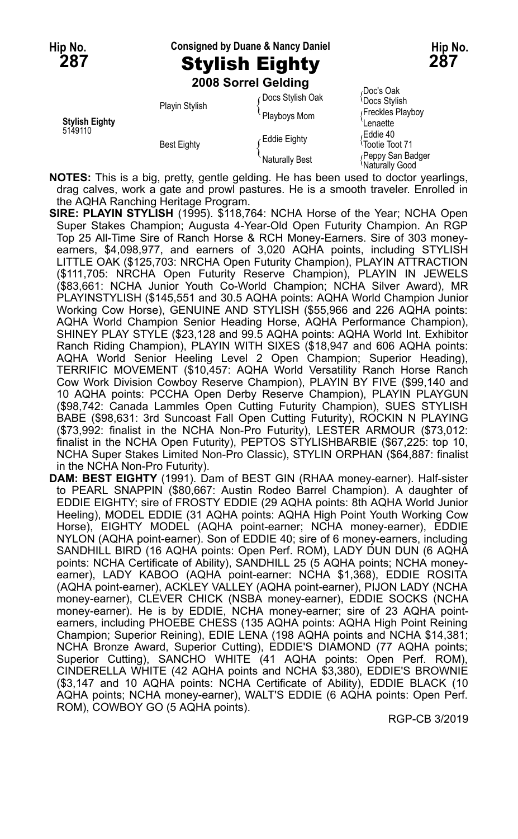### **Hip No. Consigned by Duane & Nancy Daniel Hip No.**

# **287** Stylish Eighty **287**

**2008 Sorrel Gelding**

| <b>Stylish Eighty</b><br>5149110 | <b>Playin Stylish</b> | Docs Stylish Oak<br>Playboys Mom | Doc's Oak<br><b>Docs Stylish</b><br>Freckles Playboy<br>Lenaette |
|----------------------------------|-----------------------|----------------------------------|------------------------------------------------------------------|
|                                  | <b>Best Eighty</b>    | Eddie Eighty                     | Eddie 40،<br>Tootie Toot 71                                      |
|                                  |                       | <b>Naturally Best</b>            | Peppy San Badger<br>Naturally Good                               |

**NOTES:** This is a big, pretty, gentle gelding. He has been used to doctor yearlings, drag calves, work a gate and prowl pastures. He is a smooth traveler. Enrolled in the AQHA Ranching Heritage Program.

- **SIRE: PLAYIN STYLISH** (1995). \$118,764: NCHA Horse of the Year; NCHA Open Super Stakes Champion; Augusta 4-Year-Old Open Futurity Champion. An RGP Top 25 All-Time Sire of Ranch Horse & RCH Money-Earners. Sire of 303 moneyearners, \$4,098,977, and earners of 3,020 AQHA points, including STYLISH LITTLE OAK (\$125,703: NRCHA Open Futurity Champion), PLAYIN ATTRACTION (\$111,705: NRCHA Open Futurity Reserve Champion), PLAYIN IN JEWELS (\$83,661: NCHA Junior Youth Co-World Champion; NCHA Silver Award), MR PLAYINSTYLISH (\$145,551 and 30.5 AQHA points: AQHA World Champion Junior Working Cow Horse), GENUINE AND STYLISH (\$55,966 and 226 AQHA points: AQHA World Champion Senior Heading Horse, AQHA Performance Champion), SHINEY PLAY STYLE (\$23,128 and 99.5 AQHA points: AQHA World Int. Exhibitor Ranch Riding Champion), PLAYIN WITH SIXES (\$18,947 and 606 AQHA points: AQHA World Senior Heeling Level 2 Open Champion; Superior Heading), TERRIFIC MOVEMENT (\$10,457: AQHA World Versatility Ranch Horse Ranch Cow Work Division Cowboy Reserve Champion), PLAYIN BY FIVE (\$99,140 and 10 AQHA points: PCCHA Open Derby Reserve Champion), PLAYIN PLAYGUN (\$98,742: Canada Lammles Open Cutting Futurity Champion), SUES STYLISH BABE (\$98,631: 3rd Suncoast Fall Open Cutting Futurity), ROCKIN N PLAYING (\$73,992: finalist in the NCHA Non-Pro Futurity), LESTER ARMOUR (\$73,012: finalist in the NCHA Open Futurity), PEPTOS STYLISHBARBIE (\$67,225: top 10, NCHA Super Stakes Limited Non-Pro Classic), STYLIN ORPHAN (\$64,887: finalist in the NCHA Non-Pro Futurity).
- **DAM: BEST EIGHTY** (1991). Dam of BEST GIN (RHAA money-earner). Half-sister to PEARL SNAPPIN (\$80,667: Austin Rodeo Barrel Champion). A daughter of EDDIE EIGHTY; sire of FROSTY EDDIE (29 AQHA points: 8th AQHA World Junior Heeling), MODEL EDDIE (31 AQHA points: AQHA High Point Youth Working Cow Horse), EIGHTY MODEL (AQHA point-earner; NCHA money-earner), EDDIE NYLON (AQHA point-earner). Son of EDDIE 40; sire of 6 money-earners, including SANDHILL BIRD (16 AQHA points: Open Perf. ROM), LADY DUN DUN (6 AQHA points: NCHA Certificate of Ability), SANDHILL 25 (5 AQHA points; NCHA moneyearner), LADY KABOO (AQHA point-earner: NCHA \$1,368), EDDIE ROSITA (AQHA point-earner), ACKLEY VALLEY (AQHA point-earner), PIJON LADY (NCHA money-earner), CLEVER CHICK (NSBA money-earner), EDDIE SOCKS (NCHA money-earner). He is by EDDIE, NCHA money-earner; sire of 23 AQHA pointearners, including PHOEBE CHESS (135 AQHA points: AQHA High Point Reining Champion; Superior Reining), EDIE LENA (198 AQHA points and NCHA \$14,381; NCHA Bronze Award, Superior Cutting), EDDIE'S DIAMOND (77 AQHA points; Superior Cutting), SANCHO WHITE (41 AQHA points: Open Perf. ROM), CINDERELLA WHITE (42 AQHA points and NCHA \$3,380), EDDIE'S BROWNIE (\$3,147 and 10 AQHA points: NCHA Certificate of Ability), EDDIE BLACK (10 AQHA points; NCHA money-earner), WALT'S EDDIE (6 AQHA points: Open Perf. ROM), COWBOY GO (5 AQHA points).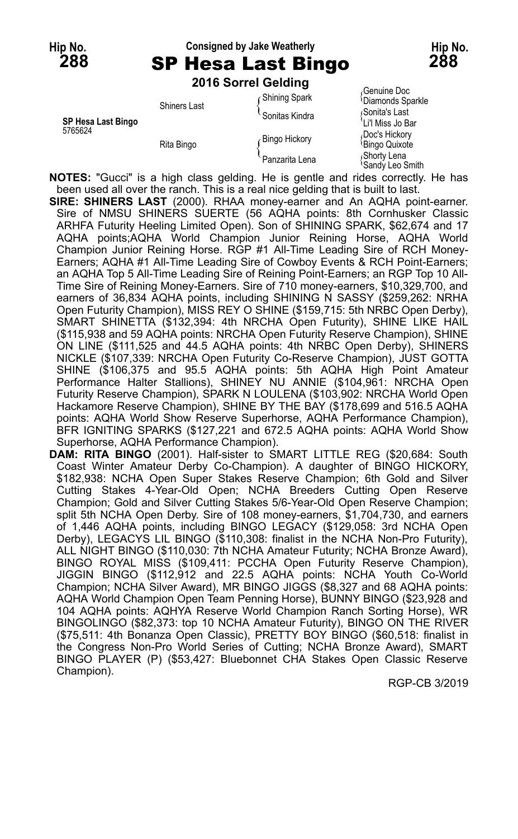### **Hip No. Consigned by Jake Weatherly Hip No. 288** SP Hesa Last Bingo **288**

**2016 Sorrel Gelding**

|                               | <b>LUTU JULICI OCIUILU</b> |                      |                                              |
|-------------------------------|----------------------------|----------------------|----------------------------------------------|
| SP Hesa Last Bingo<br>5765624 | <b>Shiners Last</b>        | <b>Shining Spark</b> | Genuine Doc<br><sup>l</sup> Diamonds Sparkle |
|                               |                            | Sonitas Kindra       | Sonita's Last<br>'Li'l Miss Jo Bar           |
|                               | Rita Bingo                 | Bingo Hickory        | Doc's Hickory<br><sup>l</sup> Bingo Quixote  |
|                               |                            | Panzarita Lena       | Shorty Lena<br><i><b>Sandy Leo Smith</b></i> |

**NOTES:** "Gucci" is a high class gelding. He is gentle and rides correctly. He has been used all over the ranch. This is a real nice gelding that is built to last.

**SIRE: SHINERS LAST** (2000). RHAA money-earner and An AQHA point-earner. Sire of NMSU SHINERS SUERTE (56 AQHA points: 8th Cornhusker Classic ARHFA Futurity Heeling Limited Open). Son of SHINING SPARK, \$62,674 and 17 AQHA points;AQHA World Champion Junior Reining Horse, AQHA World Champion Junior Reining Horse. RGP #1 All-Time Leading Sire of RCH Money-Earners; AQHA #1 All-Time Leading Sire of Cowboy Events & RCH Point-Earners; an AQHA Top 5 All-Time Leading Sire of Reining Point-Earners; an RGP Top 10 All-Time Sire of Reining Money-Earners. Sire of 710 money-earners, \$10,329,700, and earners of 36,834 AQHA points, including SHINING N SASSY (\$259,262: NRHA Open Futurity Champion), MISS REY O SHINE (\$159,715: 5th NRBC Open Derby), SMART SHINETTA (\$132,394: 4th NRCHA Open Futurity), SHINE LIKE HAIL (\$115,938 and 59 AQHA points: NRCHA Open Futurity Reserve Champion), SHINE ON LINE (\$111,525 and 44.5 AQHA points: 4th NRBC Open Derby), SHINERS NICKLE (\$107,339: NRCHA Open Futurity Co-Reserve Champion), JUST GOTTA SHINE (\$106,375 and 95.5 AQHA points: 5th AQHA High Point Amateur Performance Halter Stallions), SHINEY NU ANNIE (\$104,961: NRCHA Open Futurity Reserve Champion), SPARK N LOULENA (\$103,902: NRCHA World Open Hackamore Reserve Champion), SHINE BY THE BAY (\$178,699 and 516.5 AQHA points: AQHA World Show Reserve Superhorse, AQHA Performance Champion), BFR IGNITING SPARKS (\$127,221 and 672.5 AQHA points: AQHA World Show Superhorse, AQHA Performance Champion).

**DAM: RITA BINGO** (2001). Half-sister to SMART LITTLE REG (\$20,684: South Coast Winter Amateur Derby Co-Champion). A daughter of BINGO HICKORY, \$182,938: NCHA Open Super Stakes Reserve Champion; 6th Gold and Silver Cutting Stakes 4-Year-Old Open; NCHA Breeders Cutting Open Reserve Champion; Gold and Silver Cutting Stakes 5/6-Year-Old Open Reserve Champion; split 5th NCHA Open Derby. Sire of 108 money-earners, \$1,704,730, and earners of 1,446 AQHA points, including BINGO LEGACY (\$129,058: 3rd NCHA Open Derby), LEGACYS LIL BINGO (\$110,308: finalist in the NCHA Non-Pro Futurity), ALL NIGHT BINGO (\$110,030: 7th NCHA Amateur Futurity; NCHA Bronze Award), BINGO ROYAL MISS (\$109,411: PCCHA Open Futurity Reserve Champion), JIGGIN BINGO (\$112,912 and 22.5 AQHA points: NCHA Youth Co-World Champion; NCHA Silver Award), MR BINGO JIGGS (\$8,327 and 68 AQHA points: AQHA World Champion Open Team Penning Horse), BUNNY BINGO (\$23,928 and 104 AQHA points: AQHYA Reserve World Champion Ranch Sorting Horse), WR BINGOLINGO (\$82,373: top 10 NCHA Amateur Futurity), BINGO ON THE RIVER (\$75,511: 4th Bonanza Open Classic), PRETTY BOY BINGO (\$60,518: finalist in the Congress Non-Pro World Series of Cutting; NCHA Bronze Award), SMART BINGO PLAYER (P) (\$53,427: Bluebonnet CHA Stakes Open Classic Reserve Champion).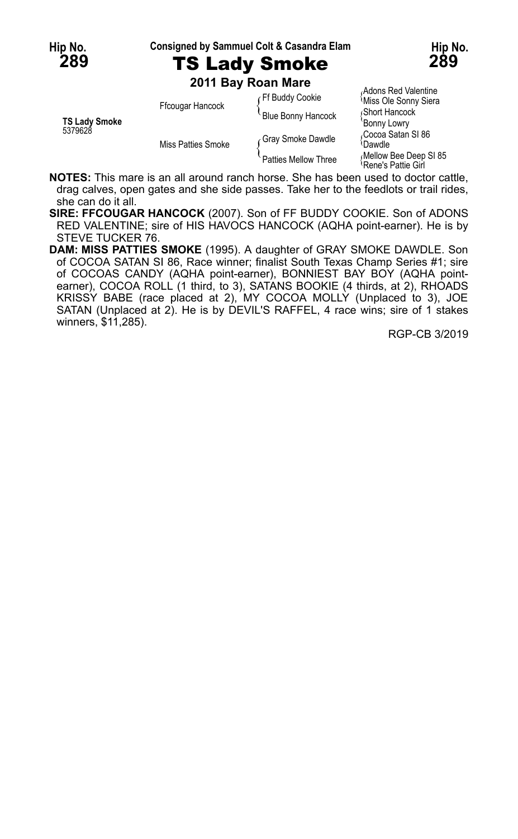**Hip No. Consigned by Sammuel Colt & Casandra Elam Hip No.**



**289** TS Lady Smoke **289**

**2011 Bay Roan Mare**

| <b>TS Lady Smoke</b><br>5379628 | Ffcougar Hancock   | Ff Buddy Cookie      | Adons Red Valentine<br><i><b>Miss Ole Sonny Siera</b></i> |
|---------------------------------|--------------------|----------------------|-----------------------------------------------------------|
|                                 |                    | Blue Bonny Hancock   | Short Hancock                                             |
|                                 | Miss Patties Smoke |                      | 'Bonny Lowry                                              |
|                                 |                    | Gray Smoke Dawdle    | ،Cocoa Satan SI 86                                        |
|                                 |                    |                      | <sup>{</sup> Dawdle                                       |
|                                 |                    | Patties Mellow Three | Mellow Bee Deep SI 85<br>Rene's Pattie Girl               |

**NOTES:** This mare is an all around ranch horse. She has been used to doctor cattle, drag calves, open gates and she side passes. Take her to the feedlots or trail rides, she can do it all.

**SIRE: FFCOUGAR HANCOCK** (2007). Son of FF BUDDY COOKIE. Son of ADONS RED VALENTINE; sire of HIS HAVOCS HANCOCK (AQHA point-earner). He is by STEVE TUCKER 76.

**DAM: MISS PATTIES SMOKE** (1995). A daughter of GRAY SMOKE DAWDLE. Son of COCOA SATAN SI 86, Race winner; finalist South Texas Champ Series #1; sire of COCOAS CANDY (AQHA point-earner), BONNIEST BAY BOY (AQHA pointearner), COCOA ROLL (1 third, to 3), SATANS BOOKIE (4 thirds, at 2), RHOADS KRISSY BABE (race placed at 2), MY COCOA MOLLY (Unplaced to 3), JOE SATAN (Unplaced at 2). He is by DEVIL'S RAFFEL, 4 race wins; sire of 1 stakes winners, \$11,285).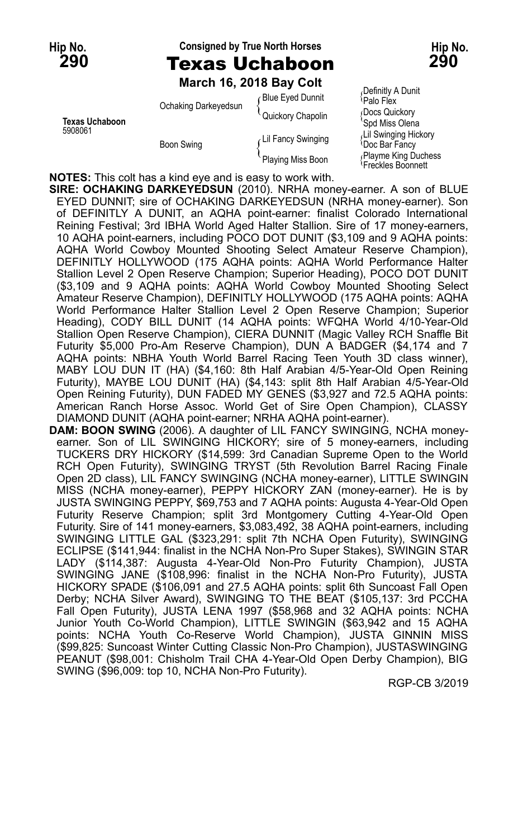### **Hip No. Consigned by True North Horses Hip No. 290** Texas Uchaboon **290**

**March 16, 2018 Bay Colt**

| <b>Texas Uchaboon</b><br>5908061 | Ochaking Darkeyedsun | Blue Eyed Dunnit   | (DGIII IIUV A DUI IIU<br>Palo Flex                 |
|----------------------------------|----------------------|--------------------|----------------------------------------------------|
|                                  |                      | Quickory Chapolin  | Docs Quickory<br>'Spd Miss Olena                   |
|                                  | <b>Boon Swing</b>    | Lil Fancy Swinging | Lil Swinging Hickory<br><sup>≀</sup> Doc Bar Fancv |
|                                  |                      | Playing Miss Boon  | Playme King Duches<br>Erocklos Rooppott            |

<sub>f</sub>Definitly A Dunit<br><sup>\</sup>Palo Flex Docs Quickory <sup>{</sup>Doc Bar Fancy<br><sub>{</sub> Playme King Duchess Freckles Boonnett

**NOTES:** This colt has a kind eye and is easy to work with.

**SIRE: OCHAKING DARKEYEDSUN** (2010). NRHA money-earner. A son of BLUE EYED DUNNIT; sire of OCHAKING DARKEYEDSUN (NRHA money-earner). Son of DEFINITLY A DUNIT, an AQHA point-earner: finalist Colorado International Reining Festival; 3rd IBHA World Aged Halter Stallion. Sire of 17 money-earners, 10 AQHA point-earners, including POCO DOT DUNIT (\$3,109 and 9 AQHA points: AQHA World Cowboy Mounted Shooting Select Amateur Reserve Champion), DEFINITLY HOLLYWOOD (175 AQHA points: AQHA World Performance Halter Stallion Level 2 Open Reserve Champion; Superior Heading), POCO DOT DUNIT (\$3,109 and 9 AQHA points: AQHA World Cowboy Mounted Shooting Select Amateur Reserve Champion), DEFINITLY HOLLYWOOD (175 AQHA points: AQHA World Performance Halter Stallion Level 2 Open Reserve Champion; Superior Heading), CODY BILL DUNIT (14 AQHA points: WFQHA World 4/10-Year-Old Stallion Open Reserve Champion), CIERA DUNNIT (Magic Valley RCH Snaffle Bit Futurity \$5,000 Pro-Am Reserve Champion), DUN A BADGER (\$4,174 and 7 AQHA points: NBHA Youth World Barrel Racing Teen Youth 3D class winner), MABY LOU DUN IT (HA) (\$4,160: 8th Half Arabian 4/5-Year-Old Open Reining Futurity), MAYBE LOU DUNIT (HA) (\$4,143: split 8th Half Arabian 4/5-Year-Old Open Reining Futurity), DUN FADED MY GENES (\$3,927 and 72.5 AQHA points: American Ranch Horse Assoc. World Get of Sire Open Champion), CLASSY DIAMOND DUNIT (AQHA point-earner; NRHA AQHA point-earner).

**DAM: BOON SWING** (2006). A daughter of LIL FANCY SWINGING, NCHA moneyearner. Son of LIL SWINGING HICKORY; sire of 5 money-earners, including TUCKERS DRY HICKORY (\$14,599: 3rd Canadian Supreme Open to the World RCH Open Futurity), SWINGING TRYST (5th Revolution Barrel Racing Finale Open 2D class), LIL FANCY SWINGING (NCHA money-earner), LITTLE SWINGIN MISS (NCHA money-earner), PEPPY HICKORY ZAN (money-earner). He is by JUSTA SWINGING PEPPY, \$69,753 and 7 AQHA points: Augusta 4-Year-Old Open Futurity Reserve Champion; split 3rd Montgomery Cutting 4-Year-Old Open Futurity. Sire of 141 money-earners, \$3,083,492, 38 AQHA point-earners, including SWINGING LITTLE GAL (\$323,291: split 7th NCHA Open Futurity), SWINGING ECLIPSE (\$141,944: finalist in the NCHA Non-Pro Super Stakes), SWINGIN STAR LADY (\$114,387: Augusta 4-Year-Old Non-Pro Futurity Champion), JUSTA SWINGING JANE (\$108,996: finalist in the NCHA Non-Pro Futurity), JUSTA HICKORY SPADE (\$106,091 and 27.5 AQHA points: split 6th Suncoast Fall Open Derby; NCHA Silver Award), SWINGING TO THE BEAT (\$105,137: 3rd PCCHA Fall Open Futurity), JUSTA LENA 1997 (\$58,968 and 32 AQHA points: NCHA Junior Youth Co-World Champion), LITTLE SWINGIN (\$63,942 and 15 AQHA points: NCHA Youth Co-Reserve World Champion), JUSTA GINNIN MISS (\$99,825: Suncoast Winter Cutting Classic Non-Pro Champion), JUSTASWINGING PEANUT (\$98,001: Chisholm Trail CHA 4-Year-Old Open Derby Champion), BIG SWING (\$96,009: top 10, NCHA Non-Pro Futurity).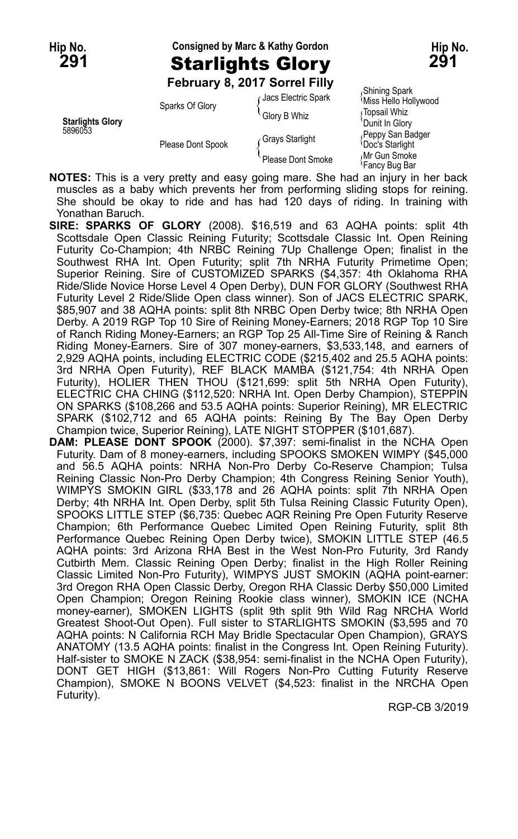# **Hip No. Consigned by Marc & Kathy Gordon Hip No. 291** Starlights Glory **291**

**February 8, 2017 Sorrel Filly**

|                                    | Sparks Of Glory   | Jacs Electric Spark | Shining Spark<br>Miss Hello Hollywood      |
|------------------------------------|-------------------|---------------------|--------------------------------------------|
|                                    |                   | Glory B Whiz        | Topsail Whiz                               |
| <b>Starlights Glory</b><br>5896053 | Please Dont Spook |                     | 'Dunit In Glory                            |
|                                    |                   | Grays Starlight     | Peppy San Badger<br><b>Doc's Starlight</b> |
|                                    |                   | Please Dont Smoke   | Mr Gun Smoke<br>≀Fancv Buɑ Bar             |

**NOTES:** This is a very pretty and easy going mare. She had an injury in her back muscles as a baby which prevents her from performing sliding stops for reining. She should be okay to ride and has had 120 days of riding. In training with Yonathan Baruch.

**SIRE: SPARKS OF GLORY** (2008). \$16,519 and 63 AQHA points: split 4th Scottsdale Open Classic Reining Futurity; Scottsdale Classic Int. Open Reining Futurity Co-Champion; 4th NRBC Reining 7Up Challenge Open; finalist in the Southwest RHA Int. Open Futurity; split 7th NRHA Futurity Primetime Open; Superior Reining. Sire of CUSTOMIZED SPARKS (\$4,357: 4th Oklahoma RHA Ride/Slide Novice Horse Level 4 Open Derby), DUN FOR GLORY (Southwest RHA Futurity Level 2 Ride/Slide Open class winner). Son of JACS ELECTRIC SPARK, \$85,907 and 38 AQHA points: split 8th NRBC Open Derby twice; 8th NRHA Open Derby. A 2019 RGP Top 10 Sire of Reining Money-Earners; 2018 RGP Top 10 Sire of Ranch Riding Money-Earners; an RGP Top 25 All-Time Sire of Reining & Ranch Riding Money-Earners. Sire of 307 money-earners, \$3,533,148, and earners of 2,929 AQHA points, including ELECTRIC CODE (\$215,402 and 25.5 AQHA points: 3rd NRHA Open Futurity), REF BLACK MAMBA (\$121,754: 4th NRHA Open Futurity), HOLIER THEN THOU (\$121,699: split 5th NRHA Open Futurity), ELECTRIC CHA CHING (\$112,520: NRHA Int. Open Derby Champion), STEPPIN ON SPARKS (\$108,266 and 53.5 AQHA points: Superior Reining), MR ELECTRIC SPARK (\$102,712 and 65 AQHA points: Reining By The Bay Open Derby Champion twice, Superior Reining), LATE NIGHT STOPPER (\$101,687).

**DAM: PLEASE DONT SPOOK** (2000). \$7,397: semi-finalist in the NCHA Open Futurity. Dam of 8 money-earners, including SPOOKS SMOKEN WIMPY (\$45,000 and 56.5 AQHA points: NRHA Non-Pro Derby Co-Reserve Champion; Tulsa Reining Classic Non-Pro Derby Champion; 4th Congress Reining Senior Youth), WIMPYS SMOKIN GIRL (\$33,178 and 26 AQHA points: split 7th NRHA Open Derby; 4th NRHA Int. Open Derby, split 5th Tulsa Reining Classic Futurity Open), SPOOKS LITTLE STEP (\$6,735: Quebec AQR Reining Pre Open Futurity Reserve Champion; 6th Performance Quebec Limited Open Reining Futurity, split 8th Performance Quebec Reining Open Derby twice), SMOKIN LITTLE STEP (46.5 AQHA points: 3rd Arizona RHA Best in the West Non-Pro Futurity, 3rd Randy Cutbirth Mem. Classic Reining Open Derby; finalist in the High Roller Reining Classic Limited Non-Pro Futurity), WIMPYS JUST SMOKIN (AQHA point-earner: 3rd Oregon RHA Open Classic Derby, Oregon RHA Classic Derby \$50,000 Limited Open Champion; Oregon Reining Rookie class winner), SMOKIN ICE (NCHA money-earner), SMOKEN LIGHTS (split 9th split 9th Wild Rag NRCHA World Greatest Shoot-Out Open). Full sister to STARLIGHTS SMOKIN (\$3,595 and 70 AQHA points: N California RCH May Bridle Spectacular Open Champion), GRAYS ANATOMY (13.5 AQHA points: finalist in the Congress Int. Open Reining Futurity). Half-sister to SMOKE N ZACK (\$38,954: semi-finalist in the NCHA Open Futurity), DONT GET HIGH (\$13,861: Will Rogers Non-Pro Cutting Futurity Reserve Champion), SMOKE N BOONS VELVET (\$4,523: finalist in the NRCHA Open Futurity).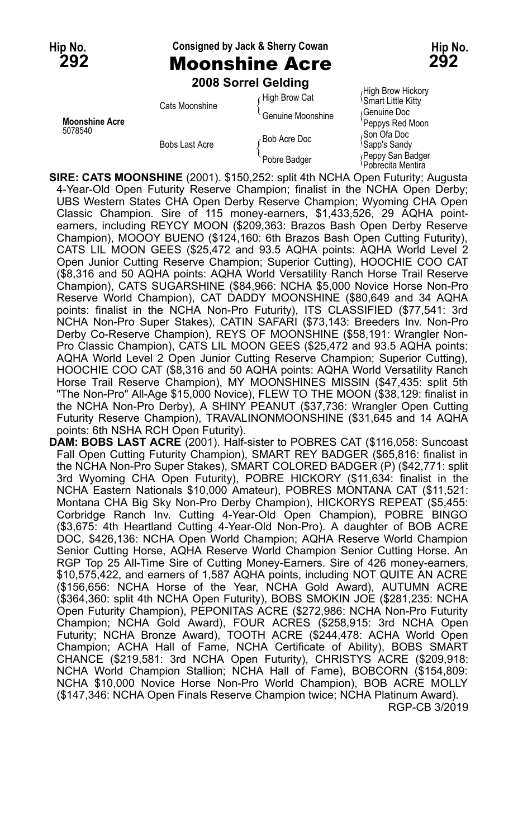### **Hip No. Consigned by Jack & Sherry Cowan Hip No.**

**292** Moonshine Acre **292**

**2008 Sorrel Gelding**

| <b>Moonshine Acre</b><br>5078540 | Cats Moonshine | High Brow Cat<br><sup>l</sup> Genuine Moonshine | <sup>1</sup> Smart Little Kitty<br>Genuine Doc<br>'Peppys Red Moon |
|----------------------------------|----------------|-------------------------------------------------|--------------------------------------------------------------------|
|                                  | Bobs Last Acre | Bob Acre Doc                                    | Son Ofa Doc<br><sup>l</sup> Sapp's Sandy                           |
|                                  |                | Pobre Badger                                    | Peppy San Badger<br><sup>1</sup> Pobrecita Mentira                 |

High Brow Cat (High Brow Hickory

**SIRE: CATS MOONSHINE** (2001). \$150,252: split 4th NCHA Open Futurity; Augusta 4-Year-Old Open Futurity Reserve Champion; finalist in the NCHA Open Derby; UBS Western States CHA Open Derby Reserve Champion; Wyoming CHA Open Classic Champion. Sire of 115 money-earners, \$1,433,526, 29 AQHA pointearners, including REYCY MOON (\$209,363: Brazos Bash Open Derby Reserve Champion), MOOOY BUENO (\$124,160: 6th Brazos Bash Open Cutting Futurity), CATS LIL MOON GEES (\$25,472 and 93.5 AQHA points: AQHA World Level 2 Open Junior Cutting Reserve Champion; Superior Cutting), HOOCHIE COO CAT (\$8,316 and 50 AQHA points: AQHA World Versatility Ranch Horse Trail Reserve Champion), CATS SUGARSHINE (\$84,966: NCHA \$5,000 Novice Horse Non-Pro Reserve World Champion), CAT DADDY MOONSHINE (\$80,649 and 34 AQHA points: finalist in the NCHA Non-Pro Futurity), ITS CLASSIFIED (\$77,541: 3rd NCHA Non-Pro Super Stakes), CATIN SAFARI (\$73,143: Breeders Inv. Non-Pro Derby Co-Reserve Champion), REYS OF MOONSHINE (\$58,191: Wrangler Non-Pro Classic Champion), CATS LIL MOON GEES (\$25,472 and 93.5 AQHA points: AQHA World Level 2 Open Junior Cutting Reserve Champion; Superior Cutting), HOOCHIE COO CAT (\$8,316 and 50 AQHA points: AQHA World Versatility Ranch Horse Trail Reserve Champion), MY MOONSHINES MISSIN (\$47,435: split 5th "The Non-Pro" All-Age \$15,000 Novice), FLEW TO THE MOON (\$38,129: finalist in the NCHA Non-Pro Derby), A SHINY PEANUT (\$37,736: Wrangler Open Cutting Futurity Reserve Champion), TRAVALINONMOONSHINE (\$31,645 and 14 AQHA points: 6th NSHA RCH Open Futurity).

**DAM: BOBS LAST ACRE** (2001). Half-sister to POBRES CAT (\$116,058: Suncoast Fall Open Cutting Futurity Champion), SMART REY BADGER (\$65,816: finalist in the NCHA Non-Pro Super Stakes), SMART COLORED BADGER (P) (\$42,771: split 3rd Wyoming CHA Open Futurity), POBRE HICKORY (\$11,634: finalist in the NCHA Eastern Nationals \$10,000 Amateur), POBRES MONTANA CAT (\$11,521: Montana CHA Big Sky Non-Pro Derby Champion), HICKORYS REPEAT (\$5,455: Corbridge Ranch Inv. Cutting 4-Year-Old Open Champion), POBRE BINGO (\$3,675: 4th Heartland Cutting 4-Year-Old Non-Pro). A daughter of BOB ACRE DOC, \$426,136: NCHA Open World Champion; AQHA Reserve World Champion Senior Cutting Horse, AQHA Reserve World Champion Senior Cutting Horse. An RGP Top 25 All-Time Sire of Cutting Money-Earners. Sire of 426 money-earners, \$10,575,422, and earners of 1,587 AQHA points, including NOT QUITE AN ACRE (\$156,656: NCHA Horse of the Year, NCHA Gold Award), AUTUMN ACRE (\$364,360: split 4th NCHA Open Futurity), BOBS SMOKIN JOE (\$281,235: NCHA Open Futurity Champion), PEPONITAS ACRE (\$272,986: NCHA Non-Pro Futurity Champion; NCHA Gold Award), FOUR ACRES (\$258,915: 3rd NCHA Open Futurity; NCHA Bronze Award), TOOTH ACRE (\$244,478: ACHA World Open Champion; ACHA Hall of Fame, NCHA Certificate of Ability), BOBS SMART CHANCE (\$219,581: 3rd NCHA Open Futurity), CHRISTYS ACRE (\$209,918: NCHA World Champion Stallion; NCHA Hall of Fame), BOBCORN (\$154,809: NCHA \$10,000 Novice Horse Non-Pro World Champion), BOB ACRE MOLLY (\$147,346: NCHA Open Finals Reserve Champion twice; NCHA Platinum Award). RGP-CB 3/2019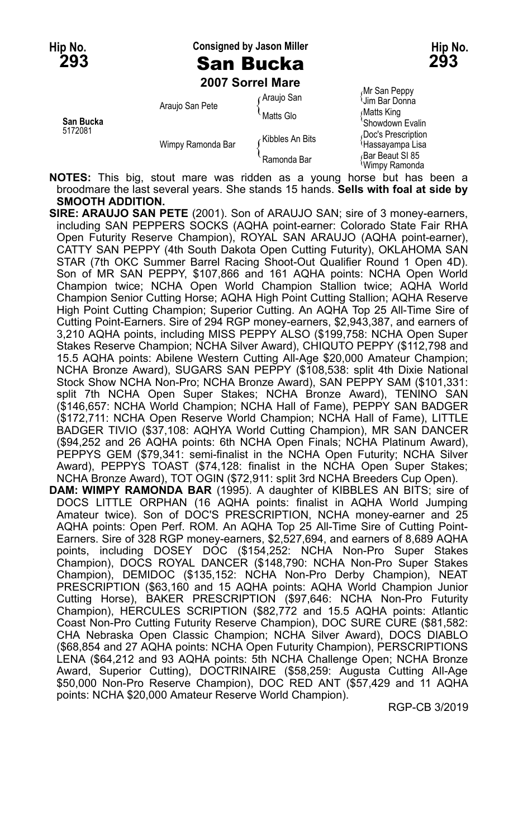### **Hip No. Consigned by Jason Miller Hip No. 293** San Bucka **293**

**2007 Sorrel Mare**

|                      |                   | zuur sorrei mare |                                        |
|----------------------|-------------------|------------------|----------------------------------------|
|                      | Araujo San Pete   | GAraujo San      | Mr San Peppy<br>Uim Bar Donna          |
| San Bucka<br>5172081 |                   | Matts Glo        | ∫Matts King<br>'Showdown Evalin        |
|                      | Wimpy Ramonda Bar | ∠Kibbles An Bits | Doc's Prescription<br>≀Hassaγampa Lisa |
|                      |                   | Ramonda Bar      | Bar Beaut SI 85<br>Wimpy Ramonda       |

**NOTES:** This big, stout mare was ridden as a young horse but has been a broodmare the last several years. She stands 15 hands. **Sells with foal at side by SMOOTH ADDITION.**

**SIRE: ARAUJO SAN PETE** (2001). Son of ARAUJO SAN; sire of 3 money-earners, including SAN PEPPERS SOCKS (AQHA point-earner: Colorado State Fair RHA Open Futurity Reserve Champion), ROYAL SAN ARAUJO (AQHA point-earner), CATTY SAN PEPPY (4th South Dakota Open Cutting Futurity), OKLAHOMA SAN STAR (7th OKC Summer Barrel Racing Shoot-Out Qualifier Round 1 Open 4D). Son of MR SAN PEPPY, \$107,866 and 161 AQHA points: NCHA Open World Champion twice; NCHA Open World Champion Stallion twice; AQHA World Champion Senior Cutting Horse; AQHA High Point Cutting Stallion; AQHA Reserve High Point Cutting Champion; Superior Cutting. An AQHA Top 25 All-Time Sire of Cutting Point-Earners. Sire of 294 RGP money-earners, \$2,943,387, and earners of 3,210 AQHA points, including MISS PEPPY ALSO (\$199,758: NCHA Open Super Stakes Reserve Champion; NCHA Silver Award), CHIQUTO PEPPY (\$112,798 and 15.5 AQHA points: Abilene Western Cutting All-Age \$20,000 Amateur Champion; NCHA Bronze Award), SUGARS SAN PEPPY (\$108,538: split 4th Dixie National Stock Show NCHA Non-Pro; NCHA Bronze Award), SAN PEPPY SAM (\$101,331: split 7th NCHA Open Super Stakes; NCHA Bronze Award), TENINO SAN (\$146,657: NCHA World Champion; NCHA Hall of Fame), PEPPY SAN BADGER (\$172,711: NCHA Open Reserve World Champion; NCHA Hall of Fame), LITTLE BADGER TIVIO (\$37,108: AQHYA World Cutting Champion), MR SAN DANCER (\$94,252 and 26 AQHA points: 6th NCHA Open Finals; NCHA Platinum Award), PEPPYS GEM (\$79,341: semi-finalist in the NCHA Open Futurity; NCHA Silver Award), PEPPYS TOAST (\$74,128: finalist in the NCHA Open Super Stakes; NCHA Bronze Award), TOT OGIN (\$72,911: split 3rd NCHA Breeders Cup Open). **DAM: WIMPY RAMONDA BAR** (1995). A daughter of KIBBLES AN BITS; sire of DOCS LITTLE ORPHAN (16 AQHA points: finalist in AQHA World Jumping Amateur twice). Son of DOC'S PRESCRIPTION, NCHA money-earner and 25 AQHA points: Open Perf. ROM. An AQHA Top 25 All-Time Sire of Cutting Point-Earners. Sire of 328 RGP money-earners, \$2,527,694, and earners of 8,689 AQHA points, including DOSEY DOC (\$154,252: NCHA Non-Pro Super Stakes Champion), DOCS ROYAL DANCER (\$148,790: NCHA Non-Pro Super Stakes Champion), DEMIDOC (\$135,152: NCHA Non-Pro Derby Champion), NEAT PRESCRIPTION (\$63,160 and 15 AQHA points: AQHA World Champion Junior Cutting Horse), BAKER PRESCRIPTION (\$97,646: NCHA Non-Pro Futurity Champion), HERCULES SCRIPTION (\$82,772 and 15.5 AQHA points: Atlantic Coast Non-Pro Cutting Futurity Reserve Champion), DOC SURE CURE (\$81,582: CHA Nebraska Open Classic Champion; NCHA Silver Award), DOCS DIABLO (\$68,854 and 27 AQHA points: NCHA Open Futurity Champion), PERSCRIPTIONS LENA (\$64,212 and 93 AQHA points: 5th NCHA Challenge Open; NCHA Bronze Award, Superior Cutting), DOCTRINAIRE (\$58,259: Augusta Cutting All-Age \$50,000 Non-Pro Reserve Champion), DOC RED ANT (\$57,429 and 11 AQHA points: NCHA \$20,000 Amateur Reserve World Champion).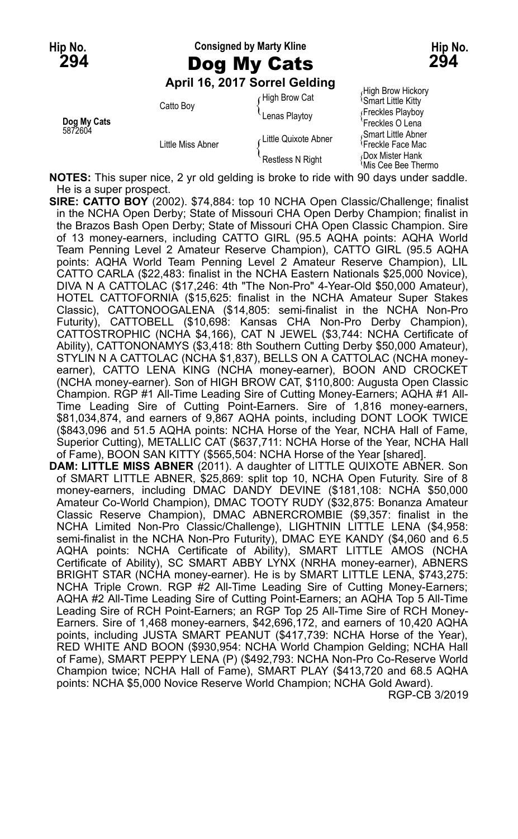**Hip No. Consigned by Marty Kline Hip No.**

**April 16, 2017 Sorrel Gelding**

| Dog My Cats |                   | `Lenas Plavtov          | ι ισυκισστιαγυυγ<br>'Freckles O Lena                |
|-------------|-------------------|-------------------------|-----------------------------------------------------|
| 5872604     | Little Miss Abner | Little Quixote Abner    | Smart Little Abner<br><sup>1</sup> Freckle Face Mac |
|             |                   | <b>Restless N Right</b> | Dox Mister Hank<br><i><b>Mis Cee Bee Thermo</b></i> |

 $f$  High Brow Cat  $f$  High Brow Hickory Catto Boy Catto Boy Catto Boy Catto Boy Catto Boy

**NOTES:** This super nice, 2 yr old gelding is broke to ride with 90 days under saddle. He is a super prospect.

**SIRE: CATTO BOY** (2002). \$74,884: top 10 NCHA Open Classic/Challenge; finalist in the NCHA Open Derby; State of Missouri CHA Open Derby Champion; finalist in the Brazos Bash Open Derby; State of Missouri CHA Open Classic Champion. Sire of 13 money-earners, including CATTO GIRL (95.5 AQHA points: AQHA World Team Penning Level 2 Amateur Reserve Champion), CATTO GIRL (95.5 AQHA points: AQHA World Team Penning Level 2 Amateur Reserve Champion), LIL CATTO CARLA (\$22,483: finalist in the NCHA Eastern Nationals \$25,000 Novice), DIVA N A CATTOLAC (\$17,246: 4th "The Non-Pro" 4-Year-Old \$50,000 Amateur), HOTEL CATTOFORNIA (\$15,625: finalist in the NCHA Amateur Super Stakes Classic), CATTONOOGALENA (\$14,805: semi-finalist in the NCHA Non-Pro Futurity), CATTOBELL (\$10,698: Kansas CHA Non-Pro Derby Champion), CATTOSTROPHIC (NCHA \$4,166), CAT N JEWEL (\$3,744: NCHA Certificate of Ability), CATTONONAMYS (\$3,418: 8th Southern Cutting Derby \$50,000 Amateur), STYLIN N A CATTOLAC (NCHA \$1,837), BELLS ON A CATTOLAC (NCHA moneyearner), CATTO LENA KING (NCHA money-earner), BOON AND CROCKET (NCHA money-earner). Son of HIGH BROW CAT, \$110,800: Augusta Open Classic Champion. RGP #1 All-Time Leading Sire of Cutting Money-Earners; AQHA #1 All-Time Leading Sire of Cutting Point-Earners. Sire of 1,816 money-earners, \$81,034,874, and earners of 9,867 AQHA points, including DONT LOOK TWICE (\$843,096 and 51.5 AQHA points: NCHA Horse of the Year, NCHA Hall of Fame, Superior Cutting), METALLIC CAT (\$637,711: NCHA Horse of the Year, NCHA Hall of Fame), BOON SAN KITTY (\$565,504: NCHA Horse of the Year [shared]. **DAM: LITTLE MISS ABNER** (2011). A daughter of LITTLE QUIXOTE ABNER. Son of SMART LITTLE ABNER, \$25,869: split top 10, NCHA Open Futurity. Sire of 8 money-earners, including DMAC DANDY DEVINE (\$181,108: NCHA \$50,000 Amateur Co-World Champion), DMAC TOOTY RUDY (\$32,875: Bonanza Amateur Classic Reserve Champion), DMAC ABNERCROMBIE (\$9,357: finalist in the NCHA Limited Non-Pro Classic/Challenge), LIGHTNIN LITTLE LENA (\$4,958: semi-finalist in the NCHA Non-Pro Futurity), DMAC EYE KANDY (\$4,060 and 6.5 AQHA points: NCHA Certificate of Ability), SMART LITTLE AMOS (NCHA Certificate of Ability), SC SMART ABBY LYNX (NRHA money-earner), ABNERS BRIGHT STAR (NCHA money-earner). He is by SMART LITTLE LENA, \$743,275: NCHA Triple Crown. RGP #2 All-Time Leading Sire of Cutting Money-Earners; AQHA #2 All-Time Leading Sire of Cutting Point-Earners; an AQHA Top 5 All-Time Leading Sire of RCH Point-Earners; an RGP Top 25 All-Time Sire of RCH Money-Earners. Sire of 1,468 money-earners, \$42,696,172, and earners of 10,420 AQHA points, including JUSTA SMART PEANUT (\$417,739: NCHA Horse of the Year), RED WHITE AND BOON (\$930,954: NCHA World Champion Gelding; NCHA Hall of Fame), SMART PEPPY LENA (P) (\$492,793: NCHA Non-Pro Co-Reserve World Champion twice; NCHA Hall of Fame), SMART PLAY (\$413,720 and 68.5 AQHA points: NCHA \$5,000 Novice Reserve World Champion; NCHA Gold Award).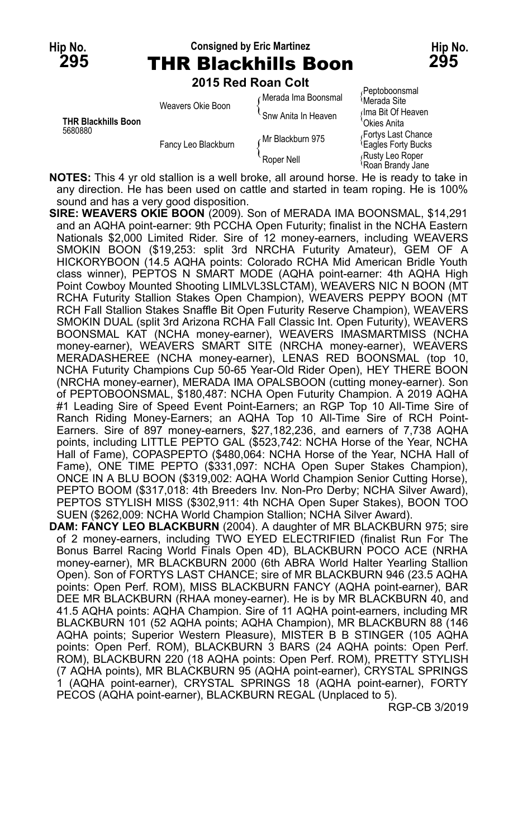#### **Hip No. Consigned by Eric Martinez Hip No. 295** THR Blackhills Boon **295**

**2015 Red Roan Colt**

| <b>THR Blackhills Boon</b><br>5680880 | Weavers Okie Boon   | Merada Ima Boonsmal<br>Snw Anita In Heaven | Peptoboonsmal<br><sup>≀</sup> Merada Site<br>∩lma Bit Of Heaven |
|---------------------------------------|---------------------|--------------------------------------------|-----------------------------------------------------------------|
|                                       | Fancy Leo Blackburn | Mr Blackburn 975                           | Okies Anita<br>Fortys Last Chance<br><b>Eagles Forty Bucks</b>  |
|                                       |                     | Roper Nell                                 | Rusty Leo Roper<br>Roan Brandy Jane                             |

an Brandy Jane

**NOTES:** This 4 yr old stallion is a well broke, all around horse. He is ready to take in any direction. He has been used on cattle and started in team roping. He is 100% sound and has a very good disposition.

**SIRE: WEAVERS OKIE BOON** (2009). Son of MERADA IMA BOONSMAL, \$14,291 and an AQHA point-earner: 9th PCCHA Open Futurity; finalist in the NCHA Eastern Nationals \$2,000 Limited Rider. Sire of 12 money-earners, including WEAVERS SMOKIN BOON (\$19,253: split 3rd NRCHA Futurity Amateur), GEM OF A HICKORYBOON (14.5 AQHA points: Colorado RCHA Mid American Bridle Youth class winner), PEPTOS N SMART MODE (AQHA point-earner: 4th AQHA High Point Cowboy Mounted Shooting LIMLVL3SLCTAM), WEAVERS NIC N BOON (MT RCHA Futurity Stallion Stakes Open Champion), WEAVERS PEPPY BOON (MT RCH Fall Stallion Stakes Snaffle Bit Open Futurity Reserve Champion), WEAVERS SMOKIN DUAL (split 3rd Arizona RCHA Fall Classic Int. Open Futurity), WEAVERS BOONSMAL KAT (NCHA money-earner), WEAVERS IMASMARTMISS (NCHA money-earner), WEAVERS SMART SITE (NRCHA money-earner), WEAVERS MERADASHEREE (NCHA money-earner), LENAS RED BOONSMAL (top 10, NCHA Futurity Champions Cup 50-65 Year-Old Rider Open), HEY THERE BOON (NRCHA money-earner), MERADA IMA OPALSBOON (cutting money-earner). Son of PEPTOBOONSMAL, \$180,487: NCHA Open Futurity Champion. A 2019 AQHA #1 Leading Sire of Speed Event Point-Earners; an RGP Top 10 All-Time Sire of Ranch Riding Money-Earners; an AQHA Top 10 All-Time Sire of RCH Point-Earners. Sire of 897 money-earners, \$27,182,236, and earners of 7,738 AQHA points, including LITTLE PEPTO GAL (\$523,742: NCHA Horse of the Year, NCHA Hall of Fame), COPASPEPTO (\$480,064: NCHA Horse of the Year, NCHA Hall of Fame), ONE TIME PEPTO (\$331,097: NCHA Open Super Stakes Champion), ONCE IN A BLU BOON (\$319,002: AQHA World Champion Senior Cutting Horse), PEPTO BOOM (\$317,018: 4th Breeders Inv. Non-Pro Derby; NCHA Silver Award), PEPTOS STYLISH MISS (\$302,911: 4th NCHA Open Super Stakes), BOON TOO SUEN (\$262,009: NCHA World Champion Stallion; NCHA Silver Award).

**DAM: FANCY LEO BLACKBURN** (2004). A daughter of MR BLACKBURN 975; sire of 2 money-earners, including TWO EYED ELECTRIFIED (finalist Run For The Bonus Barrel Racing World Finals Open 4D), BLACKBURN POCO ACE (NRHA money-earner), MR BLACKBURN 2000 (6th ABRA World Halter Yearling Stallion Open). Son of FORTYS LAST CHANCE; sire of MR BLACKBURN 946 (23.5 AQHA points: Open Perf. ROM), MISS BLACKBURN FANCY (AQHA point-earner), BAR DEE MR BLACKBURN (RHAA money-earner). He is by MR BLACKBURN 40, and 41.5 AQHA points: AQHA Champion. Sire of 11 AQHA point-earners, including MR BLACKBURN 101 (52 AQHA points; AQHA Champion), MR BLACKBURN 88 (146 AQHA points; Superior Western Pleasure), MISTER B B STINGER (105 AQHA points: Open Perf. ROM), BLACKBURN 3 BARS (24 AQHA points: Open Perf. ROM), BLACKBURN 220 (18 AQHA points: Open Perf. ROM), PRETTY STYLISH (7 AQHA points), MR BLACKBURN 95 (AQHA point-earner), CRYSTAL SPRINGS 1 (AQHA point-earner), CRYSTAL SPRINGS 18 (AQHA point-earner), FORTY PECOS (AQHA point-earner), BLACKBURN REGAL (Unplaced to 5).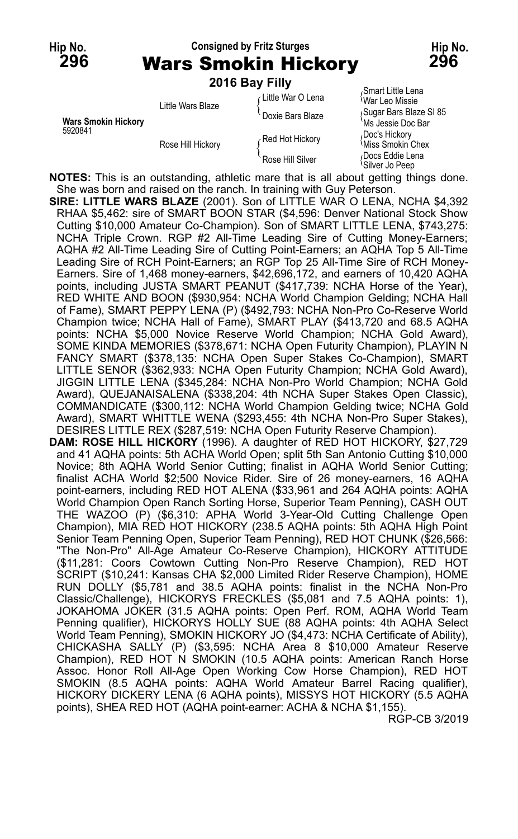**Hip No. Consigned by Fritz Sturges Hip No. 296** Wars Smokin Hickory **296**

|                                       | 2016 Bay Filly    |                    |                                                                |
|---------------------------------------|-------------------|--------------------|----------------------------------------------------------------|
| <b>Wars Smokin Hickory</b><br>5920841 | Little Wars Blaze | ∠Little War O Lena | <sub>∩</sub> Smart Little Lena<br><i><b>War Leo Missie</b></i> |
|                                       |                   | Doxie Bars Blaze   | Sugar Bars Blaze SI 85<br>Ms Jessie Doc Bar                    |
|                                       | Rose Hill Hickory | Red Hot Hickory    | Doc's Hickory<br><sup>≀</sup> Miss Smokin Chex                 |
|                                       |                   | Rose Hill Silver   | Docs Eddie Lena<br>'Silver Jo Peep                             |

**NOTES:** This is an outstanding, athletic mare that is all about getting things done. She was born and raised on the ranch. In training with Guy Peterson.

**SIRE: LITTLE WARS BLAZE** (2001). Son of LITTLE WAR O LENA, NCHA \$4,392 RHAA \$5,462: sire of SMART BOON STAR (\$4,596: Denver National Stock Show Cutting \$10,000 Amateur Co-Champion). Son of SMART LITTLE LENA, \$743,275: NCHA Triple Crown. RGP #2 All-Time Leading Sire of Cutting Money-Earners; AQHA #2 All-Time Leading Sire of Cutting Point-Earners; an AQHA Top 5 All-Time Leading Sire of RCH Point-Earners; an RGP Top 25 All-Time Sire of RCH Money-Earners. Sire of 1,468 money-earners, \$42,696,172, and earners of 10,420 AQHA points, including JUSTA SMART PEANUT (\$417,739: NCHA Horse of the Year), RED WHITE AND BOON (\$930,954: NCHA World Champion Gelding; NCHA Hall of Fame), SMART PEPPY LENA (P) (\$492,793: NCHA Non-Pro Co-Reserve World Champion twice; NCHA Hall of Fame), SMART PLAY (\$413,720 and 68.5 AQHA points: NCHA \$5,000 Novice Reserve World Champion; NCHA Gold Award), SOME KINDA MEMORIES (\$378,671: NCHA Open Futurity Champion), PLAYIN N FANCY SMART (\$378,135: NCHA Open Super Stakes Co-Champion), SMART LITTLE SENOR (\$362,933: NCHA Open Futurity Champion; NCHA Gold Award), JIGGIN LITTLE LENA (\$345,284: NCHA Non-Pro World Champion; NCHA Gold Award), QUEJANAISALENA (\$338,204: 4th NCHA Super Stakes Open Classic), COMMANDICATE (\$300,112: NCHA World Champion Gelding twice; NCHA Gold Award), SMART WHITTLE WENA (\$293,455: 4th NCHA Non-Pro Super Stakes), DESIRES LITTLE REX (\$287,519: NCHA Open Futurity Reserve Champion).

**DAM: ROSE HILL HICKORY** (1996). A daughter of RED HOT HICKORY, \$27,729 and 41 AQHA points: 5th ACHA World Open; split 5th San Antonio Cutting \$10,000 Novice; 8th AQHA World Senior Cutting; finalist in AQHA World Senior Cutting; finalist ACHA World \$2;500 Novice Rider. Sire of 26 money-earners, 16 AQHA point-earners, including RED HOT ALENA (\$33,961 and 264 AQHA points: AQHA World Champion Open Ranch Sorting Horse, Superior Team Penning), CASH OUT THE WAZOO (P) (\$6,310: APHA World 3-Year-Old Cutting Challenge Open Champion), MIA RED HOT HICKORY (238.5 AQHA points: 5th AQHA High Point Senior Team Penning Open, Superior Team Penning), RED HOT CHUNK (\$26,566: "The Non-Pro" All-Age Amateur Co-Reserve Champion), HICKORY ATTITUDE (\$11,281: Coors Cowtown Cutting Non-Pro Reserve Champion), RED HOT SCRIPT (\$10,241: Kansas CHA \$2,000 Limited Rider Reserve Champion), HOME RUN DOLLY (\$5,781 and 38.5 AQHA points: finalist in the NCHA Non-Pro Classic/Challenge), HICKORYS FRECKLES (\$5,081 and 7.5 AQHA points: 1), JOKAHOMA JOKER (31.5 AQHA points: Open Perf. ROM, AQHA World Team Penning qualifier), HICKORYS HOLLY SUE (88 AQHA points: 4th AQHA Select World Team Penning), SMOKIN HICKORY JO (\$4,473: NCHA Certificate of Ability), CHICKASHA SALLY (P) (\$3,595: NCHA Area 8 \$10,000 Amateur Reserve Champion), RED HOT N SMOKIN (10.5 AQHA points: American Ranch Horse Assoc. Honor Roll All-Age Open Working Cow Horse Champion), RED HOT SMOKIN (8.5 AQHA points: AQHA World Amateur Barrel Racing qualifier), HICKORY DICKERY LENA (6 AQHA points), MISSYS HOT HICKORY (5.5 AQHA points), SHEA RED HOT (AQHA point-earner: ACHA & NCHA \$1,155).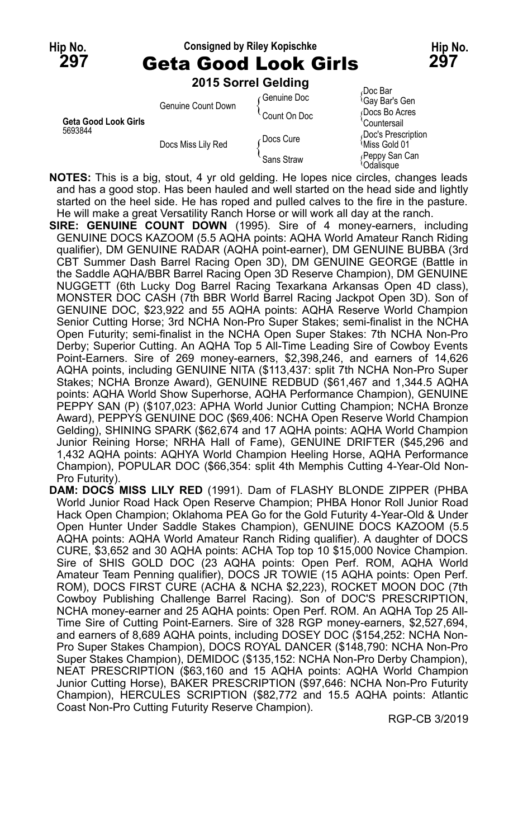| Hip No.<br>297                  | <b>Consigned by Riley Kopischke</b><br><b>Geta Good Look Girls</b> |                     |                                           |
|---------------------------------|--------------------------------------------------------------------|---------------------|-------------------------------------------|
|                                 |                                                                    | 2015 Sorrel Gelding |                                           |
|                                 | Genuine Count Down                                                 | ⊊Genuine Doc        | Doc Bar،<br><sup>1</sup> Gay Bar's Gen    |
| Geta Good Look Girls<br>5693844 |                                                                    | Count On Doc        | Docs Bo Acres<br>Countersail              |
|                                 | Docs Miss Lily Red                                                 | Docs Cure           | Doc's Prescription<br><b>Miss Gold 01</b> |
|                                 |                                                                    | Sans Straw          | Peppy San Can<br>Odalisque                |

**NOTES:** This is a big, stout, 4 yr old gelding. He lopes nice circles, changes leads and has a good stop. Has been hauled and well started on the head side and lightly started on the heel side. He has roped and pulled calves to the fire in the pasture. He will make a great Versatility Ranch Horse or will work all day at the ranch.

- **SIRE: GENUINE COUNT DOWN** (1995). Sire of 4 money-earners, including GENUINE DOCS KAZOOM (5.5 AQHA points: AQHA World Amateur Ranch Riding qualifier), DM GENUINE RADAR (AQHA point-earner), DM GENUINE BUBBA (3rd CBT Summer Dash Barrel Racing Open 3D), DM GENUINE GEORGE (Battle in the Saddle AQHA/BBR Barrel Racing Open 3D Reserve Champion), DM GENUINE NUGGETT (6th Lucky Dog Barrel Racing Texarkana Arkansas Open 4D class), MONSTER DOC CASH (7th BBR World Barrel Racing Jackpot Open 3D). Son of GENUINE DOC, \$23,922 and 55 AQHA points: AQHA Reserve World Champion Senior Cutting Horse; 3rd NCHA Non-Pro Super Stakes; semi-finalist in the NCHA Open Futurity; semi-finalist in the NCHA Open Super Stakes: 7th NCHA Non-Pro Derby; Superior Cutting. An AQHA Top 5 All-Time Leading Sire of Cowboy Events Point-Earners. Sire of 269 money-earners, \$2,398,246, and earners of 14,626 AQHA points, including GENUINE NITA (\$113,437: split 7th NCHA Non-Pro Super Stakes; NCHA Bronze Award), GENUINE REDBUD (\$61,467 and 1,344.5 AQHA points: AQHA World Show Superhorse, AQHA Performance Champion), GENUINE PEPPY SAN (P) (\$107,023: APHA World Junior Cutting Champion; NCHA Bronze Award), PEPPYS GENUINE DOC (\$69,406: NCHA Open Reserve World Champion Gelding), SHINING SPARK (\$62,674 and 17 AQHA points: AQHA World Champion Junior Reining Horse; NRHA Hall of Fame), GENUINE DRIFTER (\$45,296 and 1,432 AQHA points: AQHYA World Champion Heeling Horse, AQHA Performance Champion), POPULAR DOC (\$66,354: split 4th Memphis Cutting 4-Year-Old Non-Pro Futurity).
- **DAM: DOCS MISS LILY RED** (1991). Dam of FLASHY BLONDE ZIPPER (PHBA World Junior Road Hack Open Reserve Champion; PHBA Honor Roll Junior Road Hack Open Champion; Oklahoma PEA Go for the Gold Futurity 4-Year-Old & Under Open Hunter Under Saddle Stakes Champion), GENUINE DOCS KAZOOM (5.5 AQHA points: AQHA World Amateur Ranch Riding qualifier). A daughter of DOCS CURE, \$3,652 and 30 AQHA points: ACHA Top top 10 \$15,000 Novice Champion. Sire of SHIS GOLD DOC (23 AQHA points: Open Perf. ROM, AQHA World Amateur Team Penning qualifier), DOCS JR TOWIE (15 AQHA points: Open Perf. ROM), DOCS FIRST CURE (ACHA & NCHA \$2,223), ROCKET MOON DOC (7th Cowboy Publishing Challenge Barrel Racing). Son of DOC'S PRESCRIPTION, NCHA money-earner and 25 AQHA points: Open Perf. ROM. An AQHA Top 25 All-Time Sire of Cutting Point-Earners. Sire of 328 RGP money-earners, \$2,527,694, and earners of 8,689 AQHA points, including DOSEY DOC (\$154,252: NCHA Non-Pro Super Stakes Champion), DOCS ROYAL DANCER (\$148,790: NCHA Non-Pro Super Stakes Champion), DEMIDOC (\$135,152: NCHA Non-Pro Derby Champion), NEAT PRESCRIPTION (\$63,160 and 15 AQHA points: AQHA World Champion Junior Cutting Horse), BAKER PRESCRIPTION (\$97,646: NCHA Non-Pro Futurity Champion), HERCULES SCRIPTION (\$82,772 and 15.5 AQHA points: Atlantic Coast Non-Pro Cutting Futurity Reserve Champion).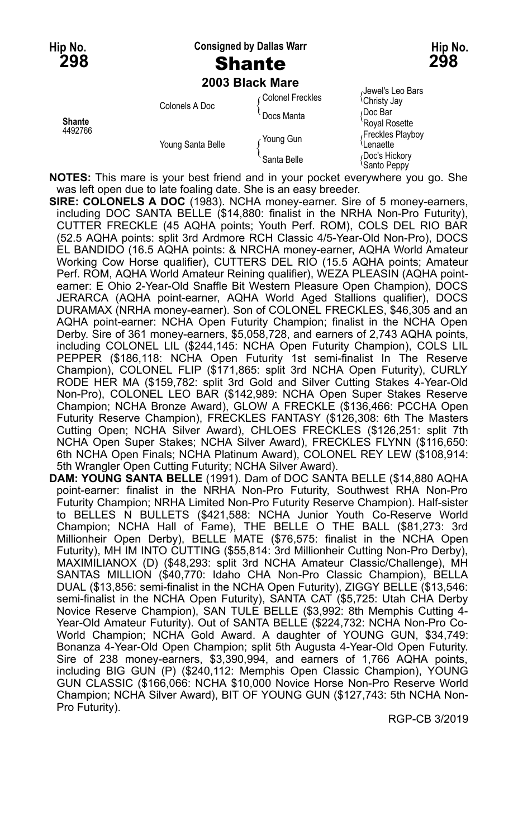# **Hip No. Consigned by Dallas Warr Hip No.**

**2003 Black Mare**

| 2009 Μανητικά σ          |                   |                   |                                              |  |
|--------------------------|-------------------|-------------------|----------------------------------------------|--|
| <b>Shante</b><br>4492766 | Colonels A Doc    | ∩Colonel Freckles | Jewel's Leo Bars<br><sup>{</sup> Christy Jay |  |
|                          |                   | Docs Manta        | Doc Bar<br>'Royal Rosette                    |  |
|                          | Young Santa Belle | Young Gun         | Freckles Playboy<br>Lenaette                 |  |
|                          |                   | Santa Belle       | Doc's Hickory<br><sup>t</sup> Santo Peppy    |  |

**NOTES:** This mare is your best friend and in your pocket everywhere you go. She was left open due to late foaling date. She is an easy breeder.

- **SIRE: COLONELS A DOC** (1983). NCHA money-earner. Sire of 5 money-earners, including DOC SANTA BELLE (\$14,880: finalist in the NRHA Non-Pro Futurity), CUTTER FRECKLE (45 AQHA points; Youth Perf. ROM), COLS DEL RIO BAR (52.5 AQHA points: split 3rd Ardmore RCH Classic 4/5-Year-Old Non-Pro), DOCS EL BANDIDO (16.5 AQHA points: & NRCHA money-earner, AQHA World Amateur Working Cow Horse qualifier), CUTTERS DEL RIO (15.5 AQHA points; Amateur Perf. ROM, AQHA World Amateur Reining qualifier), WEZA PLEASIN (AQHA pointearner: E Ohio 2-Year-Old Snaffle Bit Western Pleasure Open Champion), DOCS JERARCA (AQHA point-earner, AQHA World Aged Stallions qualifier), DOCS DURAMAX (NRHA money-earner). Son of COLONEL FRECKLES, \$46,305 and an AQHA point-earner: NCHA Open Futurity Champion; finalist in the NCHA Open Derby. Sire of 361 money-earners, \$5,058,728, and earners of 2,743 AQHA points, including COLONEL LIL (\$244,145: NCHA Open Futurity Champion), COLS LIL PEPPER (\$186,118: NCHA Open Futurity 1st semi-finalist In The Reserve Champion), COLONEL FLIP (\$171,865: split 3rd NCHA Open Futurity), CURLY RODE HER MA (\$159,782: split 3rd Gold and Silver Cutting Stakes 4-Year-Old Non-Pro), COLONEL LEO BAR (\$142,989: NCHA Open Super Stakes Reserve Champion; NCHA Bronze Award), GLOW A FRECKLE (\$136,466: PCCHA Open Futurity Reserve Champion), FRECKLES FANTASY (\$126,308: 6th The Masters Cutting Open; NCHA Silver Award), CHLOES FRECKLES (\$126,251: split 7th NCHA Open Super Stakes; NCHA Silver Award), FRECKLES FLYNN (\$116,650: 6th NCHA Open Finals; NCHA Platinum Award), COLONEL REY LEW (\$108,914: 5th Wrangler Open Cutting Futurity; NCHA Silver Award).
- **DAM: YOUNG SANTA BELLE** (1991). Dam of DOC SANTA BELLE (\$14,880 AQHA point-earner: finalist in the NRHA Non-Pro Futurity, Southwest RHA Non-Pro Futurity Champion; NRHA Limited Non-Pro Futurity Reserve Champion). Half-sister to BELLES N BULLETS (\$421,588: NCHA Junior Youth Co-Reserve World Champion; NCHA Hall of Fame), THE BELLE O THE BALL (\$81,273: 3rd Millionheir Open Derby), BELLE MATE (\$76,575: finalist in the NCHA Open Futurity), MH IM INTO CUTTING (\$55,814: 3rd Millionheir Cutting Non-Pro Derby), MAXIMILIANOX (D) (\$48,293: split 3rd NCHA Amateur Classic/Challenge), MH SANTAS MILLION (\$40,770: Idaho CHA Non-Pro Classic Champion), BELLA DUAL (\$13,856: semi-finalist in the NCHA Open Futurity), ZIGGY BELLE (\$13,546: semi-finalist in the NCHA Open Futurity), SANTA CAT (\$5,725: Utah CHA Derby Novice Reserve Champion), SAN TULE BELLE (\$3,992: 8th Memphis Cutting 4- Year-Old Amateur Futurity). Out of SANTA BELLE (\$224,732: NCHA Non-Pro Co-World Champion; NCHA Gold Award. A daughter of YOUNG GUN, \$34,749: Bonanza 4-Year-Old Open Champion; split 5th Augusta 4-Year-Old Open Futurity. Sire of 238 money-earners, \$3,390,994, and earners of 1,766 AQHA points, including BIG GUN (P) (\$240,112: Memphis Open Classic Champion), YOUNG GUN CLASSIC (\$166,066: NCHA \$10,000 Novice Horse Non-Pro Reserve World Champion; NCHA Silver Award), BIT OF YOUNG GUN (\$127,743: 5th NCHA Non-Pro Futurity).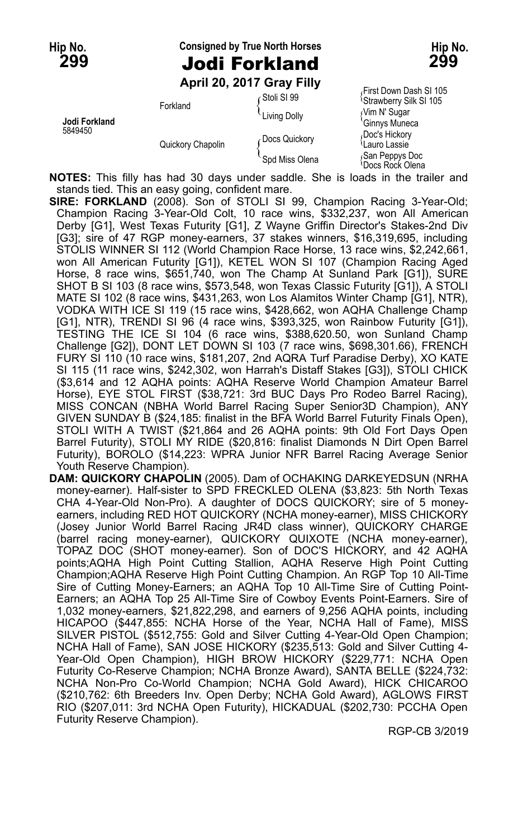## **Hip No. Consigned by True North Horses Hip No. 299** Jodi Forkland **299**

**April 20, 2017 Gray Filly**

|                          |                   | ADIII ZU, ZUTT UIAV FIIIV | First Down Dash SI 105                         |
|--------------------------|-------------------|---------------------------|------------------------------------------------|
| Jodi Forkland<br>5849450 | Forkland          | ⊊Stoli SI 99              | <sup>1</sup> Strawberry Silk SI 105            |
|                          |                   | Living Dolly              | Nim N' Sugar<br>'Ginnys Muneca                 |
|                          | Quickory Chapolin | Docs Quickory             | Doc's Hickory<br>ਪLauro Lassie                 |
|                          |                   | Spd Miss Olena            | San Peppys Doc<br><sup>1</sup> Docs Rock Olena |

**NOTES:** This filly has had 30 days under saddle. She is loads in the trailer and stands tied. This an easy going, confident mare.

- **SIRE: FORKLAND** (2008). Son of STOLI SI 99, Champion Racing 3-Year-Old; Champion Racing 3-Year-Old Colt, 10 race wins, \$332,237, won All American Derby [G1], West Texas Futurity [G1], Z Wayne Griffin Director's Stakes-2nd Div [G3]; sire of 47 RGP money-earners, 37 stakes winners, \$16,319,695, including STOLIS WINNER SI 112 (World Champion Race Horse, 13 race wins, \$2,242,661, won All American Futurity [G1]), KETEL WON SI 107 (Champion Racing Aged Horse, 8 race wins, \$651,740, won The Champ At Sunland Park [G1]), SURE SHOT B SI 103 (8 race wins, \$573,548, won Texas Classic Futurity [G1]), A STOLI MATE SI 102 (8 race wins, \$431,263, won Los Alamitos Winter Champ [G1], NTR), VODKA WITH ICE SI 119 (15 race wins, \$428,662, won AQHA Challenge Champ [G1], NTR), TRENDI SI 96 (4 race wins, \$393,325, won Rainbow Futurity [G1]), TESTING THE ICE SI 104 (6 race wins, \$388,620.50, won Sunland Champ Challenge [G2]), DONT LET DOWN SI 103 (7 race wins, \$698,301.66), FRENCH FURY SI 110 (10 race wins, \$181,207, 2nd AQRA Turf Paradise Derby), XO KATE SI 115 (11 race wins, \$242,302, won Harrah's Distaff Stakes [G3]), STOLI CHICK (\$3,614 and 12 AQHA points: AQHA Reserve World Champion Amateur Barrel Horse), EYE STOL FIRST (\$38,721: 3rd BUC Days Pro Rodeo Barrel Racing), MISS CONCAN (NBHA World Barrel Racing Super Senior3D Champion), ANY GIVEN SUNDAY B (\$24,185: finalist in the BFA World Barrel Futurity Finals Open), STOLI WITH A TWIST (\$21,864 and 26 AQHA points: 9th Old Fort Days Open Barrel Futurity), STOLI MY RIDE (\$20,816: finalist Diamonds N Dirt Open Barrel Futurity), BOROLO (\$14,223: WPRA Junior NFR Barrel Racing Average Senior Youth Reserve Champion).
- **DAM: QUICKORY CHAPOLIN** (2005). Dam of OCHAKING DARKEYEDSUN (NRHA money-earner). Half-sister to SPD FRECKLED OLENA (\$3,823: 5th North Texas CHA 4-Year-Old Non-Pro). A daughter of DOCS QUICKORY; sire of 5 moneyearners, including RED HOT QUICKORY (NCHA money-earner), MISS CHICKORY (Josey Junior World Barrel Racing JR4D class winner), QUICKORY CHARGE (barrel racing money-earner), QUICKORY QUIXOTE (NCHA money-earner), TOPAZ DOC (SHOT money-earner). Son of DOC'S HICKORY, and 42 AQHA points;AQHA High Point Cutting Stallion, AQHA Reserve High Point Cutting Champion;AQHA Reserve High Point Cutting Champion. An RGP Top 10 All-Time Sire of Cutting Money-Earners; an AQHA Top 10 All-Time Sire of Cutting Point-Earners; an AQHA Top 25 All-Time Sire of Cowboy Events Point-Earners. Sire of 1,032 money-earners, \$21,822,298, and earners of 9,256 AQHA points, including HICAPOO (\$447,855: NCHA Horse of the Year, NCHA Hall of Fame), MISS SILVER PISTOL (\$512,755: Gold and Silver Cutting 4-Year-Old Open Champion; NCHA Hall of Fame), SAN JOSE HICKORY (\$235,513: Gold and Silver Cutting 4- Year-Old Open Champion), HIGH BROW HICKORY (\$229,771: NCHA Open Futurity Co-Reserve Champion; NCHA Bronze Award), SANTA BELLE (\$224,732: NCHA Non-Pro Co-World Champion; NCHA Gold Award), HICK CHICAROO (\$210,762: 6th Breeders Inv. Open Derby; NCHA Gold Award), AGLOWS FIRST RIO (\$207,011: 3rd NCHA Open Futurity), HICKADUAL (\$202,730: PCCHA Open Futurity Reserve Champion).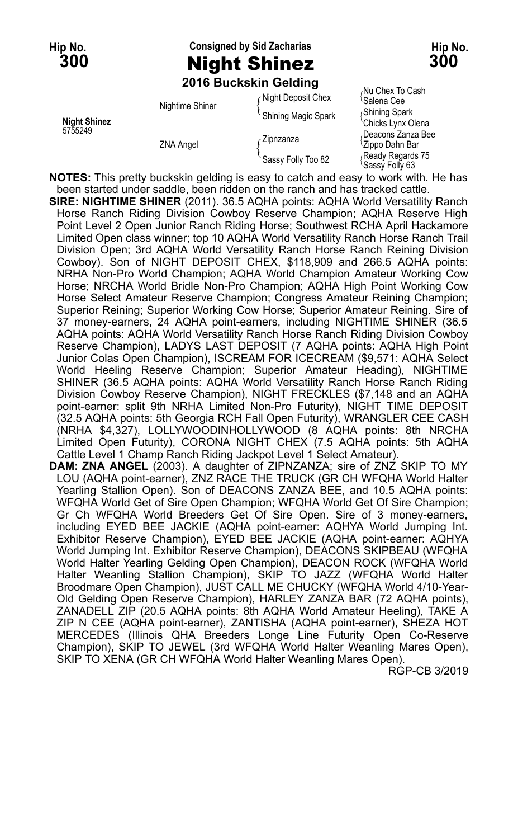# **Hip No. Consigned by Sid Zacharias Hip No. 300** Night Shinez **300**

#### **2016 Buckskin Gelding**

| <b>Night Shinez</b><br>5755249 | Nightime Shiner  | Night Deposit Chex   | ווטסט טו גסווט שווו<br><sup>t</sup> Salena Cee   |
|--------------------------------|------------------|----------------------|--------------------------------------------------|
|                                |                  | 'Shining Magic Spark | Shining Spark                                    |
|                                | <b>ZNA Angel</b> |                      | 'Chicks Lynx Olena                               |
|                                |                  | Zipnzanza            | Deacons Zanza Bee<br><sup>1</sup> Zippo Dahn Bar |
|                                |                  | Sassy Folly Too 82   | Ready Regards 75<br><sup>1</sup> Sassy Folly 63  |

<sub>/</sub>Nu Chex To Cash<br><sup>\</sup>Salena Cee *Nining Spark<br>Chicks Lynx Olena<br>Deacons Zanza Bee* 

**NOTES:** This pretty buckskin gelding is easy to catch and easy to work with. He has been started under saddle, been ridden on the ranch and has tracked cattle.

**SIRE: NIGHTIME SHINER** (2011). 36.5 AQHA points: AQHA World Versatility Ranch Horse Ranch Riding Division Cowboy Reserve Champion; AQHA Reserve High Point Level 2 Open Junior Ranch Riding Horse; Southwest RCHA April Hackamore Limited Open class winner; top 10 AQHA World Versatility Ranch Horse Ranch Trail Division Open; 3rd AQHA World Versatility Ranch Horse Ranch Reining Division Cowboy). Son of NIGHT DEPOSIT CHEX, \$118,909 and 266.5 AQHA points: NRHA Non-Pro World Champion; AQHA World Champion Amateur Working Cow Horse; NRCHA World Bridle Non-Pro Champion; AQHA High Point Working Cow Horse Select Amateur Reserve Champion; Congress Amateur Reining Champion; Superior Reining; Superior Working Cow Horse; Superior Amateur Reining. Sire of 37 money-earners, 24 AQHA point-earners, including NIGHTIME SHINER (36.5 AQHA points: AQHA World Versatility Ranch Horse Ranch Riding Division Cowboy Reserve Champion), LADYS LAST DEPOSIT (7 AQHA points: AQHA High Point Junior Colas Open Champion), ISCREAM FOR ICECREAM (\$9,571: AQHA Select World Heeling Reserve Champion; Superior Amateur Heading), NIGHTIME SHINER (36.5 AQHA points: AQHA World Versatility Ranch Horse Ranch Riding Division Cowboy Reserve Champion), NIGHT FRECKLES (\$7,148 and an AQHA point-earner: split 9th NRHA Limited Non-Pro Futurity), NIGHT TIME DEPOSIT (32.5 AQHA points: 5th Georgia RCH Fall Open Futurity), WRANGLER CEE CASH (NRHA \$4,327), LOLLYWOODINHOLLYWOOD (8 AQHA points: 8th NRCHA Limited Open Futurity), CORONA NIGHT CHEX (7.5 AQHA points: 5th AQHA Cattle Level 1 Champ Ranch Riding Jackpot Level 1 Select Amateur).

**DAM: ZNA ANGEL** (2003). A daughter of ZIPNZANZA; sire of ZNZ SKIP TO MY LOU (AQHA point-earner), ZNZ RACE THE TRUCK (GR CH WFQHA World Halter Yearling Stallion Open). Son of DEACONS ZANZA BEE, and 10.5 AQHA points: WFQHA World Get of Sire Open Champion; WFQHA World Get Of Sire Champion; Gr Ch WFQHA World Breeders Get Of Sire Open. Sire of 3 money-earners, including EYED BEE JACKIE (AQHA point-earner: AQHYA World Jumping Int. Exhibitor Reserve Champion), EYED BEE JACKIE (AQHA point-earner: AQHYA World Jumping Int. Exhibitor Reserve Champion), DEACONS SKIPBEAU (WFQHA World Halter Yearling Gelding Open Champion), DEACON ROCK (WFQHA World Halter Weanling Stallion Champion), SKIP TO JAZZ (WFQHA World Halter Broodmare Open Champion), JUST CALL ME CHUCKY (WFQHA World 4/10-Year-Old Gelding Open Reserve Champion), HARLEY ZANZA BAR (72 AQHA points), ZANADELL ZIP (20.5 AQHA points: 8th AQHA World Amateur Heeling), TAKE A ZIP N CEE (AQHA point-earner), ZANTISHA (AQHA point-earner), SHEZA HOT MERCEDES (Illinois QHA Breeders Longe Line Futurity Open Co-Reserve Champion), SKIP TO JEWEL (3rd WFQHA World Halter Weanling Mares Open), SKIP TO XENA (GR CH WFQHA World Halter Weanling Mares Open).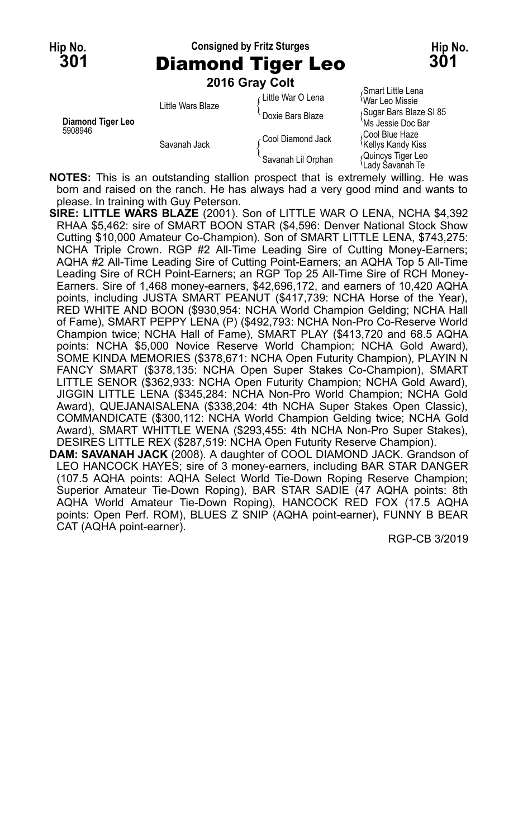**Hip No. Consigned by Fritz Sturges Hip No. 301** Diamond Tiger Leo **301**

**2016 Gray Colt**

| Diamond Tiger Leo<br>5908946 | Little Wars Blaze | Little War O Lena  | Smart Little Lena<br><sup>≀</sup> War Leo Missie  |
|------------------------------|-------------------|--------------------|---------------------------------------------------|
|                              |                   | Doxie Bars Blaze   | Sugar Bars Blaze SI 85<br>`Ms Jessie Doc Bar      |
|                              | Savanah Jack      | Cool Diamond Jack  | Cool Blue Haze،<br><sup>1</sup> Kellys Kandy Kiss |
|                              |                   | Savanah Lil Orphan | Quincys Tiger Leo<br>≀Ladv Savanah Te             |

**NOTES:** This is an outstanding stallion prospect that is extremely willing. He was born and raised on the ranch. He has always had a very good mind and wants to please. In training with Guy Peterson.

**SIRE: LITTLE WARS BLAZE** (2001). Son of LITTLE WAR O LENA, NCHA \$4,392 RHAA \$5,462: sire of SMART BOON STAR (\$4,596: Denver National Stock Show Cutting \$10,000 Amateur Co-Champion). Son of SMART LITTLE LENA, \$743,275: NCHA Triple Crown. RGP #2 All-Time Leading Sire of Cutting Money-Earners; AQHA #2 All-Time Leading Sire of Cutting Point-Earners; an AQHA Top 5 All-Time Leading Sire of RCH Point-Earners; an RGP Top 25 All-Time Sire of RCH Money-Earners. Sire of 1,468 money-earners, \$42,696,172, and earners of 10,420 AQHA points, including JUSTA SMART PEANUT (\$417,739: NCHA Horse of the Year), RED WHITE AND BOON (\$930,954: NCHA World Champion Gelding; NCHA Hall of Fame), SMART PEPPY LENA (P) (\$492,793: NCHA Non-Pro Co-Reserve World Champion twice; NCHA Hall of Fame), SMART PLAY (\$413,720 and 68.5 AQHA points: NCHA \$5,000 Novice Reserve World Champion; NCHA Gold Award), SOME KINDA MEMORIES (\$378,671: NCHA Open Futurity Champion), PLAYIN N FANCY SMART (\$378,135: NCHA Open Super Stakes Co-Champion), SMART LITTLE SENOR (\$362,933: NCHA Open Futurity Champion; NCHA Gold Award), JIGGIN LITTLE LENA (\$345,284: NCHA Non-Pro World Champion; NCHA Gold Award), QUEJANAISALENA (\$338,204: 4th NCHA Super Stakes Open Classic), COMMANDICATE (\$300,112: NCHA World Champion Gelding twice; NCHA Gold Award), SMART WHITTLE WENA (\$293,455: 4th NCHA Non-Pro Super Stakes), DESIRES LITTLE REX (\$287,519: NCHA Open Futurity Reserve Champion).

**DAM: SAVANAH JACK** (2008). A daughter of COOL DIAMOND JACK. Grandson of LEO HANCOCK HAYES; sire of 3 money-earners, including BAR STAR DANGER (107.5 AQHA points: AQHA Select World Tie-Down Roping Reserve Champion; Superior Amateur Tie-Down Roping), BAR STAR SADIE (47 AQHA points: 8th AQHA World Amateur Tie-Down Roping), HANCOCK RED FOX (17.5 AQHA points: Open Perf. ROM), BLUES Z SNIP (AQHA point-earner), FUNNY B BEAR CAT (AQHA point-earner).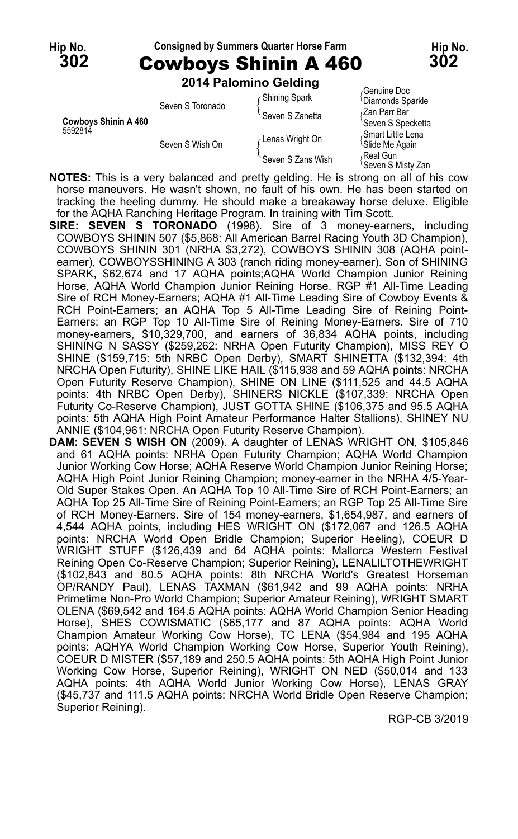**2014 Palomino Gelding**

| <b>Cowbovs Shinin A 460</b><br>5592814 | Seven S Toronado | <b>Shining Spark</b> | <b>UGHUILG DUG</b><br><sup>1</sup> Diamonds Sparkle |
|----------------------------------------|------------------|----------------------|-----------------------------------------------------|
|                                        |                  | Seven S Zanetta      | (Zan Parr Bar<br>'Seven S Specketta                 |
|                                        | Seven S Wish On  | Lenas Wright On      | Smart Little Lena<br><sup>1</sup> Slide Me Again    |
|                                        |                  | Seven S Zans Wish    | Real Gun<br><sup>1</sup> Seven S Misty Zan          |

**NOTES:** This is a very balanced and pretty gelding. He is strong on all of his cow horse maneuvers. He wasn't shown, no fault of his own. He has been started on tracking the heeling dummy. He should make a breakaway horse deluxe. Eligible for the AQHA Ranching Heritage Program. In training with Tim Scott.

- **SIRE: SEVEN S TORONADO** (1998). Sire of 3 money-earners, including COWBOYS SHININ 507 (\$5,868: All American Barrel Racing Youth 3D Champion), COWBOYS SHININ 301 (NRHA \$3,272), COWBOYS SHININ 308 (AQHA pointearner), COWBOYSSHINING A 303 (ranch riding money-earner). Son of SHINING SPARK, \$62,674 and 17 AQHA points;AQHA World Champion Junior Reining Horse, AQHA World Champion Junior Reining Horse. RGP #1 All-Time Leading Sire of RCH Money-Earners; AQHA #1 All-Time Leading Sire of Cowboy Events & RCH Point-Earners; an AQHA Top 5 All-Time Leading Sire of Reining Point-Earners; an RGP Top 10 All-Time Sire of Reining Money-Earners. Sire of 710 money-earners, \$10,329,700, and earners of 36,834 AQHA points, including SHINING N SASSY (\$259,262: NRHA Open Futurity Champion), MISS REY O SHINE (\$159,715: 5th NRBC Open Derby), SMART SHINETTA (\$132,394: 4th NRCHA Open Futurity), SHINE LIKE HAIL (\$115,938 and 59 AQHA points: NRCHA Open Futurity Reserve Champion), SHINE ON LINE (\$111,525 and 44.5 AQHA points: 4th NRBC Open Derby), SHINERS NICKLE (\$107,339: NRCHA Open Futurity Co-Reserve Champion), JUST GOTTA SHINE (\$106,375 and 95.5 AQHA points: 5th AQHA High Point Amateur Performance Halter Stallions), SHINEY NU ANNIE (\$104,961: NRCHA Open Futurity Reserve Champion).
- **DAM: SEVEN S WISH ON** (2009). A daughter of LENAS WRIGHT ON, \$105,846 and 61 AQHA points: NRHA Open Futurity Champion; AQHA World Champion Junior Working Cow Horse; AQHA Reserve World Champion Junior Reining Horse; AQHA High Point Junior Reining Champion; money-earner in the NRHA 4/5-Year-Old Super Stakes Open. An AQHA Top 10 All-Time Sire of RCH Point-Earners; an AQHA Top 25 All-Time Sire of Reining Point-Earners; an RGP Top 25 All-Time Sire of RCH Money-Earners. Sire of 154 money-earners, \$1,654,987, and earners of 4,544 AQHA points, including HES WRIGHT ON (\$172,067 and 126.5 AQHA points: NRCHA World Open Bridle Champion; Superior Heeling), COEUR D WRIGHT STUFF (\$126,439 and 64 AQHA points: Mallorca Western Festival Reining Open Co-Reserve Champion; Superior Reining), LENALILTOTHEWRIGHT (\$102,843 and 80.5 AQHA points: 8th NRCHA World's Greatest Horseman OP/RANDY Paul), LENAS TAXMAN (\$61,942 and 99 AQHA points: NRHA Primetime Non-Pro World Champion; Superior Amateur Reining), WRIGHT SMART OLENA (\$69,542 and 164.5 AQHA points: AQHA World Champion Senior Heading Horse), SHES COWISMATIC (\$65,177 and 87 AQHA points: AQHA World Champion Amateur Working Cow Horse), TC LENA (\$54,984 and 195 AQHA points: AQHYA World Champion Working Cow Horse, Superior Youth Reining), COEUR D MISTER (\$57,189 and 250.5 AQHA points: 5th AQHA High Point Junior Working Cow Horse, Superior Reining), WRIGHT ON NED (\$50,014 and 133 AQHA points: 4th AQHA World Junior Working Cow Horse), LENAS GRAY (\$45,737 and 111.5 AQHA points: NRCHA World Bridle Open Reserve Champion; Superior Reining).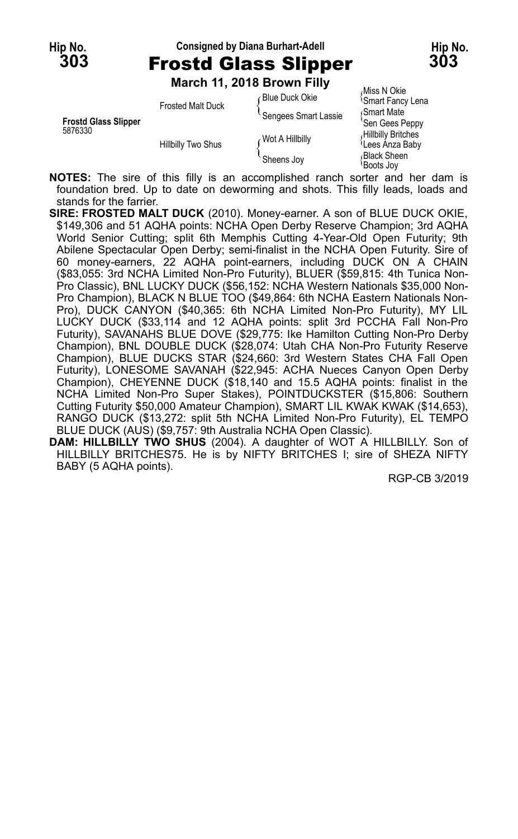### **Hip No. Consigned by Diana Burhart-Adell Hip No. 303** Frostd Glass Slipper **303**

**March 11, 2018 Brown Filly**

|                             |                          | March 11, 2018 Brown Filly |                                        |
|-----------------------------|--------------------------|----------------------------|----------------------------------------|
|                             | <b>Frosted Malt Duck</b> | Blue Duck Okie             | Miss N Okie<br><b>Smart Fancy Lena</b> |
| <b>Frostd Glass Slipper</b> |                          | Sengees Smart Lassie       | Smart Mate<br>'Sen Gees Peppy          |
| 5876330                     | Hillbilly Two Shus       | Wot A Hillbilly            | Hillbilly Britches<br>Lees Anza Baby   |
|                             |                          | Sheens Joy                 | <b>Black Sheen</b><br>≀Boots Jov       |

**NOTES:** The sire of this filly is an accomplished ranch sorter and her dam is foundation bred. Up to date on deworming and shots. This filly leads, loads and stands for the farrier.

- **SIRE: FROSTED MALT DUCK** (2010). Money-earner. A son of BLUE DUCK OKIE, \$149,306 and 51 AQHA points: NCHA Open Derby Reserve Champion; 3rd AQHA World Senior Cutting; split 6th Memphis Cutting 4-Year-Old Open Futurity; 9th Abilene Spectacular Open Derby; semi-finalist in the NCHA Open Futurity. Sire of 60 money-earners, 22 AQHA point-earners, including DUCK ON A CHAIN (\$83,055: 3rd NCHA Limited Non-Pro Futurity), BLUER (\$59,815: 4th Tunica Non-Pro Classic), BNL LUCKY DUCK (\$56,152: NCHA Western Nationals \$35,000 Non-Pro Champion), BLACK N BLUE TOO (\$49,864: 6th NCHA Eastern Nationals Non-Pro), DUCK CANYON (\$40,365: 6th NCHA Limited Non-Pro Futurity), MY LIL LUCKY DUCK (\$33,114 and 12 AQHA points: split 3rd PCCHA Fall Non-Pro Futurity), SAVANAHS BLUE DOVE (\$29,775: Ike Hamilton Cutting Non-Pro Derby Champion), BNL DOUBLE DUCK (\$28,074: Utah CHA Non-Pro Futurity Reserve Champion), BLUE DUCKS STAR (\$24,660: 3rd Western States CHA Fall Open Futurity), LONESOME SAVANAH (\$22,945: ACHA Nueces Canyon Open Derby Champion), CHEYENNE DUCK (\$18,140 and 15.5 AQHA points: finalist in the NCHA Limited Non-Pro Super Stakes), POINTDUCKSTER (\$15,806: Southern Cutting Futurity \$50,000 Amateur Champion), SMART LIL KWAK KWAK (\$14,653), RANGO DUCK (\$13,272: split 5th NCHA Limited Non-Pro Futurity), EL TEMPO BLUE DUCK (AUS) (\$9,757: 9th Australia NCHA Open Classic).
- **DAM: HILLBILLY TWO SHUS** (2004). A daughter of WOT A HILLBILLY. Son of HILLBILLY BRITCHES75. He is by NIFTY BRITCHES I; sire of SHEZA NIFTY BABY (5 AQHA points).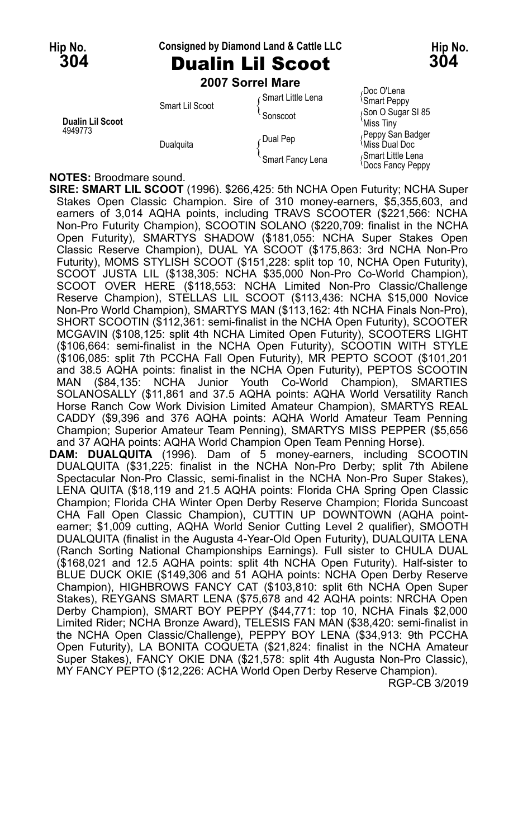#### **Hip No. Consigned by Diamond Land & Cattle LLC Hip No.**

### **304** Dualin Lil Scoot **304 2007 Sorrel Mare**

Doc O'Lena<br>
Smart Little Lena<br>
Smart Peppy Smart Lil Scoot<br>
Sonscoot { Sonscoot { Sonscoot { Sonscoot }<br>
Miss Tiny **Dualin Lil Scoot**<br>4949773 Peppy San Badger <br>  $\int$ Dual Pep  $\int$ <sup>Pual Pep {\tiss Dual Doc }</sup> Smart Fancy Lena <br>
Smart Fancy Lena Space Fancy Pean

Docs Fancy Peppy

#### **NOTES:** Broodmare sound.

**SIRE: SMART LIL SCOOT** (1996). \$266,425: 5th NCHA Open Futurity; NCHA Super Stakes Open Classic Champion. Sire of 310 money-earners, \$5,355,603, and earners of 3,014 AQHA points, including TRAVS SCOOTER (\$221,566: NCHA Non-Pro Futurity Champion), SCOOTIN SOLANO (\$220,709: finalist in the NCHA Open Futurity), SMARTYS SHADOW (\$181,055: NCHA Super Stakes Open Classic Reserve Champion), DUAL YA SCOOT (\$175,863: 3rd NCHA Non-Pro Futurity), MOMS STYLISH SCOOT (\$151,228: split top 10, NCHA Open Futurity), SCOOT JUSTA LIL (\$138,305: NCHA \$35,000 Non-Pro Co-World Champion), SCOOT OVER HERE (\$118,553: NCHA Limited Non-Pro Classic/Challenge Reserve Champion), STELLAS LIL SCOOT (\$113,436: NCHA \$15,000 Novice Non-Pro World Champion), SMARTYS MAN (\$113,162: 4th NCHA Finals Non-Pro), SHORT SCOOTIN (\$112,361: semi-finalist in the NCHA Open Futurity), SCOOTER MCGAVIN (\$108,125: split 4th NCHA Limited Open Futurity), SCOOTERS LIGHT (\$106,664: semi-finalist in the NCHA Open Futurity), SCOOTIN WITH STYLE (\$106,085: split 7th PCCHA Fall Open Futurity), MR PEPTO SCOOT (\$101,201 and 38.5 AQHA points: finalist in the NCHA Open Futurity), PEPTOS SCOOTIN MAN (\$84,135: NCHA Junior Youth Co-World Champion), SMARTIES SOLANOSALLY (\$11,861 and 37.5 AQHA points: AQHA World Versatility Ranch Horse Ranch Cow Work Division Limited Amateur Champion), SMARTYS REAL CADDY (\$9,396 and 376 AQHA points: AQHA World Amateur Team Penning Champion; Superior Amateur Team Penning), SMARTYS MISS PEPPER (\$5,656 and 37 AQHA points: AQHA World Champion Open Team Penning Horse).

**DAM: DUALQUITA** (1996). Dam of 5 money-earners, including SCOOTIN DUALQUITA (\$31,225: finalist in the NCHA Non-Pro Derby; split 7th Abilene Spectacular Non-Pro Classic, semi-finalist in the NCHA Non-Pro Super Stakes), LENA QUITA (\$18,119 and 21.5 AQHA points: Florida CHA Spring Open Classic Champion; Florida CHA Winter Open Derby Reserve Champion; Florida Suncoast CHA Fall Open Classic Champion), CUTTIN UP DOWNTOWN (AQHA pointearner; \$1,009 cutting, AQHA World Senior Cutting Level 2 qualifier), SMOOTH DUALQUITA (finalist in the Augusta 4-Year-Old Open Futurity), DUALQUITA LENA (Ranch Sorting National Championships Earnings). Full sister to CHULA DUAL (\$168,021 and 12.5 AQHA points: split 4th NCHA Open Futurity). Half-sister to BLUE DUCK OKIE (\$149,306 and 51 AQHA points: NCHA Open Derby Reserve Champion), HIGHBROWS FANCY CAT (\$103,810: split 6th NCHA Open Super Stakes), REYGANS SMART LENA (\$75,678 and 42 AQHA points: NRCHA Open Derby Champion), SMART BOY PEPPY (\$44,771: top 10, NCHA Finals \$2,000 Limited Rider; NCHA Bronze Award), TELESIS FAN MAN (\$38,420: semi-finalist in the NCHA Open Classic/Challenge), PEPPY BOY LENA (\$34,913: 9th PCCHA Open Futurity), LA BONITA COQUETA (\$21,824: finalist in the NCHA Amateur Super Stakes), FANCY OKIE DNA (\$21,578: split 4th Augusta Non-Pro Classic), MY FANCY PEPTO (\$12,226: ACHA World Open Derby Reserve Champion).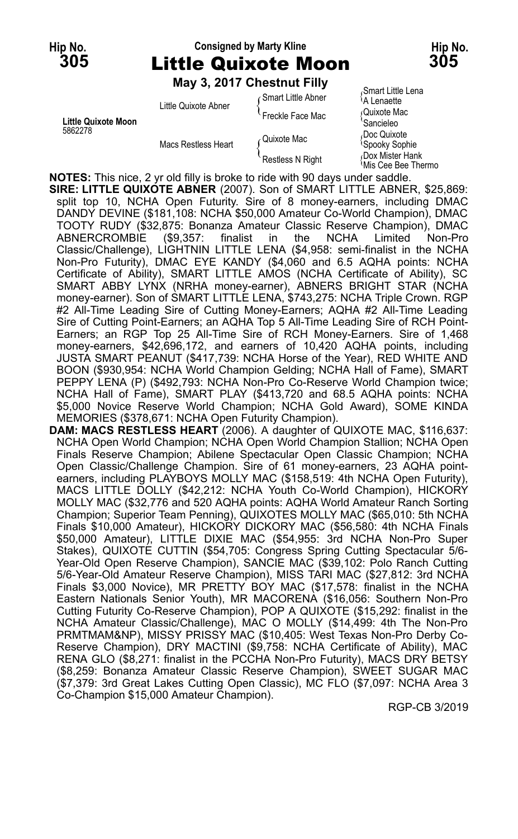### **Hip No. Consigned by Marty Kline Hip No. 305** Little Quixote Moon **305**

**May 3, 2017 Chestnut Filly**

|                     | Little Quixote Abner | ∈Smart Little Abner | ινπιαι ι Ειιισ Εσπα<br><sup>≀</sup> A Lenaette |
|---------------------|----------------------|---------------------|------------------------------------------------|
|                     |                      | Freckle Face Mac    | Quixote Mac                                    |
| Little Quixote Moon | Macs Restless Heart  |                     | Sancieleo                                      |
| 5862278             |                      | ∠Quixote Mac        | Doc Quixote<br><b>Spooky Sophie</b>            |
|                     |                      | Restless N Right    | Dox Mister Hank<br>≀Mis Cee Bee Thermo         |
|                     |                      |                     |                                                |

<sub>/</sub>Smart Little Lena<br><sup>\</sup>A Lenaette

**NOTES:** This nice, 2 yr old filly is broke to ride with 90 days under saddle.

**SIRE: LITTLE QUIXOTE ABNER** (2007). Son of SMART LITTLE ABNER, \$25,869: split top 10, NCHA Open Futurity. Sire of 8 money-earners, including DMAC DANDY DEVINE (\$181,108: NCHA \$50,000 Amateur Co-World Champion), DMAC TOOTY RUDY (\$32,875: Bonanza Amateur Classic Reserve Champion), DMAC ABNERCROMBIE (\$9,357: finalist in the NCHA Limited Non-Pro Classic/Challenge), LIGHTNIN LITTLE LENA (\$4,958: semi-finalist in the NCHA Non-Pro Futurity), DMAC EYE KANDY (\$4,060 and 6.5 AQHA points: NCHA Certificate of Ability), SMART LITTLE AMOS (NCHA Certificate of Ability), SC SMART ABBY LYNX (NRHA money-earner), ABNERS BRIGHT STAR (NCHA money-earner). Son of SMART LITTLE LENA, \$743,275: NCHA Triple Crown. RGP #2 All-Time Leading Sire of Cutting Money-Earners; AQHA #2 All-Time Leading Sire of Cutting Point-Earners; an AQHA Top 5 All-Time Leading Sire of RCH Point-Earners; an RGP Top 25 All-Time Sire of RCH Money-Earners. Sire of 1,468 money-earners, \$42,696,172, and earners of 10,420 AQHA points, including JUSTA SMART PEANUT (\$417,739: NCHA Horse of the Year), RED WHITE AND BOON (\$930,954: NCHA World Champion Gelding; NCHA Hall of Fame), SMART PEPPY LENA (P) (\$492,793: NCHA Non-Pro Co-Reserve World Champion twice; NCHA Hall of Fame), SMART PLAY (\$413,720 and 68.5 AQHA points: NCHA \$5,000 Novice Reserve World Champion; NCHA Gold Award), SOME KINDA MEMORIES (\$378,671: NCHA Open Futurity Champion).

**DAM: MACS RESTLESS HEART** (2006). A daughter of QUIXOTE MAC, \$116,637: NCHA Open World Champion; NCHA Open World Champion Stallion; NCHA Open Finals Reserve Champion; Abilene Spectacular Open Classic Champion; NCHA Open Classic/Challenge Champion. Sire of 61 money-earners, 23 AQHA pointearners, including PLAYBOYS MOLLY MAC (\$158,519: 4th NCHA Open Futurity), MACS LITTLE DOLLY (\$42,212: NCHA Youth Co-World Champion), HICKORY MOLLY MAC (\$32,776 and 520 AQHA points: AQHA World Amateur Ranch Sorting Champion; Superior Team Penning), QUIXOTES MOLLY MAC (\$65,010: 5th NCHA Finals \$10,000 Amateur), HICKORY DICKORY MAC (\$56,580: 4th NCHA Finals \$50,000 Amateur), LITTLE DIXIE MAC (\$54,955: 3rd NCHA Non-Pro Super Stakes), QUIXOTE CUTTIN (\$54,705: Congress Spring Cutting Spectacular 5/6- Year-Old Open Reserve Champion), SANCIE MAC (\$39,102: Polo Ranch Cutting 5/6-Year-Old Amateur Reserve Champion), MISS TARI MAC (\$27,812: 3rd NCHA Finals \$3,000 Novice), MR PRETTY BOY MAC (\$17,578: finalist in the NCHA Eastern Nationals Senior Youth), MR MACORENA (\$16,056: Southern Non-Pro Cutting Futurity Co-Reserve Champion), POP A QUIXOTE (\$15,292: finalist in the NCHA Amateur Classic/Challenge), MAC O MOLLY (\$14,499: 4th The Non-Pro PRMTMAM&NP), MISSY PRISSY MAC (\$10,405: West Texas Non-Pro Derby Co-Reserve Champion), DRY MACTINI (\$9,758: NCHA Certificate of Ability), MAC RENA GLO (\$8,271: finalist in the PCCHA Non-Pro Futurity), MACS DRY BETSY (\$8,259: Bonanza Amateur Classic Reserve Champion), SWEET SUGAR MAC (\$7,379: 3rd Great Lakes Cutting Open Classic), MC FLO (\$7,097: NCHA Area 3 Co-Champion \$15,000 Amateur Champion).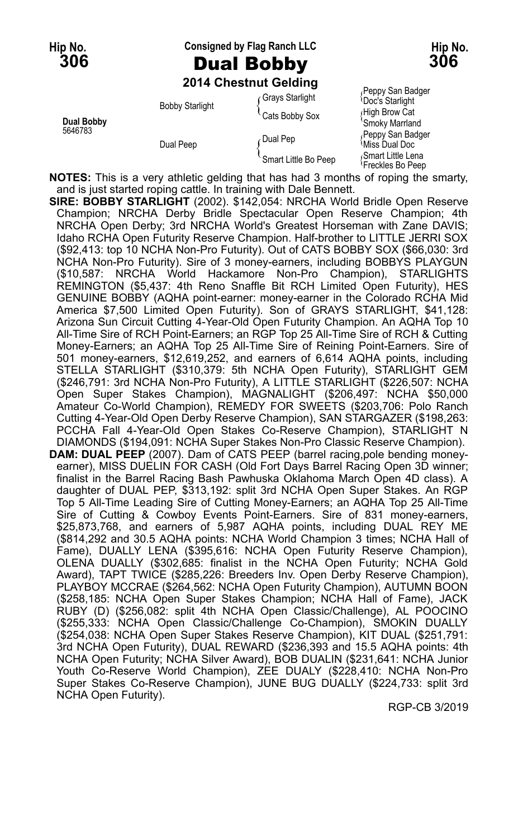**Hip No. Consigned by Flag Ranch LLC Hip No.**

# **306** Dual Bobby **306**

**2014 Chestnut Gelding**

|                       | <b>ZUTA CHESHIUL OBIUMIŲ</b> |                      |                                                    |
|-----------------------|------------------------------|----------------------|----------------------------------------------------|
| Dual Bobby<br>5646783 | <b>Bobby Starlight</b>       | Grays Starlight      | Peppy San Badger<br><b>Doc's Starlight</b>         |
|                       |                              | Cats Bobby Sox       | ∫Hiqh Brow Cat<br>'Smoky Marrland                  |
|                       | Dual Peep                    | Dual Pep             | Peppy San Badger<br><sup>≀</sup> Miss Dual Doc     |
|                       |                              | Smart Little Bo Peep | Smart Little Lena<br><sup>{</sup> Freckles Bo Peep |

**NOTES:** This is a very athletic gelding that has had 3 months of roping the smarty, and is just started roping cattle. In training with Dale Bennett.

**SIRE: BOBBY STARLIGHT** (2002). \$142,054: NRCHA World Bridle Open Reserve Champion; NRCHA Derby Bridle Spectacular Open Reserve Champion; 4th NRCHA Open Derby; 3rd NRCHA World's Greatest Horseman with Zane DAVIS; Idaho RCHA Open Futurity Reserve Champion. Half-brother to LITTLE JERRI SOX (\$92,413: top 10 NCHA Non-Pro Futurity). Out of CATS BOBBY SOX (\$66,030: 3rd NCHA Non-Pro Futurity). Sire of 3 money-earners, including BOBBYS PLAYGUN (\$10,587: NRCHA World Hackamore Non-Pro Champion), STARLIGHTS REMINGTON (\$5,437: 4th Reno Snaffle Bit RCH Limited Open Futurity), HES GENUINE BOBBY (AQHA point-earner: money-earner in the Colorado RCHA Mid America \$7,500 Limited Open Futurity). Son of GRAYS STARLIGHT, \$41,128: Arizona Sun Circuit Cutting 4-Year-Old Open Futurity Champion. An AQHA Top 10 All-Time Sire of RCH Point-Earners; an RGP Top 25 All-Time Sire of RCH & Cutting Money-Earners; an AQHA Top 25 All-Time Sire of Reining Point-Earners. Sire of 501 money-earners, \$12,619,252, and earners of 6,614 AQHA points, including STELLA STARLIGHT (\$310,379: 5th NCHA Open Futurity), STARLIGHT GEM (\$246,791: 3rd NCHA Non-Pro Futurity), A LITTLE STARLIGHT (\$226,507: NCHA Open Super Stakes Champion), MAGNALIGHT (\$206,497: NCHA \$50,000 Amateur Co-World Champion), REMEDY FOR SWEETS (\$203,706: Polo Ranch Cutting 4-Year-Old Open Derby Reserve Champion), SAN STARGAZER (\$198,263: PCCHA Fall 4-Year-Old Open Stakes Co-Reserve Champion), STARLIGHT N DIAMONDS (\$194,091: NCHA Super Stakes Non-Pro Classic Reserve Champion). **DAM: DUAL PEEP** (2007). Dam of CATS PEEP (barrel racing,pole bending moneyearner), MISS DUELIN FOR CASH (Old Fort Days Barrel Racing Open 3D winner; finalist in the Barrel Racing Bash Pawhuska Oklahoma March Open 4D class). A daughter of DUAL PEP, \$313,192: split 3rd NCHA Open Super Stakes. An RGP Top 5 All-Time Leading Sire of Cutting Money-Earners; an AQHA Top 25 All-Time Sire of Cutting & Cowboy Events Point-Earners. Sire of 831 money-earners, \$25,873,768, and earners of 5,987 AQHA points, including DUAL REY ME (\$814,292 and 30.5 AQHA points: NCHA World Champion 3 times; NCHA Hall of Fame), DUALLY LENA (\$395,616: NCHA Open Futurity Reserve Champion), OLENA DUALLY (\$302,685: finalist in the NCHA Open Futurity; NCHA Gold Award), TAPT TWICE (\$285,226: Breeders Inv. Open Derby Reserve Champion), PLAYBOY MCCRAE (\$264,562: NCHA Open Futurity Champion), AUTUMN BOON (\$258,185: NCHA Open Super Stakes Champion; NCHA Hall of Fame), JACK RUBY (D) (\$256,082: split 4th NCHA Open Classic/Challenge), AL POOCINO (\$255,333: NCHA Open Classic/Challenge Co-Champion), SMOKIN DUALLY (\$254,038: NCHA Open Super Stakes Reserve Champion), KIT DUAL (\$251,791: 3rd NCHA Open Futurity), DUAL REWARD (\$236,393 and 15.5 AQHA points: 4th NCHA Open Futurity; NCHA Silver Award), BOB DUALIN (\$231,641: NCHA Junior Youth Co-Reserve World Champion), ZEE DUALY (\$228,410: NCHA Non-Pro Super Stakes Co-Reserve Champion), JUNE BUG DUALLY (\$224,733: split 3rd NCHA Open Futurity).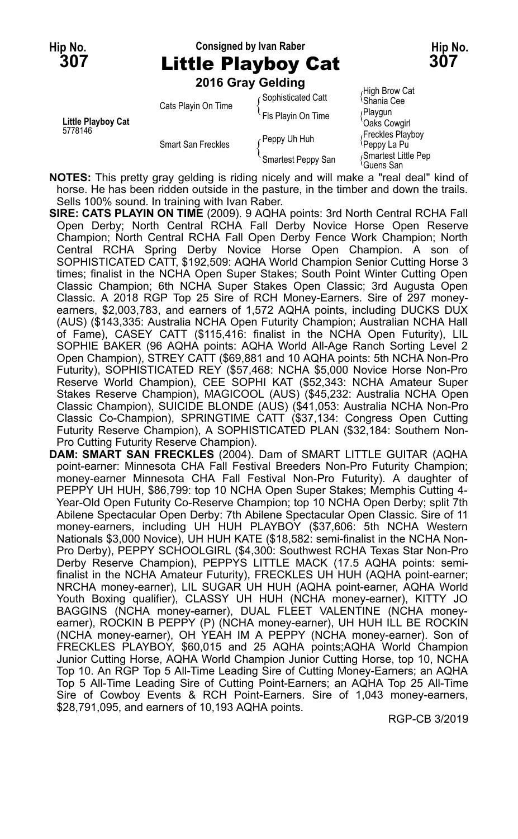#### **Hip No. Consigned by Ivan Raber Hip No. 307** Little Playboy Cat **307 2016 Gray Gelding**

|                               | <b>2016 Gray Gelding</b>  |                    |                                           |
|-------------------------------|---------------------------|--------------------|-------------------------------------------|
| Little Playboy Cat<br>5778146 | Cats Playin On Time       | Sophisticated Catt | High Brow Cat<br><sup>{</sup> Shania Cee} |
|                               |                           | Fls Playin On Time | ∫Playgun<br>Oaks Cowgirl                  |
|                               | <b>Smart San Freckles</b> | Peppy Uh Huh       | Freckles Playboy<br>≀Peppy La Pu          |
|                               |                           | Smartest Peppy San | Smartest Little Pep<br>≀Guens San         |

**NOTES:** This pretty gray gelding is riding nicely and will make a "real deal" kind of horse. He has been ridden outside in the pasture, in the timber and down the trails. Sells 100% sound. In training with Ivan Raber.

- **SIRE: CATS PLAYIN ON TIME** (2009). 9 AQHA points: 3rd North Central RCHA Fall Open Derby; North Central RCHA Fall Derby Novice Horse Open Reserve Champion; North Central RCHA Fall Open Derby Fence Work Champion; North Central RCHA Spring Derby Novice Horse Open Champion. A son of SOPHISTICATED CATT, \$192,509: AQHA World Champion Senior Cutting Horse 3 times; finalist in the NCHA Open Super Stakes; South Point Winter Cutting Open Classic Champion; 6th NCHA Super Stakes Open Classic; 3rd Augusta Open Classic. A 2018 RGP Top 25 Sire of RCH Money-Earners. Sire of 297 moneyearners, \$2,003,783, and earners of 1,572 AQHA points, including DUCKS DUX (AUS) (\$143,335: Australia NCHA Open Futurity Champion; Australian NCHA Hall of Fame), CASEY CATT (\$115,416: finalist in the NCHA Open Futurity), LIL SOPHIE BAKER (96 AQHA points: AQHA World All-Age Ranch Sorting Level 2 Open Champion), STREY CATT (\$69,881 and 10 AQHA points: 5th NCHA Non-Pro Futurity), SOPHISTICATED REY (\$57,468: NCHA \$5,000 Novice Horse Non-Pro Reserve World Champion), CEE SOPHI KAT (\$52,343: NCHA Amateur Super Stakes Reserve Champion), MAGICOOL (AUS) (\$45,232: Australia NCHA Open Classic Champion), SUICIDE BLONDE (AUS) (\$41,053: Australia NCHA Non-Pro Classic Co-Champion), SPRINGTIME CATT (\$37,134: Congress Open Cutting Futurity Reserve Champion), A SOPHISTICATED PLAN (\$32,184: Southern Non-Pro Cutting Futurity Reserve Champion).
- **DAM: SMART SAN FRECKLES** (2004). Dam of SMART LITTLE GUITAR (AQHA point-earner: Minnesota CHA Fall Festival Breeders Non-Pro Futurity Champion; money-earner Minnesota CHA Fall Festival Non-Pro Futurity). A daughter of PEPPY UH HUH, \$86,799: top 10 NCHA Open Super Stakes; Memphis Cutting 4- Year-Old Open Futurity Co-Reserve Champion; top 10 NCHA Open Derby; split 7th Abilene Spectacular Open Derby: 7th Abilene Spectacular Open Classic. Sire of 11 money-earners, including UH HUH PLAYBOY (\$37,606: 5th NCHA Western Nationals \$3,000 Novice), UH HUH KATE (\$18,582: semi-finalist in the NCHA Non-Pro Derby), PEPPY SCHOOLGIRL (\$4,300: Southwest RCHA Texas Star Non-Pro Derby Reserve Champion), PEPPYS LITTLE MACK (17.5 AQHA points: semifinalist in the NCHA Amateur Futurity), FRECKLES UH HUH (AQHA point-earner; NRCHA money-earner), LIL SUGAR UH HUH (AQHA point-earner, AQHA World Youth Boxing qualifier), CLASSY UH HUH (NCHA money-earner), KITTY JO BAGGINS (NCHA money-earner), DUAL FLEET VALENTINE (NCHA moneyearner), ROCKIN B PEPPY (P) (NCHA money-earner), UH HUH ILL BE ROCKIN (NCHA money-earner), OH YEAH IM A PEPPY (NCHA money-earner). Son of FRECKLES PLAYBOY, \$60,015 and 25 AQHA points;AQHA World Champion Junior Cutting Horse, AQHA World Champion Junior Cutting Horse, top 10, NCHA Top 10. An RGP Top 5 All-Time Leading Sire of Cutting Money-Earners; an AQHA Top 5 All-Time Leading Sire of Cutting Point-Earners; an AQHA Top 25 All-Time Sire of Cowboy Events & RCH Point-Earners. Sire of 1,043 money-earners, \$28,791,095, and earners of 10,193 AQHA points.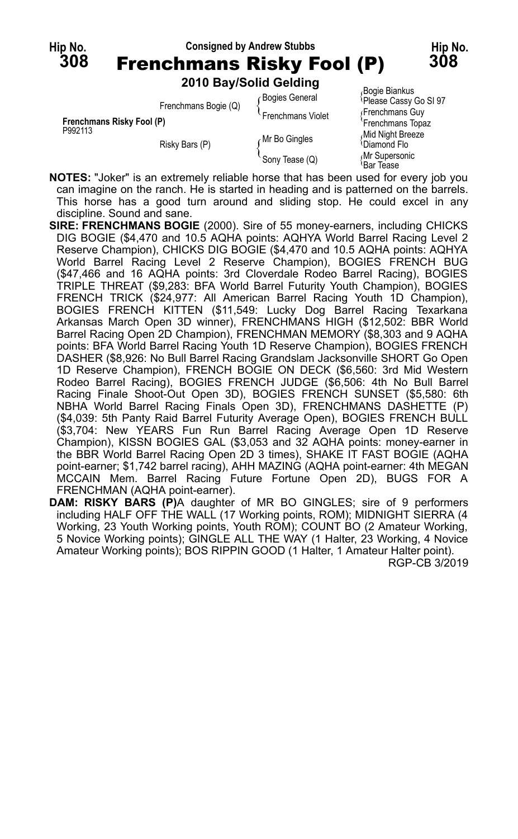

| Frenchmans Risky Fool (P)<br>P992113 | Frenchmans Bogie (Q)                                                                                                                                                                                                              | <b>Bogies General</b><br>Frenchmans Violet | <b>DUYIC DIAHNUS</b><br>Please Cassy Go SI 97<br>Frenchmans Guy  |
|--------------------------------------|-----------------------------------------------------------------------------------------------------------------------------------------------------------------------------------------------------------------------------------|--------------------------------------------|------------------------------------------------------------------|
|                                      | Risky Bars (P)                                                                                                                                                                                                                    | Mr Bo Gingles                              | Frenchmans Topaz<br>Mid Night Breeze<br><sup>1</sup> Diamond Flo |
|                                      |                                                                                                                                                                                                                                   | Sony Tease (Q)                             | Mr Supersonic<br>Bar Tease                                       |
|                                      | $\mathbf{A}$ . The contract of the contract of the contract of the contract of the contract of the contract of the contract of the contract of the contract of the contract of the contract of the contract of the contract of th |                                            |                                                                  |

**NOTES:** "Joker" is an extremely reliable horse that has been used for every job you can imagine on the ranch. He is started in heading and is patterned on the barrels. This horse has a good turn around and sliding stop. He could excel in any discipline. Sound and sane.

**SIRE: FRENCHMANS BOGIE** (2000). Sire of 55 money-earners, including CHICKS DIG BOGIE (\$4,470 and 10.5 AQHA points: AQHYA World Barrel Racing Level 2 Reserve Champion), CHICKS DIG BOGIE (\$4,470 and 10.5 AQHA points: AQHYA World Barrel Racing Level 2 Reserve Champion), BOGIES FRENCH BUG (\$47,466 and 16 AQHA points: 3rd Cloverdale Rodeo Barrel Racing), BOGIES TRIPLE THREAT (\$9,283: BFA World Barrel Futurity Youth Champion), BOGIES FRENCH TRICK (\$24,977: All American Barrel Racing Youth 1D Champion), BOGIES FRENCH KITTEN (\$11,549: Lucky Dog Barrel Racing Texarkana Arkansas March Open 3D winner), FRENCHMANS HIGH (\$12,502: BBR World Barrel Racing Open 2D Champion), FRENCHMAN MEMORY (\$8,303 and 9 AQHA points: BFA World Barrel Racing Youth 1D Reserve Champion), BOGIES FRENCH DASHER (\$8,926: No Bull Barrel Racing Grandslam Jacksonville SHORT Go Open 1D Reserve Champion), FRENCH BOGIE ON DECK (\$6,560: 3rd Mid Western Rodeo Barrel Racing), BOGIES FRENCH JUDGE (\$6,506: 4th No Bull Barrel Racing Finale Shoot-Out Open 3D), BOGIES FRENCH SUNSET (\$5,580: 6th NBHA World Barrel Racing Finals Open 3D), FRENCHMANS DASHETTE (P) (\$4,039: 5th Panty Raid Barrel Futurity Average Open), BOGIES FRENCH BULL (\$3,704: New YEARS Fun Run Barrel Racing Average Open 1D Reserve Champion), KISSN BOGIES GAL (\$3,053 and 32 AQHA points: money-earner in the BBR World Barrel Racing Open 2D 3 times), SHAKE IT FAST BOGIE (AQHA point-earner; \$1,742 barrel racing), AHH MAZING (AQHA point-earner: 4th MEGAN MCCAIN Mem. Barrel Racing Future Fortune Open 2D), BUGS FOR A FRENCHMAN (AQHA point-earner).

**DAM: RISKY BARS (P)**A daughter of MR BO GINGLES; sire of 9 performers including HALF OFF THE WALL (17 Working points, ROM); MIDNIGHT SIERRA (4 Working, 23 Youth Working points, Youth ROM); COUNT BO (2 Amateur Working, 5 Novice Working points); GINGLE ALL THE WAY (1 Halter, 23 Working, 4 Novice Amateur Working points); BOS RIPPIN GOOD (1 Halter, 1 Amateur Halter point).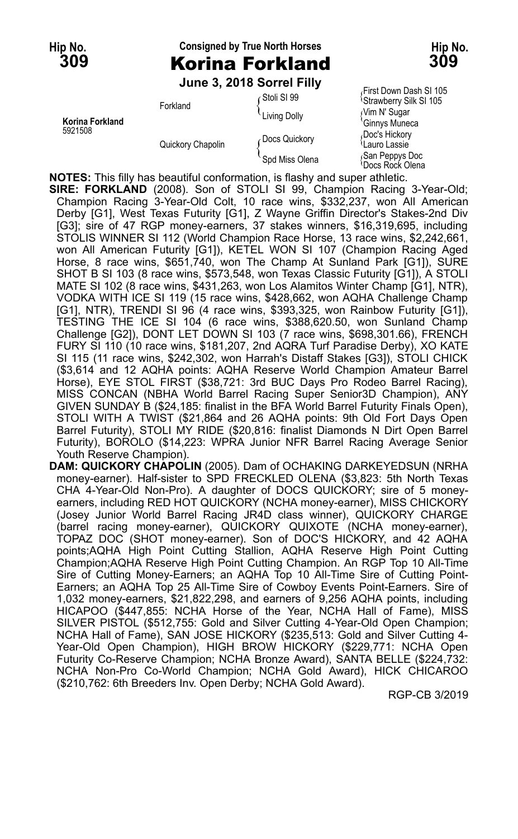# **Hip No. Consigned by True North Horses Hip No. 309** Korina Forkland **309**

**June 3, 2018 Sorrel Filly**

**Korina Forkland** هات المسلم المسلم المسلم المسلم المسلم المسلم المسلم المسلم المسلم المسلم المسلم المسلم المسلم<br>Dec's Hickory (Doc's Hickory (December) 5921508 Doc's Hickory Chapolin (Docs Quickory Chapolin Miss Olena { Docs Alickory<br>Quickory Chapolin { Spd Miss Olena { San Peppys Doc<br>Chapone Box Pepy Olena { Spd Miss Olena { Space Box Quan

First Down Dash SI 105 Stoll Strawberry Silk SI 105<br>Forkland The Colly The Music Control of Strawberry Silk SI<br>Ginnys Muneca San Peppys Doc<br><sup>{</sup>Docs Rock Olena

**NOTES:** This filly has beautiful conformation, is flashy and super athletic.

**SIRE: FORKLAND** (2008). Son of STOLI SI 99, Champion Racing 3-Year-Old; Champion Racing 3-Year-Old Colt, 10 race wins, \$332,237, won All American Derby [G1], West Texas Futurity [G1], Z Wayne Griffin Director's Stakes-2nd Div [G3]; sire of 47 RGP money-earners, 37 stakes winners, \$16,319,695, including STOLIS WINNER SI 112 (World Champion Race Horse, 13 race wins, \$2,242,661, won All American Futurity [G1]), KETEL WON SI 107 (Champion Racing Aged Horse, 8 race wins, \$651,740, won The Champ At Sunland Park [G1]), SURE SHOT B SI 103 (8 race wins, \$573,548, won Texas Classic Futurity [G1]), A STOLI MATE SI 102 (8 race wins, \$431,263, won Los Alamitos Winter Champ [G1], NTR), VODKA WITH ICE SI 119 (15 race wins, \$428,662, won AQHA Challenge Champ [G1], NTR), TRENDI SI 96 (4 race wins, \$393,325, won Rainbow Futurity [G1]), TESTING THE ICE SI 104 (6 race wins, \$388,620.50, won Sunland Champ Challenge [G2]), DONT LET DOWN SI 103 (7 race wins, \$698,301.66), FRENCH FURY SI 110 (10 race wins, \$181,207, 2nd AQRA Turf Paradise Derby), XO KATE SI 115 (11 race wins, \$242,302, won Harrah's Distaff Stakes [G3]), STOLI CHICK (\$3,614 and 12 AQHA points: AQHA Reserve World Champion Amateur Barrel Horse), EYE STOL FIRST (\$38,721: 3rd BUC Days Pro Rodeo Barrel Racing), MISS CONCAN (NBHA World Barrel Racing Super Senior3D Champion), ANY GIVEN SUNDAY B (\$24,185: finalist in the BFA World Barrel Futurity Finals Open), STOLI WITH A TWIST (\$21,864 and 26 AQHA points: 9th Old Fort Days Open Barrel Futurity), STOLI MY RIDE (\$20,816: finalist Diamonds N Dirt Open Barrel Futurity), BOROLO (\$14,223: WPRA Junior NFR Barrel Racing Average Senior Youth Reserve Champion).

**DAM: QUICKORY CHAPOLIN** (2005). Dam of OCHAKING DARKEYEDSUN (NRHA money-earner). Half-sister to SPD FRECKLED OLENA (\$3,823: 5th North Texas CHA 4-Year-Old Non-Pro). A daughter of DOCS QUICKORY; sire of 5 moneyearners, including RED HOT QUICKORY (NCHA money-earner), MISS CHICKORY (Josey Junior World Barrel Racing JR4D class winner), QUICKORY CHARGE (barrel racing money-earner), QUICKORY QUIXOTE (NCHA money-earner), TOPAZ DOC (SHOT money-earner). Son of DOC'S HICKORY, and 42 AQHA points;AQHA High Point Cutting Stallion, AQHA Reserve High Point Cutting Champion;AQHA Reserve High Point Cutting Champion. An RGP Top 10 All-Time Sire of Cutting Money-Earners; an AQHA Top 10 All-Time Sire of Cutting Point-Earners; an AQHA Top 25 All-Time Sire of Cowboy Events Point-Earners. Sire of 1,032 money-earners, \$21,822,298, and earners of 9,256 AQHA points, including HICAPOO (\$447,855: NCHA Horse of the Year, NCHA Hall of Fame), MISS SILVER PISTOL (\$512,755: Gold and Silver Cutting 4-Year-Old Open Champion; NCHA Hall of Fame), SAN JOSE HICKORY (\$235,513: Gold and Silver Cutting 4- Year-Old Open Champion), HIGH BROW HICKORY (\$229,771: NCHA Open Futurity Co-Reserve Champion; NCHA Bronze Award), SANTA BELLE (\$224,732: NCHA Non-Pro Co-World Champion; NCHA Gold Award), HICK CHICAROO (\$210,762: 6th Breeders Inv. Open Derby; NCHA Gold Award).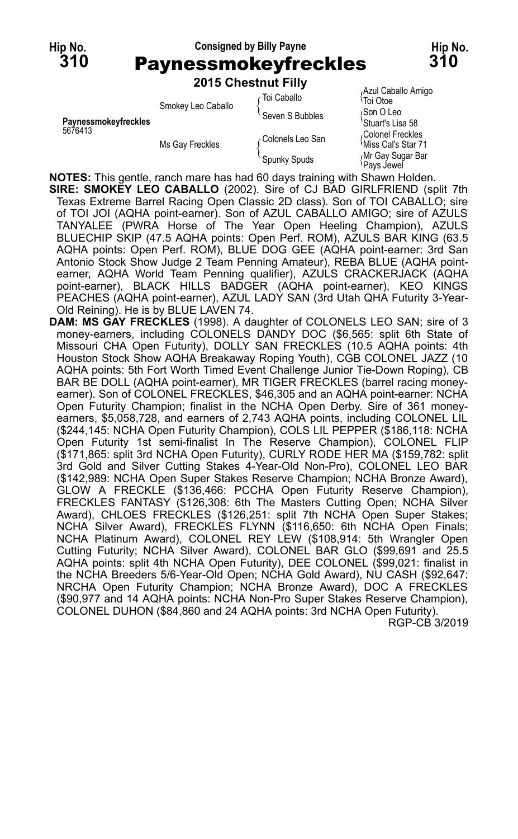#### **Hip No. Consigned by Billy Payne Hip No. 310** Paynessmokeyfreckles **310 2015 Chestnut Filly**

|                      |                    | <b>2015 CNESTRUT FIIIV</b> |                                                     |
|----------------------|--------------------|----------------------------|-----------------------------------------------------|
|                      | Smokey Leo Caballo | ∠Toi Caballo               | Azul Caballo Amigo<br><sup>≀</sup> Toi Otoe         |
| Paynessmokeyfreckles |                    | Seven S Bubbles            | Son O Leo<br>'Stuart's Lisa 58                      |
| 5676413              | Ms Gay Freckles    | ∠Colonels Leo San          | Colonel Freckles<br><sup>≀</sup> Miss Cal's Star 71 |
|                      |                    | Spunky Spuds               | Mr Gay Sugar Bar<br>≀Pavs Jewel                     |

**NOTES:** This gentle, ranch mare has had 60 days training with Shawn Holden.

- **SIRE: SMOKEY LEO CABALLO** (2002). Sire of CJ BAD GIRLFRIEND (split 7th Texas Extreme Barrel Racing Open Classic 2D class). Son of TOI CABALLO; sire of TOI JOI (AQHA point-earner). Son of AZUL CABALLO AMIGO; sire of AZULS TANYALEE (PWRA Horse of The Year Open Heeling Champion), AZULS BLUECHIP SKIP (47.5 AQHA points: Open Perf. ROM), AZULS BAR KING (63.5 AQHA points: Open Perf. ROM), BLUE DOG GEE (AQHA point-earner: 3rd San Antonio Stock Show Judge 2 Team Penning Amateur), REBA BLUE (AQHA pointearner, AQHA World Team Penning qualifier), AZULS CRACKERJACK (AQHA point-earner), BLACK HILLS BADGER (AQHA point-earner), KEO KINGS PEACHES (AQHA point-earner), AZUL LADY SAN (3rd Utah QHA Futurity 3-Year-Old Reining). He is by BLUE LAVEN 74.
- **DAM: MS GAY FRECKLES** (1998). A daughter of COLONELS LEO SAN; sire of 3 money-earners, including COLONELS DANDY DOC (\$6,565: split 6th State of Missouri CHA Open Futurity), DOLLY SAN FRECKLES (10.5 AQHA points: 4th Houston Stock Show AQHA Breakaway Roping Youth), CGB COLONEL JAZZ (10 AQHA points: 5th Fort Worth Timed Event Challenge Junior Tie-Down Roping), CB BAR BE DOLL (AQHA point-earner), MR TIGER FRECKLES (barrel racing moneyearner). Son of COLONEL FRECKLES, \$46,305 and an AQHA point-earner: NCHA Open Futurity Champion; finalist in the NCHA Open Derby. Sire of 361 moneyearners, \$5,058,728, and earners of 2,743 AQHA points, including COLONEL LIL (\$244,145: NCHA Open Futurity Champion), COLS LIL PEPPER (\$186,118: NCHA Open Futurity 1st semi-finalist In The Reserve Champion), COLONEL FLIP (\$171,865: split 3rd NCHA Open Futurity), CURLY RODE HER MA (\$159,782: split 3rd Gold and Silver Cutting Stakes 4-Year-Old Non-Pro), COLONEL LEO BAR (\$142,989: NCHA Open Super Stakes Reserve Champion; NCHA Bronze Award), GLOW A FRECKLE (\$136,466: PCCHA Open Futurity Reserve Champion), FRECKLES FANTASY (\$126,308: 6th The Masters Cutting Open; NCHA Silver Award), CHLOES FRECKLES (\$126,251: split 7th NCHA Open Super Stakes; NCHA Silver Award), FRECKLES FLYNN (\$116,650: 6th NCHA Open Finals; NCHA Platinum Award), COLONEL REY LEW (\$108,914: 5th Wrangler Open Cutting Futurity; NCHA Silver Award), COLONEL BAR GLO (\$99,691 and 25.5 AQHA points: split 4th NCHA Open Futurity), DEE COLONEL (\$99,021: finalist in the NCHA Breeders 5/6-Year-Old Open; NCHA Gold Award), NU CASH (\$92,647: NRCHA Open Futurity Champion; NCHA Bronze Award), DOC A FRECKLES (\$90,977 and 14 AQHA points: NCHA Non-Pro Super Stakes Reserve Champion), COLONEL DUHON (\$84,860 and 24 AQHA points: 3rd NCHA Open Futurity).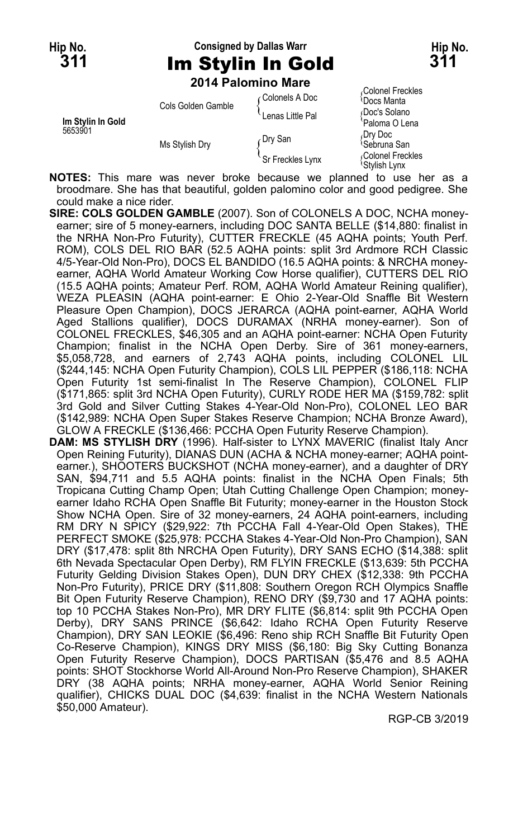# **Hip No. Consigned by Dallas Warr Hip No. 311** Im Stylin In Gold **311**

**2014 Palomino Mare**

| Im Stylin In Gold<br>5653901 | Cols Golden Gamble | Colonels A Doc   | ו טעוטוופו ו ופעמופט<br><sup>₹</sup> Docs Manta |
|------------------------------|--------------------|------------------|-------------------------------------------------|
|                              |                    | Lenas Little Pal | Doc's Solano<br>'Paloma O Lena                  |
|                              | Ms Stylish Dry     | Dry San          | Drv Doc<br><sup>1</sup> Sebruna San             |
|                              |                    | Sr Freckles Lynx | Colonel Freckles<br>\Stvlish I vnx              |

*C*olonel Freckles<br><sup>\</sup>Docs Manta Stylish Lynx

**NOTES:** This mare was never broke because we planned to use her as a broodmare. She has that beautiful, golden palomino color and good pedigree. She could make a nice rider.

- **SIRE: COLS GOLDEN GAMBLE** (2007). Son of COLONELS A DOC, NCHA moneyearner; sire of 5 money-earners, including DOC SANTA BELLE (\$14,880: finalist in the NRHA Non-Pro Futurity), CUTTER FRECKLE (45 AQHA points; Youth Perf. ROM), COLS DEL RIO BAR (52.5 AQHA points: split 3rd Ardmore RCH Classic 4/5-Year-Old Non-Pro), DOCS EL BANDIDO (16.5 AQHA points: & NRCHA moneyearner, AQHA World Amateur Working Cow Horse qualifier), CUTTERS DEL RIO (15.5 AQHA points; Amateur Perf. ROM, AQHA World Amateur Reining qualifier), WEZA PLEASIN (AQHA point-earner: E Ohio 2-Year-Old Snaffle Bit Western Pleasure Open Champion), DOCS JERARCA (AQHA point-earner, AQHA World Aged Stallions qualifier), DOCS DURAMAX (NRHA money-earner). Son of COLONEL FRECKLES, \$46,305 and an AQHA point-earner: NCHA Open Futurity Champion; finalist in the NCHA Open Derby. Sire of 361 money-earners, \$5,058,728, and earners of 2,743 AQHA points, including COLONEL LIL (\$244,145: NCHA Open Futurity Champion), COLS LIL PEPPER (\$186,118: NCHA Open Futurity 1st semi-finalist In The Reserve Champion), COLONEL FLIP (\$171,865: split 3rd NCHA Open Futurity), CURLY RODE HER MA (\$159,782: split 3rd Gold and Silver Cutting Stakes 4-Year-Old Non-Pro), COLONEL LEO BAR (\$142,989: NCHA Open Super Stakes Reserve Champion; NCHA Bronze Award), GLOW A FRECKLE (\$136,466: PCCHA Open Futurity Reserve Champion).
- **DAM: MS STYLISH DRY** (1996). Half-sister to LYNX MAVERIC (finalist Italy Ancr Open Reining Futurity), DIANAS DUN (ACHA & NCHA money-earner; AQHA pointearner.), SHOOTERS BUCKSHOT (NCHA money-earner), and a daughter of DRY SAN, \$94,711 and 5.5 AQHA points: finalist in the NCHA Open Finals; 5th Tropicana Cutting Champ Open; Utah Cutting Challenge Open Champion; moneyearner Idaho RCHA Open Snaffle Bit Futurity; money-earner in the Houston Stock Show NCHA Open. Sire of 32 money-earners, 24 AQHA point-earners, including RM DRY N SPICY (\$29,922: 7th PCCHA Fall 4-Year-Old Open Stakes), THE PERFECT SMOKE (\$25,978: PCCHA Stakes 4-Year-Old Non-Pro Champion), SAN DRY (\$17,478: split 8th NRCHA Open Futurity), DRY SANS ECHO (\$14,388: split 6th Nevada Spectacular Open Derby), RM FLYIN FRECKLE (\$13,639: 5th PCCHA Futurity Gelding Division Stakes Open), DUN DRY CHEX (\$12,338: 9th PCCHA Non-Pro Futurity), PRICE DRY (\$11,808: Southern Oregon RCH Olympics Snaffle Bit Open Futurity Reserve Champion), RENO DRY (\$9,730 and 17 AQHA points: top 10 PCCHA Stakes Non-Pro), MR DRY FLITE (\$6,814: split 9th PCCHA Open Derby), DRY SANS PRINCE (\$6,642: Idaho RCHA Open Futurity Reserve Champion), DRY SAN LEOKIE (\$6,496: Reno ship RCH Snaffle Bit Futurity Open Co-Reserve Champion), KINGS DRY MISS (\$6,180: Big Sky Cutting Bonanza Open Futurity Reserve Champion), DOCS PARTISAN (\$5,476 and 8.5 AQHA points: SHOT Stockhorse World All-Around Non-Pro Reserve Champion), SHAKER DRY (38 AQHA points; NRHA money-earner, AQHA World Senior Reining qualifier), CHICKS DUAL DOC (\$4,639: finalist in the NCHA Western Nationals \$50,000 Amateur).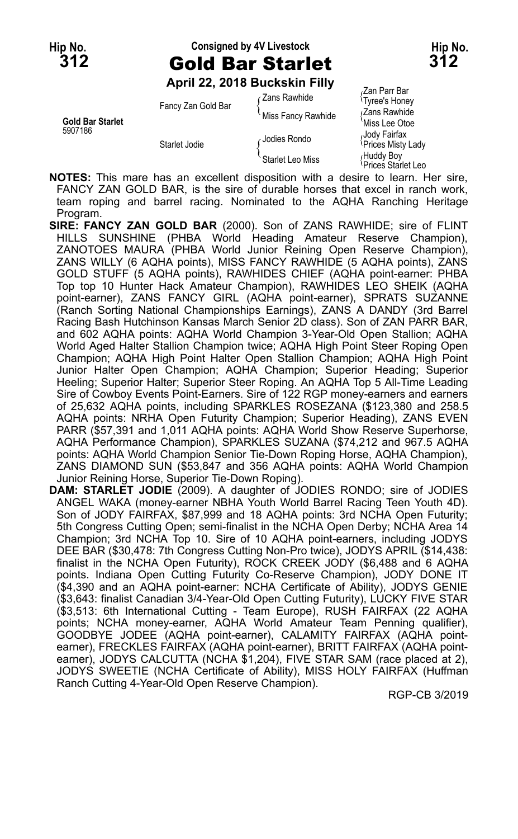# **Hip No. Consigned by 4V Livestock Hip No. 312** Gold Bar Starlet **312**

**April 22, 2018 Buckskin Filly**

Tyree's Honey Fancy Zan Gold Bar (Zans Rawhide 1989)<br>Gold Bar Starlet Miss Fancy Rawhide (Zans Rawhide 1989)<br>Miss Lee Otoe 5907186<br>Jody Fairfax Jodies Rondo (Jody Fairfax<br>Prices Misty Lady Starlet Jodie (Jodies Rondo (Prices Misty Lady)

Zan Parr Bar<br>  $\frac{1}{2}$ Zans Rawhide  $\frac{1}{2}$ Starlet Jodie **Prices Misty Lady**<br>Refluddy Boy<br>Prices Starlet Leo Miss {Prices Starlet Leo Prices Starlet Leo

**NOTES:** This mare has an excellent disposition with a desire to learn. Her sire, FANCY ZAN GOLD BAR, is the sire of durable horses that excel in ranch work, team roping and barrel racing. Nominated to the AQHA Ranching Heritage Program.

- **SIRE: FANCY ZAN GOLD BAR** (2000). Son of ZANS RAWHIDE; sire of FLINT HILLS SUNSHINE (PHBA World Heading Amateur Reserve Champion), ZANOTOES MAURA (PHBA World Junior Reining Open Reserve Champion), ZANS WILLY (6 AQHA points), MISS FANCY RAWHIDE (5 AQHA points), ZANS GOLD STUFF (5 AQHA points), RAWHIDES CHIEF (AQHA point-earner: PHBA Top top 10 Hunter Hack Amateur Champion), RAWHIDES LEO SHEIK (AQHA point-earner), ZANS FANCY GIRL (AQHA point-earner), SPRATS SUZANNE (Ranch Sorting National Championships Earnings), ZANS A DANDY (3rd Barrel Racing Bash Hutchinson Kansas March Senior 2D class). Son of ZAN PARR BAR, and 602 AQHA points: AQHA World Champion 3-Year-Old Open Stallion; AQHA World Aged Halter Stallion Champion twice; AQHA High Point Steer Roping Open Champion; AQHA High Point Halter Open Stallion Champion; AQHA High Point Junior Halter Open Champion; AQHA Champion; Superior Heading; Superior Heeling; Superior Halter; Superior Steer Roping. An AQHA Top 5 All-Time Leading Sire of Cowboy Events Point-Earners. Sire of 122 RGP money-earners and earners of 25,632 AQHA points, including SPARKLES ROSEZANA (\$123,380 and 258.5 AQHA points: NRHA Open Futurity Champion; Superior Heading), ZANS EVEN PARR (\$57,391 and 1,011 AQHA points: AQHA World Show Reserve Superhorse, AQHA Performance Champion), SPARKLES SUZANA (\$74,212 and 967.5 AQHA points: AQHA World Champion Senior Tie-Down Roping Horse, AQHA Champion), ZANS DIAMOND SUN (\$53,847 and 356 AQHA points: AQHA World Champion Junior Reining Horse, Superior Tie-Down Roping).
- **DAM: STARLET JODIE** (2009). A daughter of JODIES RONDO; sire of JODIES ANGEL WAKA (money-earner NBHA Youth World Barrel Racing Teen Youth 4D). Son of JODY FAIRFAX, \$87,999 and 18 AQHA points: 3rd NCHA Open Futurity; 5th Congress Cutting Open; semi-finalist in the NCHA Open Derby; NCHA Area 14 Champion; 3rd NCHA Top 10. Sire of 10 AQHA point-earners, including JODYS DEE BAR (\$30,478: 7th Congress Cutting Non-Pro twice), JODYS APRIL (\$14,438: finalist in the NCHA Open Futurity), ROCK CREEK JODY (\$6,488 and 6 AQHA points. Indiana Open Cutting Futurity Co-Reserve Champion), JODY DONE IT (\$4,390 and an AQHA point-earner: NCHA Certificate of Ability), JODYS GENIE (\$3,643: finalist Canadian 3/4-Year-Old Open Cutting Futurity), LUCKY FIVE STAR (\$3,513: 6th International Cutting - Team Europe), RUSH FAIRFAX (22 AQHA points; NCHA money-earner, AQHA World Amateur Team Penning qualifier), GOODBYE JODEE (AQHA point-earner), CALAMITY FAIRFAX (AQHA pointearner), FRECKLES FAIRFAX (AQHA point-earner), BRITT FAIRFAX (AQHA pointearner), JODYS CALCUTTA (NCHA \$1,204), FIVE STAR SAM (race placed at 2), JODYS SWEETIE (NCHA Certificate of Ability), MISS HOLY FAIRFAX (Huffman Ranch Cutting 4-Year-Old Open Reserve Champion).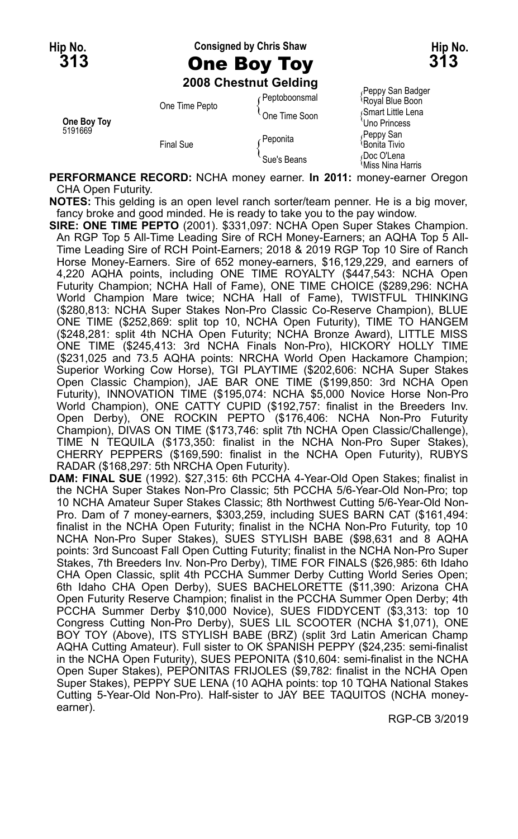### **Hip No. Consigned by Chris Shaw Hip No. 313** One Boy Toy **313**

**2008 Chestnut Gelding**

| One Boy Toy<br>5191669 | One Time Pepto   | ∩Peptoboonsmal | II oppy oan baage<br>Royal Blue Boon        |
|------------------------|------------------|----------------|---------------------------------------------|
|                        |                  | One Time Soon  | Smart Little Lena                           |
|                        | <b>Final Sue</b> |                | 'Uno Princess                               |
|                        |                  | · Peponita     | Peppy San                                   |
|                        |                  |                | <sup>∖</sup> Bonita Tivio                   |
|                        |                  | Sue's Beans    | Doc O'Lena<br><sup>≀</sup> Miss Nina Harris |

<sub>/</sub>Peppy San Badger<br><sup>\</sup>Royal Blue Boon

**PERFORMANCE RECORD:** NCHA money earner. **In 2011:** money-earner Oregon CHA Open Futurity.

**NOTES:** This gelding is an open level ranch sorter/team penner. He is a big mover, fancy broke and good minded. He is ready to take you to the pay window.

**SIRE: ONE TIME PEPTO** (2001). \$331,097: NCHA Open Super Stakes Champion. An RGP Top 5 All-Time Leading Sire of RCH Money-Earners; an AQHA Top 5 All-Time Leading Sire of RCH Point-Earners; 2018 & 2019 RGP Top 10 Sire of Ranch Horse Money-Earners. Sire of 652 money-earners, \$16,129,229, and earners of 4,220 AQHA points, including ONE TIME ROYALTY (\$447,543: NCHA Open Futurity Champion; NCHA Hall of Fame), ONE TIME CHOICE (\$289,296: NCHA World Champion Mare twice; NCHA Hall of Fame), TWISTFUL THINKING (\$280,813: NCHA Super Stakes Non-Pro Classic Co-Reserve Champion), BLUE ONE TIME (\$252,869: split top 10, NCHA Open Futurity), TIME TO HANGEM (\$248,281: split 4th NCHA Open Futurity; NCHA Bronze Award), LITTLE MISS ONE TIME (\$245,413: 3rd NCHA Finals Non-Pro), HICKORY HOLLY TIME (\$231,025 and 73.5 AQHA points: NRCHA World Open Hackamore Champion; Superior Working Cow Horse), TGI PLAYTIME (\$202,606: NCHA Super Stakes Open Classic Champion), JAE BAR ONE TIME (\$199,850: 3rd NCHA Open Futurity), INNOVATION TIME (\$195,074: NCHA \$5,000 Novice Horse Non-Pro World Champion), ONE CATTY CUPID (\$192,757: finalist in the Breeders Inv. Open Derby), ONE ROCKIN PEPTO (\$176,406: NCHA Non-Pro Futurity Champion), DIVAS ON TIME (\$173,746: split 7th NCHA Open Classic/Challenge), TIME N TEQUILA (\$173,350: finalist in the NCHA Non-Pro Super Stakes), CHERRY PEPPERS (\$169,590: finalist in the NCHA Open Futurity), RUBYS RADAR (\$168,297: 5th NRCHA Open Futurity).

**DAM: FINAL SUE** (1992). \$27,315: 6th PCCHA 4-Year-Old Open Stakes; finalist in the NCHA Super Stakes Non-Pro Classic; 5th PCCHA 5/6-Year-Old Non-Pro; top 10 NCHA Amateur Super Stakes Classic; 8th Northwest Cutting 5/6-Year-Old Non-Pro. Dam of 7 money-earners, \$303,259, including SUES BARN CAT (\$161,494: finalist in the NCHA Open Futurity; finalist in the NCHA Non-Pro Futurity, top 10 NCHA Non-Pro Super Stakes), SUES STYLISH BABE (\$98,631 and 8 AQHA points: 3rd Suncoast Fall Open Cutting Futurity; finalist in the NCHA Non-Pro Super Stakes, 7th Breeders Inv. Non-Pro Derby), TIME FOR FINALS (\$26,985: 6th Idaho CHA Open Classic, split 4th PCCHA Summer Derby Cutting World Series Open; 6th Idaho CHA Open Derby), SUES BACHELORETTE (\$11,390: Arizona CHA Open Futurity Reserve Champion; finalist in the PCCHA Summer Open Derby; 4th PCCHA Summer Derby \$10,000 Novice), SUES FIDDYCENT (\$3,313: top 10 Congress Cutting Non-Pro Derby), SUES LIL SCOOTER (NCHA \$1,071), ONE BOY TOY (Above), ITS STYLISH BABE (BRZ) (split 3rd Latin American Champ AQHA Cutting Amateur). Full sister to OK SPANISH PEPPY (\$24,235: semi-finalist in the NCHA Open Futurity), SUES PEPONITA (\$10,604: semi-finalist in the NCHA Open Super Stakes), PEPONITAS FRIJOLES (\$9,782: finalist in the NCHA Open Super Stakes), PEPPY SUE LENA (10 AQHA points: top 10 TQHA National Stakes Cutting 5-Year-Old Non-Pro). Half-sister to JAY BEE TAQUITOS (NCHA moneyearner).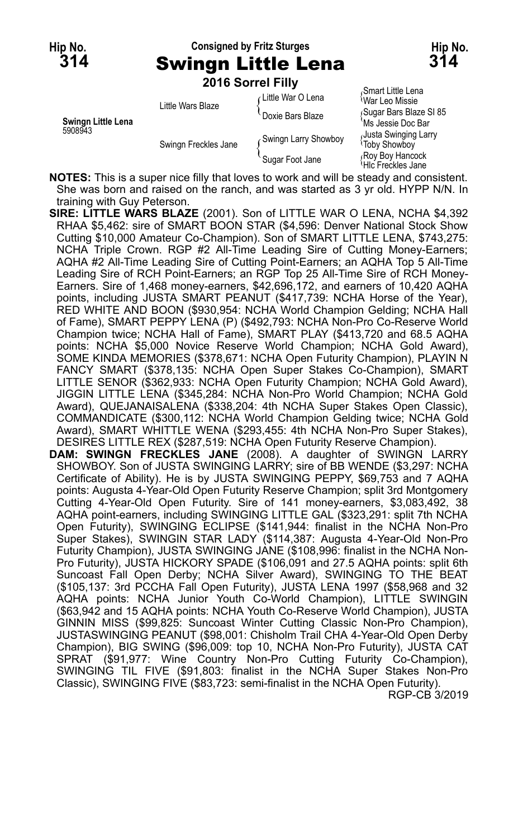### **Hip No. Consigned by Fritz Sturges Hip No. 314** Swingn Little Lena **314 2016 Sorrel Filly**

Smart Little Lena<br>Little Wars Blaze (Little War O Lena {War Leo Missie<br>Doxie Bars Blaze { Sugar Bars Blaze SI 85 Entre Mars Blaze (Sugar Bars Blaze Stive Mars Blaze New York of the Mars Blaze Stive Assemblance Stive Assembla<br>Ms Jessie Doc Bar<br>Alusta Swinging Larry (Alusta Swinging Larry Alusta Swinging Larry Alusta Swinging Larry Alu Swingn Freckles Jane (Swingn Larry Showboy {Justa Swinging Showboy Swingn Freckles Jane (Somigri Larry Showboy<br>Roy Boy Hancock (Sugar Foot Jane {<br>Hic Freckles Jane {<br>Hic Freckles Jane

**NOTES:** This is a super nice filly that loves to work and will be steady and consistent. She was born and raised on the ranch, and was started as 3 yr old. HYPP N/N. In training with Guy Peterson.

**SIRE: LITTLE WARS BLAZE** (2001). Son of LITTLE WAR O LENA, NCHA \$4,392 RHAA \$5,462: sire of SMART BOON STAR (\$4,596: Denver National Stock Show Cutting \$10,000 Amateur Co-Champion). Son of SMART LITTLE LENA, \$743,275: NCHA Triple Crown. RGP #2 All-Time Leading Sire of Cutting Money-Earners; AQHA #2 All-Time Leading Sire of Cutting Point-Earners; an AQHA Top 5 All-Time Leading Sire of RCH Point-Earners; an RGP Top 25 All-Time Sire of RCH Money-Earners. Sire of 1,468 money-earners, \$42,696,172, and earners of 10,420 AQHA points, including JUSTA SMART PEANUT (\$417,739: NCHA Horse of the Year), RED WHITE AND BOON (\$930,954: NCHA World Champion Gelding; NCHA Hall of Fame), SMART PEPPY LENA (P) (\$492,793: NCHA Non-Pro Co-Reserve World Champion twice; NCHA Hall of Fame), SMART PLAY (\$413,720 and 68.5 AQHA points: NCHA \$5,000 Novice Reserve World Champion; NCHA Gold Award), SOME KINDA MEMORIES (\$378,671: NCHA Open Futurity Champion), PLAYIN N FANCY SMART (\$378,135: NCHA Open Super Stakes Co-Champion), SMART LITTLE SENOR (\$362,933: NCHA Open Futurity Champion; NCHA Gold Award), JIGGIN LITTLE LENA (\$345,284: NCHA Non-Pro World Champion; NCHA Gold Award), QUEJANAISALENA (\$338,204: 4th NCHA Super Stakes Open Classic), COMMANDICATE (\$300,112: NCHA World Champion Gelding twice; NCHA Gold Award), SMART WHITTLE WENA (\$293,455: 4th NCHA Non-Pro Super Stakes), DESIRES LITTLE REX (\$287,519: NCHA Open Futurity Reserve Champion).

**DAM: SWINGN FRECKLES JANE** (2008). A daughter of SWINGN LARRY SHOWBOY. Son of JUSTA SWINGING LARRY; sire of BB WENDE (\$3,297: NCHA Certificate of Ability). He is by JUSTA SWINGING PEPPY, \$69,753 and 7 AQHA points: Augusta 4-Year-Old Open Futurity Reserve Champion; split 3rd Montgomery Cutting 4-Year-Old Open Futurity. Sire of 141 money-earners, \$3,083,492, 38 AQHA point-earners, including SWINGING LITTLE GAL (\$323,291: split 7th NCHA Open Futurity), SWINGING ECLIPSE (\$141,944: finalist in the NCHA Non-Pro Super Stakes), SWINGIN STAR LADY (\$114,387: Augusta 4-Year-Old Non-Pro Futurity Champion), JUSTA SWINGING JANE (\$108,996: finalist in the NCHA Non-Pro Futurity), JUSTA HICKORY SPADE (\$106,091 and 27.5 AQHA points: split 6th Suncoast Fall Open Derby; NCHA Silver Award), SWINGING TO THE BEAT (\$105,137: 3rd PCCHA Fall Open Futurity), JUSTA LENA 1997 (\$58,968 and 32 AQHA points: NCHA Junior Youth Co-World Champion), LITTLE SWINGIN (\$63,942 and 15 AQHA points: NCHA Youth Co-Reserve World Champion), JUSTA GINNIN MISS (\$99,825: Suncoast Winter Cutting Classic Non-Pro Champion), JUSTASWINGING PEANUT (\$98,001: Chisholm Trail CHA 4-Year-Old Open Derby Champion), BIG SWING (\$96,009: top 10, NCHA Non-Pro Futurity), JUSTA CAT SPRAT (\$91,977: Wine Country Non-Pro Cutting Futurity Co-Champion), SWINGING TIL FIVE (\$91,803: finalist in the NCHA Super Stakes Non-Pro Classic), SWINGING FIVE (\$83,723: semi-finalist in the NCHA Open Futurity). RGP-CB 3/2019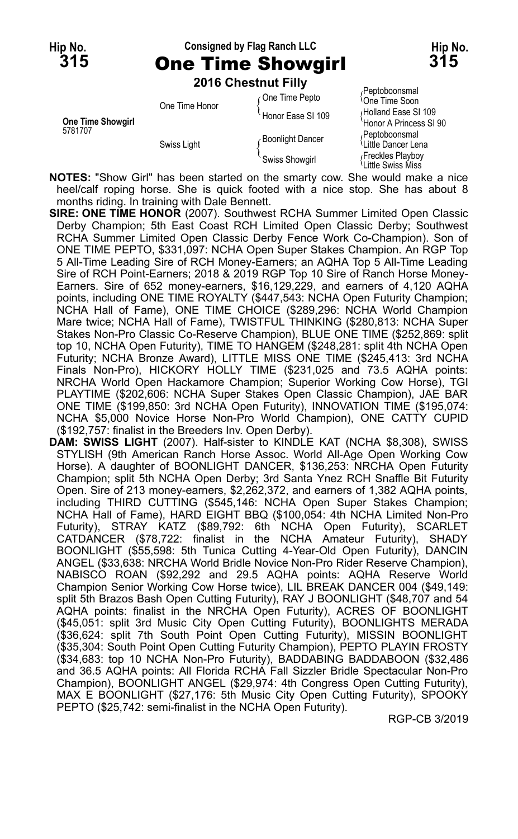# **Hip No. Consigned by Flag Ranch LLC Hip No. 315** One Time Showgirl **315**

**2016 Chestnut Filly**

| <b>One Time Showgirl</b><br>5781707 | One Time Honor | One Time Pepto    | Peptoboonsmal<br><sup>l</sup> One Time Soon |
|-------------------------------------|----------------|-------------------|---------------------------------------------|
|                                     |                | Honor Ease SI 109 | Holland Ease SI 109                         |
|                                     | Swiss Light    |                   | 'Honor A Princess SI 90                     |
|                                     |                | Boonlight Dancer  | Peptoboonsmal                               |
|                                     |                |                   | Little Dancer Lena                          |
|                                     |                | Swiss Showgirl    | Freckles Playboy<br>ਪLittle Swiss Miss      |

**NOTES:** "Show Girl" has been started on the smarty cow. She would make a nice heel/calf roping horse. She is quick footed with a nice stop. She has about 8 months riding. In training with Dale Bennett.

- **SIRE: ONE TIME HONOR** (2007). Southwest RCHA Summer Limited Open Classic Derby Champion; 5th East Coast RCH Limited Open Classic Derby; Southwest RCHA Summer Limited Open Classic Derby Fence Work Co-Champion). Son of ONE TIME PEPTO, \$331,097: NCHA Open Super Stakes Champion. An RGP Top 5 All-Time Leading Sire of RCH Money-Earners; an AQHA Top 5 All-Time Leading Sire of RCH Point-Earners; 2018 & 2019 RGP Top 10 Sire of Ranch Horse Money-Earners. Sire of 652 money-earners, \$16,129,229, and earners of 4,120 AQHA points, including ONE TIME ROYALTY (\$447,543: NCHA Open Futurity Champion; NCHA Hall of Fame), ONE TIME CHOICE (\$289,296: NCHA World Champion Mare twice; NCHA Hall of Fame), TWISTFUL THINKING (\$280,813: NCHA Super Stakes Non-Pro Classic Co-Reserve Champion), BLUE ONE TIME (\$252,869: split top 10, NCHA Open Futurity), TIME TO HANGEM (\$248,281: split 4th NCHA Open Futurity; NCHA Bronze Award), LITTLE MISS ONE TIME (\$245,413: 3rd NCHA Finals Non-Pro), HICKORY HOLLY TIME (\$231,025 and 73.5 AQHA points: NRCHA World Open Hackamore Champion; Superior Working Cow Horse), TGI PLAYTIME (\$202,606: NCHA Super Stakes Open Classic Champion), JAE BAR ONE TIME (\$199,850: 3rd NCHA Open Futurity), INNOVATION TIME (\$195,074: NCHA \$5,000 Novice Horse Non-Pro World Champion), ONE CATTY CUPID (\$192,757: finalist in the Breeders Inv. Open Derby).
- **DAM: SWISS LIGHT** (2007). Half-sister to KINDLE KAT (NCHA \$8,308), SWISS STYLISH (9th American Ranch Horse Assoc. World All-Age Open Working Cow Horse). A daughter of BOONLIGHT DANCER, \$136,253: NRCHA Open Futurity Champion; split 5th NCHA Open Derby; 3rd Santa Ynez RCH Snaffle Bit Futurity Open. Sire of 213 money-earners, \$2,262,372, and earners of 1,382 AQHA points, including THIRD CUTTING (\$545,146: NCHA Open Super Stakes Champion; NCHA Hall of Fame), HARD EIGHT BBQ (\$100,054: 4th NCHA Limited Non-Pro Futurity), STRAY KATZ (\$89,792: 6th NCHA Open Futurity), SCARLET CATDANCER (\$78,722: finalist in the NCHA Amateur Futurity), SHADY BOONLIGHT (\$55,598: 5th Tunica Cutting 4-Year-Old Open Futurity), DANCIN ANGEL (\$33,638: NRCHA World Bridle Novice Non-Pro Rider Reserve Champion), NABISCO ROAN (\$92,292 and 29.5 AQHA points: AQHA Reserve World Champion Senior Working Cow Horse twice), LIL BREAK DANCER 004 (\$49,149: split 5th Brazos Bash Open Cutting Futurity), RAY J BOONLIGHT (\$48,707 and 54 AQHA points: finalist in the NRCHA Open Futurity), ACRES OF BOONLIGHT (\$45,051: split 3rd Music City Open Cutting Futurity), BOONLIGHTS MERADA (\$36,624: split 7th South Point Open Cutting Futurity), MISSIN BOONLIGHT (\$35,304: South Point Open Cutting Futurity Champion), PEPTO PLAYIN FROSTY (\$34,683: top 10 NCHA Non-Pro Futurity), BADDABING BADDABOON (\$32,486 and 36.5 AQHA points: All Florida RCHA Fall Sizzler Bridle Spectacular Non-Pro Champion), BOONLIGHT ANGEL (\$29,974: 4th Congress Open Cutting Futurity), MAX E BOONLIGHT (\$27,176: 5th Music City Open Cutting Futurity), SPOOKY PEPTO (\$25,742: semi-finalist in the NCHA Open Futurity).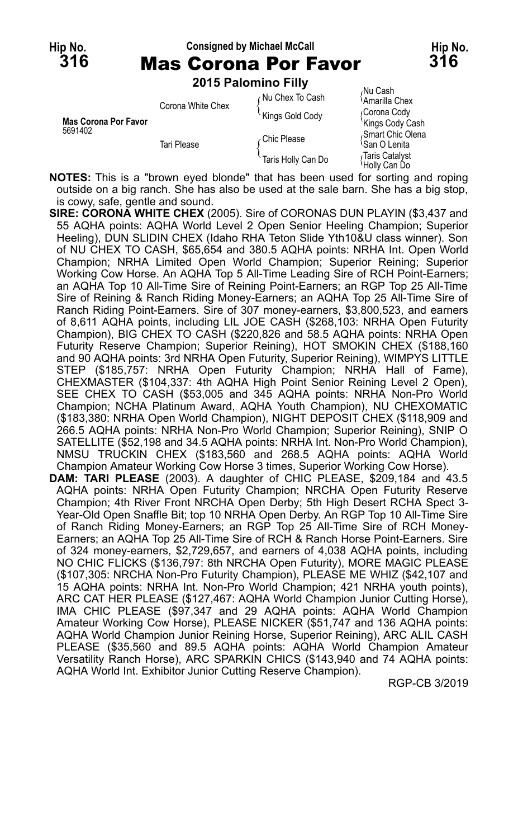| <b>Mas Corona Por Favor</b><br>5691402 | Corona White Chex | Nu Chex To Cash    | 7NU UdSN<br><sup>∖</sup> Amarilla Chex        |
|----------------------------------------|-------------------|--------------------|-----------------------------------------------|
|                                        |                   | Kings Gold Cody    | Corona Cody<br>'Kings Cody Cash               |
|                                        | Tari Please       | Chic Please        | Smart Chic Olena<br><sup>≀</sup> San O Lenita |
|                                        |                   | Taris Holly Can Do | √Taris Catalvst<br>ੇHollv Can Do              |

**NOTES:** This is a "brown eyed blonde" that has been used for sorting and roping outside on a big ranch. She has also be used at the sale barn. She has a big stop, is cowy, safe, gentle and sound.

- **SIRE: CORONA WHITE CHEX** (2005). Sire of CORONAS DUN PLAYIN (\$3,437 and 55 AQHA points: AQHA World Level 2 Open Senior Heeling Champion; Superior Heeling), DUN SLIDIN CHEX (Idaho RHA Teton Slide Yth10&U class winner). Son of NU CHEX TO CASH, \$65,654 and 380.5 AQHA points: NRHA Int. Open World Champion; NRHA Limited Open World Champion; Superior Reining; Superior Working Cow Horse. An AQHA Top 5 All-Time Leading Sire of RCH Point-Earners; an AQHA Top 10 All-Time Sire of Reining Point-Earners; an RGP Top 25 All-Time Sire of Reining & Ranch Riding Money-Earners; an AQHA Top 25 All-Time Sire of Ranch Riding Point-Earners. Sire of 307 money-earners, \$3,800,523, and earners of 8,611 AQHA points, including LIL JOE CASH (\$268,103: NRHA Open Futurity Champion), BIG CHEX TO CASH (\$220,826 and 58.5 AQHA points: NRHA Open Futurity Reserve Champion; Superior Reining), HOT SMOKIN CHEX (\$188,160 and 90 AQHA points: 3rd NRHA Open Futurity, Superior Reining), WIMPYS LITTLE STEP (\$185,757: NRHA Open Futurity Champion; NRHA Hall of Fame), CHEXMASTER (\$104,337: 4th AQHA High Point Senior Reining Level 2 Open), SEE CHEX TO CASH (\$53,005 and 345 AQHA points: NRHA Non-Pro World Champion; NCHA Platinum Award, AQHA Youth Champion), NU CHEXOMATIC (\$183,380: NRHA Open World Champion), NIGHT DEPOSIT CHEX (\$118,909 and 266.5 AQHA points: NRHA Non-Pro World Champion; Superior Reining), SNIP O SATELLITE (\$52,198 and 34.5 AQHA points: NRHA Int. Non-Pro World Champion), NMSU TRUCKIN CHEX (\$183,560 and 268.5 AQHA points: AQHA World Champion Amateur Working Cow Horse 3 times, Superior Working Cow Horse). **DAM: TARI PLEASE** (2003). A daughter of CHIC PLEASE, \$209,184 and 43.5
- AQHA points: NRHA Open Futurity Champion; NRCHA Open Futurity Reserve Champion; 4th River Front NRCHA Open Derby; 5th High Desert RCHA Spect 3- Year-Old Open Snaffle Bit; top 10 NRHA Open Derby. An RGP Top 10 All-Time Sire of Ranch Riding Money-Earners; an RGP Top 25 All-Time Sire of RCH Money-Earners; an AQHA Top 25 All-Time Sire of RCH & Ranch Horse Point-Earners. Sire of 324 money-earners, \$2,729,657, and earners of 4,038 AQHA points, including NO CHIC FLICKS (\$136,797: 8th NRCHA Open Futurity), MORE MAGIC PLEASE (\$107,305: NRCHA Non-Pro Futurity Champion), PLEASE ME WHIZ (\$42,107 and 15 AQHA points: NRHA Int. Non-Pro World Champion; 421 NRHA youth points), ARC CAT HER PLEASE (\$127,467: AQHA World Champion Junior Cutting Horse), IMA CHIC PLEASE (\$97,347 and 29 AQHA points: AQHA World Champion Amateur Working Cow Horse), PLEASE NICKER (\$51,747 and 136 AQHA points: AQHA World Champion Junior Reining Horse, Superior Reining), ARC ALIL CASH PLEASE (\$35,560 and 89.5 AQHA points: AQHA World Champion Amateur Versatility Ranch Horse), ARC SPARKIN CHICS (\$143,940 and 74 AQHA points: AQHA World Int. Exhibitor Junior Cutting Reserve Champion).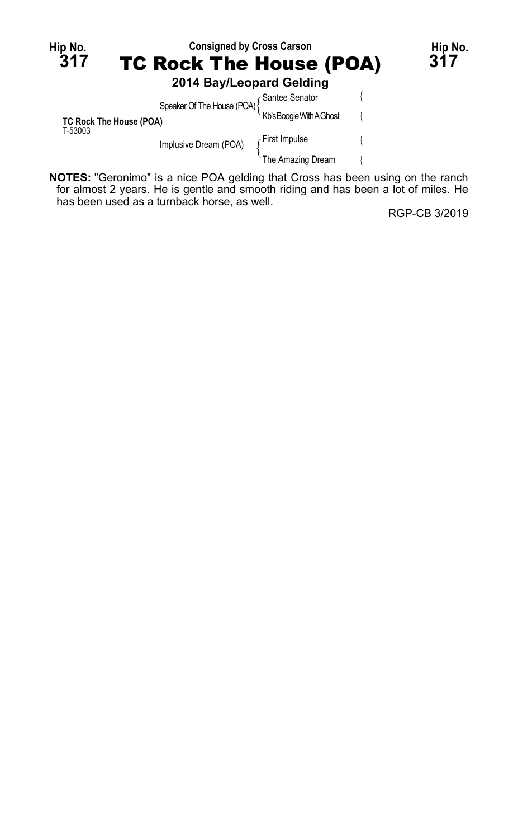| Hip No.<br>317                     |                                                                                       | <b>Consigned by Cross Carson</b><br><b>TC Rock The House (POA)</b> |                          |  | Hip No.<br>317 |
|------------------------------------|---------------------------------------------------------------------------------------|--------------------------------------------------------------------|--------------------------|--|----------------|
|                                    |                                                                                       |                                                                    |                          |  |                |
|                                    |                                                                                       |                                                                    | 2014 Bay/Leopard Gelding |  |                |
|                                    |                                                                                       |                                                                    |                          |  |                |
| TC Rock The House (POA)<br>T-53003 |                                                                                       | Speaker Of The House (POA) {<br>No's Boogie With A Ghost           |                          |  |                |
|                                    |                                                                                       | Implusive Dream (POA)                                              | First Impulse            |  |                |
|                                    |                                                                                       |                                                                    | The Amazing Dream        |  |                |
|                                    | <b>NOTES:</b> "Geronimo" is a nice POA gelding that Cross has been using on the ranch |                                                                    |                          |  |                |

**NOTES:** "Geronimo" is a nice POA gelding that Cross has been using on the ranch for almost 2 years. He is gentle and smooth riding and has been a lot of miles. He has been used as a turnback horse, as well.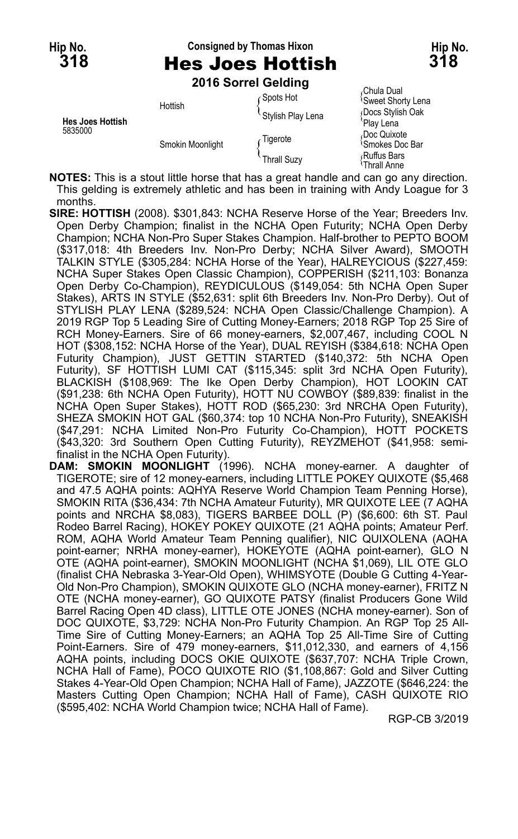## **Hip No. Consigned by Thomas Hixon Hip No. 318** Hes Joes Hottish **318**

**2016 Sorrel Gelding**

|                                    | <b>ZUTO SUITEL OBIGING</b> |                    |                                              |
|------------------------------------|----------------------------|--------------------|----------------------------------------------|
| <b>Hes Joes Hottish</b><br>5835000 | Hottish                    | Spots Hot          | Chula Dual<br><sup>1</sup> Sweet Shorty Lena |
|                                    |                            | Stylish Play Lena  | Docs Stylish Oak<br>'Play Lena               |
|                                    | Smokin Moonlight           | Tigerote           | Doc Quixote<br><sup>1</sup> Smokes Doc Bar   |
|                                    |                            | <b>Thrall Suzy</b> | Ruffus Bars<br>≀Thrall Anne                  |

**NOTES:** This is a stout little horse that has a great handle and can go any direction. This gelding is extremely athletic and has been in training with Andy Loague for 3 months.

**SIRE: HOTTISH** (2008). \$301,843: NCHA Reserve Horse of the Year; Breeders Inv. Open Derby Champion; finalist in the NCHA Open Futurity; NCHA Open Derby Champion; NCHA Non-Pro Super Stakes Champion. Half-brother to PEPTO BOOM (\$317,018: 4th Breeders Inv. Non-Pro Derby; NCHA Silver Award), SMOOTH TALKIN STYLE (\$305,284: NCHA Horse of the Year), HALREYCIOUS (\$227,459: NCHA Super Stakes Open Classic Champion), COPPERISH (\$211,103: Bonanza Open Derby Co-Champion), REYDICULOUS (\$149,054: 5th NCHA Open Super Stakes), ARTS IN STYLE (\$52,631: split 6th Breeders Inv. Non-Pro Derby). Out of STYLISH PLAY LENA (\$289,524: NCHA Open Classic/Challenge Champion). A 2019 RGP Top 5 Leading Sire of Cutting Money-Earners; 2018 RGP Top 25 Sire of RCH Money-Earners. Sire of 66 money-earners, \$2,007,467, including COOL N HOT (\$308,152: NCHA Horse of the Year), DUAL REYISH (\$384,618: NCHA Open Futurity Champion), JUST GETTIN STARTED (\$140,372: 5th NCHA Open Futurity), SF HOTTISH LUMI CAT (\$115,345: split 3rd NCHA Open Futurity), BLACKISH (\$108,969: The Ike Open Derby Champion), HOT LOOKIN CAT (\$91,238: 6th NCHA Open Futurity), HOTT NU COWBOY (\$89,839: finalist in the NCHA Open Super Stakes), HOTT ROD (\$65,230: 3rd NRCHA Open Futurity), SHEZA SMOKIN HOT GAL (\$60,374: top 10 NCHA Non-Pro Futurity), SNEAKISH (\$47,291: NCHA Limited Non-Pro Futurity Co-Champion), HOTT POCKETS (\$43,320: 3rd Southern Open Cutting Futurity), REYZMEHOT (\$41,958: semifinalist in the NCHA Open Futurity).

**DAM: SMOKIN MOONLIGHT** (1996). NCHA money-earner. A daughter of TIGEROTE; sire of 12 money-earners, including LITTLE POKEY QUIXOTE (\$5,468 and 47.5 AQHA points: AQHYA Reserve World Champion Team Penning Horse), SMOKIN RITA (\$36,434: 7th NCHA Amateur Futurity), MR QUIXOTE LEE (7 AQHA points and NRCHA \$8,083), TIGERS BARBEE DOLL (P) (\$6,600: 6th ST. Paul Rodeo Barrel Racing), HOKEY POKEY QUIXOTE (21 AQHA points; Amateur Perf. ROM, AQHA World Amateur Team Penning qualifier), NIC QUIXOLENA (AQHA point-earner; NRHA money-earner), HOKEYOTE (AQHA point-earner), GLO N OTE (AQHA point-earner), SMOKIN MOONLIGHT (NCHA \$1,069), LIL OTE GLO (finalist CHA Nebraska 3-Year-Old Open), WHIMSYOTE (Double G Cutting 4-Year-Old Non-Pro Champion), SMOKIN QUIXOTE GLO (NCHA money-earner), FRITZ N OTE (NCHA money-earner), GO QUIXOTE PATSY (finalist Producers Gone Wild Barrel Racing Open 4D class), LITTLE OTE JONES (NCHA money-earner). Son of DOC QUIXOTE, \$3,729: NCHA Non-Pro Futurity Champion. An RGP Top 25 All-Time Sire of Cutting Money-Earners; an AQHA Top 25 All-Time Sire of Cutting Point-Earners. Sire of 479 money-earners, \$11,012,330, and earners of 4,156 AQHA points, including DOCS OKIE QUIXOTE (\$637,707: NCHA Triple Crown, NCHA Hall of Fame), POCO QUIXOTE RIO (\$1,108,867: Gold and Silver Cutting Stakes 4-Year-Old Open Champion; NCHA Hall of Fame), JAZZOTE (\$646,224: the Masters Cutting Open Champion; NCHA Hall of Fame), CASH QUIXOTE RIO (\$595,402: NCHA World Champion twice; NCHA Hall of Fame).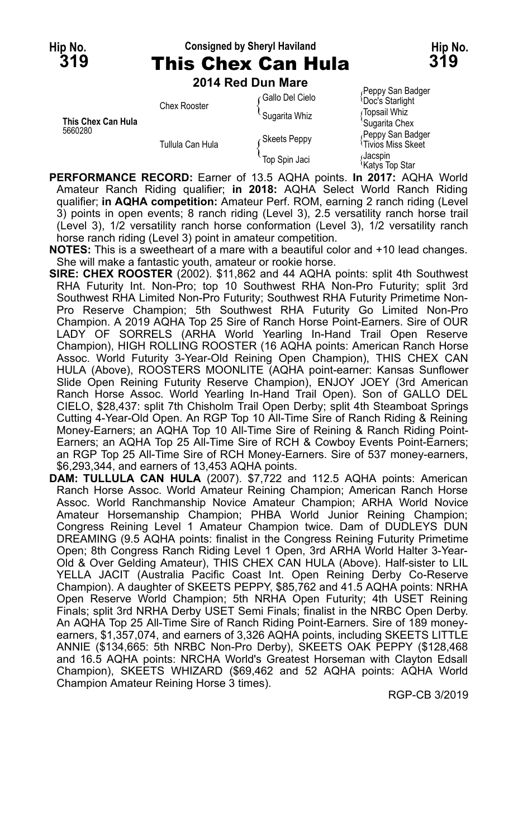### **Hip No. Consigned by Sheryl Haviland Hip No. 319** This Chex Can Hula **319**

**Peppy San Badger** 

**2014 Red Dun Mare**

| This Chex Can Hula<br>5660280 | <b>Chex Rooster</b> | ⊊Gallo Del Cielo | <b>II chhì na nann</b> anns<br><sup>1</sup> Doc's Starlight |
|-------------------------------|---------------------|------------------|-------------------------------------------------------------|
|                               |                     | Sugarita Whiz    | Gopsail Whiz                                                |
|                               |                     |                  | 'Sugarita Chex                                              |
|                               | Tullula Can Hula    | Skeets Peppy     | Peppy San Badger<br><sup>1</sup> Tivios Miss Skeet          |
|                               |                     | Top Spin Jaci    | Jacspin،<br><sup>1</sup> Katys Top Star                     |

- **PERFORMANCE RECORD:** Earner of 13.5 AQHA points. **In 2017:** AQHA World Amateur Ranch Riding qualifier; in 2018: AQHA Select World Ranch Riding qualifier; **in AQHA competition:** Amateur Perf. ROM, earning 2 ranch riding (Level 3) points in open events; 8 ranch riding (Level 3), 2.5 versatility ranch horse trail (Level 3), 1/2 versatility ranch horse conformation (Level 3), 1/2 versatility ranch horse ranch riding (Level 3) point in amateur competition.
- **NOTES:** This is a sweetheart of a mare with a beautiful color and +10 lead changes. She will make a fantastic youth, amateur or rookie horse.
- **SIRE: CHEX ROOSTER** (2002). \$11,862 and 44 AQHA points: split 4th Southwest RHA Futurity Int. Non-Pro; top 10 Southwest RHA Non-Pro Futurity; split 3rd Southwest RHA Limited Non-Pro Futurity; Southwest RHA Futurity Primetime Non-Pro Reserve Champion; 5th Southwest RHA Futurity Go Limited Non-Pro Champion. A 2019 AQHA Top 25 Sire of Ranch Horse Point-Earners. Sire of OUR LADY OF SORRELS (ARHA World Yearling In-Hand Trail Open Reserve Champion), HIGH ROLLING ROOSTER (16 AQHA points: American Ranch Horse Assoc. World Futurity 3-Year-Old Reining Open Champion), THIS CHEX CAN HULA (Above), ROOSTERS MOONLITE (AQHA point-earner: Kansas Sunflower Slide Open Reining Futurity Reserve Champion), ENJOY JOEY (3rd American Ranch Horse Assoc. World Yearling In-Hand Trail Open). Son of GALLO DEL CIELO, \$28,437: split 7th Chisholm Trail Open Derby; split 4th Steamboat Springs Cutting 4-Year-Old Open. An RGP Top 10 All-Time Sire of Ranch Riding & Reining Money-Earners; an AQHA Top 10 All-Time Sire of Reining & Ranch Riding Point-Earners; an AQHA Top 25 All-Time Sire of RCH & Cowboy Events Point-Earners; an RGP Top 25 All-Time Sire of RCH Money-Earners. Sire of 537 money-earners, \$6,293,344, and earners of 13,453 AQHA points.
- **DAM: TULLULA CAN HULA** (2007). \$7,722 and 112.5 AQHA points: American Ranch Horse Assoc. World Amateur Reining Champion; American Ranch Horse Assoc. World Ranchmanship Novice Amateur Champion; ARHA World Novice Amateur Horsemanship Champion; PHBA World Junior Reining Champion; Congress Reining Level 1 Amateur Champion twice. Dam of DUDLEYS DUN DREAMING (9.5 AQHA points: finalist in the Congress Reining Futurity Primetime Open; 8th Congress Ranch Riding Level 1 Open, 3rd ARHA World Halter 3-Year-Old & Over Gelding Amateur), THIS CHEX CAN HULA (Above). Half-sister to LIL YELLA JACIT (Australia Pacific Coast Int. Open Reining Derby Co-Reserve Champion). A daughter of SKEETS PEPPY, \$85,762 and 41.5 AQHA points: NRHA Open Reserve World Champion; 5th NRHA Open Futurity; 4th USET Reining Finals; split 3rd NRHA Derby USET Semi Finals; finalist in the NRBC Open Derby. An AQHA Top 25 All-Time Sire of Ranch Riding Point-Earners. Sire of 189 moneyearners, \$1,357,074, and earners of 3,326 AQHA points, including SKEETS LITTLE ANNIE (\$134,665: 5th NRBC Non-Pro Derby), SKEETS OAK PEPPY (\$128,468 and 16.5 AQHA points: NRCHA World's Greatest Horseman with Clayton Edsall Champion), SKEETS WHIZARD (\$69,462 and 52 AQHA points: AQHA World Champion Amateur Reining Horse 3 times).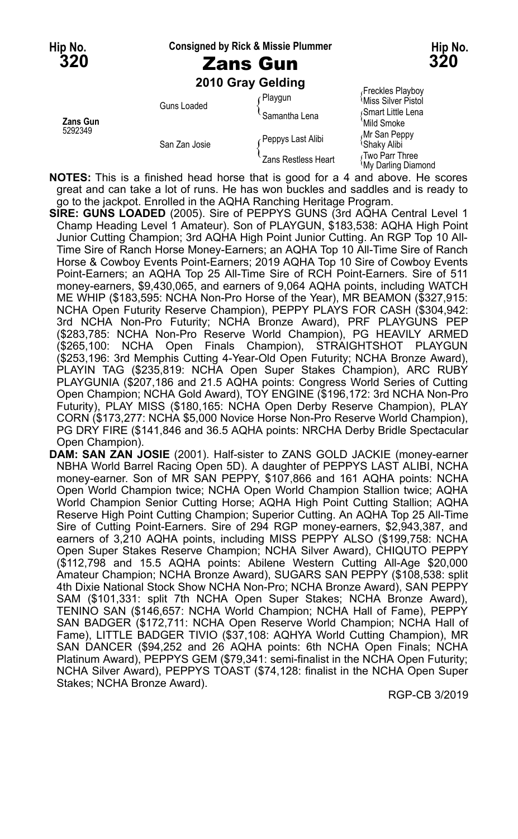**Hip No. Consigned by Rick & Missie Plummer Hip No.**

**2010 Gray Gelding**

|                     |               | Playgun             | Freckles Playboy                               |
|---------------------|---------------|---------------------|------------------------------------------------|
| Zans Gun<br>5292349 | Guns Loaded   |                     | <b>Miss Silver Pistol</b><br>Smart Little Lena |
|                     |               | Samantha Lena       | 'Mild Smoke                                    |
|                     | San Zan Josie | Peppys Last Alibi   | Mr San Peppy<br><sup>l</sup> Shaky Alibi       |
|                     |               | Zans Restless Heart | √Two Parr Three<br><b>My Darling Diamond</b>   |

**NOTES:** This is a finished head horse that is good for a 4 and above. He scores great and can take a lot of runs. He has won buckles and saddles and is ready to go to the jackpot. Enrolled in the AQHA Ranching Heritage Program.

**SIRE: GUNS LOADED** (2005). Sire of PEPPYS GUNS (3rd AQHA Central Level 1 Champ Heading Level 1 Amateur). Son of PLAYGUN, \$183,538: AQHA High Point Junior Cutting Champion; 3rd AQHA High Point Junior Cutting. An RGP Top 10 All-Time Sire of Ranch Horse Money-Earners; an AQHA Top 10 All-Time Sire of Ranch Horse & Cowboy Events Point-Earners; 2019 AQHA Top 10 Sire of Cowboy Events Point-Earners; an AQHA Top 25 All-Time Sire of RCH Point-Earners. Sire of 511 money-earners, \$9,430,065, and earners of 9,064 AQHA points, including WATCH ME WHIP (\$183,595: NCHA Non-Pro Horse of the Year), MR BEAMON (\$327,915: NCHA Open Futurity Reserve Champion), PEPPY PLAYS FOR CASH (\$304,942: 3rd NCHA Non-Pro Futurity; NCHA Bronze Award), PRF PLAYGUNS PEP (\$283,785: NCHA Non-Pro Reserve World Champion), PG HEAVILY ARMED (\$265,100: NCHA Open Finals Champion), STRAIGHTSHOT PLAYGUN (\$253,196: 3rd Memphis Cutting 4-Year-Old Open Futurity; NCHA Bronze Award), PLAYIN TAG (\$235,819: NCHA Open Super Stakes Champion), ARC RUBY PLAYGUNIA (\$207,186 and 21.5 AQHA points: Congress World Series of Cutting Open Champion; NCHA Gold Award), TOY ENGINE (\$196,172: 3rd NCHA Non-Pro Futurity), PLAY MISS (\$180,165: NCHA Open Derby Reserve Champion), PLAY CORN (\$173,277: NCHA \$5,000 Novice Horse Non-Pro Reserve World Champion), PG DRY FIRE (\$141,846 and 36.5 AQHA points: NRCHA Derby Bridle Spectacular Open Champion).

**DAM: SAN ZAN JOSIE** (2001). Half-sister to ZANS GOLD JACKIE (money-earner NBHA World Barrel Racing Open 5D). A daughter of PEPPYS LAST ALIBI, NCHA money-earner. Son of MR SAN PEPPY, \$107,866 and 161 AQHA points: NCHA Open World Champion twice; NCHA Open World Champion Stallion twice; AQHA World Champion Senior Cutting Horse; AQHA High Point Cutting Stallion; AQHA Reserve High Point Cutting Champion; Superior Cutting. An AQHA Top 25 All-Time Sire of Cutting Point-Earners. Sire of 294 RGP money-earners, \$2,943,387, and earners of 3,210 AQHA points, including MISS PEPPY ALSO (\$199,758: NCHA Open Super Stakes Reserve Champion; NCHA Silver Award), CHIQUTO PEPPY (\$112,798 and 15.5 AQHA points: Abilene Western Cutting All-Age \$20,000 Amateur Champion; NCHA Bronze Award), SUGARS SAN PEPPY (\$108,538: split 4th Dixie National Stock Show NCHA Non-Pro; NCHA Bronze Award), SAN PEPPY SAM (\$101,331: split 7th NCHA Open Super Stakes; NCHA Bronze Award), TENINO SAN (\$146,657: NCHA World Champion; NCHA Hall of Fame), PEPPY SAN BADGER (\$172,711: NCHA Open Reserve World Champion; NCHA Hall of Fame), LITTLE BADGER TIVIO (\$37,108: AQHYA World Cutting Champion), MR SAN DANCER (\$94,252 and 26 AQHA points: 6th NCHA Open Finals; NCHA Platinum Award), PEPPYS GEM (\$79,341: semi-finalist in the NCHA Open Futurity; NCHA Silver Award), PEPPYS TOAST (\$74,128: finalist in the NCHA Open Super Stakes; NCHA Bronze Award).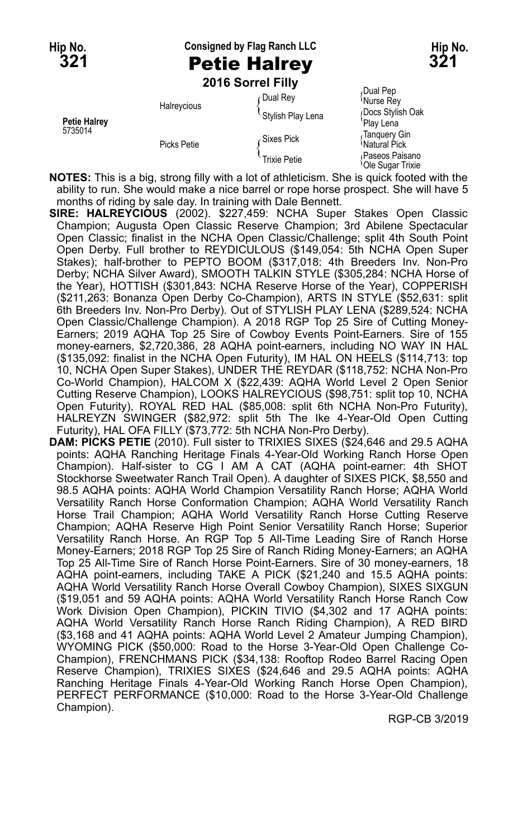### **Hip No. Consigned by Flag Ranch LLC Hip No. 321** Petie Halrey **321**

**2016 Sorrel Filly**

|                                | Halreycious | Dual Rey            | Dual Pep،<br><sup>{</sup> Nurse Rey             |
|--------------------------------|-------------|---------------------|-------------------------------------------------|
| <b>Petie Halrey</b><br>5735014 |             | Stylish Play Lena   | Docs Stylish Oak<br>'Play Lena                  |
|                                | Picks Petie | ∠Sixes Pick         | ∙Tanquery Gin<br><sup>'</sup> Natural Pick      |
|                                |             | <b>Trixie Petie</b> | Paseos Paisano<br><sup>l</sup> Ole Sugar Trixie |

**NOTES:** This is a big, strong filly with a lot of athleticism. She is quick footed with the ability to run. She would make a nice barrel or rope horse prospect. She will have 5 months of riding by sale day. In training with Dale Bennett.

- **SIRE: HALREYCIOUS** (2002). \$227,459: NCHA Super Stakes Open Classic Champion; Augusta Open Classic Reserve Champion; 3rd Abilene Spectacular Open Classic; finalist in the NCHA Open Classic/Challenge; split 4th South Point Open Derby. Full brother to REYDICULOUS (\$149,054: 5th NCHA Open Super Stakes); half-brother to PEPTO BOOM (\$317,018: 4th Breeders Inv. Non-Pro Derby; NCHA Silver Award), SMOOTH TALKIN STYLE (\$305,284: NCHA Horse of the Year), HOTTISH (\$301,843: NCHA Reserve Horse of the Year), COPPERISH (\$211,263: Bonanza Open Derby Co-Champion), ARTS IN STYLE (\$52,631: split 6th Breeders Inv. Non-Pro Derby). Out of STYLISH PLAY LENA (\$289,524: NCHA Open Classic/Challenge Champion). A 2018 RGP Top 25 Sire of Cutting Money-Earners; 2019 AQHA Top 25 Sire of Cowboy Events Point-Earners. Sire of 155 money-earners, \$2,720,386, 28 AQHA point-earners, including NO WAY IN HAL (\$135,092: finalist in the NCHA Open Futurity), IM HAL ON HEELS (\$114,713: top 10, NCHA Open Super Stakes), UNDER THE REYDAR (\$118,752: NCHA Non-Pro Co-World Champion), HALCOM X (\$22,439: AQHA World Level 2 Open Senior Cutting Reserve Champion), LOOKS HALREYCIOUS (\$98,751: split top 10, NCHA Open Futurity), ROYAL RED HAL (\$85,008: split 6th NCHA Non-Pro Futurity), HALREYZN SWINGER (\$82,972: split 5th The Ike 4-Year-Old Open Cutting Futurity), HAL OFA FILLY (\$73,772: 5th NCHA Non-Pro Derby).
- **DAM: PICKS PETIE** (2010). Full sister to TRIXIES SIXES (\$24,646 and 29.5 AQHA points: AQHA Ranching Heritage Finals 4-Year-Old Working Ranch Horse Open Champion). Half-sister to CG I AM A CAT (AQHA point-earner: 4th SHOT Stockhorse Sweetwater Ranch Trail Open). A daughter of SIXES PICK, \$8,550 and 98.5 AQHA points: AQHA World Champion Versatility Ranch Horse; AQHA World Versatility Ranch Horse Conformation Champion; AQHA World Versatility Ranch Horse Trail Champion; AQHA World Versatility Ranch Horse Cutting Reserve Champion; AQHA Reserve High Point Senior Versatility Ranch Horse; Superior Versatility Ranch Horse. An RGP Top 5 All-Time Leading Sire of Ranch Horse Money-Earners; 2018 RGP Top 25 Sire of Ranch Riding Money-Earners; an AQHA Top 25 All-Time Sire of Ranch Horse Point-Earners. Sire of 30 money-earners, 18 AQHA point-earners, including TAKE A PICK (\$21,240 and 15.5 AQHA points: AQHA World Versatility Ranch Horse Overall Cowboy Champion), SIXES SIXGUN (\$19,051 and 59 AQHA points: AQHA World Versatility Ranch Horse Ranch Cow Work Division Open Champion), PICKIN TIVIO (\$4,302 and 17 AQHA points: AQHA World Versatility Ranch Horse Ranch Riding Champion), A RED BIRD (\$3,168 and 41 AQHA points: AQHA World Level 2 Amateur Jumping Champion), WYOMING PICK (\$50,000: Road to the Horse 3-Year-Old Open Challenge Co-Champion), FRENCHMANS PICK (\$34,138: Rooftop Rodeo Barrel Racing Open Reserve Champion), TRIXIES SIXES (\$24,646 and 29.5 AQHA points: AQHA Ranching Heritage Finals 4-Year-Old Working Ranch Horse Open Champion), PERFECT PERFORMANCE (\$10,000: Road to the Horse 3-Year-Old Challenge Champion).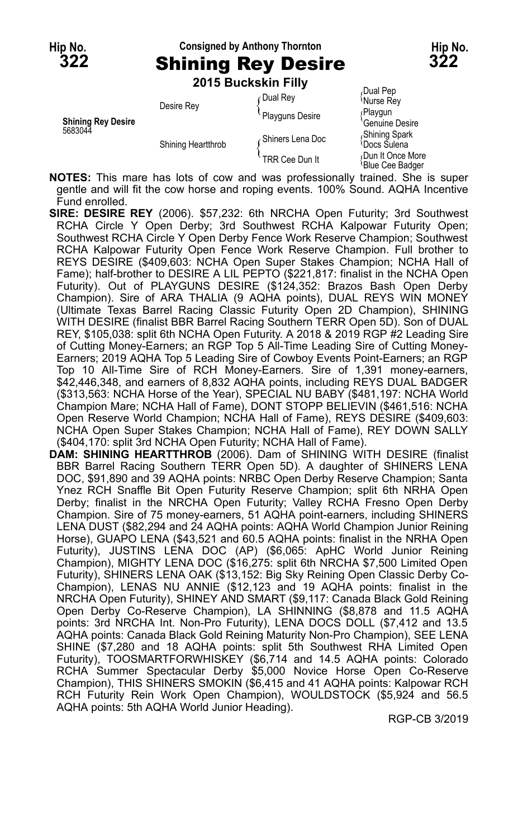# **Hip No. Consigned by Anthony Thornton Hip No. 322** Shining Rey Desire **322**

**2015 Buckskin Filly**

|                                      | LU IU DUUNJINII I III V |                  |                                           |
|--------------------------------------|-------------------------|------------------|-------------------------------------------|
| <b>Shining Rey Desire</b><br>5683044 | Desire Rey              | ⊊Dual Rev        | Dual Pep<br><sup>≀</sup> Nurse Rev        |
|                                      |                         | Playguns Desire  | ∫Playqun<br>Genuine Desire                |
|                                      | Shining Heartthrob      | Shiners Lena Doc | Shining Spark<br><sup>≀</sup> Docs Sulena |
|                                      |                         | TRR Cee Dun It   | Dun It Once More<br>'Blue Cee Badger      |

**NOTES:** This mare has lots of cow and was professionally trained. She is super gentle and will fit the cow horse and roping events. 100% Sound. AQHA Incentive Fund enrolled.

- **SIRE: DESIRE REY** (2006). \$57,232: 6th NRCHA Open Futurity; 3rd Southwest RCHA Circle Y Open Derby; 3rd Southwest RCHA Kalpowar Futurity Open; Southwest RCHA Circle Y Open Derby Fence Work Reserve Champion; Southwest RCHA Kalpowar Futurity Open Fence Work Reserve Champion. Full brother to REYS DESIRE (\$409,603: NCHA Open Super Stakes Champion; NCHA Hall of Fame); half-brother to DESIRE A LIL PEPTO (\$221,817: finalist in the NCHA Open Futurity). Out of PLAYGUNS DESIRE (\$124,352: Brazos Bash Open Derby Champion). Sire of ARA THALIA (9 AQHA points), DUAL REYS WIN MONEY (Ultimate Texas Barrel Racing Classic Futurity Open 2D Champion), SHINING WITH DESIRE (finalist BBR Barrel Racing Southern TERR Open 5D). Son of DUAL REY, \$105,038: split 6th NCHA Open Futurity. A 2018 & 2019 RGP #2 Leading Sire of Cutting Money-Earners; an RGP Top 5 All-Time Leading Sire of Cutting Money-Earners; 2019 AQHA Top 5 Leading Sire of Cowboy Events Point-Earners; an RGP Top 10 All-Time Sire of RCH Money-Earners. Sire of 1,391 money-earners, \$42,446,348, and earners of 8,832 AQHA points, including REYS DUAL BADGER (\$313,563: NCHA Horse of the Year), SPECIAL NU BABY (\$481,197: NCHA World Champion Mare; NCHA Hall of Fame), DONT STOPP BELIEVIN (\$461,516: NCHA Open Reserve World Champion; NCHA Hall of Fame), REYS DESIRE (\$409,603: NCHA Open Super Stakes Champion; NCHA Hall of Fame), REY DOWN SALLY (\$404,170: split 3rd NCHA Open Futurity; NCHA Hall of Fame).
- **DAM: SHINING HEARTTHROB** (2006). Dam of SHINING WITH DESIRE (finalist BBR Barrel Racing Southern TERR Open 5D). A daughter of SHINERS LENA DOC, \$91,890 and 39 AQHA points: NRBC Open Derby Reserve Champion; Santa Ynez RCH Snaffle Bit Open Futurity Reserve Champion; split 6th NRHA Open Derby; finalist in the NRCHA Open Futurity; Valley RCHA Fresno Open Derby Champion. Sire of 75 money-earners, 51 AQHA point-earners, including SHINERS LENA DUST (\$82,294 and 24 AQHA points: AQHA World Champion Junior Reining Horse), GUAPO LENA (\$43,521 and 60.5 AQHA points: finalist in the NRHA Open Futurity), JUSTINS LENA DOC (AP) (\$6,065: ApHC World Junior Reining Champion), MIGHTY LENA DOC (\$16,275: split 6th NRCHA \$7,500 Limited Open Futurity), SHINERS LENA OAK (\$13,152: Big Sky Reining Open Classic Derby Co-Champion), LENAS NU ANNIE (\$12,123 and 19 AQHA points: finalist in the NRCHA Open Futurity), SHINEY AND SMART (\$9,117: Canada Black Gold Reining Open Derby Co-Reserve Champion), LA SHINNING (\$8,878 and 11.5 AQHA points: 3rd NRCHA Int. Non-Pro Futurity), LENA DOCS DOLL (\$7,412 and 13.5 AQHA points: Canada Black Gold Reining Maturity Non-Pro Champion), SEE LENA SHINE (\$7,280 and 18 AQHA points: split 5th Southwest RHA Limited Open Futurity), TOOSMARTFORWHISKEY (\$6,714 and 14.5 AQHA points: Colorado RCHA Summer Spectacular Derby \$5,000 Novice Horse Open Co-Reserve Champion), THIS SHINERS SMOKIN (\$6,415 and 41 AQHA points: Kalpowar RCH RCH Futurity Rein Work Open Champion), WOULDSTOCK (\$5,924 and 56.5 AQHA points: 5th AQHA World Junior Heading).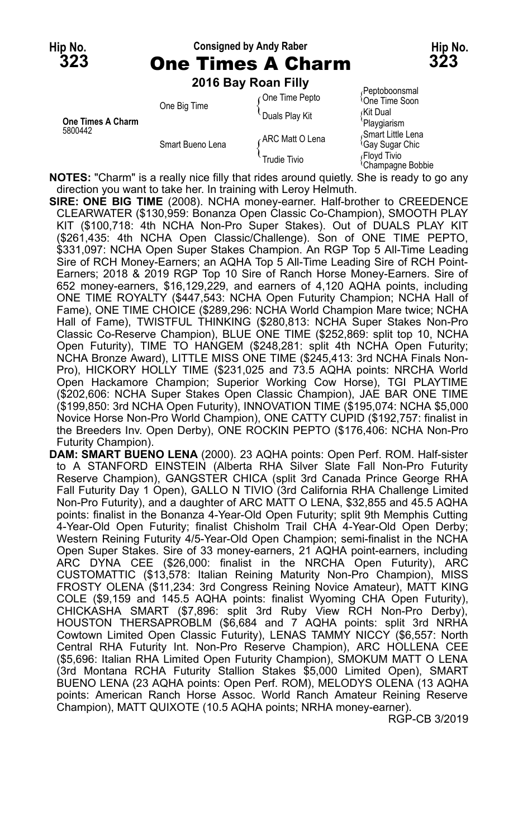# **Hip No. Consigned by Andy Raber Hip No. 323** One Times A Charm **323**

**2016 Bay Roan Filly**

| <b>One Times A Charm</b><br>5800442 | One Big Time     | One Time Pepto   | Peptoboonsmal<br><sup>l</sup> One Time Soon      |
|-------------------------------------|------------------|------------------|--------------------------------------------------|
|                                     |                  | Duals Play Kit   | ∩Kit Dual<br>'Playgiarism                        |
|                                     | Smart Bueno Lena | ∠ARC Matt O Lena | Smart Little Lena<br><sup>l</sup> Gay Sugar Chic |
|                                     |                  | Trudie Tivio     | Flovd Tivio<br><sup>t</sup> Champagne Bobbie     |

**NOTES:** "Charm" is a really nice filly that rides around quietly. She is ready to go any direction you want to take her. In training with Leroy Helmuth.

**SIRE: ONE BIG TIME** (2008). NCHA money-earner. Half-brother to CREEDENCE CLEARWATER (\$130,959: Bonanza Open Classic Co-Champion), SMOOTH PLAY KIT (\$100,718: 4th NCHA Non-Pro Super Stakes). Out of DUALS PLAY KIT (\$261,435: 4th NCHA Open Classic/Challenge). Son of ONE TIME PEPTO, \$331,097: NCHA Open Super Stakes Champion. An RGP Top 5 All-Time Leading Sire of RCH Money-Earners; an AQHA Top 5 All-Time Leading Sire of RCH Point-Earners; 2018 & 2019 RGP Top 10 Sire of Ranch Horse Money-Earners. Sire of 652 money-earners, \$16,129,229, and earners of 4,120 AQHA points, including ONE TIME ROYALTY (\$447,543: NCHA Open Futurity Champion; NCHA Hall of Fame), ONE TIME CHOICE (\$289,296: NCHA World Champion Mare twice; NCHA Hall of Fame), TWISTFUL THINKING (\$280,813: NCHA Super Stakes Non-Pro Classic Co-Reserve Champion), BLUE ONE TIME (\$252,869: split top 10, NCHA Open Futurity), TIME TO HANGEM (\$248,281: split 4th NCHA Open Futurity; NCHA Bronze Award), LITTLE MISS ONE TIME (\$245,413: 3rd NCHA Finals Non-Pro), HICKORY HOLLY TIME (\$231,025 and 73.5 AQHA points: NRCHA World Open Hackamore Champion; Superior Working Cow Horse), TGI PLAYTIME (\$202,606: NCHA Super Stakes Open Classic Champion), JAE BAR ONE TIME (\$199,850: 3rd NCHA Open Futurity), INNOVATION TIME (\$195,074: NCHA \$5,000 Novice Horse Non-Pro World Champion), ONE CATTY CUPID (\$192,757: finalist in the Breeders Inv. Open Derby), ONE ROCKIN PEPTO (\$176,406: NCHA Non-Pro Futurity Champion).

**DAM: SMART BUENO LENA** (2000). 23 AQHA points: Open Perf. ROM. Half-sister to A STANFORD EINSTEIN (Alberta RHA Silver Slate Fall Non-Pro Futurity Reserve Champion), GANGSTER CHICA (split 3rd Canada Prince George RHA Fall Futurity Day 1 Open), GALLO N TIVIO (3rd California RHA Challenge Limited Non-Pro Futurity), and a daughter of ARC MATT O LENA, \$32,855 and 45.5 AQHA points: finalist in the Bonanza 4-Year-Old Open Futurity; split 9th Memphis Cutting 4-Year-Old Open Futurity; finalist Chisholm Trail CHA 4-Year-Old Open Derby; Western Reining Futurity 4/5-Year-Old Open Champion; semi-finalist in the NCHA Open Super Stakes. Sire of 33 money-earners, 21 AQHA point-earners, including ARC DYNA CEE (\$26,000: finalist in the NRCHA Open Futurity), ARC CUSTOMATTIC (\$13,578: Italian Reining Maturity Non-Pro Champion), MISS FROSTY OLENA (\$11,234: 3rd Congress Reining Novice Amateur), MATT KING COLE (\$9,159 and 145.5 AQHA points: finalist Wyoming CHA Open Futurity), CHICKASHA SMART (\$7,896: split 3rd Ruby View RCH Non-Pro Derby), HOUSTON THERSAPROBLM (\$6,684 and 7 AQHA points: split 3rd NRHA Cowtown Limited Open Classic Futurity), LENAS TAMMY NICCY (\$6,557: North Central RHA Futurity Int. Non-Pro Reserve Champion), ARC HOLLENA CEE (\$5,696: Italian RHA Limited Open Futurity Champion), SMOKUM MATT O LENA (3rd Montana RCHA Futurity Stallion Stakes \$5,000 Limited Open), SMART BUENO LENA (23 AQHA points: Open Perf. ROM), MELODYS OLENA (13 AQHA points: American Ranch Horse Assoc. World Ranch Amateur Reining Reserve Champion), MATT QUIXOTE (10.5 AQHA points; NRHA money-earner).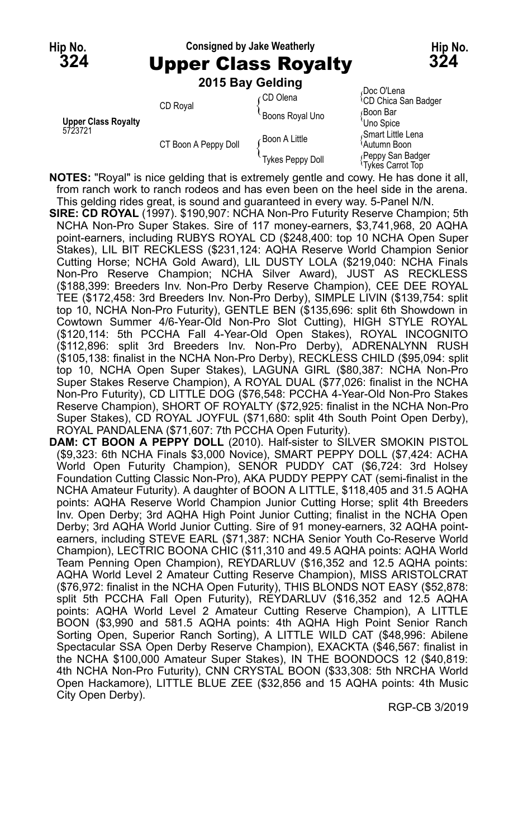#### **Hip No. Consigned by Jake Weatherly Hip No. 324** Upper Class Royalty **324**

**2015 Bay Gelding**

|                            |                      | <b>LUTO DAY OCIUIIIU</b>                             |                                                   |
|----------------------------|----------------------|------------------------------------------------------|---------------------------------------------------|
|                            | CD Royal             | ∈CD Olena<br><b>Boons Royal Uno</b><br>Boon A Little | Doc O'Lena<br><sup>1</sup> CD Chica San Badger    |
| <b>Upper Class Royalty</b> |                      |                                                      | Boon Bar<br>'Uno Spice                            |
| 5723721                    | CT Boon A Peppy Doll |                                                      | Smart Little Lena<br><sup>1</sup> Autumn Boon     |
|                            |                      | Tykes Peppy Doll                                     | Peppy San Badger<br><sup>1</sup> Tykes Carrot Top |

**NOTES:** "Royal" is nice gelding that is extremely gentle and cowy. He has done it all, from ranch work to ranch rodeos and has even been on the heel side in the arena. This gelding rides great, is sound and guaranteed in every way. 5-Panel N/N.

- **SIRE: CD ROYAL** (1997). \$190,907: NCHA Non-Pro Futurity Reserve Champion; 5th NCHA Non-Pro Super Stakes. Sire of 117 money-earners, \$3,741,968, 20 AQHA point-earners, including RUBYS ROYAL CD (\$248,400: top 10 NCHA Open Super Stakes), LIL BIT RECKLESS (\$231,124: AQHA Reserve World Champion Senior Cutting Horse; NCHA Gold Award), LIL DUSTY LOLA (\$219,040: NCHA Finals Non-Pro Reserve Champion; NCHA Silver Award), JUST AS RECKLESS (\$188,399: Breeders Inv. Non-Pro Derby Reserve Champion), CEE DEE ROYAL TEE (\$172,458: 3rd Breeders Inv. Non-Pro Derby), SIMPLE LIVIN (\$139,754: split top 10, NCHA Non-Pro Futurity), GENTLE BEN (\$135,696: split 6th Showdown in Cowtown Summer 4/6-Year-Old Non-Pro Slot Cutting), HIGH STYLE ROYAL (\$120,114: 5th PCCHA Fall 4-Year-Old Open Stakes), ROYAL INCOGNITO (\$112,896: split 3rd Breeders Inv. Non-Pro Derby), ADRENALYNN RUSH (\$105,138: finalist in the NCHA Non-Pro Derby), RECKLESS CHILD (\$95,094: split top 10, NCHA Open Super Stakes), LAGUNA GIRL (\$80,387: NCHA Non-Pro Super Stakes Reserve Champion), A ROYAL DUAL (\$77,026: finalist in the NCHA Non-Pro Futurity), CD LITTLE DOG (\$76,548: PCCHA 4-Year-Old Non-Pro Stakes Reserve Champion), SHORT OF ROYALTY (\$72,925: finalist in the NCHA Non-Pro Super Stakes), CD ROYAL JOYFUL (\$71,680: split 4th South Point Open Derby), ROYAL PANDALENA (\$71,607: 7th PCCHA Open Futurity).
- **DAM: CT BOON A PEPPY DOLL** (2010). Half-sister to SILVER SMOKIN PISTOL (\$9,323: 6th NCHA Finals \$3,000 Novice), SMART PEPPY DOLL (\$7,424: ACHA World Open Futurity Champion), SENOR PUDDY CAT (\$6,724: 3rd Holsey Foundation Cutting Classic Non-Pro), AKA PUDDY PEPPY CAT (semi-finalist in the NCHA Amateur Futurity). A daughter of BOON A LITTLE, \$118,405 and 31.5 AQHA points: AQHA Reserve World Champion Junior Cutting Horse; split 4th Breeders Inv. Open Derby; 3rd AQHA High Point Junior Cutting; finalist in the NCHA Open Derby; 3rd AQHA World Junior Cutting. Sire of 91 money-earners, 32 AQHA pointearners, including STEVE EARL (\$71,387: NCHA Senior Youth Co-Reserve World Champion), LECTRIC BOONA CHIC (\$11,310 and 49.5 AQHA points: AQHA World Team Penning Open Champion), REYDARLUV (\$16,352 and 12.5 AQHA points: AQHA World Level 2 Amateur Cutting Reserve Champion), MISS ARISTOLCRAT (\$76,972: finalist in the NCHA Open Futurity), THIS BLONDS NOT EASY (\$52,878: split 5th PCCHA Fall Open Futurity), REYDARLUV (\$16,352 and 12.5 AQHA points: AQHA World Level 2 Amateur Cutting Reserve Champion), A LITTLE BOON (\$3,990 and 581.5 AQHA points: 4th AQHA High Point Senior Ranch Sorting Open, Superior Ranch Sorting), A LITTLE WILD CAT (\$48,996: Abilene Spectacular SSA Open Derby Reserve Champion), EXACKTA (\$46,567: finalist in the NCHA \$100,000 Amateur Super Stakes), IN THE BOONDOCS 12 (\$40,819: 4th NCHA Non-Pro Futurity), CNN CRYSTAL BOON (\$33,308: 5th NRCHA World Open Hackamore), LITTLE BLUE ZEE (\$32,856 and 15 AQHA points: 4th Music City Open Derby).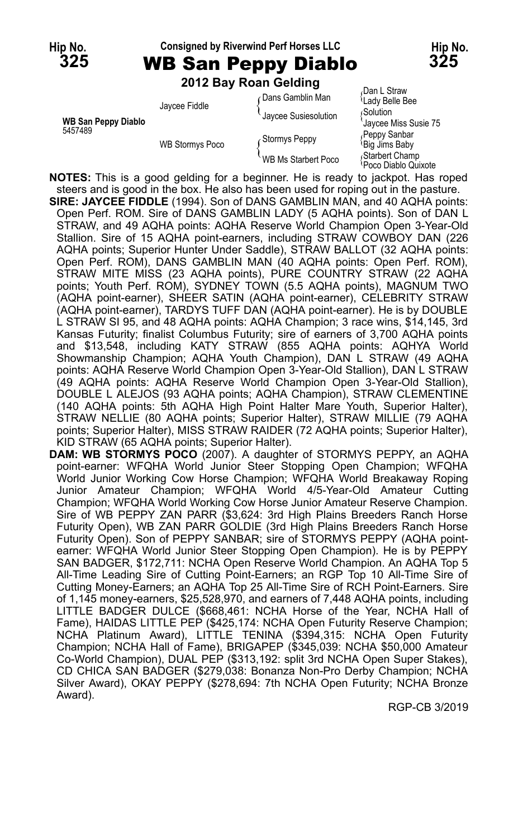#### **Hip No. Consigned by Riverwind Perf Horses LLC Hip No. 325** WB San Peppy Diablo **325**

**2012 Bay Roan Gelding**

|                                       | <b>LUIL DAY INGHI OCIUIIIY</b> |                      |                                            |
|---------------------------------------|--------------------------------|----------------------|--------------------------------------------|
|                                       | Jaycee Fiddle                  | ∈Dans Gamblin Man    | Dan L Straw<br><sup>{</sup> Lady Belle Bee |
| <b>WB San Peppy Diablo</b><br>5457489 |                                | Jaycee Susiesolution | <b>Solution</b><br>'Jaycee Miss Susie 75   |
|                                       | <b>WB Stormys Poco</b>         | Stormys Peppy        | Peppy Sanbar<br>Big Jims Baby              |
|                                       |                                | WB Ms Starbert Poco  | Starbert Champ<br>Poco Diablo Quixote      |
|                                       |                                |                      |                                            |

**NOTES:** This is a good gelding for a beginner. He is ready to jackpot. Has roped steers and is good in the box. He also has been used for roping out in the pasture. **SIRE: JAYCEE FIDDLE** (1994). Son of DANS GAMBLIN MAN, and 40 AQHA points: Open Perf. ROM. Sire of DANS GAMBLIN LADY (5 AQHA points). Son of DAN L STRAW, and 49 AQHA points: AQHA Reserve World Champion Open 3-Year-Old Stallion. Sire of 15 AQHA point-earners, including STRAW COWBOY DAN (226 AQHA points; Superior Hunter Under Saddle), STRAW BALLOT (32 AQHA points: Open Perf. ROM), DANS GAMBLIN MAN (40 AQHA points: Open Perf. ROM), STRAW MITE MISS (23 AQHA points), PURE COUNTRY STRAW (22 AQHA points; Youth Perf. ROM), SYDNEY TOWN (5.5 AQHA points), MAGNUM TWO (AQHA point-earner), SHEER SATIN (AQHA point-earner), CELEBRITY STRAW (AQHA point-earner), TARDYS TUFF DAN (AQHA point-earner). He is by DOUBLE L STRAW SI 95, and 48 AQHA points: AQHA Champion; 3 race wins, \$14,145, 3rd Kansas Futurity; finalist Columbus Futurity; sire of earners of 3,700 AQHA points and \$13,548, including KATY STRAW (855 AQHA points: AQHYA World Showmanship Champion; AQHA Youth Champion), DAN L STRAW (49 AQHA points: AQHA Reserve World Champion Open 3-Year-Old Stallion), DAN L STRAW (49 AQHA points: AQHA Reserve World Champion Open 3-Year-Old Stallion), DOUBLE L ALEJOS (93 AQHA points; AQHA Champion), STRAW CLEMENTINE (140 AQHA points: 5th AQHA High Point Halter Mare Youth, Superior Halter), STRAW NELLIE (80 AQHA points; Superior Halter), STRAW MILLIE (79 AQHA points; Superior Halter), MISS STRAW RAIDER (72 AQHA points; Superior Halter), KID STRAW (65 AQHA points; Superior Halter).

**DAM: WB STORMYS POCO** (2007). A daughter of STORMYS PEPPY, an AQHA point-earner: WFQHA World Junior Steer Stopping Open Champion; WFQHA World Junior Working Cow Horse Champion; WFQHA World Breakaway Roping Junior Amateur Champion; WFQHA World 4/5-Year-Old Amateur Cutting Champion; WFQHA World Working Cow Horse Junior Amateur Reserve Champion. Sire of WB PEPPY ZAN PARR (\$3,624: 3rd High Plains Breeders Ranch Horse Futurity Open), WB ZAN PARR GOLDIE (3rd High Plains Breeders Ranch Horse Futurity Open). Son of PEPPY SANBAR; sire of STORMYS PEPPY (AQHA pointearner: WFQHA World Junior Steer Stopping Open Champion). He is by PEPPY SAN BADGER, \$172,711: NCHA Open Reserve World Champion. An AQHA Top 5 All-Time Leading Sire of Cutting Point-Earners; an RGP Top 10 All-Time Sire of Cutting Money-Earners; an AQHA Top 25 All-Time Sire of RCH Point-Earners. Sire of 1,145 money-earners, \$25,528,970, and earners of 7,448 AQHA points, including LITTLE BADGER DULCE (\$668,461: NCHA Horse of the Year, NCHA Hall of Fame), HAIDAS LITTLE PEP (\$425,174: NCHA Open Futurity Reserve Champion; NCHA Platinum Award), LITTLE TENINA (\$394,315: NCHA Open Futurity Champion; NCHA Hall of Fame), BRIGAPEP (\$345,039: NCHA \$50,000 Amateur Co-World Champion), DUAL PEP (\$313,192: split 3rd NCHA Open Super Stakes), CD CHICA SAN BADGER (\$279,038: Bonanza Non-Pro Derby Champion; NCHA Silver Award), OKAY PEPPY (\$278,694: 7th NCHA Open Futurity; NCHA Bronze Award).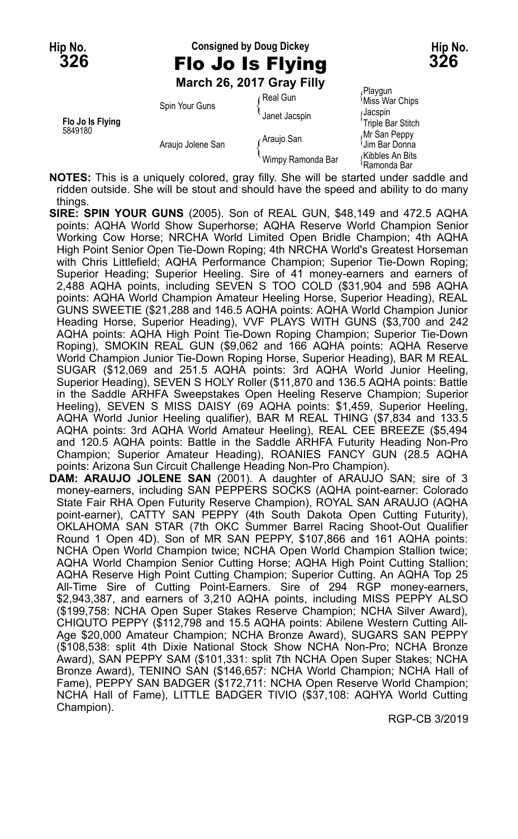# **Hip No. Consigned by Doug Dickey Hip No. 326** Flo Jo Is Flying **326 March 26, 2017 Gray Filly**

|                             | Spin Your Guns    | ∩Real Gun         | Playgun<br>Miss War Chips                    |
|-----------------------------|-------------------|-------------------|----------------------------------------------|
| Flo Jo Is Flying<br>5849180 |                   | Janet Jacspin     | ان)acspin<br>'Triple Bar Stitch              |
|                             | Araujo Jolene San | Araujo San        | Mr San Peppy<br><b>Um Bar Donna</b>          |
|                             |                   | Wimpy Ramonda Bar | <sub>í</sub> Kibbles An Bits<br>≀Ramonda Bar |

**NOTES:** This is a uniquely colored, gray filly. She will be started under saddle and ridden outside. She will be stout and should have the speed and ability to do many things.

- **SIRE: SPIN YOUR GUNS** (2005). Son of REAL GUN, \$48,149 and 472.5 AQHA points: AQHA World Show Superhorse; AQHA Reserve World Champion Senior Working Cow Horse; NRCHA World Limited Open Bridle Champion; 4th AQHA High Point Senior Open Tie-Down Roping; 4th NRCHA World's Greatest Horseman with Chris Littlefield; AQHA Performance Champion; Superior Tie-Down Roping; Superior Heading; Superior Heeling. Sire of 41 money-earners and earners of 2,488 AQHA points, including SEVEN S TOO COLD (\$31,904 and 598 AQHA points: AQHA World Champion Amateur Heeling Horse, Superior Heading), REAL GUNS SWEETIE (\$21,288 and 146.5 AQHA points: AQHA World Champion Junior Heading Horse, Superior Heading), VVF PLAYS WITH GUNS (\$3,700 and 242 AQHA points: AQHA High Point Tie-Down Roping Champion; Superior Tie-Down Roping), SMOKIN REAL GUN (\$9,062 and 166 AQHA points: AQHA Reserve World Champion Junior Tie-Down Roping Horse, Superior Heading), BAR M REAL SUGAR (\$12,069 and 251.5 AQHA points: 3rd AQHA World Junior Heeling, Superior Heading), SEVEN S HOLY Roller (\$11,870 and 136.5 AQHA points: Battle in the Saddle ARHFA Sweepstakes Open Heeling Reserve Champion; Superior Heeling), SEVEN S MISS DAISY (69 AQHA points: \$1,459, Superior Heeling, AQHA World Junior Heeling qualifier), BAR M REAL THING (\$7,834 and 133.5 AQHA points: 3rd AQHA World Amateur Heeling), REAL CEE BREEZE (\$5,494 and 120.5 AQHA points: Battle in the Saddle ARHFA Futurity Heading Non-Pro Champion; Superior Amateur Heading), ROANIES FANCY GUN (28.5 AQHA points: Arizona Sun Circuit Challenge Heading Non-Pro Champion).
- **DAM: ARAUJO JOLENE SAN** (2001). A daughter of ARAUJO SAN; sire of 3 money-earners, including SAN PEPPERS SOCKS (AQHA point-earner: Colorado State Fair RHA Open Futurity Reserve Champion), ROYAL SAN ARAUJO (AQHA point-earner), CATTY SAN PEPPY (4th South Dakota Open Cutting Futurity), OKLAHOMA SAN STAR (7th OKC Summer Barrel Racing Shoot-Out Qualifier Round 1 Open 4D). Son of MR SAN PEPPY, \$107,866 and 161 AQHA points: NCHA Open World Champion twice; NCHA Open World Champion Stallion twice; AQHA World Champion Senior Cutting Horse; AQHA High Point Cutting Stallion; AQHA Reserve High Point Cutting Champion; Superior Cutting. An AQHA Top 25 All-Time Sire of Cutting Point-Earners. Sire of 294 RGP money-earners, \$2,943,387, and earners of 3,210 AQHA points, including MISS PEPPY ALSO (\$199,758: NCHA Open Super Stakes Reserve Champion; NCHA Silver Award), CHIQUTO PEPPY (\$112,798 and 15.5 AQHA points: Abilene Western Cutting All-Age \$20,000 Amateur Champion; NCHA Bronze Award), SUGARS SAN PEPPY (\$108,538: split 4th Dixie National Stock Show NCHA Non-Pro; NCHA Bronze Award), SAN PEPPY SAM (\$101,331: split 7th NCHA Open Super Stakes; NCHA Bronze Award), TENINO SAN (\$146,657: NCHA World Champion; NCHA Hall of Fame), PEPPY SAN BADGER (\$172,711: NCHA Open Reserve World Champion; NCHA Hall of Fame), LITTLE BADGER TIVIO (\$37,108: AQHYA World Cutting Champion).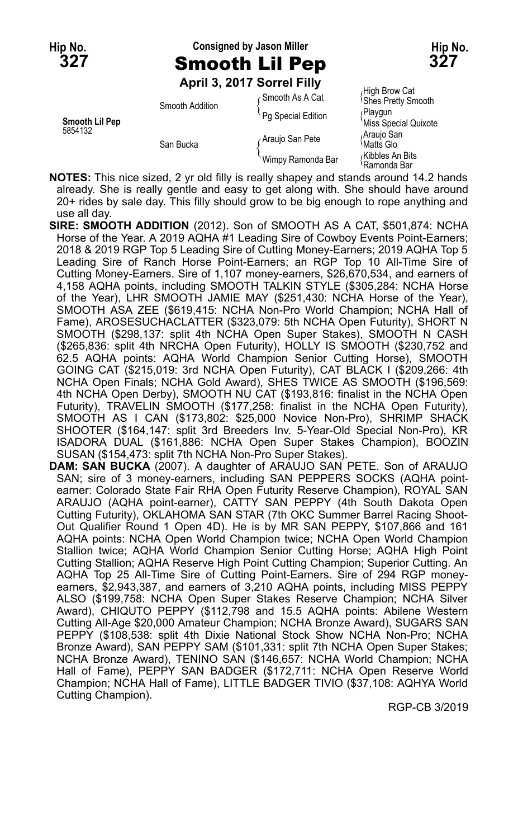# **Hip No. Consigned by Jason Miller Hip No. 327** Smooth Lil Pep **327**

High Brow Cat <sup>i</sup>Shes Pretty Smooth<br><sub>(</sub> Playgun <sup>'</sup>Miss Special Quixote<br>*A*rauio San

Kibbles An Bits Ramonda Bar

**April 3, 2017 Sorrel Filly**

|                | Smooth Addition | Gmooth As A Cat    | י שטום וועווו<br><b>Shes Pretty</b> |
|----------------|-----------------|--------------------|-------------------------------------|
| Smooth Lil Pep |                 | Pg Special Edition | ∫Playqun<br>'Miss Specia            |
| 5854132        | San Bucka       | Araujo San Pete    | Araujo San<br>Matts Glo             |
|                |                 | Wimpy Ramonda Bar  | Kibbles An<br>≀Ramonda B            |

**NOTES:** This nice sized, 2 yr old filly is really shapey and stands around 14.2 hands already. She is really gentle and easy to get along with. She should have around 20+ rides by sale day. This filly should grow to be big enough to rope anything and use all day.

- **SIRE: SMOOTH ADDITION** (2012). Son of SMOOTH AS A CAT, \$501,874: NCHA Horse of the Year. A 2019 AQHA #1 Leading Sire of Cowboy Events Point-Earners; 2018 & 2019 RGP Top 5 Leading Sire of Cutting Money-Earners; 2019 AQHA Top 5 Leading Sire of Ranch Horse Point-Earners; an RGP Top 10 All-Time Sire of Cutting Money-Earners. Sire of 1,107 money-earners, \$26,670,534, and earners of 4,158 AQHA points, including SMOOTH TALKIN STYLE (\$305,284: NCHA Horse of the Year), LHR SMOOTH JAMIE MAY (\$251,430: NCHA Horse of the Year), SMOOTH ASA ZEE (\$619,415: NCHA Non-Pro World Champion; NCHA Hall of Fame), AROSESUCHACLATTER (\$323,079: 5th NCHA Open Futurity), SHORT N SMOOTH (\$298,137: split 4th NCHA Open Super Stakes), SMOOTH N CASH (\$265,836: split 4th NRCHA Open Futurity), HOLLY IS SMOOTH (\$230,752 and 62.5 AQHA points: AQHA World Champion Senior Cutting Horse), SMOOTH GOING CAT (\$215,019: 3rd NCHA Open Futurity), CAT BLACK I (\$209,266: 4th NCHA Open Finals; NCHA Gold Award), SHES TWICE AS SMOOTH (\$196,569: 4th NCHA Open Derby), SMOOTH NU CAT (\$193,816: finalist in the NCHA Open Futurity), TRAVELIN SMOOTH (\$177,258: finalist in the NCHA Open Futurity), SMOOTH AS I CAN (\$173,802: \$25,000 Novice Non-Pro), SHRIMP SHACK SHOOTER (\$164,147: split 3rd Breeders Inv. 5-Year-Old Special Non-Pro), KR ISADORA DUAL (\$161,886: NCHA Open Super Stakes Champion), BOOZIN SUSAN (\$154,473: split 7th NCHA Non-Pro Super Stakes).
- **DAM: SAN BUCKA** (2007). A daughter of ARAUJO SAN PETE. Son of ARAUJO SAN; sire of 3 money-earners, including SAN PEPPERS SOCKS (AQHA pointearner: Colorado State Fair RHA Open Futurity Reserve Champion), ROYAL SAN ARAUJO (AQHA point-earner), CATTY SAN PEPPY (4th South Dakota Open Cutting Futurity), OKLAHOMA SAN STAR (7th OKC Summer Barrel Racing Shoot-Out Qualifier Round 1 Open 4D). He is by MR SAN PEPPY, \$107,866 and 161 AQHA points: NCHA Open World Champion twice; NCHA Open World Champion Stallion twice; AQHA World Champion Senior Cutting Horse; AQHA High Point Cutting Stallion; AQHA Reserve High Point Cutting Champion; Superior Cutting. An AQHA Top 25 All-Time Sire of Cutting Point-Earners. Sire of 294 RGP moneyearners, \$2,943,387, and earners of 3,210 AQHA points, including MISS PEPPY ALSO (\$199,758: NCHA Open Super Stakes Reserve Champion; NCHA Silver Award), CHIQUTO PEPPY (\$112,798 and 15.5 AQHA points: Abilene Western Cutting All-Age \$20,000 Amateur Champion; NCHA Bronze Award), SUGARS SAN PEPPY (\$108,538: split 4th Dixie National Stock Show NCHA Non-Pro; NCHA Bronze Award), SAN PEPPY SAM (\$101,331: split 7th NCHA Open Super Stakes; NCHA Bronze Award), TENINO SAN (\$146,657: NCHA World Champion; NCHA Hall of Fame), PEPPY SAN BADGER (\$172,711: NCHA Open Reserve World Champion; NCHA Hall of Fame), LITTLE BADGER TIVIO (\$37,108: AQHYA World Cutting Champion).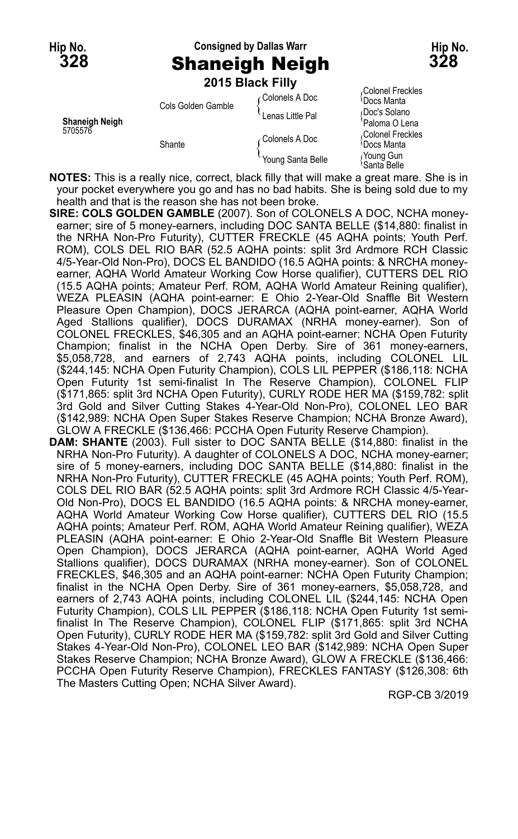# **Hip No. Consigned by Dallas Warr Hip No. 328** Shaneigh Neigh **328**

|                |                    | 2015 Black Filly  |                                             |
|----------------|--------------------|-------------------|---------------------------------------------|
|                | Cols Golden Gamble | ∩Colonels A Doc   | Colonel Freckles<br><sup>≀</sup> Docs Manta |
| Shaneigh Neigh |                    | Lenas Little Pal  | Doc's Solano<br>'Paloma O Lena              |
| 5705576        | Shante             | Colonels A Doc    | Colonel Freckles<br><sup>≀</sup> Docs Manta |
|                |                    | Young Santa Belle | Young Gun،<br>\Santa Relle                  |

**NOTES:** This is a really nice, correct, black filly that will make a great mare. She is in your pocket everywhere you go and has no bad habits. She is being sold due to my health and that is the reason she has not been broke.

- **SIRE: COLS GOLDEN GAMBLE** (2007). Son of COLONELS A DOC, NCHA moneyearner; sire of 5 money-earners, including DOC SANTA BELLE (\$14,880: finalist in the NRHA Non-Pro Futurity), CUTTER FRECKLE (45 AQHA points; Youth Perf. ROM), COLS DEL RIO BAR (52.5 AQHA points: split 3rd Ardmore RCH Classic 4/5-Year-Old Non-Pro), DOCS EL BANDIDO (16.5 AQHA points: & NRCHA moneyearner, AQHA World Amateur Working Cow Horse qualifier), CUTTERS DEL RIO (15.5 AQHA points; Amateur Perf. ROM, AQHA World Amateur Reining qualifier), WEZA PLEASIN (AQHA point-earner: E Ohio 2-Year-Old Snaffle Bit Western Pleasure Open Champion), DOCS JERARCA (AQHA point-earner, AQHA World Aged Stallions qualifier), DOCS DURAMAX (NRHA money-earner). Son of COLONEL FRECKLES, \$46,305 and an AQHA point-earner: NCHA Open Futurity Champion; finalist in the NCHA Open Derby. Sire of 361 money-earners, \$5,058,728, and earners of 2,743 AQHA points, including COLONEL LIL (\$244,145: NCHA Open Futurity Champion), COLS LIL PEPPER (\$186,118: NCHA Open Futurity 1st semi-finalist In The Reserve Champion), COLONEL FLIP (\$171,865: split 3rd NCHA Open Futurity), CURLY RODE HER MA (\$159,782: split 3rd Gold and Silver Cutting Stakes 4-Year-Old Non-Pro), COLONEL LEO BAR (\$142,989: NCHA Open Super Stakes Reserve Champion; NCHA Bronze Award), GLOW A FRECKLE (\$136,466: PCCHA Open Futurity Reserve Champion).
- **DAM: SHANTE** (2003). Full sister to DOC SANTA BELLE (\$14,880: finalist in the NRHA Non-Pro Futurity). A daughter of COLONELS A DOC, NCHA money-earner; sire of 5 money-earners, including DOC SANTA BELLE (\$14,880: finalist in the NRHA Non-Pro Futurity), CUTTER FRECKLE (45 AQHA points; Youth Perf. ROM), COLS DEL RIO BAR (52.5 AQHA points: split 3rd Ardmore RCH Classic 4/5-Year-Old Non-Pro), DOCS EL BANDIDO (16.5 AQHA points: & NRCHA money-earner, AQHA World Amateur Working Cow Horse qualifier), CUTTERS DEL RIO (15.5 AQHA points; Amateur Perf. ROM, AQHA World Amateur Reining qualifier), WEZA PLEASIN (AQHA point-earner: E Ohio 2-Year-Old Snaffle Bit Western Pleasure Open Champion), DOCS JERARCA (AQHA point-earner, AQHA World Aged Stallions qualifier), DOCS DURAMAX (NRHA money-earner). Son of COLONEL FRECKLES, \$46,305 and an AQHA point-earner: NCHA Open Futurity Champion; finalist in the NCHA Open Derby. Sire of 361 money-earners, \$5,058,728, and earners of 2,743 AQHA points, including COLONEL LIL (\$244,145: NCHA Open Futurity Champion), COLS LIL PEPPER (\$186,118: NCHA Open Futurity 1st semifinalist In The Reserve Champion), COLONEL FLIP (\$171,865: split 3rd NCHA Open Futurity), CURLY RODE HER MA (\$159,782: split 3rd Gold and Silver Cutting Stakes 4-Year-Old Non-Pro), COLONEL LEO BAR (\$142,989: NCHA Open Super Stakes Reserve Champion; NCHA Bronze Award), GLOW A FRECKLE (\$136,466: PCCHA Open Futurity Reserve Champion), FRECKLES FANTASY (\$126,308: 6th The Masters Cutting Open; NCHA Silver Award).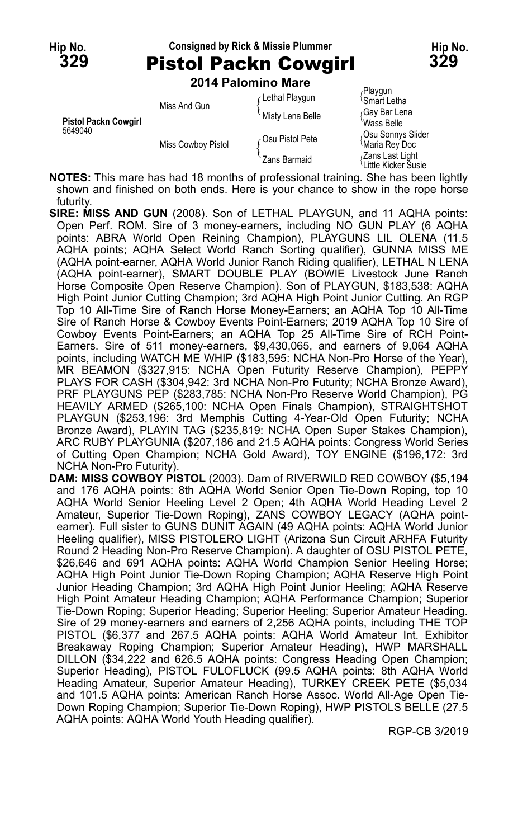# **Hip No. Consigned by Rick & Missie Plummer Hip No.**

| <b>Pistol Packn Cowgirl</b> | 329 |
|-----------------------------|-----|
| 2014 Palomino Mare          |     |
| Playgun                     |     |

| <b>Pistol Packn Cowgirl</b><br>5649040 | Miss And Gun       | Lethal Playgun   | Playgun<br><sup>≀</sup> Smart Letha                 |
|----------------------------------------|--------------------|------------------|-----------------------------------------------------|
|                                        |                    | Misty Lena Belle | Gay Bar Lena<br>Wass Belle                          |
|                                        | Miss Cowboy Pistol | ⊘Su Pistol Pete  | Osu Sonnys Slider<br>Maria Rey Doc                  |
|                                        |                    | Zans Barmaid     | Zans Last Light<br><sup>i</sup> Little Kicker Šusie |

**NOTES:** This mare has had 18 months of professional training. She has been lightly shown and finished on both ends. Here is your chance to show in the rope horse futurity.

- **SIRE: MISS AND GUN** (2008). Son of LETHAL PLAYGUN, and 11 AQHA points: Open Perf. ROM. Sire of 3 money-earners, including NO GUN PLAY (6 AQHA points: ABRA World Open Reining Champion), PLAYGUNS LIL OLENA (11.5 AQHA points; AQHA Select World Ranch Sorting qualifier), GUNNA MISS ME (AQHA point-earner, AQHA World Junior Ranch Riding qualifier), LETHAL N LENA (AQHA point-earner), SMART DOUBLE PLAY (BOWIE Livestock June Ranch Horse Composite Open Reserve Champion). Son of PLAYGUN, \$183,538: AQHA High Point Junior Cutting Champion; 3rd AQHA High Point Junior Cutting. An RGP Top 10 All-Time Sire of Ranch Horse Money-Earners; an AQHA Top 10 All-Time Sire of Ranch Horse & Cowboy Events Point-Earners; 2019 AQHA Top 10 Sire of Cowboy Events Point-Earners; an AQHA Top 25 All-Time Sire of RCH Point-Earners. Sire of 511 money-earners, \$9,430,065, and earners of 9,064 AQHA points, including WATCH ME WHIP (\$183,595: NCHA Non-Pro Horse of the Year), MR BEAMON (\$327,915: NCHA Open Futurity Reserve Champion), PEPPY PLAYS FOR CASH (\$304,942: 3rd NCHA Non-Pro Futurity; NCHA Bronze Award), PRF PLAYGUNS PEP (\$283,785: NCHA Non-Pro Reserve World Champion), PG HEAVILY ARMED (\$265,100: NCHA Open Finals Champion), STRAIGHTSHOT PLAYGUN (\$253,196: 3rd Memphis Cutting 4-Year-Old Open Futurity; NCHA Bronze Award), PLAYIN TAG (\$235,819: NCHA Open Super Stakes Champion), ARC RUBY PLAYGUNIA (\$207,186 and 21.5 AQHA points: Congress World Series of Cutting Open Champion; NCHA Gold Award), TOY ENGINE (\$196,172: 3rd NCHA Non-Pro Futurity).
- **DAM: MISS COWBOY PISTOL** (2003). Dam of RIVERWILD RED COWBOY (\$5,194 and 176 AQHA points: 8th AQHA World Senior Open Tie-Down Roping, top 10 AQHA World Senior Heeling Level 2 Open; 4th AQHA World Heading Level 2 Amateur, Superior Tie-Down Roping), ZANS COWBOY LEGACY (AQHA pointearner). Full sister to GUNS DUNIT AGAIN (49 AQHA points: AQHA World Junior Heeling qualifier), MISS PISTOLERO LIGHT (Arizona Sun Circuit ARHFA Futurity Round 2 Heading Non-Pro Reserve Champion). A daughter of OSU PISTOL PETE, \$26,646 and 691 AQHA points: AQHA World Champion Senior Heeling Horse; AQHA High Point Junior Tie-Down Roping Champion; AQHA Reserve High Point Junior Heading Champion; 3rd AQHA High Point Junior Heeling; AQHA Reserve High Point Amateur Heading Champion; AQHA Performance Champion; Superior Tie-Down Roping; Superior Heading; Superior Heeling; Superior Amateur Heading. Sire of 29 money-earners and earners of 2,256 AQHA points, including THE TOP PISTOL (\$6,377 and 267.5 AQHA points: AQHA World Amateur Int. Exhibitor Breakaway Roping Champion; Superior Amateur Heading), HWP MARSHALL DILLON (\$34,222 and 626.5 AQHA points: Congress Heading Open Champion; Superior Heading), PISTOL FULOFLUCK (99.5 AQHA points: 8th AQHA World Heading Amateur, Superior Amateur Heading), TURKEY CREEK PETE (\$5,034 and 101.5 AQHA points: American Ranch Horse Assoc. World All-Age Open Tie-Down Roping Champion; Superior Tie-Down Roping), HWP PISTOLS BELLE (27.5 AQHA points: AQHA World Youth Heading qualifier).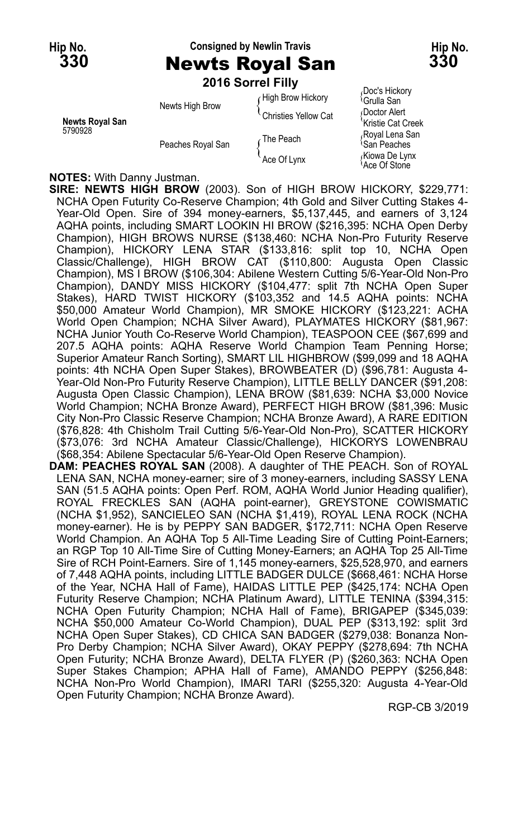#### **Hip No. Consigned by Newlin Travis Hip No. 330** Newts Royal San **330**

**Kristie Cat Creek** 

Ace Of Stone

|                                   |                   | 2016 Sorrel Filly    |                                            |
|-----------------------------------|-------------------|----------------------|--------------------------------------------|
| <b>Newts Royal San</b><br>5790928 | Newts High Brow   | High Brow Hickory    | Doc's Hickory<br><sup>∖</sup> Grulla San   |
|                                   |                   | Christies Yellow Cat | Doctor Alert<br>'Kristie Cat Creek         |
|                                   | Peaches Royal San | The Peach            | Royal Lena San<br><sup>≀</sup> San Peaches |
|                                   |                   | Ace Of Lynx          | Kiowa De Lynx)،<br>Ace Of Stone            |

#### **NOTES:** With Danny Justman.

**SIRE: NEWTS HIGH BROW** (2003). Son of HIGH BROW HICKORY, \$229,771: NCHA Open Futurity Co-Reserve Champion; 4th Gold and Silver Cutting Stakes 4- Year-Old Open. Sire of 394 money-earners, \$5,137,445, and earners of 3,124 AQHA points, including SMART LOOKIN HI BROW (\$216,395: NCHA Open Derby Champion), HIGH BROWS NURSE (\$138,460: NCHA Non-Pro Futurity Reserve Champion), HICKORY LENA STAR (\$133,816: split top 10, NCHA Open Classic/Challenge), HIGH BROW CAT (\$110,800: Augusta Open Classic Champion), MS I BROW (\$106,304: Abilene Western Cutting 5/6-Year-Old Non-Pro Champion), DANDY MISS HICKORY (\$104,477: split 7th NCHA Open Super Stakes), HARD TWIST HICKORY (\$103,352 and 14.5 AQHA points: NCHA \$50,000 Amateur World Champion), MR SMOKE HICKORY (\$123,221: ACHA World Open Champion; NCHA Silver Award), PLAYMATES HICKORY (\$81,967: NCHA Junior Youth Co-Reserve World Champion), TEASPOON CEE (\$67,699 and 207.5 AQHA points: AQHA Reserve World Champion Team Penning Horse; Superior Amateur Ranch Sorting), SMART LIL HIGHBROW (\$99,099 and 18 AQHA points: 4th NCHA Open Super Stakes), BROWBEATER (D) (\$96,781: Augusta 4- Year-Old Non-Pro Futurity Reserve Champion), LITTLE BELLY DANCER (\$91,208: Augusta Open Classic Champion), LENA BROW (\$81,639: NCHA \$3,000 Novice World Champion; NCHA Bronze Award), PERFECT HIGH BROW (\$81,396: Music City Non-Pro Classic Reserve Champion; NCHA Bronze Award), A RARE EDITION (\$76,828: 4th Chisholm Trail Cutting 5/6-Year-Old Non-Pro), SCATTER HICKORY (\$73,076: 3rd NCHA Amateur Classic/Challenge), HICKORYS LOWENBRAU (\$68,354: Abilene Spectacular 5/6-Year-Old Open Reserve Champion).

**DAM: PEACHES ROYAL SAN** (2008). A daughter of THE PEACH. Son of ROYAL LENA SAN, NCHA money-earner; sire of 3 money-earners, including SASSY LENA SAN (51.5 AQHA points: Open Perf. ROM, AQHA World Junior Heading qualifier), ROYAL FRECKLES SAN (AQHA point-earner), GREYSTONE COWISMATIC (NCHA \$1,952), SANCIELEO SAN (NCHA \$1,419), ROYAL LENA ROCK (NCHA money-earner). He is by PEPPY SAN BADGER, \$172,711: NCHA Open Reserve World Champion. An AQHA Top 5 All-Time Leading Sire of Cutting Point-Earners; an RGP Top 10 All-Time Sire of Cutting Money-Earners; an AQHA Top 25 All-Time Sire of RCH Point-Earners. Sire of 1,145 money-earners, \$25,528,970, and earners of 7,448 AQHA points, including LITTLE BADGER DULCE (\$668,461: NCHA Horse of the Year, NCHA Hall of Fame), HAIDAS LITTLE PEP (\$425,174: NCHA Open Futurity Reserve Champion; NCHA Platinum Award), LITTLE TENINA (\$394,315: NCHA Open Futurity Champion; NCHA Hall of Fame), BRIGAPEP (\$345,039: NCHA \$50,000 Amateur Co-World Champion), DUAL PEP (\$313,192: split 3rd NCHA Open Super Stakes), CD CHICA SAN BADGER (\$279,038: Bonanza Non-Pro Derby Champion; NCHA Silver Award), OKAY PEPPY (\$278,694: 7th NCHA Open Futurity; NCHA Bronze Award), DELTA FLYER (P) (\$260,363: NCHA Open Super Stakes Champion; APHA Hall of Fame), AMANDO PEPPY (\$256,848: NCHA Non-Pro World Champion), IMARI TARI (\$255,320: Augusta 4-Year-Old Open Futurity Champion; NCHA Bronze Award).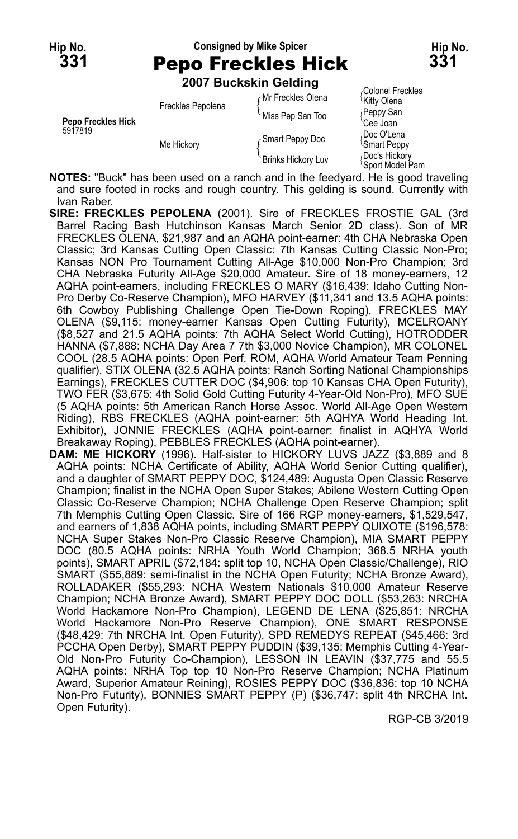### **Hip No. Consigned by Mike Spicer Hip No. 331** Pepo Freckles Hick **331**

**2007 Buckskin Gelding**

|                               | <b>ZUVI DUCRSKIII UBIUIIIY</b> |                           |                                                |
|-------------------------------|--------------------------------|---------------------------|------------------------------------------------|
| Pepo Freckles Hick<br>5917819 | Freckles Pepolena              | Mr Freckles Olena         | Colonel Freckles<br><sup>'</sup> Kitty Olena   |
|                               |                                | Miss Pep San Too          | Peppy San<br>Cee Joan                          |
|                               | Me Hickory                     | Smart Peppy Doc           | Doc O'Lena،<br><i><b>Smart Peppy</b></i>       |
|                               |                                | <b>Brinks Hickory Luv</b> | Doc's Hickory<br><i><b>Sport Model Pam</b></i> |

**NOTES:** "Buck" has been used on a ranch and in the feedyard. He is good traveling and sure footed in rocks and rough country. This gelding is sound. Currently with Ivan Raber.

- **SIRE: FRECKLES PEPOLENA** (2001). Sire of FRECKLES FROSTIE GAL (3rd Barrel Racing Bash Hutchinson Kansas March Senior 2D class). Son of MR FRECKLES OLENA, \$21,987 and an AQHA point-earner: 4th CHA Nebraska Open Classic; 3rd Kansas Cutting Open Classic: 7th Kansas Cutting Classic Non-Pro; Kansas NON Pro Tournament Cutting All-Age \$10,000 Non-Pro Champion; 3rd CHA Nebraska Futurity All-Age \$20,000 Amateur. Sire of 18 money-earners, 12 AQHA point-earners, including FRECKLES O MARY (\$16,439: Idaho Cutting Non-Pro Derby Co-Reserve Champion), MFO HARVEY (\$11,341 and 13.5 AQHA points: 6th Cowboy Publishing Challenge Open Tie-Down Roping), FRECKLES MAY OLENA (\$9,115: money-earner Kansas Open Cutting Futurity), MCELROANY (\$8,527 and 21.5 AQHA points: 7th AQHA Select World Cutting), HOTRODDER HANNA (\$7,888: NCHA Day Area 7 7th \$3,000 Novice Champion), MR COLONEL COOL (28.5 AQHA points: Open Perf. ROM, AQHA World Amateur Team Penning qualifier), STIX OLENA (32.5 AQHA points: Ranch Sorting National Championships Earnings), FRECKLES CUTTER DOC (\$4,906: top 10 Kansas CHA Open Futurity), TWO FER (\$3,675: 4th Solid Gold Cutting Futurity 4-Year-Old Non-Pro), MFO SUE (5 AQHA points: 5th American Ranch Horse Assoc. World All-Age Open Western Riding), RBS FRECKLES (AQHA point-earner: 5th AQHYA World Heading Int. Exhibitor), JONNIE FRECKLES (AQHA point-earner: finalist in AQHYA World Breakaway Roping), PEBBLES FRECKLES (AQHA point-earner).
- **DAM: ME HICKORY** (1996). Half-sister to HICKORY LUVS JAZZ (\$3,889 and 8 AQHA points: NCHA Certificate of Ability, AQHA World Senior Cutting qualifier), and a daughter of SMART PEPPY DOC, \$124,489: Augusta Open Classic Reserve Champion; finalist in the NCHA Open Super Stakes; Abilene Western Cutting Open Classic Co-Reserve Champion; NCHA Challenge Open Reserve Champion; split 7th Memphis Cutting Open Classic. Sire of 166 RGP money-earners, \$1,529,547, and earners of 1,838 AQHA points, including SMART PEPPY QUIXOTE (\$196,578: NCHA Super Stakes Non-Pro Classic Reserve Champion), MIA SMART PEPPY DOC (80.5 AQHA points: NRHA Youth World Champion; 368.5 NRHA youth points), SMART APRIL (\$72,184: split top 10, NCHA Open Classic/Challenge), RIO SMART (\$55,889: semi-finalist in the NCHA Open Futurity; NCHA Bronze Award), ROLLADAKER (\$55,293: NCHA Western Nationals \$10,000 Amateur Reserve Champion; NCHA Bronze Award), SMART PEPPY DOC DOLL (\$53,263: NRCHA World Hackamore Non-Pro Champion), LEGEND DE LENA (\$25,851: NRCHA World Hackamore Non-Pro Reserve Champion), ONE SMART RESPONSE (\$48,429: 7th NRCHA Int. Open Futurity), SPD REMEDYS REPEAT (\$45,466: 3rd PCCHA Open Derby), SMART PEPPY PUDDIN (\$39,135: Memphis Cutting 4-Year-Old Non-Pro Futurity Co-Champion), LESSON IN LEAVIN (\$37,775 and 55.5 AQHA points: NRHA Top top 10 Non-Pro Reserve Champion; NCHA Platinum Award, Superior Amateur Reining), ROSIES PEPPY DOC (\$36,836: top 10 NCHA Non-Pro Futurity), BONNIES SMART PEPPY (P) (\$36,747: split 4th NRCHA Int. Open Futurity).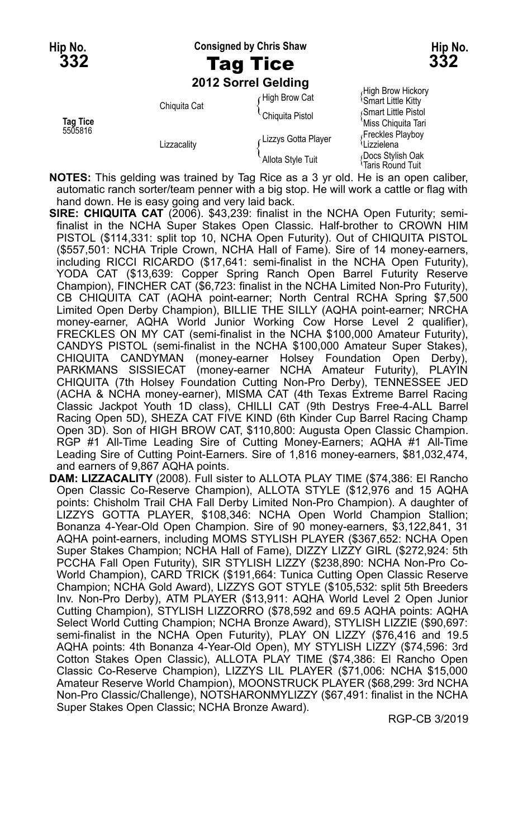**Hip No. Consigned by Chris Shaw Hip No.**

# **332** Tag Tice **332**

**2012 Sorrel Gelding**

**NOTES:** This gelding was trained by Tag Rice as a 3 yr old. He is an open caliber, automatic ranch sorter/team penner with a big stop. He will work a cattle or flag with hand down. He is easy going and very laid back.

- **SIRE: CHIQUITA CAT** (2006). \$43,239: finalist in the NCHA Open Futurity; semifinalist in the NCHA Super Stakes Open Classic. Half-brother to CROWN HIM PISTOL (\$114,331: split top 10, NCHA Open Futurity). Out of CHIQUITA PISTOL (\$557,501: NCHA Triple Crown, NCHA Hall of Fame). Sire of 14 money-earners, including RICCI RICARDO (\$17,641: semi-finalist in the NCHA Open Futurity), YODA CAT (\$13,639: Copper Spring Ranch Open Barrel Futurity Reserve Champion), FINCHER CAT (\$6,723: finalist in the NCHA Limited Non-Pro Futurity), CB CHIQUITA CAT (AQHA point-earner; North Central RCHA Spring \$7,500 Limited Open Derby Champion), BILLIE THE SILLY (AQHA point-earner; NRCHA money-earner, AQHA World Junior Working Cow Horse Level 2 qualifier), FRECKLES ON MY CAT (semi-finalist in the NCHA \$100,000 Amateur Futurity), CANDYS PISTOL (semi-finalist in the NCHA \$100,000 Amateur Super Stakes), CHIQUITA CANDYMAN (money-earner Holsey Foundation Open Derby), PARKMANS SISSIECAT (money-earner NCHA Amateur Futurity), PLAYIN CHIQUITA (7th Holsey Foundation Cutting Non-Pro Derby), TENNESSEE JED (ACHA & NCHA money-earner), MISMA CAT (4th Texas Extreme Barrel Racing Classic Jackpot Youth 1D class), CHILLI CAT (9th Destrys Free-4-ALL Barrel Racing Open 5D), SHEZA CAT FIVE KIND (6th Kinder Cup Barrel Racing Champ Open 3D). Son of HIGH BROW CAT, \$110,800: Augusta Open Classic Champion. RGP #1 All-Time Leading Sire of Cutting Money-Earners; AQHA #1 All-Time Leading Sire of Cutting Point-Earners. Sire of 1,816 money-earners, \$81,032,474, and earners of 9,867 AQHA points.
- **DAM: LIZZACALITY** (2008). Full sister to ALLOTA PLAY TIME (\$74,386: El Rancho Open Classic Co-Reserve Champion), ALLOTA STYLE (\$12,976 and 15 AQHA points: Chisholm Trail CHA Fall Derby Limited Non-Pro Champion). A daughter of LIZZYS GOTTA PLAYER, \$108,346: NCHA Open World Champion Stallion; Bonanza 4-Year-Old Open Champion. Sire of 90 money-earners, \$3,122,841, 31 AQHA point-earners, including MOMS STYLISH PLAYER (\$367,652: NCHA Open Super Stakes Champion; NCHA Hall of Fame), DIZZY LIZZY GIRL (\$272,924: 5th PCCHA Fall Open Futurity), SIR STYLISH LIZZY (\$238,890: NCHA Non-Pro Co-World Champion), CARD TRICK (\$191,664: Tunica Cutting Open Classic Reserve Champion; NCHA Gold Award), LIZZYS GOT STYLE (\$105,532: split 5th Breeders Inv. Non-Pro Derby), ATM PLAYER (\$13,911: AQHA World Level 2 Open Junior Cutting Champion), STYLISH LIZZORRO (\$78,592 and 69.5 AQHA points: AQHA Select World Cutting Champion; NCHA Bronze Award), STYLISH LIZZIE (\$90,697: semi-finalist in the NCHA Open Futurity), PLAY ON LIZZY (\$76,416 and 19.5 AQHA points: 4th Bonanza 4-Year-Old Open), MY STYLISH LIZZY (\$74,596: 3rd Cotton Stakes Open Classic), ALLOTA PLAY TIME (\$74,386: El Rancho Open Classic Co-Reserve Champion), LIZZYS LIL PLAYER (\$71,006: NCHA \$15,000 Amateur Reserve World Champion), MOONSTRUCK PLAYER (\$68,299: 3rd NCHA Non-Pro Classic/Challenge), NOTSHARONMYLIZZY (\$67,491: finalist in the NCHA Super Stakes Open Classic; NCHA Bronze Award).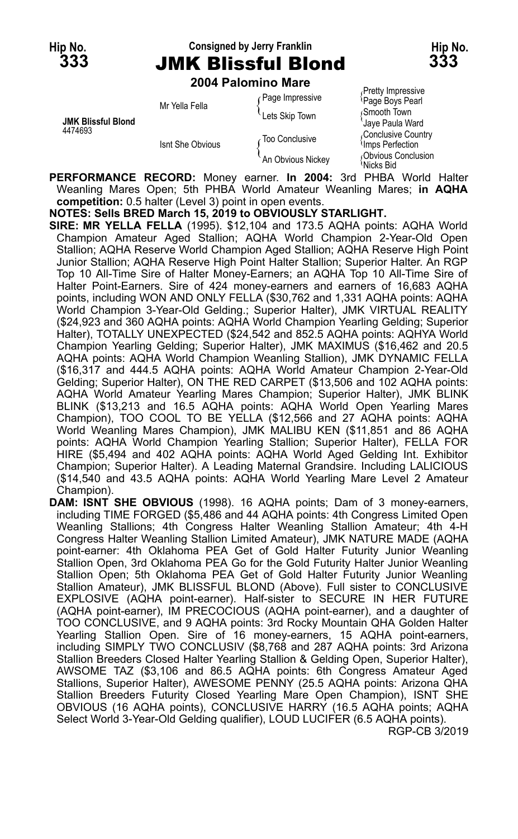#### **Hip No. Consigned by Jerry Franklin Hip No. 333** JMK Blissful Blond **333**

**2004 Palomino Mare**

|                           |                  | <b><i>LUVT FAIVIIIIIIV MAIG</i></b> |                                                   |
|---------------------------|------------------|-------------------------------------|---------------------------------------------------|
|                           | Mr Yella Fella   | Page Impressive                     | Pretty Impressive<br><sup>{</sup> Page Boys Pearl |
| <b>JMK Blissful Blond</b> |                  | Lets Skip Town<br>∠ Too Conclusive  | Smooth Town<br>'Jaye Paula Ward                   |
| 4474693                   | Isnt She Obvious |                                     | Conclusive Country<br>Imps Perfection             |
|                           |                  | An Obvious Nickey                   | Obvious Conclusion<br>ੈNicks Bid                  |

**PERFORMANCE RECORD:** Money earner. **In 2004:** 3rd PHBA World Halter Weanling Mares Open; 5th PHBA World Amateur Weanling Mares; **in AQHA competition:** 0.5 halter (Level 3) point in open events.

**NOTES: Sells BRED March 15, 2019 to OBVIOUSLY STARLIGHT.**

**SIRE: MR YELLA FELLA** (1995). \$12,104 and 173.5 AQHA points: AQHA World Champion Amateur Aged Stallion; AQHA World Champion 2-Year-Old Open Stallion; AQHA Reserve World Champion Aged Stallion; AQHA Reserve High Point Junior Stallion; AQHA Reserve High Point Halter Stallion; Superior Halter. An RGP Top 10 All-Time Sire of Halter Money-Earners; an AQHA Top 10 All-Time Sire of Halter Point-Earners. Sire of 424 money-earners and earners of 16,683 AQHA points, including WON AND ONLY FELLA (\$30,762 and 1,331 AQHA points: AQHA World Champion 3-Year-Old Gelding.; Superior Halter), JMK VIRTUAL REALITY (\$24,923 and 360 AQHA points: AQHA World Champion Yearling Gelding; Superior Halter), TOTALLY UNEXPECTED (\$24,542 and 852.5 AQHA points: AQHYA World Champion Yearling Gelding; Superior Halter), JMK MAXIMUS (\$16,462 and 20.5 AQHA points: AQHA World Champion Weanling Stallion), JMK DYNAMIC FELLA (\$16,317 and 444.5 AQHA points: AQHA World Amateur Champion 2-Year-Old Gelding; Superior Halter), ON THE RED CARPET (\$13,506 and 102 AQHA points: AQHA World Amateur Yearling Mares Champion; Superior Halter), JMK BLINK BLINK (\$13,213 and 16.5 AQHA points: AQHA World Open Yearling Mares Champion), TOO COOL TO BE YELLA (\$12,566 and 27 AQHA points: AQHA World Weanling Mares Champion), JMK MALIBU KEN (\$11,851 and 86 AQHA points: AQHA World Champion Yearling Stallion; Superior Halter), FELLA FOR HIRE (\$5,494 and 402 AQHA points: AQHA World Aged Gelding Int. Exhibitor Champion; Superior Halter). A Leading Maternal Grandsire. Including LALICIOUS (\$14,540 and 43.5 AQHA points: AQHA World Yearling Mare Level 2 Amateur Champion).

**DAM: ISNT SHE OBVIOUS** (1998). 16 AQHA points; Dam of 3 money-earners, including TIME FORGED (\$5,486 and 44 AQHA points: 4th Congress Limited Open Weanling Stallions; 4th Congress Halter Weanling Stallion Amateur; 4th 4-H Congress Halter Weanling Stallion Limited Amateur), JMK NATURE MADE (AQHA point-earner: 4th Oklahoma PEA Get of Gold Halter Futurity Junior Weanling Stallion Open, 3rd Oklahoma PEA Go for the Gold Futurity Halter Junior Weanling Stallion Open; 5th Oklahoma PEA Get of Gold Halter Futurity Junior Weanling Stallion Amateur), JMK BLISSFUL BLOND (Above). Full sister to CONCLUSIVE EXPLOSIVE (AQHA point-earner). Half-sister to SECURE IN HER FUTURE (AQHA point-earner), IM PRECOCIOUS (AQHA point-earner), and a daughter of TOO CONCLUSIVE, and 9 AQHA points: 3rd Rocky Mountain QHA Golden Halter Yearling Stallion Open. Sire of 16 money-earners, 15 AQHA point-earners, including SIMPLY TWO CONCLUSIV (\$8,768 and 287 AQHA points: 3rd Arizona Stallion Breeders Closed Halter Yearling Stallion & Gelding Open, Superior Halter), AWSOME TAZ (\$3,106 and 86.5 AQHA points: 6th Congress Amateur Aged Stallions, Superior Halter), AWESOME PENNY (25.5 AQHA points: Arizona QHA Stallion Breeders Futurity Closed Yearling Mare Open Champion), ISNT SHE OBVIOUS (16 AQHA points), CONCLUSIVE HARRY (16.5 AQHA points; AQHA Select World 3-Year-Old Gelding qualifier), LOUD LUCIFER (6.5 AQHA points). RGP-CB 3/2019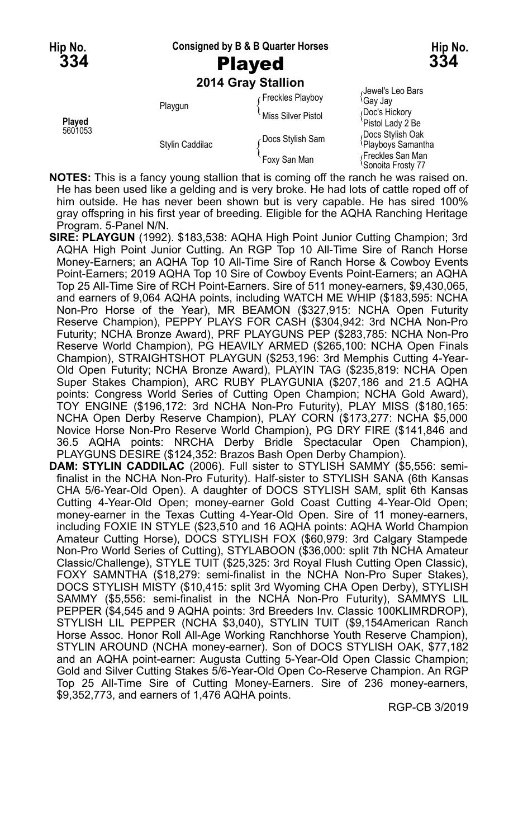#### **Hip No. Consigned by B & B Quarter Horses Hip No.**

#### **2014 Gray Stallion**

|         | Playgun         | Freckles Playboy   | Jewel's Leo Bars<br><sup>≀</sup> Gav Jav           |
|---------|-----------------|--------------------|----------------------------------------------------|
| Played  |                 | Miss Silver Pistol | Doc's Hickory<br>'Pistol Lady 2 Be                 |
| 5601053 | Stylin Caddilac | Docs Stylish Sam   | Docs Stylish Oak<br><sup>≀</sup> Playboys Samantha |
|         |                 | Foxy San Man       | Freckles San Man<br><b>Sonoita Frosty 77</b>       |

- **NOTES:** This is a fancy young stallion that is coming off the ranch he was raised on. He has been used like a gelding and is very broke. He had lots of cattle roped off of him outside. He has never been shown but is very capable. He has sired 100% gray offspring in his first year of breeding. Eligible for the AQHA Ranching Heritage Program. 5-Panel N/N.
- **SIRE: PLAYGUN** (1992). \$183,538: AQHA High Point Junior Cutting Champion; 3rd AQHA High Point Junior Cutting. An RGP Top 10 All-Time Sire of Ranch Horse Money-Earners; an AQHA Top 10 All-Time Sire of Ranch Horse & Cowboy Events Point-Earners; 2019 AQHA Top 10 Sire of Cowboy Events Point-Earners; an AQHA Top 25 All-Time Sire of RCH Point-Earners. Sire of 511 money-earners, \$9,430,065, and earners of 9,064 AQHA points, including WATCH ME WHIP (\$183,595: NCHA Non-Pro Horse of the Year), MR BEAMON (\$327,915: NCHA Open Futurity Reserve Champion), PEPPY PLAYS FOR CASH (\$304,942: 3rd NCHA Non-Pro Futurity; NCHA Bronze Award), PRF PLAYGUNS PEP (\$283,785: NCHA Non-Pro Reserve World Champion), PG HEAVILY ARMED (\$265,100: NCHA Open Finals Champion), STRAIGHTSHOT PLAYGUN (\$253,196: 3rd Memphis Cutting 4-Year-Old Open Futurity; NCHA Bronze Award), PLAYIN TAG (\$235,819: NCHA Open Super Stakes Champion), ARC RUBY PLAYGUNIA (\$207,186 and 21.5 AQHA points: Congress World Series of Cutting Open Champion; NCHA Gold Award), TOY ENGINE (\$196,172: 3rd NCHA Non-Pro Futurity), PLAY MISS (\$180,165: NCHA Open Derby Reserve Champion), PLAY CORN (\$173,277: NCHA \$5,000 Novice Horse Non-Pro Reserve World Champion), PG DRY FIRE (\$141,846 and 36.5 AQHA points: NRCHA Derby Bridle Spectacular Open Champion), PLAYGUNS DESIRE (\$124,352: Brazos Bash Open Derby Champion).
- **DAM: STYLIN CADDILAC** (2006). Full sister to STYLISH SAMMY (\$5,556: semifinalist in the NCHA Non-Pro Futurity). Half-sister to STYLISH SANA (6th Kansas CHA 5/6-Year-Old Open). A daughter of DOCS STYLISH SAM, split 6th Kansas Cutting 4-Year-Old Open; money-earner Gold Coast Cutting 4-Year-Old Open; money-earner in the Texas Cutting 4-Year-Old Open. Sire of 11 money-earners, including FOXIE IN STYLE (\$23,510 and 16 AQHA points: AQHA World Champion Amateur Cutting Horse), DOCS STYLISH FOX (\$60,979: 3rd Calgary Stampede Non-Pro World Series of Cutting), STYLABOON (\$36,000: split 7th NCHA Amateur Classic/Challenge), STYLE TUIT (\$25,325: 3rd Royal Flush Cutting Open Classic), FOXY SAMNTHA (\$18,279: semi-finalist in the NCHA Non-Pro Super Stakes), DOCS STYLISH MISTY (\$10,415: split 3rd Wyoming CHA Open Derby), STYLISH SAMMY (\$5,556: semi-finalist in the NCHA Non-Pro Futurity), SAMMYS LIL PEPPER (\$4,545 and 9 AQHA points: 3rd Breeders Inv. Classic 100KLIMRDROP), STYLISH LIL PEPPER (NCHA \$3,040), STYLIN TUIT (\$9,154American Ranch Horse Assoc. Honor Roll All-Age Working Ranchhorse Youth Reserve Champion), STYLIN AROUND (NCHA money-earner). Son of DOCS STYLISH OAK, \$77,182 and an AQHA point-earner: Augusta Cutting 5-Year-Old Open Classic Champion; Gold and Silver Cutting Stakes 5/6-Year-Old Open Co-Reserve Champion. An RGP Top 25 All-Time Sire of Cutting Money-Earners. Sire of 236 money-earners, \$9,352,773, and earners of 1,476 AQHA points.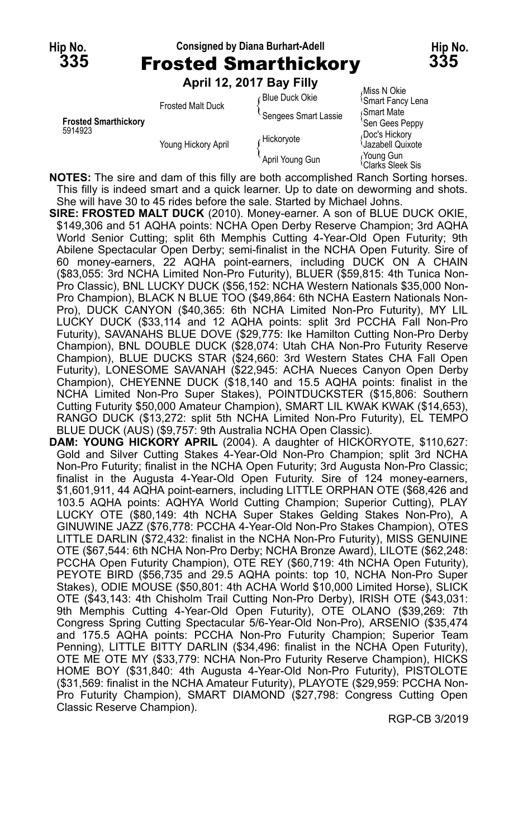**Hip No. Consigned by Diana Burhart-Adell Hip No. 335** Frosted Smarthickory **335 April 12, 2017 Bay Filly**

|                             |                          | APULLE, ZU LI DAY FILLY |                                            |
|-----------------------------|--------------------------|-------------------------|--------------------------------------------|
|                             | <b>Frosted Malt Duck</b> | ∩Blue Duck Okie         | Miss N Okie<br><b>Smart Fancy Lena</b>     |
| <b>Frosted Smarthickory</b> |                          | Sengees Smart Lassie    | Smart Mate<br>'Sen Gees Peppy              |
| 5914923                     | Young Hickory April      | Hickoryote              | Doc's Hickory<br>Jazabell Quixote          |
|                             |                          | April Young Gun         | Young Gun<br><sup>\</sup> Clarks Sleek Sis |

**NOTES:** The sire and dam of this filly are both accomplished Ranch Sorting horses. This filly is indeed smart and a quick learner. Up to date on deworming and shots. She will have 30 to 45 rides before the sale. Started by Michael Johns.

**SIRE: FROSTED MALT DUCK** (2010). Money-earner. A son of BLUE DUCK OKIE, \$149,306 and 51 AQHA points: NCHA Open Derby Reserve Champion; 3rd AQHA World Senior Cutting; split 6th Memphis Cutting 4-Year-Old Open Futurity; 9th Abilene Spectacular Open Derby; semi-finalist in the NCHA Open Futurity. Sire of 60 money-earners, 22 AQHA point-earners, including DUCK ON A CHAIN (\$83,055: 3rd NCHA Limited Non-Pro Futurity), BLUER (\$59,815: 4th Tunica Non-Pro Classic), BNL LUCKY DUCK (\$56,152: NCHA Western Nationals \$35,000 Non-Pro Champion), BLACK N BLUE TOO (\$49,864: 6th NCHA Eastern Nationals Non-Pro), DUCK CANYON (\$40,365: 6th NCHA Limited Non-Pro Futurity), MY LIL LUCKY DUCK (\$33,114 and 12 AQHA points: split 3rd PCCHA Fall Non-Pro Futurity), SAVANAHS BLUE DOVE (\$29,775: Ike Hamilton Cutting Non-Pro Derby Champion), BNL DOUBLE DUCK (\$28,074: Utah CHA Non-Pro Futurity Reserve Champion), BLUE DUCKS STAR (\$24,660: 3rd Western States CHA Fall Open Futurity), LONESOME SAVANAH (\$22,945: ACHA Nueces Canyon Open Derby Champion), CHEYENNE DUCK (\$18,140 and 15.5 AQHA points: finalist in the NCHA Limited Non-Pro Super Stakes), POINTDUCKSTER (\$15,806: Southern Cutting Futurity \$50,000 Amateur Champion), SMART LIL KWAK KWAK (\$14,653), RANGO DUCK (\$13,272: split 5th NCHA Limited Non-Pro Futurity), EL TEMPO BLUE DUCK (AUS) (\$9,757: 9th Australia NCHA Open Classic).

**DAM: YOUNG HICKORY APRIL** (2004). A daughter of HICKORYOTE, \$110,627: Gold and Silver Cutting Stakes 4-Year-Old Non-Pro Champion; split 3rd NCHA Non-Pro Futurity; finalist in the NCHA Open Futurity; 3rd Augusta Non-Pro Classic; finalist in the Augusta 4-Year-Old Open Futurity. Sire of 124 money-earners, \$1,601,911, 44 AQHA point-earners, including LITTLE ORPHAN OTE (\$68,426 and 103.5 AQHA points: AQHYA World Cutting Champion; Superior Cutting), PLAY LUCKY OTE (\$80,149: 4th NCHA Super Stakes Gelding Stakes Non-Pro), A GINUWINE JAZZ (\$76,778: PCCHA 4-Year-Old Non-Pro Stakes Champion), OTES LITTLE DARLIN (\$72,432: finalist in the NCHA Non-Pro Futurity), MISS GENUINE OTE (\$67,544: 6th NCHA Non-Pro Derby; NCHA Bronze Award), LILOTE (\$62,248: PCCHA Open Futurity Champion), OTE REY (\$60,719: 4th NCHA Open Futurity), PEYOTE BIRD (\$56,735 and 29.5 AQHA points: top 10, NCHA Non-Pro Super Stakes), ODIE MOUSE (\$50,801: 4th ACHA World \$10,000 Limited Horse), SLICK OTE (\$43,143: 4th Chisholm Trail Cutting Non-Pro Derby), IRISH OTE (\$43,031: 9th Memphis Cutting 4-Year-Old Open Futurity), OTE OLANO (\$39,269: 7th Congress Spring Cutting Spectacular 5/6-Year-Old Non-Pro), ARSENIO (\$35,474 and 175.5 AQHA points: PCCHA Non-Pro Futurity Champion; Superior Team Penning), LITTLE BITTY DARLIN (\$34,496: finalist in the NCHA Open Futurity), OTE ME OTE MY (\$33,779: NCHA Non-Pro Futurity Reserve Champion), HICKS HOME BOY (\$31,840: 4th Augusta 4-Year-Old Non-Pro Futurity), PISTOLOTE (\$31,569: finalist in the NCHA Amateur Futurity), PLAYOTE (\$29,959: PCCHA Non-Pro Futurity Champion), SMART DIAMOND (\$27,798: Congress Cutting Open Classic Reserve Champion).

RGP-CB 3/2019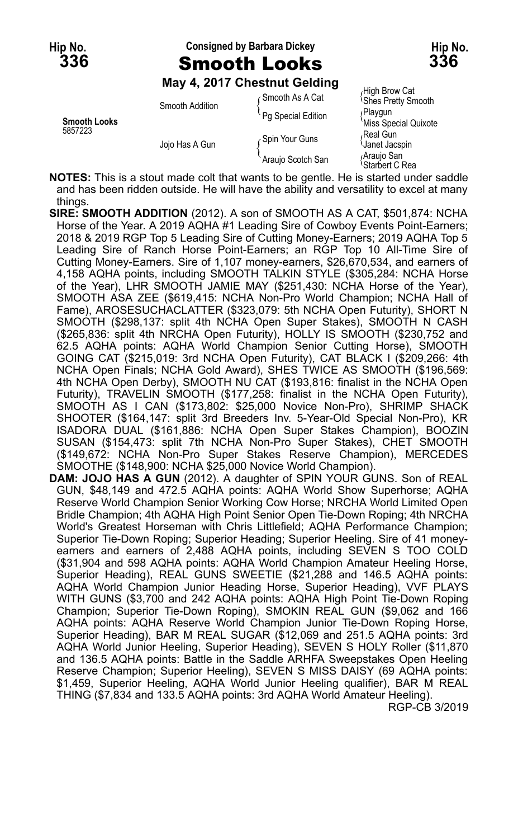#### **Hip No. Consigned by Barbara Dickey Hip No. 336** Smooth Looks **336**

#### **May 4, 2017 Chestnut Gelding**

| <b>Smooth Looks</b><br>5857223 | Smooth Addition | Gmooth As A Cat    | High Brow Cat                              |
|--------------------------------|-----------------|--------------------|--------------------------------------------|
|                                |                 |                    | <b>Shes Pretty Smooth</b>                  |
|                                | Jojo Has A Gun  | Pq Special Edition | ∫Playqun<br>'Miss Special Quixote          |
|                                |                 | Spin Your Guns     | Real Gun∧،<br><b>Janet Jacspin</b>         |
|                                |                 | Araujo Scotch San  | <sub>ú</sub> Arauio San<br>\Starbert C Rea |

**NOTES:** This is a stout made colt that wants to be gentle. He is started under saddle and has been ridden outside. He will have the ability and versatility to excel at many things.

- **SIRE: SMOOTH ADDITION** (2012). A son of SMOOTH AS A CAT, \$501,874: NCHA Horse of the Year. A 2019 AQHA #1 Leading Sire of Cowboy Events Point-Earners; 2018 & 2019 RGP Top 5 Leading Sire of Cutting Money-Earners; 2019 AQHA Top 5 Leading Sire of Ranch Horse Point-Earners; an RGP Top 10 All-Time Sire of Cutting Money-Earners. Sire of 1,107 money-earners, \$26,670,534, and earners of 4,158 AQHA points, including SMOOTH TALKIN STYLE (\$305,284: NCHA Horse of the Year), LHR SMOOTH JAMIE MAY (\$251,430: NCHA Horse of the Year), SMOOTH ASA ZEE (\$619,415: NCHA Non-Pro World Champion; NCHA Hall of Fame), AROSESUCHACLATTER (\$323,079: 5th NCHA Open Futurity), SHORT N SMOOTH (\$298,137: split 4th NCHA Open Super Stakes), SMOOTH N CASH (\$265,836: split 4th NRCHA Open Futurity), HOLLY IS SMOOTH (\$230,752 and 62.5 AQHA points: AQHA World Champion Senior Cutting Horse), SMOOTH GOING CAT (\$215,019: 3rd NCHA Open Futurity), CAT BLACK I (\$209,266: 4th NCHA Open Finals; NCHA Gold Award), SHES TWICE AS SMOOTH (\$196,569: 4th NCHA Open Derby), SMOOTH NU CAT (\$193,816: finalist in the NCHA Open Futurity), TRAVELIN SMOOTH (\$177,258: finalist in the NCHA Open Futurity), SMOOTH AS I CAN (\$173,802: \$25,000 Novice Non-Pro), SHRIMP SHACK SHOOTER (\$164,147: split 3rd Breeders Inv. 5-Year-Old Special Non-Pro), KR ISADORA DUAL (\$161,886: NCHA Open Super Stakes Champion), BOOZIN SUSAN (\$154,473: split 7th NCHA Non-Pro Super Stakes), CHET SMOOTH (\$149,672: NCHA Non-Pro Super Stakes Reserve Champion), MERCEDES SMOOTHE (\$148,900: NCHA \$25,000 Novice World Champion).
- **DAM: JOJO HAS A GUN** (2012). A daughter of SPIN YOUR GUNS. Son of REAL GUN, \$48,149 and 472.5 AQHA points: AQHA World Show Superhorse; AQHA Reserve World Champion Senior Working Cow Horse; NRCHA World Limited Open Bridle Champion; 4th AQHA High Point Senior Open Tie-Down Roping; 4th NRCHA World's Greatest Horseman with Chris Littlefield; AQHA Performance Champion; Superior Tie-Down Roping; Superior Heading; Superior Heeling. Sire of 41 moneyearners and earners of 2,488 AQHA points, including SEVEN S TOO COLD (\$31,904 and 598 AQHA points: AQHA World Champion Amateur Heeling Horse, Superior Heading), REAL GUNS SWEETIE (\$21,288 and 146.5 AQHA points: AQHA World Champion Junior Heading Horse, Superior Heading), VVF PLAYS WITH GUNS (\$3,700 and 242 AQHA points: AQHA High Point Tie-Down Roping Champion; Superior Tie-Down Roping), SMOKIN REAL GUN (\$9,062 and 166 AQHA points: AQHA Reserve World Champion Junior Tie-Down Roping Horse, Superior Heading), BAR M REAL SUGAR (\$12,069 and 251.5 AQHA points: 3rd AQHA World Junior Heeling, Superior Heading), SEVEN S HOLY Roller (\$11,870 and 136.5 AQHA points: Battle in the Saddle ARHFA Sweepstakes Open Heeling Reserve Champion; Superior Heeling), SEVEN S MISS DAISY (69 AQHA points: \$1,459, Superior Heeling, AQHA World Junior Heeling qualifier), BAR M REAL THING (\$7,834 and 133.5 AQHA points: 3rd AQHA World Amateur Heeling).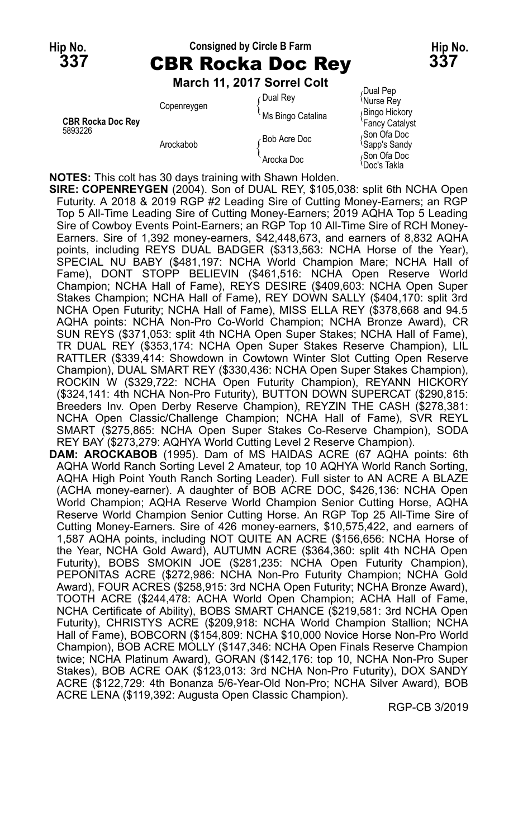### **Hip No. Consigned by Circle B Farm Hip No. 337** CBR Rocka Doc Rey **337**

#### **March 11, 2017 Sorrel Colt**

|                                     | <b>MAIGH II, ZUIT SUITEL CUIL</b> |                   |                                                       |
|-------------------------------------|-----------------------------------|-------------------|-------------------------------------------------------|
| <b>CBR Rocka Doc Rev</b><br>5893226 | Copenreygen<br>Arockabob          | Oual Rev          | Dual Pep،<br>Murse Rey                                |
|                                     |                                   | Ms Bingo Catalina | Bingo Hickory<br>'Fancy Catalyst                      |
|                                     |                                   | Bob Acre Doc      | <sub>∩</sub> Son Ofa Doc<br><sup>l</sup> Sapp's Sandy |
|                                     |                                   | Arocka Doc        | Son Ofa Doc<br>≀Doc's Takla                           |

**NOTES:** This colt has 30 days training with Shawn Holden.

**SIRE: COPENREYGEN** (2004). Son of DUAL REY, \$105,038: split 6th NCHA Open Futurity. A 2018 & 2019 RGP #2 Leading Sire of Cutting Money-Earners; an RGP Top 5 All-Time Leading Sire of Cutting Money-Earners; 2019 AQHA Top 5 Leading Sire of Cowboy Events Point-Earners; an RGP Top 10 All-Time Sire of RCH Money-Earners. Sire of 1,392 money-earners, \$42,448,673, and earners of 8,832 AQHA points, including REYS DUAL BADGER (\$313,563: NCHA Horse of the Year), SPECIAL NU BABY (\$481,197: NCHA World Champion Mare; NCHA Hall of Fame), DONT STOPP BELIEVIN (\$461,516: NCHA Open Reserve World Champion; NCHA Hall of Fame), REYS DESIRE (\$409,603: NCHA Open Super Stakes Champion; NCHA Hall of Fame), REY DOWN SALLY (\$404,170: split 3rd NCHA Open Futurity; NCHA Hall of Fame), MISS ELLA REY (\$378,668 and 94.5 AQHA points: NCHA Non-Pro Co-World Champion; NCHA Bronze Award), CR SUN REYS (\$371,053: split 4th NCHA Open Super Stakes; NCHA Hall of Fame), TR DUAL REY (\$353,174: NCHA Open Super Stakes Reserve Champion), LIL RATTLER (\$339,414: Showdown in Cowtown Winter Slot Cutting Open Reserve Champion), DUAL SMART REY (\$330,436: NCHA Open Super Stakes Champion), ROCKIN W (\$329,722: NCHA Open Futurity Champion), REYANN HICKORY (\$324,141: 4th NCHA Non-Pro Futurity), BUTTON DOWN SUPERCAT (\$290,815: Breeders Inv. Open Derby Reserve Champion), REYZIN THE CASH (\$278,381: NCHA Open Classic/Challenge Champion; NCHA Hall of Fame), SVR REYL SMART (\$275,865: NCHA Open Super Stakes Co-Reserve Champion), SODA REY BAY (\$273,279: AQHYA World Cutting Level 2 Reserve Champion).

**DAM: AROCKABOB** (1995). Dam of MS HAIDAS ACRE (67 AQHA points: 6th AQHA World Ranch Sorting Level 2 Amateur, top 10 AQHYA World Ranch Sorting, AQHA High Point Youth Ranch Sorting Leader). Full sister to AN ACRE A BLAZE (ACHA money-earner). A daughter of BOB ACRE DOC, \$426,136: NCHA Open World Champion; AQHA Reserve World Champion Senior Cutting Horse, AQHA Reserve World Champion Senior Cutting Horse. An RGP Top 25 All-Time Sire of Cutting Money-Earners. Sire of 426 money-earners, \$10,575,422, and earners of 1,587 AQHA points, including NOT QUITE AN ACRE (\$156,656: NCHA Horse of the Year, NCHA Gold Award), AUTUMN ACRE (\$364,360: split 4th NCHA Open Futurity), BOBS SMOKIN JOE (\$281,235: NCHA Open Futurity Champion), PEPONITAS ACRE (\$272,986: NCHA Non-Pro Futurity Champion; NCHA Gold Award), FOUR ACRES (\$258,915: 3rd NCHA Open Futurity; NCHA Bronze Award), TOOTH ACRE (\$244,478: ACHA World Open Champion; ACHA Hall of Fame, NCHA Certificate of Ability), BOBS SMART CHANCE (\$219,581: 3rd NCHA Open Futurity), CHRISTYS ACRE (\$209,918: NCHA World Champion Stallion; NCHA Hall of Fame), BOBCORN (\$154,809: NCHA \$10,000 Novice Horse Non-Pro World Champion), BOB ACRE MOLLY (\$147,346: NCHA Open Finals Reserve Champion twice; NCHA Platinum Award), GORAN (\$142,176: top 10, NCHA Non-Pro Super Stakes), BOB ACRE OAK (\$123,013: 3rd NCHA Non-Pro Futurity), DOX SANDY ACRE (\$122,729: 4th Bonanza 5/6-Year-Old Non-Pro; NCHA Silver Award), BOB ACRE LENA (\$119,392: Augusta Open Classic Champion).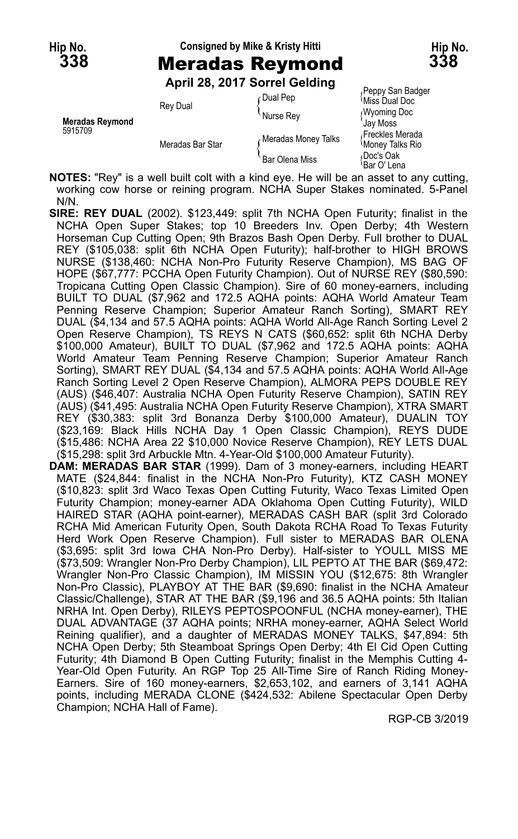#### **Hip No. Consigned by Mike & Kristy Hitti Hip No.**

**April 28, 2017 Sorrel Gelding**

| <b>Meradas Reymond</b><br>5915709 | <b>Rey Dual</b>  | Dual Pep              | Peppy San Badger<br><sup>≀</sup> Miss Dual Doc |
|-----------------------------------|------------------|-----------------------|------------------------------------------------|
|                                   |                  | Nurse Rey             | <b>Wyoming Doc</b><br>Jav Moss                 |
|                                   | Meradas Bar Star | Meradas Money Talks   | Freckles Merada<br>Money Talks Rio             |
|                                   |                  | <b>Bar Olena Miss</b> | Doc's Oak<br>≀Bar O' Lena                      |

**NOTES:** "Rey" is a well built colt with a kind eye. He will be an asset to any cutting, working cow horse or reining program. NCHA Super Stakes nominated. 5-Panel N/N.

- **SIRE: REY DUAL** (2002). \$123,449: split 7th NCHA Open Futurity; finalist in the NCHA Open Super Stakes; top 10 Breeders Inv. Open Derby; 4th Western Horseman Cup Cutting Open; 9th Brazos Bash Open Derby. Full brother to DUAL REY (\$105,038: split 6th NCHA Open Futurity); half-brother to HIGH BROWS NURSE (\$138,460: NCHA Non-Pro Futurity Reserve Champion), MS BAG OF HOPE (\$67,777: PCCHA Open Futurity Champion). Out of NURSE REY (\$80,590: Tropicana Cutting Open Classic Champion). Sire of 60 money-earners, including BUILT TO DUAL (\$7,962 and 172.5 AQHA points: AQHA World Amateur Team Penning Reserve Champion; Superior Amateur Ranch Sorting), SMART REY DUAL (\$4,134 and 57.5 AQHA points: AQHA World All-Age Ranch Sorting Level 2 Open Reserve Champion), TS REYS N CATS (\$60,652: split 6th NCHA Derby \$100,000 Amateur), BUILT TO DUAL (\$7,962 and 172.5 AQHA points: AQHA World Amateur Team Penning Reserve Champion; Superior Amateur Ranch Sorting), SMART REY DUAL (\$4,134 and 57.5 AQHA points: AQHA World All-Age Ranch Sorting Level 2 Open Reserve Champion), ALMORA PEPS DOUBLE REY (AUS) (\$46,407: Australia NCHA Open Futurity Reserve Champion), SATIN REY (AUS) (\$41,495: Australia NCHA Open Futurity Reserve Champion), XTRA SMART REY (\$30,383: split 3rd Bonanza Derby \$100,000 Amateur), DUALIN TOY (\$23,169: Black Hills NCHA Day 1 Open Classic Champion), REYS DUDE (\$15,486: NCHA Area 22 \$10,000 Novice Reserve Champion), REY LETS DUAL (\$15,298: split 3rd Arbuckle Mtn. 4-Year-Old \$100,000 Amateur Futurity).
- **DAM: MERADAS BAR STAR** (1999). Dam of 3 money-earners, including HEART MATE (\$24,844: finalist in the NCHA Non-Pro Futurity), KTZ CASH MONEY (\$10,823: split 3rd Waco Texas Open Cutting Futurity, Waco Texas Limited Open Futurity Champion; money-earner ADA Oklahoma Open Cutting Futurity), WILD HAIRED STAR (AQHA point-earner), MERADAS CASH BAR (split 3rd Colorado RCHA Mid American Futurity Open, South Dakota RCHA Road To Texas Futurity Herd Work Open Reserve Champion). Full sister to MERADAS BAR OLENA (\$3,695: split 3rd Iowa CHA Non-Pro Derby). Half-sister to YOULL MISS ME (\$73,509: Wrangler Non-Pro Derby Champion), LIL PEPTO AT THE BAR (\$69,472: Wrangler Non-Pro Classic Champion), IM MISSIN YOU (\$12,675: 8th Wrangler Non-Pro Classic), PLAYBOY AT THE BAR (\$9,690: finalist in the NCHA Amateur Classic/Challenge), STAR AT THE BAR (\$9,196 and 36.5 AQHA points: 5th Italian NRHA Int. Open Derby), RILEYS PEPTOSPOONFUL (NCHA money-earner), THE DUAL ADVANTAGE (37 AQHA points; NRHA money-earner, AQHA Select World Reining qualifier), and a daughter of MERADAS MONEY TALKS, \$47,894: 5th NCHA Open Derby; 5th Steamboat Springs Open Derby; 4th El Cid Open Cutting Futurity; 4th Diamond B Open Cutting Futurity; finalist in the Memphis Cutting 4- Year-Old Open Futurity. An RGP Top 25 All-Time Sire of Ranch Riding Money-Earners. Sire of 160 money-earners, \$2,653,102, and earners of 3,141 AQHA points, including MERADA CLONE (\$424,532: Abilene Spectacular Open Derby Champion; NCHA Hall of Fame).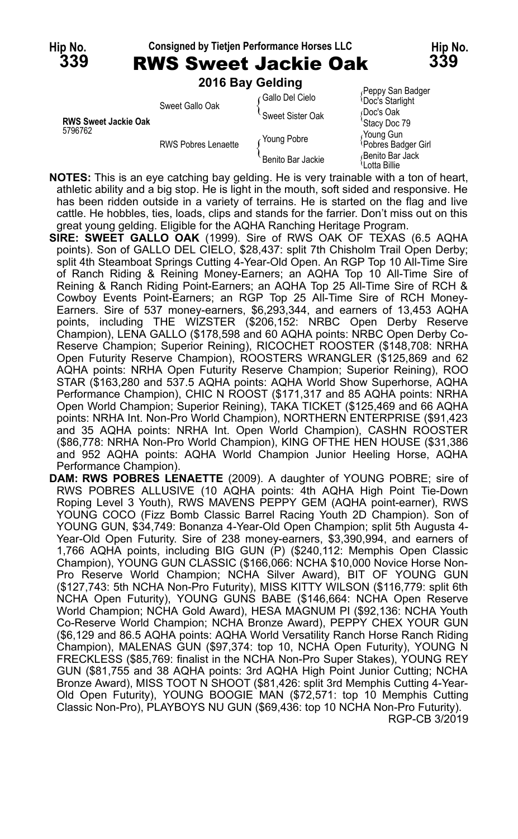**Hip No. Consigned by Tietjen Performance Horses LLC Hip No. 339** RWS Sweet Jackie Oak **339 2016 Bay Gelding**

|                             | <b>LUID DUY OGIUILIU</b>   |                   |                                                  |
|-----------------------------|----------------------------|-------------------|--------------------------------------------------|
|                             | Sweet Gallo Oak            | Gallo Del Cielo   | Peppy San Badger<br><b>Doc's Starlight</b>       |
| <b>RWS Sweet Jackie Oak</b> |                            | Sweet Sister Oak  | Doc's Oak                                        |
| 5796762                     | <b>RWS Pobres Lenaette</b> | Young Pobre       | 'Stacy Doc 79<br>Young Gun<br>Pobres Badger Girl |
|                             |                            | Benito Bar Jackie | Benito Bar Jack<br>\Lotta Billie                 |

- **NOTES:** This is an eye catching bay gelding. He is very trainable with a ton of heart, athletic ability and a big stop. He is light in the mouth, soft sided and responsive. He has been ridden outside in a variety of terrains. He is started on the flag and live cattle. He hobbles, ties, loads, clips and stands for the farrier. Don't miss out on this great young gelding. Eligible for the AQHA Ranching Heritage Program.
- **SIRE: SWEET GALLO OAK** (1999). Sire of RWS OAK OF TEXAS (6.5 AQHA points). Son of GALLO DEL CIELO, \$28,437: split 7th Chisholm Trail Open Derby; split 4th Steamboat Springs Cutting 4-Year-Old Open. An RGP Top 10 All-Time Sire of Ranch Riding & Reining Money-Earners; an AQHA Top 10 All-Time Sire of Reining & Ranch Riding Point-Earners; an AQHA Top 25 All-Time Sire of RCH & Cowboy Events Point-Earners; an RGP Top 25 All-Time Sire of RCH Money-Earners. Sire of 537 money-earners, \$6,293,344, and earners of 13,453 AQHA points, including THE WIZSTER (\$206,152: NRBC Open Derby Reserve Champion), LENA GALLO (\$178,598 and 60 AQHA points: NRBC Open Derby Co-Reserve Champion; Superior Reining), RICOCHET ROOSTER (\$148,708: NRHA Open Futurity Reserve Champion), ROOSTERS WRANGLER (\$125,869 and 62 AQHA points: NRHA Open Futurity Reserve Champion; Superior Reining), ROO STAR (\$163,280 and 537.5 AQHA points: AQHA World Show Superhorse, AQHA Performance Champion), CHIC N ROOST (\$171,317 and 85 AQHA points: NRHA Open World Champion; Superior Reining), TAKA TICKET (\$125,469 and 66 AQHA points: NRHA Int. Non-Pro World Champion), NORTHERN ENTERPRISE (\$91,423 and 35 AQHA points: NRHA Int. Open World Champion), CASHN ROOSTER (\$86,778: NRHA Non-Pro World Champion), KING OFTHE HEN HOUSE (\$31,386 and 952 AQHA points: AQHA World Champion Junior Heeling Horse, AQHA Performance Champion).
- **DAM: RWS POBRES LENAETTE** (2009). A daughter of YOUNG POBRE; sire of RWS POBRES ALLUSIVE (10 AQHA points: 4th AQHA High Point Tie-Down Roping Level 3 Youth), RWS MAVENS PEPPY GEM (AQHA point-earner), RWS YOUNG COCO (Fizz Bomb Classic Barrel Racing Youth 2D Champion). Son of YOUNG GUN, \$34,749: Bonanza 4-Year-Old Open Champion; split 5th Augusta 4- Year-Old Open Futurity. Sire of 238 money-earners, \$3,390,994, and earners of 1,766 AQHA points, including BIG GUN (P) (\$240,112: Memphis Open Classic Champion), YOUNG GUN CLASSIC (\$166,066: NCHA \$10,000 Novice Horse Non-Pro Reserve World Champion; NCHA Silver Award), BIT OF YOUNG GUN (\$127,743: 5th NCHA Non-Pro Futurity), MISS KITTY WILSON (\$116,779: split 6th NCHA Open Futurity), YOUNG GUNS BABE (\$146,664: NCHA Open Reserve World Champion; NCHA Gold Award), HESA MAGNUM PI (\$92,136: NCHA Youth Co-Reserve World Champion; NCHA Bronze Award), PEPPY CHEX YOUR GUN (\$6,129 and 86.5 AQHA points: AQHA World Versatility Ranch Horse Ranch Riding Champion), MALENAS GUN (\$97,374: top 10, NCHA Open Futurity), YOUNG N FRECKLESS (\$85,769: finalist in the NCHA Non-Pro Super Stakes), YOUNG REY GUN (\$81,755 and 38 AQHA points: 3rd AQHA High Point Junior Cutting; NCHA Bronze Award), MISS TOOT N SHOOT (\$81,426: split 3rd Memphis Cutting 4-Year-Old Open Futurity), YOUNG BOOGIE MAN (\$72,571: top 10 Memphis Cutting Classic Non-Pro), PLAYBOYS NU GUN (\$69,436: top 10 NCHA Non-Pro Futurity). RGP-CB 3/2019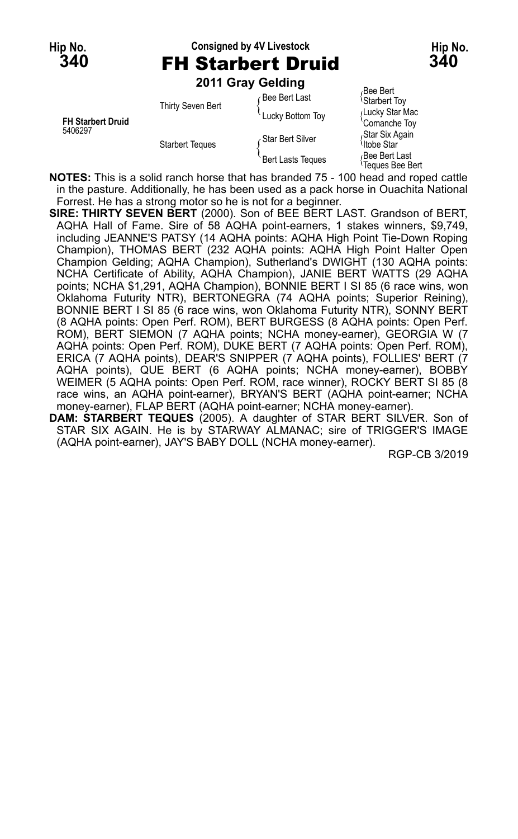#### **Hip No. Consigned by 4V Livestock Hip No. 340** FH Starbert Druid **340**

**Bee Bert** 

**2011 Gray Gelding**

| <b>FH Starbert Druid</b><br>5406297 | Thirty Seven Bert<br><b>Starbert Teques</b> | <sub>∩</sub> Bee Bert Last | 'Starbert Toy                             |
|-------------------------------------|---------------------------------------------|----------------------------|-------------------------------------------|
|                                     |                                             | Lucky Bottom Toy           | Lucky Star Mac<br>'Comanche Toy           |
|                                     |                                             | Star Bert Silver           | Star Six Again<br><sup>≀</sup> Itobe Star |
|                                     |                                             | <b>Bert Lasts Teques</b>   | Bee Bert Last<br>Teques Bee Bert          |

**NOTES:** This is a solid ranch horse that has branded 75 - 100 head and roped cattle in the pasture. Additionally, he has been used as a pack horse in Ouachita National Forrest. He has a strong motor so he is not for a beginner.

**SIRE: THIRTY SEVEN BERT** (2000). Son of BEE BERT LAST. Grandson of BERT, AQHA Hall of Fame. Sire of 58 AQHA point-earners, 1 stakes winners, \$9,749, including JEANNE'S PATSY (14 AQHA points: AQHA High Point Tie-Down Roping Champion), THOMAS BERT (232 AQHA points: AQHA High Point Halter Open Champion Gelding; AQHA Champion), Sutherland's DWIGHT (130 AQHA points: NCHA Certificate of Ability, AQHA Champion), JANIE BERT WATTS (29 AQHA points; NCHA \$1,291, AQHA Champion), BONNIE BERT I SI 85 (6 race wins, won Oklahoma Futurity NTR), BERTONEGRA (74 AQHA points; Superior Reining), BONNIE BERT I SI 85 (6 race wins, won Oklahoma Futurity NTR), SONNY BERT (8 AQHA points: Open Perf. ROM), BERT BURGESS (8 AQHA points: Open Perf. ROM), BERT SIEMON (7 AQHA points; NCHA money-earner), GEORGIA W (7 AQHA points: Open Perf. ROM), DUKE BERT (7 AQHA points: Open Perf. ROM), ERICA (7 AQHA points), DEAR'S SNIPPER (7 AQHA points), FOLLIES' BERT (7 AQHA points), QUE BERT (6 AQHA points; NCHA money-earner), BOBBY WEIMER (5 AQHA points: Open Perf. ROM, race winner), ROCKY BERT SI 85 (8 race wins, an AQHA point-earner), BRYAN'S BERT (AQHA point-earner; NCHA money-earner), FLAP BERT (AQHA point-earner; NCHA money-earner).

**DAM: STARBERT TEQUES** (2005). A daughter of STAR BERT SILVER. Son of STAR SIX AGAIN. He is by STARWAY ALMANAC; sire of TRIGGER'S IMAGE (AQHA point-earner), JAY'S BABY DOLL (NCHA money-earner).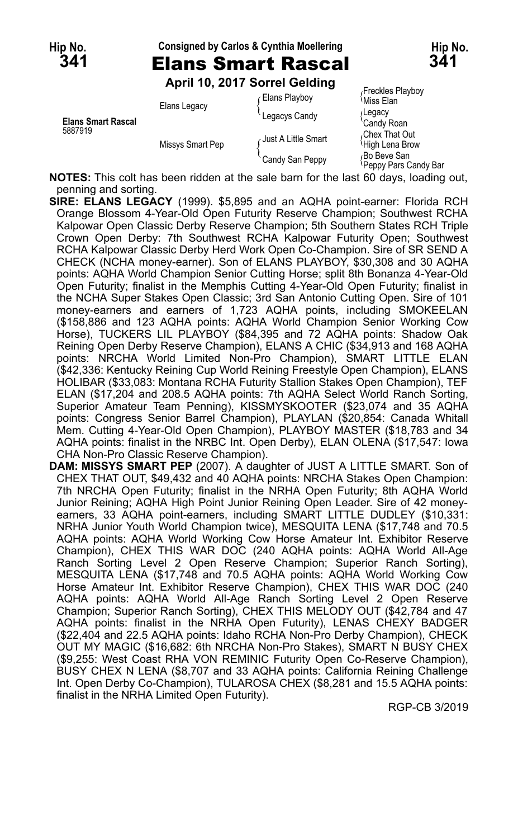| Hip No.<br><b>341</b>     |                  | <b>Consigned by Carlos &amp; Cynthia Moellering</b><br><b>Elans Smart Rascal</b><br>April 10, 2017 Sorrel Gelding | Hip No.<br>341                                                                        |  |
|---------------------------|------------------|-------------------------------------------------------------------------------------------------------------------|---------------------------------------------------------------------------------------|--|
| <b>Elans Smart Rascal</b> | Elans Legacy     | Elans Playboy<br>Legacys Candy                                                                                    | Freckles Playboy<br><sup>∖</sup> Miss Elan<br>∫Legacy<br>'Candy Roan                  |  |
| 5887919                   | Missys Smart Pep | Just A Little Smart<br>Candy San Peppy                                                                            | .Chex That Out<br>High Lena Brow<br><sub>∩</sub> Bo Beve San<br>≀Peppy Pars Candy Bar |  |

**NOTES:** This colt has been ridden at the sale barn for the last 60 days, loading out, penning and sorting.

- **SIRE: ELANS LEGACY** (1999). \$5,895 and an AQHA point-earner: Florida RCH Orange Blossom 4-Year-Old Open Futurity Reserve Champion; Southwest RCHA Kalpowar Open Classic Derby Reserve Champion; 5th Southern States RCH Triple Crown Open Derby: 7th Southwest RCHA Kalpowar Futurity Open; Southwest RCHA Kalpowar Classic Derby Herd Work Open Co-Champion. Sire of SR SEND A CHECK (NCHA money-earner). Son of ELANS PLAYBOY, \$30,308 and 30 AQHA points: AQHA World Champion Senior Cutting Horse; split 8th Bonanza 4-Year-Old Open Futurity; finalist in the Memphis Cutting 4-Year-Old Open Futurity; finalist in the NCHA Super Stakes Open Classic; 3rd San Antonio Cutting Open. Sire of 101 money-earners and earners of 1,723 AQHA points, including SMOKEELAN (\$158,886 and 123 AQHA points: AQHA World Champion Senior Working Cow Horse), TUCKERS LIL PLAYBOY (\$84,395 and 72 AQHA points: Shadow Oak Reining Open Derby Reserve Champion), ELANS A CHIC (\$34,913 and 168 AQHA points: NRCHA World Limited Non-Pro Champion), SMART LITTLE ELAN (\$42,336: Kentucky Reining Cup World Reining Freestyle Open Champion), ELANS HOLIBAR (\$33,083: Montana RCHA Futurity Stallion Stakes Open Champion), TEF ELAN (\$17,204 and 208.5 AQHA points: 7th AQHA Select World Ranch Sorting, Superior Amateur Team Penning), KISSMYSKOOTER (\$23,074 and 35 AQHA points: Congress Senior Barrel Champion), PLAYLAN (\$20,854: Canada Whitall Mem. Cutting 4-Year-Old Open Champion), PLAYBOY MASTER (\$18,783 and 34 AQHA points: finalist in the NRBC Int. Open Derby), ELAN OLENA (\$17,547: Iowa CHA Non-Pro Classic Reserve Champion).
- **DAM: MISSYS SMART PEP** (2007). A daughter of JUST A LITTLE SMART. Son of CHEX THAT OUT, \$49,432 and 40 AQHA points: NRCHA Stakes Open Champion: 7th NRCHA Open Futurity; finalist in the NRHA Open Futurity; 8th AQHA World Junior Reining; AQHA High Point Junior Reining Open Leader. Sire of 42 moneyearners, 33 AQHA point-earners, including SMART LITTLE DUDLEY (\$10,331: NRHA Junior Youth World Champion twice), MESQUITA LENA (\$17,748 and 70.5 AQHA points: AQHA World Working Cow Horse Amateur Int. Exhibitor Reserve Champion), CHEX THIS WAR DOC (240 AQHA points: AQHA World All-Age Ranch Sorting Level 2 Open Reserve Champion; Superior Ranch Sorting), MESQUITA LENA (\$17,748 and 70.5 AQHA points: AQHA World Working Cow Horse Amateur Int. Exhibitor Reserve Champion), CHEX THIS WAR DOC (240 AQHA points: AQHA World All-Age Ranch Sorting Level 2 Open Reserve Champion; Superior Ranch Sorting), CHEX THIS MELODY OUT (\$42,784 and 47 AQHA points: finalist in the NRHA Open Futurity), LENAS CHEXY BADGER (\$22,404 and 22.5 AQHA points: Idaho RCHA Non-Pro Derby Champion), CHECK OUT MY MAGIC (\$16,682: 6th NRCHA Non-Pro Stakes), SMART N BUSY CHEX (\$9,255: West Coast RHA VON REMINIC Futurity Open Co-Reserve Champion), BUSY CHEX N LENA (\$8,707 and 33 AQHA points: California Reining Challenge Int. Open Derby Co-Champion), TULAROSA CHEX (\$8,281 and 15.5 AQHA points: finalist in the NRHA Limited Open Futurity).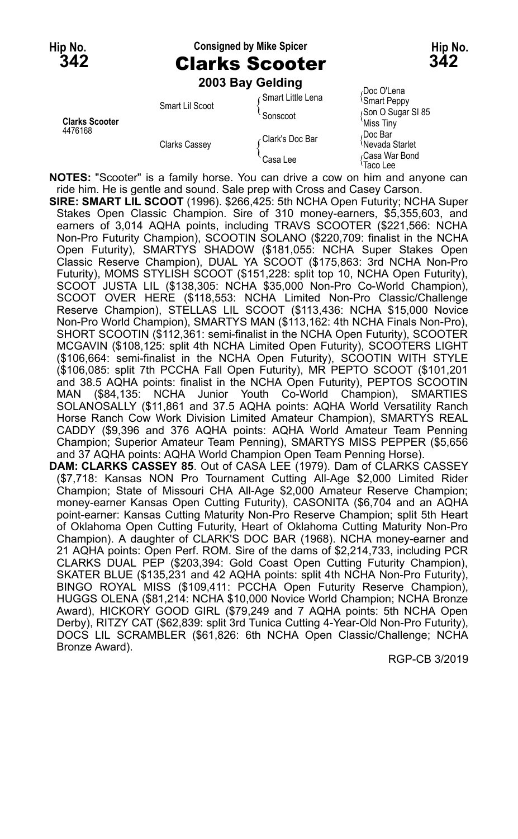#### **Hip No. Consigned by Mike Spicer Hip No. 342** Clarks Scooter **342**

**2003 Bay Gelding** Smart Little Lena (Doc O'Lena<br>Smart Little Lena (Smart Peppy) Smart Lil Scoot<br>
Sonscoot { Sonscoot { Sonscoot { Sonscoot }<br>
Miss Tiny **Clarks Scooter** Miss Tiny<br>4476168 Miss Tiny And the Miss Tiny of the Miss Tiny of the Miss Tiny of the Miss Tiny of the Miss Tiny of the M<br>Alanda Dec Bar

<sup>2</sup> Clark's Doc Bar (Doc Bar (Doc Bar )<br>Nevada Starlet

Clarks Cassey Nevada Starlet { Casa War Bond Casa Lee { Taco Lee

**NOTES:** "Scooter" is a family horse. You can drive a cow on him and anyone can ride him. He is gentle and sound. Sale prep with Cross and Casey Carson.

- **SIRE: SMART LIL SCOOT** (1996). \$266,425: 5th NCHA Open Futurity; NCHA Super Stakes Open Classic Champion. Sire of 310 money-earners, \$5,355,603, and earners of 3,014 AQHA points, including TRAVS SCOOTER (\$221,566: NCHA Non-Pro Futurity Champion), SCOOTIN SOLANO (\$220,709: finalist in the NCHA Open Futurity), SMARTYS SHADOW (\$181,055: NCHA Super Stakes Open Classic Reserve Champion), DUAL YA SCOOT (\$175,863: 3rd NCHA Non-Pro Futurity), MOMS STYLISH SCOOT (\$151,228: split top 10, NCHA Open Futurity), SCOOT JUSTA LIL (\$138,305: NCHA \$35,000 Non-Pro Co-World Champion), SCOOT OVER HERE (\$118,553: NCHA Limited Non-Pro Classic/Challenge Reserve Champion), STELLAS LIL SCOOT (\$113,436: NCHA \$15,000 Novice Non-Pro World Champion), SMARTYS MAN (\$113,162: 4th NCHA Finals Non-Pro), SHORT SCOOTIN (\$112,361: semi-finalist in the NCHA Open Futurity), SCOOTER MCGAVIN (\$108,125: split 4th NCHA Limited Open Futurity), SCOOTERS LIGHT (\$106,664: semi-finalist in the NCHA Open Futurity), SCOOTIN WITH STYLE (\$106,085: split 7th PCCHA Fall Open Futurity), MR PEPTO SCOOT (\$101,201 and 38.5 AQHA points: finalist in the NCHA Open Futurity), PEPTOS SCOOTIN MAN (\$84,135: NCHA Junior Youth Co-World Champion), SMARTIES SOLANOSALLY (\$11,861 and 37.5 AQHA points: AQHA World Versatility Ranch Horse Ranch Cow Work Division Limited Amateur Champion), SMARTYS REAL CADDY (\$9,396 and 376 AQHA points: AQHA World Amateur Team Penning Champion; Superior Amateur Team Penning), SMARTYS MISS PEPPER (\$5,656 and 37 AQHA points: AQHA World Champion Open Team Penning Horse). **DAM: CLARKS CASSEY 85**. Out of CASA LEE (1979). Dam of CLARKS CASSEY
- (\$7,718: Kansas NON Pro Tournament Cutting All-Age \$2,000 Limited Rider Champion; State of Missouri CHA All-Age \$2,000 Amateur Reserve Champion; money-earner Kansas Open Cutting Futurity), CASONITA (\$6,704 and an AQHA point-earner: Kansas Cutting Maturity Non-Pro Reserve Champion; split 5th Heart of Oklahoma Open Cutting Futurity, Heart of Oklahoma Cutting Maturity Non-Pro Champion). A daughter of CLARK'S DOC BAR (1968). NCHA money-earner and 21 AQHA points: Open Perf. ROM. Sire of the dams of \$2,214,733, including PCR CLARKS DUAL PEP (\$203,394: Gold Coast Open Cutting Futurity Champion), SKATER BLUE (\$135,231 and 42 AQHA points: split 4th NCHA Non-Pro Futurity), BINGO ROYAL MISS (\$109,411: PCCHA Open Futurity Reserve Champion), HUGGS OLENA (\$81,214: NCHA \$10,000 Novice World Champion; NCHA Bronze Award), HICKORY GOOD GIRL (\$79,249 and 7 AQHA points: 5th NCHA Open Derby), RITZY CAT (\$62,839: split 3rd Tunica Cutting 4-Year-Old Non-Pro Futurity), DOCS LIL SCRAMBLER (\$61,826: 6th NCHA Open Classic/Challenge; NCHA Bronze Award).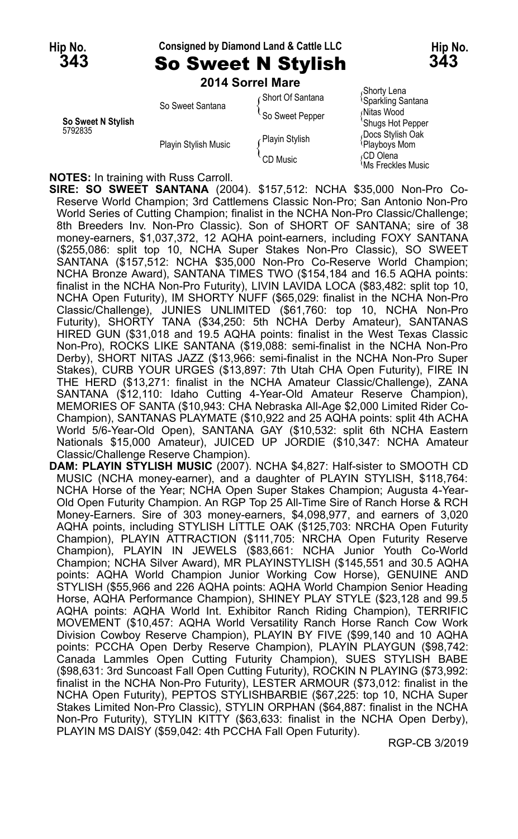#### **Hip No. Consigned by Diamond Land & Cattle LLC Hip No. 343** So Sweet N Stylish **343**

**2014 Sorrel Mare**

| So Sweet N Stylish<br>5792835 | So Sweet Santana     | Short Of Santana<br>So Sweet Pepper | Shorty Lena،<br><sup>1</sup> Sparkling Santana<br>Nitas Wood<br>'Shugs Hot Pepper |
|-------------------------------|----------------------|-------------------------------------|-----------------------------------------------------------------------------------|
|                               | Playin Stylish Music | Playin Stylish<br>CD Music          | Docs Stylish Oak<br>Playboys Mom<br>CD Olena،<br><b>Ms Freckles Music</b>         |

<sub>/</sub>Shorty Lena<br><sup>{</sup>Sparkling Santana <sup>t</sup>Shugs Hot Pepper<br>¿Docs Stvlish Oak

**NOTES:** In training with Russ Carroll.

**SIRE: SO SWEET SANTANA** (2004). \$157,512: NCHA \$35,000 Non-Pro Co-Reserve World Champion; 3rd Cattlemens Classic Non-Pro; San Antonio Non-Pro World Series of Cutting Champion; finalist in the NCHA Non-Pro Classic/Challenge; 8th Breeders Inv. Non-Pro Classic). Son of SHORT OF SANTANA; sire of 38 money-earners, \$1,037,372, 12 AQHA point-earners, including FOXY SANTANA (\$255,086: split top 10, NCHA Super Stakes Non-Pro Classic), SO SWEET SANTANA (\$157,512: NCHA \$35,000 Non-Pro Co-Reserve World Champion; NCHA Bronze Award), SANTANA TIMES TWO (\$154,184 and 16.5 AQHA points: finalist in the NCHA Non-Pro Futurity), LIVIN LAVIDA LOCA (\$83,482: split top 10, NCHA Open Futurity), IM SHORTY NUFF (\$65,029: finalist in the NCHA Non-Pro Classic/Challenge), JUNIES UNLIMITED (\$61,760: top 10, NCHA Non-Pro Futurity), SHORTY TANA (\$34,250: 5th NCHA Derby Amateur), SANTANAS HIRED GUN (\$31,018 and 19.5 AQHA points: finalist in the West Texas Classic Non-Pro), ROCKS LIKE SANTANA (\$19,088: semi-finalist in the NCHA Non-Pro Derby), SHORT NITAS JAZZ (\$13,966: semi-finalist in the NCHA Non-Pro Super Stakes), CURB YOUR URGES (\$13,897: 7th Utah CHA Open Futurity), FIRE IN THE HERD (\$13,271: finalist in the NCHA Amateur Classic/Challenge), ZANA SANTANA (\$12,110: Idaho Cutting 4-Year-Old Amateur Reserve Champion), MEMORIES OF SANTA (\$10,943: CHA Nebraska All-Age \$2,000 Limited Rider Co-Champion), SANTANAS PLAYMATE (\$10,922 and 25 AQHA points: split 4th ACHA World 5/6-Year-Old Open), SANTANA GAY (\$10,532: split 6th NCHA Eastern Nationals \$15,000 Amateur), JUICED UP JORDIE (\$10,347: NCHA Amateur Classic/Challenge Reserve Champion).

**DAM: PLAYIN STYLISH MUSIC** (2007). NCHA \$4,827: Half-sister to SMOOTH CD MUSIC (NCHA money-earner), and a daughter of PLAYIN STYLISH, \$118,764: NCHA Horse of the Year; NCHA Open Super Stakes Champion; Augusta 4-Year-Old Open Futurity Champion. An RGP Top 25 All-Time Sire of Ranch Horse & RCH Money-Earners. Sire of 303 money-earners, \$4,098,977, and earners of 3,020 AQHA points, including STYLISH LITTLE OAK (\$125,703: NRCHA Open Futurity Champion), PLAYIN ATTRACTION (\$111,705: NRCHA Open Futurity Reserve Champion), PLAYIN IN JEWELS (\$83,661: NCHA Junior Youth Co-World Champion; NCHA Silver Award), MR PLAYINSTYLISH (\$145,551 and 30.5 AQHA points: AQHA World Champion Junior Working Cow Horse), GENUINE AND STYLISH (\$55,966 and 226 AQHA points: AQHA World Champion Senior Heading Horse, AQHA Performance Champion), SHINEY PLAY STYLE (\$23,128 and 99.5 AQHA points: AQHA World Int. Exhibitor Ranch Riding Champion), TERRIFIC MOVEMENT (\$10,457: AQHA World Versatility Ranch Horse Ranch Cow Work Division Cowboy Reserve Champion), PLAYIN BY FIVE (\$99,140 and 10 AQHA points: PCCHA Open Derby Reserve Champion), PLAYIN PLAYGUN (\$98,742: Canada Lammles Open Cutting Futurity Champion), SUES STYLISH BABE (\$98,631: 3rd Suncoast Fall Open Cutting Futurity), ROCKIN N PLAYING (\$73,992: finalist in the NCHA Non-Pro Futurity), LESTER ARMOUR (\$73,012: finalist in the NCHA Open Futurity), PEPTOS STYLISHBARBIE (\$67,225: top 10, NCHA Super Stakes Limited Non-Pro Classic), STYLIN ORPHAN (\$64,887: finalist in the NCHA Non-Pro Futurity), STYLIN KITTY (\$63,633: finalist in the NCHA Open Derby), PLAYIN MS DAISY (\$59,042: 4th PCCHA Fall Open Futurity).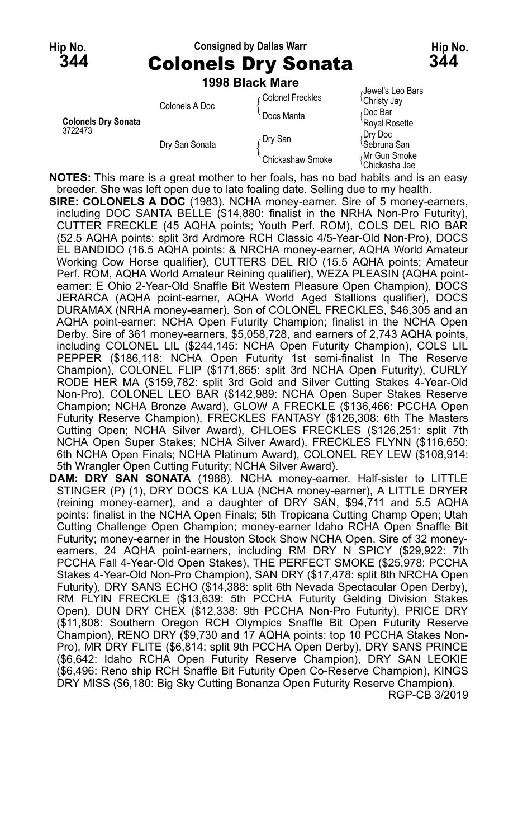### **Hip No. Consigned by Dallas Warr Hip No. 344** Colonels Dry Sonata **344**

|                                       |                | 1998 Black Mare   |                                              |
|---------------------------------------|----------------|-------------------|----------------------------------------------|
|                                       | Colonels A Doc | ∩Colonel Freckles | Jewel's Leo Bars<br><sup>l</sup> Christy Jay |
| <b>Colonels Dry Sonata</b><br>3722473 |                | Docs Manta        | Doc Bar<br>Royal Rosette                     |
|                                       | Dry San Sonata | ∩Dry San          | Dry Doc<br><sup>≀</sup> Sebruna San          |
|                                       |                | Chickashaw Smoke  | Mr Gun Smoke<br><sup>(</sup> Chickasha Jae   |

**NOTES:** This mare is a great mother to her foals, has no bad habits and is an easy breeder. She was left open due to late foaling date. Selling due to my health.

**SIRE: COLONELS A DOC** (1983). NCHA money-earner. Sire of 5 money-earners, including DOC SANTA BELLE (\$14,880: finalist in the NRHA Non-Pro Futurity), CUTTER FRECKLE (45 AQHA points; Youth Perf. ROM), COLS DEL RIO BAR (52.5 AQHA points: split 3rd Ardmore RCH Classic 4/5-Year-Old Non-Pro), DOCS EL BANDIDO (16.5 AQHA points: & NRCHA money-earner, AQHA World Amateur Working Cow Horse qualifier), CUTTERS DEL RIO (15.5 AQHA points; Amateur Perf. ROM, AQHA World Amateur Reining qualifier), WEZA PLEASIN (AQHA pointearner: E Ohio 2-Year-Old Snaffle Bit Western Pleasure Open Champion), DOCS JERARCA (AQHA point-earner, AQHA World Aged Stallions qualifier), DOCS DURAMAX (NRHA money-earner). Son of COLONEL FRECKLES, \$46,305 and an AQHA point-earner: NCHA Open Futurity Champion; finalist in the NCHA Open Derby. Sire of 361 money-earners, \$5,058,728, and earners of 2,743 AQHA points, including COLONEL LIL (\$244,145: NCHA Open Futurity Champion), COLS LIL PEPPER (\$186,118: NCHA Open Futurity 1st semi-finalist In The Reserve Champion), COLONEL FLIP (\$171,865: split 3rd NCHA Open Futurity), CURLY RODE HER MA (\$159,782: split 3rd Gold and Silver Cutting Stakes 4-Year-Old Non-Pro), COLONEL LEO BAR (\$142,989: NCHA Open Super Stakes Reserve Champion; NCHA Bronze Award), GLOW A FRECKLE (\$136,466: PCCHA Open Futurity Reserve Champion), FRECKLES FANTASY (\$126,308: 6th The Masters Cutting Open; NCHA Silver Award), CHLOES FRECKLES (\$126,251: split 7th NCHA Open Super Stakes; NCHA Silver Award), FRECKLES FLYNN (\$116,650: 6th NCHA Open Finals; NCHA Platinum Award), COLONEL REY LEW (\$108,914: 5th Wrangler Open Cutting Futurity; NCHA Silver Award).

**DAM: DRY SAN SONATA** (1988). NCHA money-earner. Half-sister to LITTLE STINGER (P) (1), DRY DOCS KA LUA (NCHA money-earner), A LITTLE DRYER (reining money-earner), and a daughter of DRY SAN, \$94,711 and 5.5 AQHA points: finalist in the NCHA Open Finals; 5th Tropicana Cutting Champ Open; Utah Cutting Challenge Open Champion; money-earner Idaho RCHA Open Snaffle Bit Futurity; money-earner in the Houston Stock Show NCHA Open. Sire of 32 moneyearners, 24 AQHA point-earners, including RM DRY N SPICY (\$29,922: 7th PCCHA Fall 4-Year-Old Open Stakes), THE PERFECT SMOKE (\$25,978: PCCHA Stakes 4-Year-Old Non-Pro Champion), SAN DRY (\$17,478: split 8th NRCHA Open Futurity), DRY SANS ECHO (\$14,388: split 6th Nevada Spectacular Open Derby), RM FLYIN FRECKLE (\$13,639: 5th PCCHA Futurity Gelding Division Stakes Open), DUN DRY CHEX (\$12,338: 9th PCCHA Non-Pro Futurity), PRICE DRY (\$11,808: Southern Oregon RCH Olympics Snaffle Bit Open Futurity Reserve Champion), RENO DRY (\$9,730 and 17 AQHA points: top 10 PCCHA Stakes Non-Pro), MR DRY FLITE (\$6,814: split 9th PCCHA Open Derby), DRY SANS PRINCE (\$6,642: Idaho RCHA Open Futurity Reserve Champion), DRY SAN LEOKIE (\$6,496: Reno ship RCH Snaffle Bit Futurity Open Co-Reserve Champion), KINGS DRY MISS (\$6,180: Big Sky Cutting Bonanza Open Futurity Reserve Champion). RGP-CB 3/2019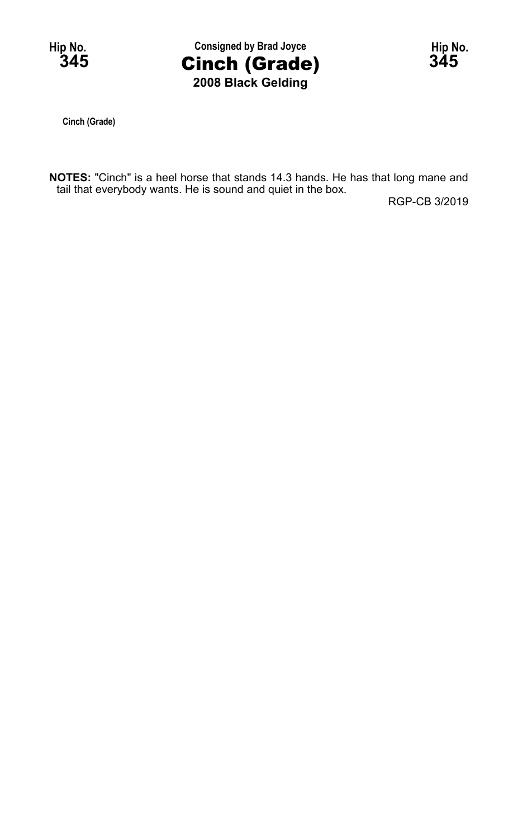

**Cinch (Grade)**

**NOTES:** "Cinch" is a heel horse that stands 14.3 hands. He has that long mane and tail that everybody wants. He is sound and quiet in the box.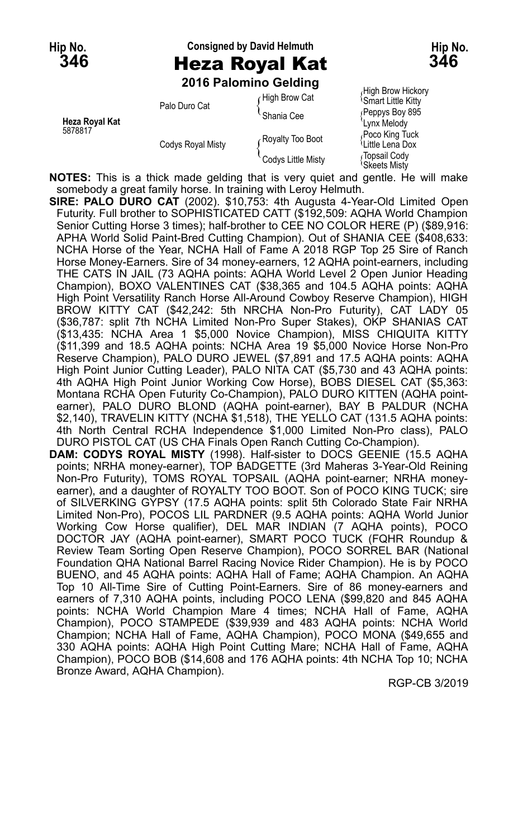# **Hip No. Consigned by David Helmuth Hip No. 346** Heza Royal Kat **346**

**2016 Palomino Gelding**

|                |                          | <b>ZUTO PAIUITIIIIU UBIUIIIU</b>       |                                                                                            |
|----------------|--------------------------|----------------------------------------|--------------------------------------------------------------------------------------------|
| Heza Royal Kat | Palo Duro Cat            | High Brow Cat<br>Shania Cee            | High Brow Hickory<br><b>Smart Little Kitty</b><br>Peppys Boy 895                           |
| 5878817        | <b>Codys Royal Misty</b> | Royalty Too Boot<br>Codys Little Misty | Lynx Melody<br>Poco King Tuck<br>પેLittle Lena Dox<br>Topsail Cody<br><b>\Skeets Misty</b> |

**NOTES:** This is a thick made gelding that is very quiet and gentle. He will make somebody a great family horse. In training with Leroy Helmuth.

**SIRE: PALO DURO CAT** (2002). \$10,753: 4th Augusta 4-Year-Old Limited Open Futurity. Full brother to SOPHISTICATED CATT (\$192,509: AQHA World Champion Senior Cutting Horse 3 times); half-brother to CEE NO COLOR HERE (P) (\$89,916: APHA World Solid Paint-Bred Cutting Champion). Out of SHANIA CEE (\$408,633: NCHA Horse of the Year, NCHA Hall of Fame A 2018 RGP Top 25 Sire of Ranch Horse Money-Earners. Sire of 34 money-earners, 12 AQHA point-earners, including THE CATS IN JAIL (73 AQHA points: AQHA World Level 2 Open Junior Heading Champion), BOXO VALENTINES CAT (\$38,365 and 104.5 AQHA points: AQHA High Point Versatility Ranch Horse All-Around Cowboy Reserve Champion), HIGH BROW KITTY CAT (\$42,242: 5th NRCHA Non-Pro Futurity), CAT LADY 05 (\$36,787: split 7th NCHA Limited Non-Pro Super Stakes), OKP SHANIAS CAT (\$13,435: NCHA Area 1 \$5,000 Novice Champion), MISS CHIQUITA KITTY (\$11,399 and 18.5 AQHA points: NCHA Area 19 \$5,000 Novice Horse Non-Pro Reserve Champion), PALO DURO JEWEL (\$7,891 and 17.5 AQHA points: AQHA High Point Junior Cutting Leader), PALO NITA CAT (\$5,730 and 43 AQHA points: 4th AQHA High Point Junior Working Cow Horse), BOBS DIESEL CAT (\$5,363: Montana RCHA Open Futurity Co-Champion), PALO DURO KITTEN (AQHA pointearner), PALO DURO BLOND (AQHA point-earner), BAY B PALDUR (NCHA \$2,140), TRAVELIN KITTY (NCHA \$1,518), THE YELLO CAT (131.5 AQHA points: 4th North Central RCHA Independence \$1,000 Limited Non-Pro class), PALO DURO PISTOL CAT (US CHA Finals Open Ranch Cutting Co-Champion).

**DAM: CODYS ROYAL MISTY** (1998). Half-sister to DOCS GEENIE (15.5 AQHA points; NRHA money-earner), TOP BADGETTE (3rd Maheras 3-Year-Old Reining Non-Pro Futurity), TOMS ROYAL TOPSAIL (AQHA point-earner; NRHA moneyearner), and a daughter of ROYALTY TOO BOOT. Son of POCO KING TUCK; sire of SILVERKING GYPSY (17.5 AQHA points: split 5th Colorado State Fair NRHA Limited Non-Pro), POCOS LIL PARDNER (9.5 AQHA points: AQHA World Junior Working Cow Horse qualifier), DEL MAR INDIAN (7 AQHA points), POCO DOCTOR JAY (AQHA point-earner), SMART POCO TUCK (FQHR Roundup & Review Team Sorting Open Reserve Champion), POCO SORREL BAR (National Foundation QHA National Barrel Racing Novice Rider Champion). He is by POCO BUENO, and 45 AQHA points: AQHA Hall of Fame; AQHA Champion. An AQHA Top 10 All-Time Sire of Cutting Point-Earners. Sire of 86 money-earners and earners of 7,310 AQHA points, including POCO LENA (\$99,820 and 845 AQHA points: NCHA World Champion Mare 4 times; NCHA Hall of Fame, AQHA Champion), POCO STAMPEDE (\$39,939 and 483 AQHA points: NCHA World Champion; NCHA Hall of Fame, AQHA Champion), POCO MONA (\$49,655 and 330 AQHA points: AQHA High Point Cutting Mare; NCHA Hall of Fame, AQHA Champion), POCO BOB (\$14,608 and 176 AQHA points: 4th NCHA Top 10; NCHA Bronze Award, AQHA Champion).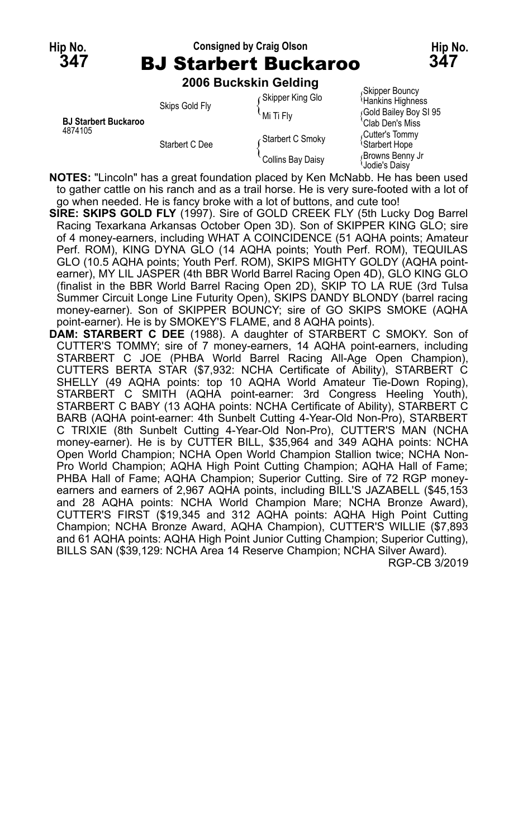### **Hip No. Consigned by Craig Olson Hip No. 347** BJ Starbert Buckaroo **347**

**2006 Buckskin Gelding**

|                                        | <b>ZUUU DUUNJNIII UUIUIIIY</b> |                           |                                              |
|----------------------------------------|--------------------------------|---------------------------|----------------------------------------------|
| <b>BJ Starbert Buckaroo</b><br>4874105 | Skips Gold Fly                 | Skipper King Glo          | Skipper Bouncy،<br>Hankins Highness          |
|                                        |                                | $^{\backprime}$ Mi Ti Flv | Gold Bailey Boy SI 95<br>Clab Den's Miss     |
|                                        | Starbert C Dee                 | Starbert C Smoky          | Cutter's Tommy<br><sup>1</sup> Starbert Hope |
|                                        |                                | Collins Bay Daisy         | Browns Benny Jr<br>Jodie's Daisv             |

**NOTES:** "Lincoln" has a great foundation placed by Ken McNabb. He has been used to gather cattle on his ranch and as a trail horse. He is very sure-footed with a lot of go when needed. He is fancy broke with a lot of buttons, and cute too!

**SIRE: SKIPS GOLD FLY** (1997). Sire of GOLD CREEK FLY (5th Lucky Dog Barrel Racing Texarkana Arkansas October Open 3D). Son of SKIPPER KING GLO; sire of 4 money-earners, including WHAT A COINCIDENCE (51 AQHA points; Amateur Perf. ROM), KING DYNA GLO (14 AQHA points; Youth Perf. ROM), TEQUILAS GLO (10.5 AQHA points; Youth Perf. ROM), SKIPS MIGHTY GOLDY (AQHA pointearner), MY LIL JASPER (4th BBR World Barrel Racing Open 4D), GLO KING GLO (finalist in the BBR World Barrel Racing Open 2D), SKIP TO LA RUE (3rd Tulsa Summer Circuit Longe Line Futurity Open), SKIPS DANDY BLONDY (barrel racing money-earner). Son of SKIPPER BOUNCY; sire of GO SKIPS SMOKE (AQHA point-earner). He is by SMOKEY'S FLAME, and 8 AQHA points).

**DAM: STARBERT C DEE** (1988). A daughter of STARBERT C SMOKY. Son of CUTTER'S TOMMY; sire of 7 money-earners, 14 AQHA point-earners, including STARBERT C JOE (PHBA World Barrel Racing All-Age Open Champion), CUTTERS BERTA STAR (\$7,932: NCHA Certificate of Ability), STARBERT C SHELLY (49 AQHA points: top 10 AQHA World Amateur Tie-Down Roping), STARBERT C SMITH (AQHA point-earner: 3rd Congress Heeling Youth), STARBERT C BABY (13 AQHA points: NCHA Certificate of Ability), STARBERT C BARB (AQHA point-earner: 4th Sunbelt Cutting 4-Year-Old Non-Pro), STARBERT C TRIXIE (8th Sunbelt Cutting 4-Year-Old Non-Pro), CUTTER'S MAN (NCHA money-earner). He is by CUTTER BILL, \$35,964 and 349 AQHA points: NCHA Open World Champion; NCHA Open World Champion Stallion twice; NCHA Non-Pro World Champion; AQHA High Point Cutting Champion; AQHA Hall of Fame; PHBA Hall of Fame; AQHA Champion; Superior Cutting. Sire of 72 RGP moneyearners and earners of 2,967 AQHA points, including BILL'S JAZABELL (\$45,153 and 28 AQHA points: NCHA World Champion Mare; NCHA Bronze Award), CUTTER'S FIRST (\$19,345 and 312 AQHA points: AQHA High Point Cutting Champion; NCHA Bronze Award, AQHA Champion), CUTTER'S WILLIE (\$7,893 and 61 AQHA points: AQHA High Point Junior Cutting Champion; Superior Cutting), BILLS SAN (\$39,129: NCHA Area 14 Reserve Champion; NCHA Silver Award). RGP-CB 3/2019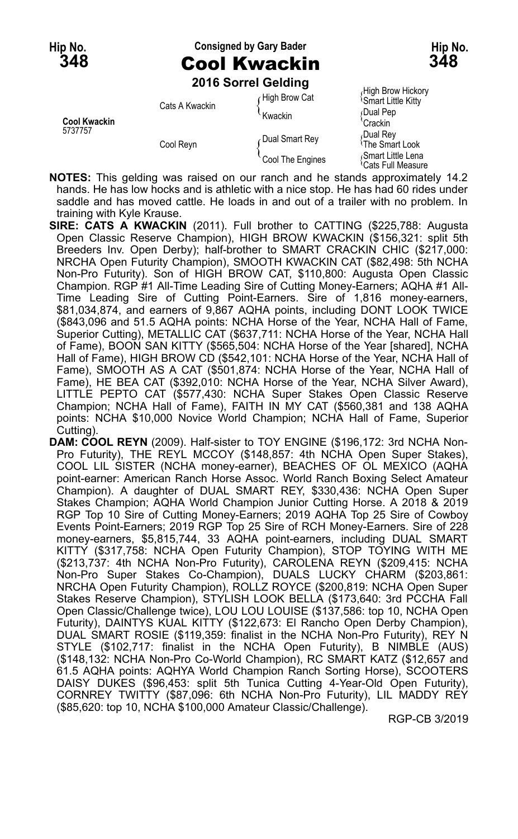# **Hip No. Consigned by Gary Bader Hip No. 348** Cool Kwackin **348**

**2016 Sorrel Gelding**

| <b>Cool Kwackin</b><br>5737757 | Cats A Kwackin | High Brow Cat<br>Kwackin | High Brow Hickory<br><b>Smart Little Kitty</b><br>Dual Pep      |
|--------------------------------|----------------|--------------------------|-----------------------------------------------------------------|
|                                | Cool Reyn      | Dual Smart Rev           | Crackin<br>Dual Rev <sub>،</sub><br><sup>≀</sup> The Smart Look |
|                                |                | Cool The Engines         | Smart Little Lena<br><sup>1</sup> Cats Full Measure             |

**NOTES:** This gelding was raised on our ranch and he stands approximately 14.2 hands. He has low hocks and is athletic with a nice stop. He has had 60 rides under saddle and has moved cattle. He loads in and out of a trailer with no problem. In training with Kyle Krause.

**SIRE: CATS A KWACKIN** (2011). Full brother to CATTING (\$225,788: Augusta Open Classic Reserve Champion), HIGH BROW KWACKIN (\$156,321: split 5th Breeders Inv. Open Derby); half-brother to SMART CRACKIN CHIC (\$217,000: NRCHA Open Futurity Champion), SMOOTH KWACKIN CAT (\$82,498: 5th NCHA Non-Pro Futurity). Son of HIGH BROW CAT, \$110,800: Augusta Open Classic Champion. RGP #1 All-Time Leading Sire of Cutting Money-Earners; AQHA #1 All-Time Leading Sire of Cutting Point-Earners. Sire of 1,816 money-earners, \$81,034,874, and earners of 9,867 AQHA points, including DONT LOOK TWICE (\$843,096 and 51.5 AQHA points: NCHA Horse of the Year, NCHA Hall of Fame, Superior Cutting), METALLIC CAT (\$637,711: NCHA Horse of the Year, NCHA Hall of Fame), BOON SAN KITTY (\$565,504: NCHA Horse of the Year [shared], NCHA Hall of Fame), HIGH BROW CD (\$542,101: NCHA Horse of the Year, NCHA Hall of Fame), SMOOTH AS A CAT (\$501,874: NCHA Horse of the Year, NCHA Hall of Fame), HE BEA CAT (\$392,010: NCHA Horse of the Year, NCHA Silver Award), LITTLE PEPTO CAT (\$577,430: NCHA Super Stakes Open Classic Reserve Champion; NCHA Hall of Fame), FAITH IN MY CAT (\$560,381 and 138 AQHA points: NCHA \$10,000 Novice World Champion; NCHA Hall of Fame, Superior Cutting).

**DAM: COOL REYN** (2009). Half-sister to TOY ENGINE (\$196,172: 3rd NCHA Non-Pro Futurity), THE REYL MCCOY (\$148,857: 4th NCHA Open Super Stakes), COOL LIL SISTER (NCHA money-earner), BEACHES OF OL MEXICO (AQHA point-earner: American Ranch Horse Assoc. World Ranch Boxing Select Amateur Champion). A daughter of DUAL SMART REY, \$330,436: NCHA Open Super Stakes Champion; AQHA World Champion Junior Cutting Horse. A 2018 & 2019 RGP Top 10 Sire of Cutting Money-Earners; 2019 AQHA Top 25 Sire of Cowboy Events Point-Earners; 2019 RGP Top 25 Sire of RCH Money-Earners. Sire of 228 money-earners, \$5,815,744, 33 AQHA point-earners, including DUAL SMART KITTY (\$317,758: NCHA Open Futurity Champion), STOP TOYING WITH ME (\$213,737: 4th NCHA Non-Pro Futurity), CAROLENA REYN (\$209,415: NCHA Non-Pro Super Stakes Co-Champion), DUALS LUCKY CHARM (\$203,861: NRCHA Open Futurity Champion), ROLLZ ROYCE (\$200,819: NCHA Open Super Stakes Reserve Champion), STYLISH LOOK BELLA (\$173,640: 3rd PCCHA Fall Open Classic/Challenge twice), LOU LOU LOUISE (\$137,586: top 10, NCHA Open Futurity), DAINTYS KUAL KITTY (\$122,673: El Rancho Open Derby Champion), DUAL SMART ROSIE (\$119,359: finalist in the NCHA Non-Pro Futurity), REY N STYLE (\$102,717: finalist in the NCHA Open Futurity), B NIMBLE (AUS) (\$148,132: NCHA Non-Pro Co-World Champion), RC SMART KATZ (\$12,657 and 61.5 AQHA points: AQHYA World Champion Ranch Sorting Horse), SCOOTERS DAISY DUKES (\$96,453: split 5th Tunica Cutting 4-Year-Old Open Futurity), CORNREY TWITTY (\$87,096: 6th NCHA Non-Pro Futurity), LIL MADDY REY (\$85,620: top 10, NCHA \$100,000 Amateur Classic/Challenge).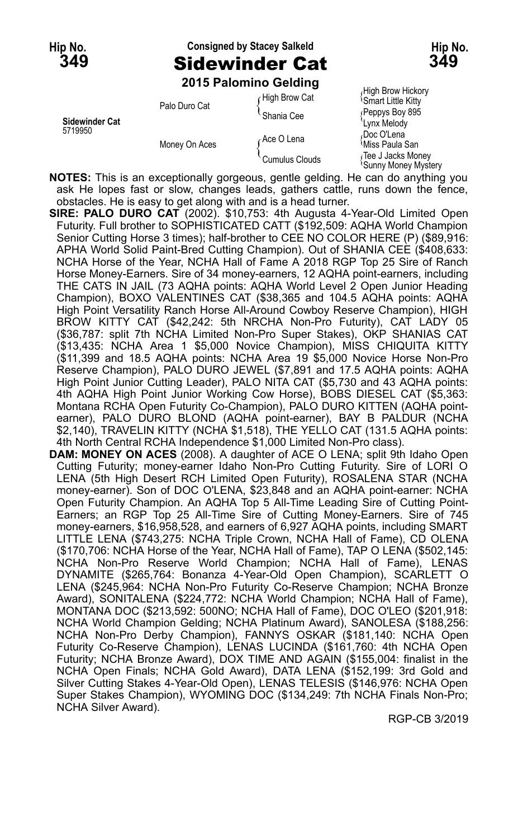# **Hip No. Consigned by Stacey Salkeld Hip No. 349** Sidewinder Cat **349**

**2015 Palomino Gelding**

| <b>Sidewinder Cat</b><br>5719950 | Palo Duro Cat | High Brow Cat  | (Filgh Brow Filckory<br><sup>1</sup> Smart Little Kitty |
|----------------------------------|---------------|----------------|---------------------------------------------------------|
|                                  |               | ≅Shania Cee    | Peppys Boy 895<br>'Lvnx Melodv                          |
|                                  | Money On Aces | Ace O Lena     | Doc O'Lena،<br>≀Miss Paula San                          |
|                                  |               | Cumulus Clouds | Tee J Jacks Money<br><sup>{</sup> Sunny Money Myste     |

High Brow Hickory<br><sup>{</sup>Smart Little Kitty Ioney Mystery

**NOTES:** This is an exceptionally gorgeous, gentle gelding. He can do anything you ask He lopes fast or slow, changes leads, gathers cattle, runs down the fence, obstacles. He is easy to get along with and is a head turner.

- **SIRE: PALO DURO CAT** (2002). \$10,753: 4th Augusta 4-Year-Old Limited Open Futurity. Full brother to SOPHISTICATED CATT (\$192,509: AQHA World Champion Senior Cutting Horse 3 times); half-brother to CEE NO COLOR HERE (P) (\$89,916: APHA World Solid Paint-Bred Cutting Champion). Out of SHANIA CEE (\$408,633: NCHA Horse of the Year, NCHA Hall of Fame A 2018 RGP Top 25 Sire of Ranch Horse Money-Earners. Sire of 34 money-earners, 12 AQHA point-earners, including THE CATS IN JAIL (73 AQHA points: AQHA World Level 2 Open Junior Heading Champion), BOXO VALENTINES CAT (\$38,365 and 104.5 AQHA points: AQHA High Point Versatility Ranch Horse All-Around Cowboy Reserve Champion), HIGH BROW KITTY CAT (\$42,242: 5th NRCHA Non-Pro Futurity), CAT LADY 05 (\$36,787: split 7th NCHA Limited Non-Pro Super Stakes), OKP SHANIAS CAT (\$13,435: NCHA Area 1 \$5,000 Novice Champion), MISS CHIQUITA KITTY (\$11,399 and 18.5 AQHA points: NCHA Area 19 \$5,000 Novice Horse Non-Pro Reserve Champion), PALO DURO JEWEL (\$7,891 and 17.5 AQHA points: AQHA High Point Junior Cutting Leader), PALO NITA CAT (\$5,730 and 43 AQHA points: 4th AQHA High Point Junior Working Cow Horse), BOBS DIESEL CAT (\$5,363: Montana RCHA Open Futurity Co-Champion), PALO DURO KITTEN (AQHA pointearner), PALO DURO BLOND (AQHA point-earner), BAY B PALDUR (NCHA \$2,140), TRAVELIN KITTY (NCHA \$1,518), THE YELLO CAT (131.5 AQHA points: 4th North Central RCHA Independence \$1,000 Limited Non-Pro class).
- **DAM: MONEY ON ACES** (2008). A daughter of ACE O LENA; split 9th Idaho Open Cutting Futurity; money-earner Idaho Non-Pro Cutting Futurity. Sire of LORI O LENA (5th High Desert RCH Limited Open Futurity), ROSALENA STAR (NCHA money-earner). Son of DOC O'LENA, \$23,848 and an AQHA point-earner: NCHA Open Futurity Champion. An AQHA Top 5 All-Time Leading Sire of Cutting Point-Earners; an RGP Top 25 All-Time Sire of Cutting Money-Earners. Sire of 745 money-earners, \$16,958,528, and earners of 6,927 AQHA points, including SMART LITTLE LENA (\$743,275: NCHA Triple Crown, NCHA Hall of Fame), CD OLENA (\$170,706: NCHA Horse of the Year, NCHA Hall of Fame), TAP O LENA (\$502,145: NCHA Non-Pro Reserve World Champion; NCHA Hall of Fame), LENAS DYNAMITE (\$265,764: Bonanza 4-Year-Old Open Champion), SCARLETT O LENA (\$245,964: NCHA Non-Pro Futurity Co-Reserve Champion; NCHA Bronze Award), SONITALENA (\$224,772: NCHA World Champion; NCHA Hall of Fame), MONTANA DOC (\$213,592: 500NO; NCHA Hall of Fame), DOC O'LEO (\$201,918: NCHA World Champion Gelding; NCHA Platinum Award), SANOLESA (\$188,256: NCHA Non-Pro Derby Champion), FANNYS OSKAR (\$181,140: NCHA Open Futurity Co-Reserve Champion), LENAS LUCINDA (\$161,760: 4th NCHA Open Futurity; NCHA Bronze Award), DOX TIME AND AGAIN (\$155,004: finalist in the NCHA Open Finals; NCHA Gold Award), DATA LENA (\$152,199: 3rd Gold and Silver Cutting Stakes 4-Year-Old Open), LENAS TELESIS (\$146,976: NCHA Open Super Stakes Champion), WYOMING DOC (\$134,249: 7th NCHA Finals Non-Pro; NCHA Silver Award).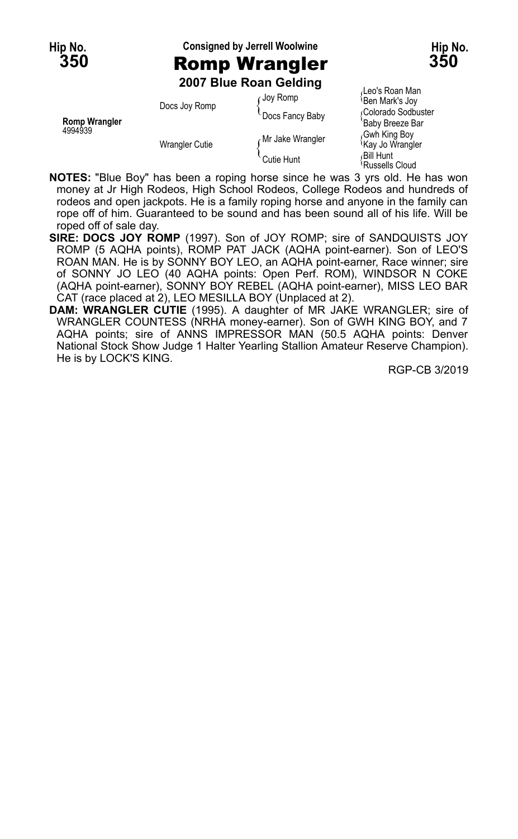#### **Hip No. Consigned by Jerrell Woolwine Hip No. 350** Romp Wrangler **350**



**2007 Blue Roan Gelding**

| <b>Romp Wrangler</b><br>4994939 | Docs Joy Romp         | Joy Romp         | Leo's Roan Man <i>l</i><br><b>Ben Mark's Joy</b> |
|---------------------------------|-----------------------|------------------|--------------------------------------------------|
|                                 |                       | Docs Fancy Baby  | Golorado Sodbuster<br>'Baby Breeze Bar           |
|                                 | <b>Wrangler Cutie</b> | Mr Jake Wrangler | Gwh King Boy<br><sup>1</sup> Kay Jo Wrangler     |
|                                 |                       | Cutie Hunt       | ،Bill Hunt<br><sup>1</sup> Russells Cloud        |

∫Leo's Roan Man<br><sup>∖</sup>Ben Mark's Joy aby Breeze B<mark>ar</mark><br>wh King Bov ussells Cloud

**NOTES:** "Blue Boy" has been a roping horse since he was 3 yrs old. He has won money at Jr High Rodeos, High School Rodeos, College Rodeos and hundreds of rodeos and open jackpots. He is a family roping horse and anyone in the family can rope off of him. Guaranteed to be sound and has been sound all of his life. Will be roped off of sale day.

- **SIRE: DOCS JOY ROMP** (1997). Son of JOY ROMP; sire of SANDQUISTS JOY ROMP (5 AQHA points), ROMP PAT JACK (AQHA point-earner). Son of LEO'S ROAN MAN. He is by SONNY BOY LEO, an AQHA point-earner, Race winner; sire of SONNY JO LEO (40 AQHA points: Open Perf. ROM), WINDSOR N COKE (AQHA point-earner), SONNY BOY REBEL (AQHA point-earner), MISS LEO BAR CAT (race placed at 2), LEO MESILLA BOY (Unplaced at 2).
- **DAM: WRANGLER CUTIE** (1995). A daughter of MR JAKE WRANGLER; sire of WRANGLER COUNTESS (NRHA money-earner). Son of GWH KING BOY, and 7 AQHA points; sire of ANNS IMPRESSOR MAN (50.5 AQHA points: Denver National Stock Show Judge 1 Halter Yearling Stallion Amateur Reserve Champion). He is by LOCK'S KING.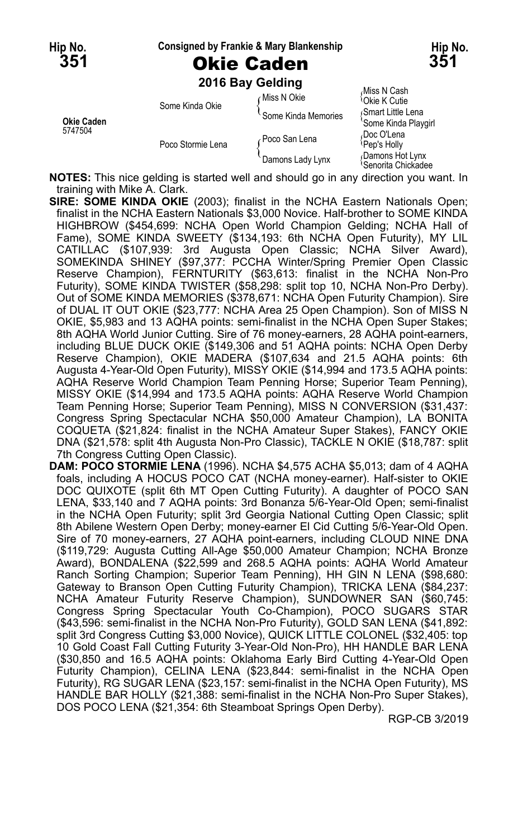#### **Hip No. Consigned by Frankie & Mary Blankenship Hip No.**

**351** Okie Caden **351**

**2016 Bay Gelding**

|                       |                   |                     | Miss N Cash                                                    |
|-----------------------|-------------------|---------------------|----------------------------------------------------------------|
| Okie Caden<br>5747504 | Some Kinda Okie   | ∈Miss N Okie        | <sup>1</sup> Okie K Cutie                                      |
|                       |                   | Some Kinda Memories | Smart Little Lena                                              |
|                       | Poco Stormie Lena | Poco San Lena       | 'Some Kinda Playgirl<br>Doc O'Lena<br><sup>{</sup> Pep's Holly |
|                       |                   | Damons Lady Lynx    | Damons Hot Lynx<br>Senorita Chickadee                          |

**NOTES:** This nice gelding is started well and should go in any direction you want. In training with Mike A. Clark.

- **SIRE: SOME KINDA OKIE** (2003); finalist in the NCHA Eastern Nationals Open; finalist in the NCHA Eastern Nationals \$3,000 Novice. Half-brother to SOME KINDA HIGHBROW (\$454,699: NCHA Open World Champion Gelding; NCHA Hall of Fame), SOME KINDA SWEETY (\$134,193: 6th NCHA Open Futurity), MY LIL CATILLAC (\$107,939: 3rd Augusta Open Classic; NCHA Silver Award), SOMEKINDA SHINEY (\$97,377: PCCHA Winter/Spring Premier Open Classic Reserve Champion), FERNTURITY (\$63,613: finalist in the NCHA Non-Pro Futurity), SOME KINDA TWISTER (\$58,298: split top 10, NCHA Non-Pro Derby). Out of SOME KINDA MEMORIES (\$378,671: NCHA Open Futurity Champion). Sire of DUAL IT OUT OKIE (\$23,777: NCHA Area 25 Open Champion). Son of MISS N OKIE, \$5,983 and 13 AQHA points: semi-finalist in the NCHA Open Super Stakes; 8th AQHA World Junior Cutting. Sire of 76 money-earners, 28 AQHA point-earners, including BLUE DUCK OKIE (\$149,306 and 51 AQHA points: NCHA Open Derby Reserve Champion), OKIE MADERA (\$107,634 and 21.5 AQHA points: 6th Augusta 4-Year-Old Open Futurity), MISSY OKIE (\$14,994 and 173.5 AQHA points: AQHA Reserve World Champion Team Penning Horse; Superior Team Penning), MISSY OKIE (\$14,994 and 173.5 AQHA points: AQHA Reserve World Champion Team Penning Horse; Superior Team Penning), MISS N CONVERSION (\$31,437: Congress Spring Spectacular NCHA \$50,000 Amateur Champion), LA BONITA COQUETA (\$21,824: finalist in the NCHA Amateur Super Stakes), FANCY OKIE DNA (\$21,578: split 4th Augusta Non-Pro Classic), TACKLE N OKIE (\$18,787: split 7th Congress Cutting Open Classic).
- **DAM: POCO STORMIE LENA** (1996). NCHA \$4,575 ACHA \$5,013; dam of 4 AQHA foals, including A HOCUS POCO CAT (NCHA money-earner). Half-sister to OKIE DOC QUIXOTE (split 6th MT Open Cutting Futurity). A daughter of POCO SAN LENA, \$33,140 and 7 AQHA points: 3rd Bonanza 5/6-Year-Old Open; semi-finalist in the NCHA Open Futurity; split 3rd Georgia National Cutting Open Classic; split 8th Abilene Western Open Derby; money-earner El Cid Cutting 5/6-Year-Old Open. Sire of 70 money-earners, 27 AQHA point-earners, including CLOUD NINE DNA (\$119,729: Augusta Cutting All-Age \$50,000 Amateur Champion; NCHA Bronze Award), BONDALENA (\$22,599 and 268.5 AQHA points: AQHA World Amateur Ranch Sorting Champion; Superior Team Penning), HH GIN N LENA (\$98,680: Gateway to Branson Open Cutting Futurity Champion), TRICKA LENA (\$84,237: NCHA Amateur Futurity Reserve Champion), SUNDOWNER SAN (\$60,745: Congress Spring Spectacular Youth Co-Champion), POCO SUGARS STAR (\$43,596: semi-finalist in the NCHA Non-Pro Futurity), GOLD SAN LENA (\$41,892: split 3rd Congress Cutting \$3,000 Novice), QUICK LITTLE COLONEL (\$32,405: top 10 Gold Coast Fall Cutting Futurity 3-Year-Old Non-Pro), HH HANDLE BAR LENA (\$30,850 and 16.5 AQHA points: Oklahoma Early Bird Cutting 4-Year-Old Open Futurity Champion), CELINA LENA (\$23,844: semi-finalist in the NCHA Open Futurity), RG SUGAR LENA (\$23,157: semi-finalist in the NCHA Open Futurity), MS HANDLE BAR HOLLY (\$21,388: semi-finalist in the NCHA Non-Pro Super Stakes), DOS POCO LENA (\$21,354: 6th Steamboat Springs Open Derby).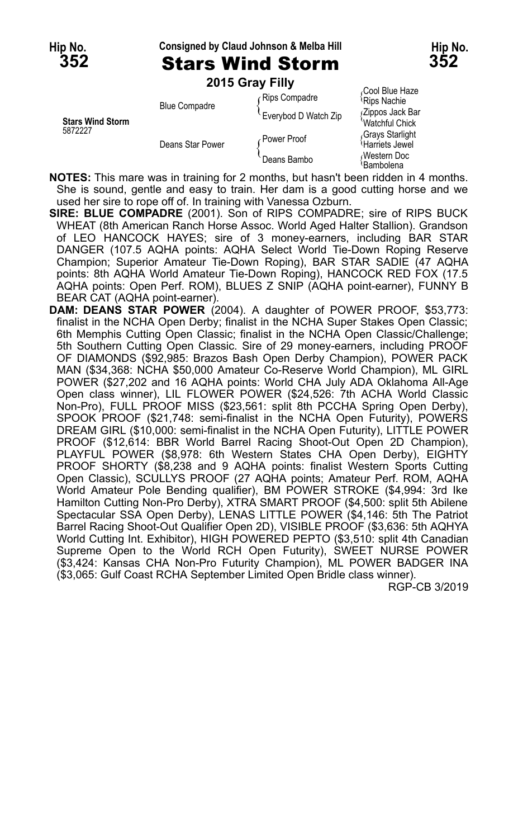#### **Hip No. Consigned by Claud Johnson & Melba Hill Hip No.**

#### **352** Stars Wind Storm **352 2015 Gray Filly**

|                                    | <b>LUTS OR LITTLE</b> |                      |                                                |
|------------------------------------|-----------------------|----------------------|------------------------------------------------|
| <b>Stars Wind Storm</b><br>5872227 | <b>Blue Compadre</b>  | Rips Compadre        | Cool Blue Haze،<br>Rips Nachie                 |
|                                    |                       | Everybod D Watch Zip | (Zippos Jack Bar<br>Watchful Chick             |
|                                    | Deans Star Power      | ∠Power Proof         | Grays Starlight<br><sup>'</sup> Harriets Jewel |
|                                    |                       | Deans Bambo          | Western Doc،<br><b>Bambolena</b>               |

**NOTES:** This mare was in training for 2 months, but hasn't been ridden in 4 months. She is sound, gentle and easy to train. Her dam is a good cutting horse and we used her sire to rope off of. In training with Vanessa Ozburn.

**SIRE: BLUE COMPADRE** (2001). Son of RIPS COMPADRE; sire of RIPS BUCK WHEAT (8th American Ranch Horse Assoc. World Aged Halter Stallion). Grandson of LEO HANCOCK HAYES; sire of 3 money-earners, including BAR STAR DANGER (107.5 AQHA points: AQHA Select World Tie-Down Roping Reserve Champion; Superior Amateur Tie-Down Roping), BAR STAR SADIE (47 AQHA points: 8th AQHA World Amateur Tie-Down Roping), HANCOCK RED FOX (17.5 AQHA points: Open Perf. ROM), BLUES Z SNIP (AQHA point-earner), FUNNY B BEAR CAT (AQHA point-earner).

**DAM: DEANS STAR POWER** (2004). A daughter of POWER PROOF, \$53,773: finalist in the NCHA Open Derby; finalist in the NCHA Super Stakes Open Classic; 6th Memphis Cutting Open Classic; finalist in the NCHA Open Classic/Challenge; 5th Southern Cutting Open Classic. Sire of 29 money-earners, including PROOF OF DIAMONDS (\$92,985: Brazos Bash Open Derby Champion), POWER PACK MAN (\$34,368: NCHA \$50,000 Amateur Co-Reserve World Champion), ML GIRL POWER (\$27,202 and 16 AQHA points: World CHA July ADA Oklahoma All-Age Open class winner), LIL FLOWER POWER (\$24,526: 7th ACHA World Classic Non-Pro), FULL PROOF MISS (\$23,561: split 8th PCCHA Spring Open Derby), SPOOK PROOF (\$21,748: semi-finalist in the NCHA Open Futurity), POWERS DREAM GIRL (\$10,000: semi-finalist in the NCHA Open Futurity), LITTLE POWER PROOF (\$12,614: BBR World Barrel Racing Shoot-Out Open 2D Champion), PLAYFUL POWER (\$8,978: 6th Western States CHA Open Derby), EIGHTY PROOF SHORTY (\$8,238 and 9 AQHA points: finalist Western Sports Cutting Open Classic), SCULLYS PROOF (27 AQHA points; Amateur Perf. ROM, AQHA World Amateur Pole Bending qualifier), BM POWER STROKE (\$4,994: 3rd Ike Hamilton Cutting Non-Pro Derby), XTRA SMART PROOF (\$4,500: split 5th Abilene Spectacular SSA Open Derby), LENAS LITTLE POWER (\$4,146: 5th The Patriot Barrel Racing Shoot-Out Qualifier Open 2D), VISIBLE PROOF (\$3,636: 5th AQHYA World Cutting Int. Exhibitor), HIGH POWERED PEPTO (\$3,510: split 4th Canadian Supreme Open to the World RCH Open Futurity), SWEET NURSE POWER (\$3,424: Kansas CHA Non-Pro Futurity Champion), ML POWER BADGER INA (\$3,065: Gulf Coast RCHA September Limited Open Bridle class winner).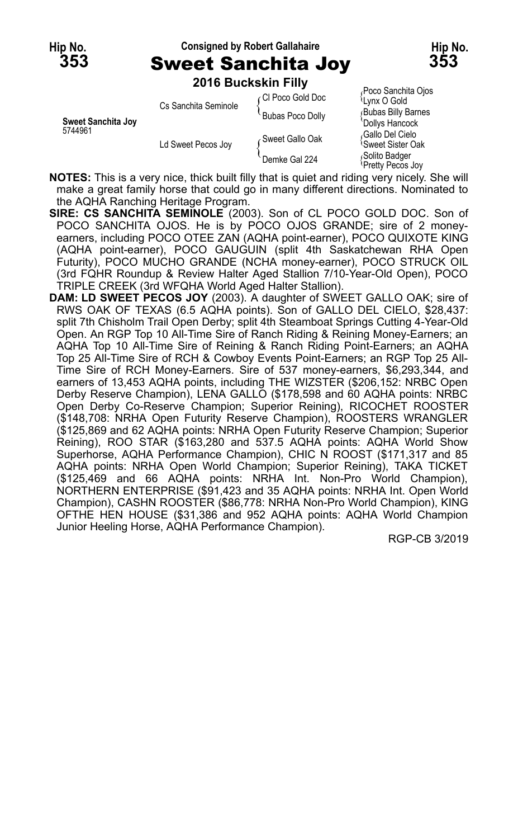#### **Hip No. Consigned by Robert Gallahaire Hip No. 353** Sweet Sanchita Joy **353**



Poco Sanchita Oios

**2016 Buckskin Filly**

| Sweet Sanchita Jov<br>5744961 | Cs Sanchita Seminole | ∠Cl Poco Gold Doc | Lynx O Gold                                       |
|-------------------------------|----------------------|-------------------|---------------------------------------------------|
|                               |                      | Bubas Poco Dolly  | <b>Bubas Billy Barnes</b><br>'Dollys Hancock      |
|                               | Ld Sweet Pecos Joy   | ∠Sweet Gallo Oak  | Gallo Del Cielo،<br><sup>≀</sup> Sweet Sister Oak |
|                               |                      | Demke Gal 224     | Solito Badger<br>Pretty Pecos Joy                 |

**NOTES:** This is a very nice, thick built filly that is quiet and riding very nicely. She will make a great family horse that could go in many different directions. Nominated to the AQHA Ranching Heritage Program.

- **SIRE: CS SANCHITA SEMINOLE** (2003). Son of CL POCO GOLD DOC. Son of POCO SANCHITA OJOS. He is by POCO OJOS GRANDE; sire of 2 moneyearners, including POCO OTEE ZAN (AQHA point-earner), POCO QUIXOTE KING (AQHA point-earner), POCO GAUGUIN (split 4th Saskatchewan RHA Open Futurity), POCO MUCHO GRANDE (NCHA money-earner), POCO STRUCK OIL (3rd FQHR Roundup & Review Halter Aged Stallion 7/10-Year-Old Open), POCO TRIPLE CREEK (3rd WFQHA World Aged Halter Stallion).
- **DAM: LD SWEET PECOS JOY** (2003). A daughter of SWEET GALLO OAK; sire of RWS OAK OF TEXAS (6.5 AQHA points). Son of GALLO DEL CIELO, \$28,437: split 7th Chisholm Trail Open Derby; split 4th Steamboat Springs Cutting 4-Year-Old Open. An RGP Top 10 All-Time Sire of Ranch Riding & Reining Money-Earners; an AQHA Top 10 All-Time Sire of Reining & Ranch Riding Point-Earners; an AQHA Top 25 All-Time Sire of RCH & Cowboy Events Point-Earners; an RGP Top 25 All-Time Sire of RCH Money-Earners. Sire of 537 money-earners, \$6,293,344, and earners of 13,453 AQHA points, including THE WIZSTER (\$206,152: NRBC Open Derby Reserve Champion), LENA GALLO (\$178,598 and 60 AQHA points: NRBC Open Derby Co-Reserve Champion; Superior Reining), RICOCHET ROOSTER (\$148,708: NRHA Open Futurity Reserve Champion), ROOSTERS WRANGLER (\$125,869 and 62 AQHA points: NRHA Open Futurity Reserve Champion; Superior Reining), ROO STAR (\$163,280 and 537.5 AQHA points: AQHA World Show Superhorse, AQHA Performance Champion), CHIC N ROOST (\$171,317 and 85 AQHA points: NRHA Open World Champion; Superior Reining), TAKA TICKET (\$125,469 and 66 AQHA points: NRHA Int. Non-Pro World Champion), NORTHERN ENTERPRISE (\$91,423 and 35 AQHA points: NRHA Int. Open World Champion), CASHN ROOSTER (\$86,778: NRHA Non-Pro World Champion), KING OFTHE HEN HOUSE (\$31,386 and 952 AQHA points: AQHA World Champion Junior Heeling Horse, AQHA Performance Champion).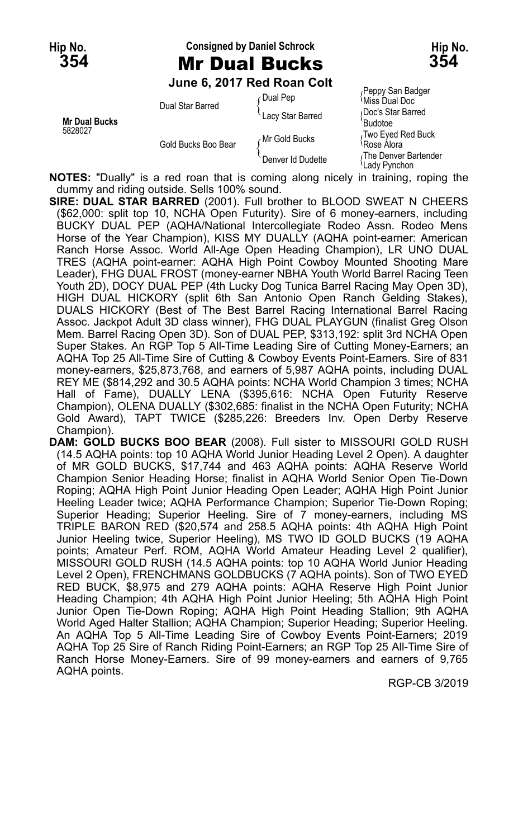#### **Hip No. Consigned by Daniel Schrock Hip No. 354** Mr Dual Bucks **354**

**June 6, 2017 Red Roan Colt**

| <b>Mr Dual Bucks</b><br>5828027 | Dual Star Barred    | ∩Dual Pep<br>Lacy Star Barred | Peppy San Badger<br>Miss Dual Doc<br>Doc's Star Barred<br>Budotoe |
|---------------------------------|---------------------|-------------------------------|-------------------------------------------------------------------|
|                                 | Gold Bucks Boo Bear | Mr Gold Bucks                 | Two Eyed Red Buck<br>Rose Alora                                   |
|                                 |                     | Denver Id Dudette             | The Denver Bartender<br>Lady Pynchon                              |

**NOTES:** "Dually" is a red roan that is coming along nicely in training, roping the dummy and riding outside. Sells 100% sound.

**SIRE: DUAL STAR BARRED** (2001). Full brother to BLOOD SWEAT N CHEERS (\$62,000: split top 10, NCHA Open Futurity). Sire of 6 money-earners, including BUCKY DUAL PEP (AQHA/National Intercollegiate Rodeo Assn. Rodeo Mens Horse of the Year Champion), KISS MY DUALLY (AQHA point-earner: American Ranch Horse Assoc. World All-Age Open Heading Champion), LR UNO DUAL TRES (AQHA point-earner: AQHA High Point Cowboy Mounted Shooting Mare Leader), FHG DUAL FROST (money-earner NBHA Youth World Barrel Racing Teen Youth 2D), DOCY DUAL PEP (4th Lucky Dog Tunica Barrel Racing May Open 3D), HIGH DUAL HICKORY (split 6th San Antonio Open Ranch Gelding Stakes), DUALS HICKORY (Best of The Best Barrel Racing International Barrel Racing Assoc. Jackpot Adult 3D class winner), FHG DUAL PLAYGUN (finalist Greg Olson Mem. Barrel Racing Open 3D). Son of DUAL PEP, \$313,192: split 3rd NCHA Open Super Stakes. An RGP Top 5 All-Time Leading Sire of Cutting Money-Earners; an AQHA Top 25 All-Time Sire of Cutting & Cowboy Events Point-Earners. Sire of 831 money-earners, \$25,873,768, and earners of 5,987 AQHA points, including DUAL REY ME (\$814,292 and 30.5 AQHA points: NCHA World Champion 3 times; NCHA Hall of Fame), DUALLY LENA (\$395,616: NCHA Open Futurity Reserve Champion), OLENA DUALLY (\$302,685: finalist in the NCHA Open Futurity; NCHA Gold Award), TAPT TWICE (\$285,226: Breeders Inv. Open Derby Reserve Champion).

**DAM: GOLD BUCKS BOO BEAR** (2008). Full sister to MISSOURI GOLD RUSH (14.5 AQHA points: top 10 AQHA World Junior Heading Level 2 Open). A daughter of MR GOLD BUCKS, \$17,744 and 463 AQHA points: AQHA Reserve World Champion Senior Heading Horse; finalist in AQHA World Senior Open Tie-Down Roping; AQHA High Point Junior Heading Open Leader; AQHA High Point Junior Heeling Leader twice; AQHA Performance Champion; Superior Tie-Down Roping; Superior Heading; Superior Heeling. Sire of 7 money-earners, including MS TRIPLE BARON RED (\$20,574 and 258.5 AQHA points: 4th AQHA High Point Junior Heeling twice, Superior Heeling), MS TWO ID GOLD BUCKS (19 AQHA points; Amateur Perf. ROM, AQHA World Amateur Heading Level 2 qualifier), MISSOURI GOLD RUSH (14.5 AQHA points: top 10 AQHA World Junior Heading Level 2 Open), FRENCHMANS GOLDBUCKS (7 AQHA points). Son of TWO EYED RED BUCK, \$8,975 and 279 AQHA points: AQHA Reserve High Point Junior Heading Champion; 4th AQHA High Point Junior Heeling; 5th AQHA High Point Junior Open Tie-Down Roping; AQHA High Point Heading Stallion; 9th AQHA World Aged Halter Stallion; AQHA Champion; Superior Heading; Superior Heeling. An AQHA Top 5 All-Time Leading Sire of Cowboy Events Point-Earners; 2019 AQHA Top 25 Sire of Ranch Riding Point-Earners; an RGP Top 25 All-Time Sire of Ranch Horse Money-Earners. Sire of 99 money-earners and earners of 9,765 AQHA points.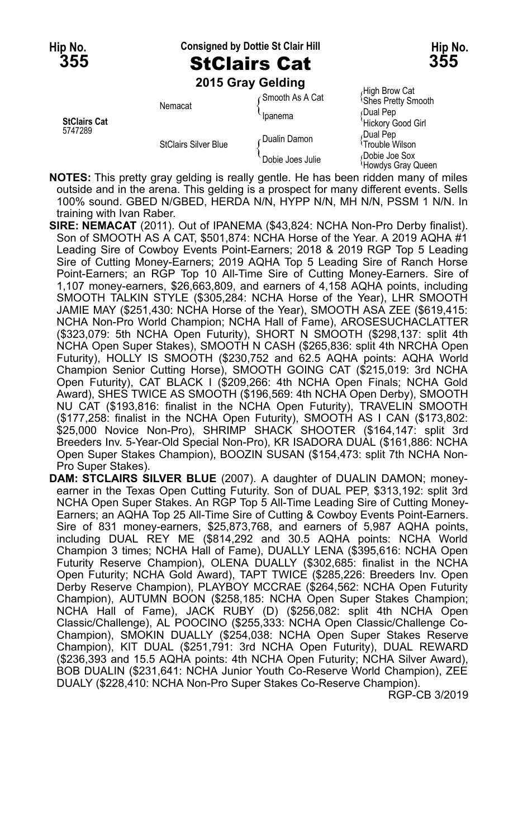**Hip No. Consigned by Dottie St Clair Hill Hip No.**

### **355** StClairs Cat **355**



**2015 Gray Gelding**

|                                |                             | <b>ZUTS Gray Gelding</b> |                                            |
|--------------------------------|-----------------------------|--------------------------|--------------------------------------------|
|                                | Nemacat                     | ∩Smooth As A Cat         | High Brow Cat<br><b>Shes Pretty Smooth</b> |
| <b>StClairs Cat</b><br>5747289 |                             | Ipanema                  | Dual Pep<br>'Hickory Good Girl             |
|                                | <b>StClairs Silver Blue</b> | Dualin Damon             | Dual Pep،<br><sup>{</sup> Trouble Wilson}  |
|                                |                             | Dobie Joes Julie         | Dobie Joe Sox<br>Howdys Gray Queen         |

- **NOTES:** This pretty gray gelding is really gentle. He has been ridden many of miles outside and in the arena. This gelding is a prospect for many different events. Sells 100% sound. GBED N/GBED, HERDA N/N, HYPP N/N, MH N/N, PSSM 1 N/N. In training with Ivan Raber.
- **SIRE: NEMACAT** (2011). Out of IPANEMA (\$43,824: NCHA Non-Pro Derby finalist). Son of SMOOTH AS A CAT, \$501,874: NCHA Horse of the Year. A 2019 AQHA #1 Leading Sire of Cowboy Events Point-Earners; 2018 & 2019 RGP Top 5 Leading Sire of Cutting Money-Earners; 2019 AQHA Top 5 Leading Sire of Ranch Horse Point-Earners; an RGP Top 10 All-Time Sire of Cutting Money-Earners. Sire of 1,107 money-earners, \$26,663,809, and earners of 4,158 AQHA points, including SMOOTH TALKIN STYLE (\$305,284: NCHA Horse of the Year), LHR SMOOTH JAMIE MAY (\$251,430: NCHA Horse of the Year), SMOOTH ASA ZEE (\$619,415: NCHA Non-Pro World Champion; NCHA Hall of Fame), AROSESUCHACLATTER (\$323,079: 5th NCHA Open Futurity), SHORT N SMOOTH (\$298,137: split 4th NCHA Open Super Stakes), SMOOTH N CASH (\$265,836: split 4th NRCHA Open Futurity), HOLLY IS SMOOTH (\$230,752 and 62.5 AQHA points: AQHA World Champion Senior Cutting Horse), SMOOTH GOING CAT (\$215,019: 3rd NCHA Open Futurity), CAT BLACK I (\$209,266: 4th NCHA Open Finals; NCHA Gold Award), SHES TWICE AS SMOOTH (\$196,569: 4th NCHA Open Derby), SMOOTH NU CAT (\$193,816: finalist in the NCHA Open Futurity), TRAVELIN SMOOTH (\$177,258: finalist in the NCHA Open Futurity), SMOOTH AS I CAN (\$173,802: \$25,000 Novice Non-Pro), SHRIMP SHACK SHOOTER (\$164,147: split 3rd Breeders Inv. 5-Year-Old Special Non-Pro), KR ISADORA DUAL (\$161,886: NCHA Open Super Stakes Champion), BOOZIN SUSAN (\$154,473: split 7th NCHA Non-Pro Super Stakes).
- **DAM: STCLAIRS SILVER BLUE** (2007). A daughter of DUALIN DAMON; moneyearner in the Texas Open Cutting Futurity. Son of DUAL PEP, \$313,192: split 3rd NCHA Open Super Stakes. An RGP Top 5 All-Time Leading Sire of Cutting Money-Earners; an AQHA Top 25 All-Time Sire of Cutting & Cowboy Events Point-Earners. Sire of 831 money-earners, \$25,873,768, and earners of 5,987 AQHA points, including DUAL REY ME (\$814,292 and 30.5 AQHA points: NCHA World Champion 3 times; NCHA Hall of Fame), DUALLY LENA (\$395,616: NCHA Open Futurity Reserve Champion), OLENA DUALLY (\$302,685: finalist in the NCHA Open Futurity; NCHA Gold Award), TAPT TWICE (\$285,226: Breeders Inv. Open Derby Reserve Champion), PLAYBOY MCCRAE (\$264,562: NCHA Open Futurity Champion), AUTUMN BOON (\$258,185: NCHA Open Super Stakes Champion; NCHA Hall of Fame), JACK RUBY (D) (\$256,082: split 4th NCHA Open Classic/Challenge), AL POOCINO (\$255,333: NCHA Open Classic/Challenge Co-Champion), SMOKIN DUALLY (\$254,038: NCHA Open Super Stakes Reserve Champion), KIT DUAL (\$251,791: 3rd NCHA Open Futurity), DUAL REWARD (\$236,393 and 15.5 AQHA points: 4th NCHA Open Futurity; NCHA Silver Award), BOB DUALIN (\$231,641: NCHA Junior Youth Co-Reserve World Champion), ZEE DUALY (\$228,410: NCHA Non-Pro Super Stakes Co-Reserve Champion).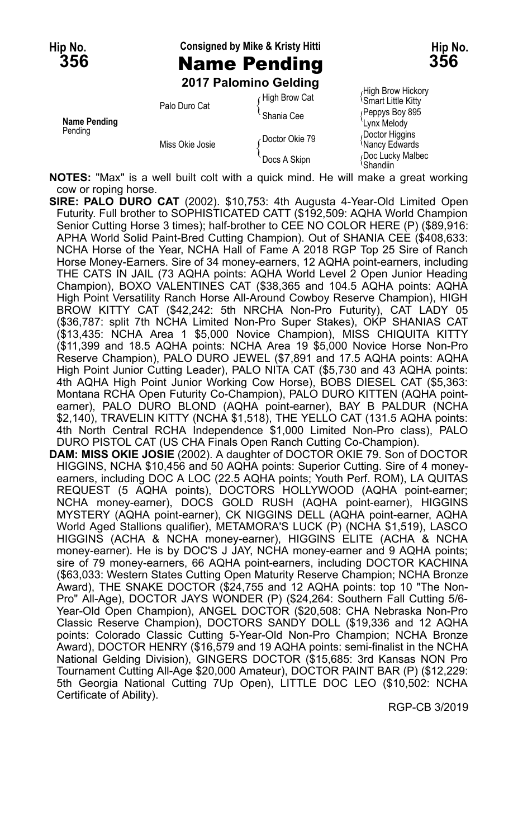### **Hip No. Consigned by Mike & Kristy Hitti Hip No. 356** Name Pending **356**

**2017 Palomino Gelding**

| <b>Name Pending</b><br>Pending | Palo Duro Cat   | High Brow Cat<br>Shania Cee    | <b>Smart Little Kitty</b><br>Peppys Boy 895<br>Lynx Melody        |
|--------------------------------|-----------------|--------------------------------|-------------------------------------------------------------------|
|                                | Miss Okie Josie | Doctor Okie 79<br>Docs A Skipn | Doctor Higgins<br><i><b>Nancy Edwards</b></i><br>Doc Lucky Malbec |
|                                |                 |                                | ∖Shandiin                                                         |

High Brow Hickory<br>Smart Little Kitty Shandiin

**NOTES:** "Max" is a well built colt with a quick mind. He will make a great working cow or roping horse.

- **SIRE: PALO DURO CAT** (2002). \$10,753: 4th Augusta 4-Year-Old Limited Open Futurity. Full brother to SOPHISTICATED CATT (\$192,509: AQHA World Champion Senior Cutting Horse 3 times); half-brother to CEE NO COLOR HERE (P) (\$89,916: APHA World Solid Paint-Bred Cutting Champion). Out of SHANIA CEE (\$408,633: NCHA Horse of the Year, NCHA Hall of Fame A 2018 RGP Top 25 Sire of Ranch Horse Money-Earners. Sire of 34 money-earners, 12 AQHA point-earners, including THE CATS IN JAIL (73 AQHA points: AQHA World Level 2 Open Junior Heading Champion), BOXO VALENTINES CAT (\$38,365 and 104.5 AQHA points: AQHA High Point Versatility Ranch Horse All-Around Cowboy Reserve Champion), HIGH BROW KITTY CAT (\$42,242: 5th NRCHA Non-Pro Futurity), CAT LADY 05 (\$36,787: split 7th NCHA Limited Non-Pro Super Stakes), OKP SHANIAS CAT (\$13,435: NCHA Area 1 \$5,000 Novice Champion), MISS CHIQUITA KITTY (\$11,399 and 18.5 AQHA points: NCHA Area 19 \$5,000 Novice Horse Non-Pro Reserve Champion), PALO DURO JEWEL (\$7,891 and 17.5 AQHA points: AQHA High Point Junior Cutting Leader), PALO NITA CAT (\$5,730 and 43 AQHA points: 4th AQHA High Point Junior Working Cow Horse), BOBS DIESEL CAT (\$5,363: Montana RCHA Open Futurity Co-Champion), PALO DURO KITTEN (AQHA pointearner), PALO DURO BLOND (AQHA point-earner), BAY B PALDUR (NCHA \$2,140), TRAVELIN KITTY (NCHA \$1,518), THE YELLO CAT (131.5 AQHA points: 4th North Central RCHA Independence \$1,000 Limited Non-Pro class), PALO DURO PISTOL CAT (US CHA Finals Open Ranch Cutting Co-Champion).
- **DAM: MISS OKIE JOSIE** (2002). A daughter of DOCTOR OKIE 79. Son of DOCTOR HIGGINS, NCHA \$10,456 and 50 AQHA points: Superior Cutting. Sire of 4 moneyearners, including DOC A LOC (22.5 AQHA points; Youth Perf. ROM), LA QUITAS REQUEST (5 AQHA points), DOCTORS HOLLYWOOD (AQHA point-earner; NCHA money-earner), DOCS GOLD RUSH (AQHA point-earner), HIGGINS MYSTERY (AQHA point-earner), CK NIGGINS DELL (AQHA point-earner, AQHA World Aged Stallions qualifier), METAMORA'S LUCK (P) (NCHA \$1,519), LASCO HIGGINS (ACHA & NCHA money-earner), HIGGINS ELITE (ACHA & NCHA money-earner). He is by DOC'S J JAY, NCHA money-earner and 9 AQHA points; sire of 79 money-earners, 66 AQHA point-earners, including DOCTOR KACHINA (\$63,033: Western States Cutting Open Maturity Reserve Champion; NCHA Bronze Award), THE SNAKE DOCTOR (\$24,755 and 12 AQHA points: top 10 "The Non-Pro" All-Age), DOCTOR JAYS WONDER (P) (\$24,264: Southern Fall Cutting 5/6- Year-Old Open Champion), ANGEL DOCTOR (\$20,508: CHA Nebraska Non-Pro Classic Reserve Champion), DOCTORS SANDY DOLL (\$19,336 and 12 AQHA points: Colorado Classic Cutting 5-Year-Old Non-Pro Champion; NCHA Bronze Award), DOCTOR HENRY (\$16,579 and 19 AQHA points: semi-finalist in the NCHA National Gelding Division), GINGERS DOCTOR (\$15,685: 3rd Kansas NON Pro Tournament Cutting All-Age \$20,000 Amateur), DOCTOR PAINT BAR (P) (\$12,229: 5th Georgia National Cutting 7Up Open), LITTLE DOC LEO (\$10,502: NCHA Certificate of Ability).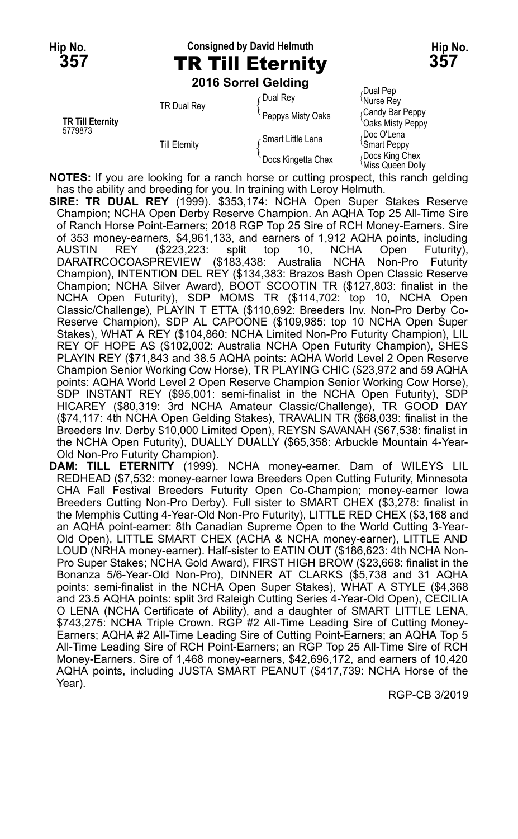# **Hip No. Consigned by David Helmuth Hip No. 357** TR Till Eternity **357**

**2016 Sorrel Gelding**

|                                    | <b>TR Dual Rev</b>   | ⊊Dual Rev          | Dual Pep<br>Murse Rey                |
|------------------------------------|----------------------|--------------------|--------------------------------------|
| <b>TR Till Eternity</b><br>5779873 |                      | Peppys Misty Oaks  | Candy Bar Peppy<br>'Oaks Misty Peppy |
|                                    | <b>Till Eternity</b> | Smart Little Lena  | Doc O'Lena<br><b>Smart Peppy</b>     |
|                                    |                      | Docs Kingetta Chex | Docs King Chex<br>Miss Queen Dolly   |

**NOTES:** If you are looking for a ranch horse or cutting prospect, this ranch gelding has the ability and breeding for you. In training with Leroy Helmuth.

**SIRE: TR DUAL REY** (1999). \$353,174: NCHA Open Super Stakes Reserve Champion; NCHA Open Derby Reserve Champion. An AQHA Top 25 All-Time Sire of Ranch Horse Point-Earners; 2018 RGP Top 25 Sire of RCH Money-Earners. Sire of 353 money-earners, \$4,961,133, and earners of 1,912 AQHA points, including AUSTIN REY (\$223,223: split top 10, NCHA Open Futurity), DARATRCOCOASPREVIEW (\$183,438: Australia NCHA Non-Pro Futurity Champion), INTENTION DEL REY (\$134,383: Brazos Bash Open Classic Reserve Champion; NCHA Silver Award), BOOT SCOOTIN TR (\$127,803: finalist in the NCHA Open Futurity), SDP MOMS TR (\$114,702: top 10, NCHA Open Classic/Challenge), PLAYIN T ETTA (\$110,692: Breeders Inv. Non-Pro Derby Co-Reserve Champion), SDP AL CAPOONE (\$109,985: top 10 NCHA Open Super Stakes), WHAT A REY (\$104,860: NCHA Limited Non-Pro Futurity Champion), LIL REY OF HOPE AS (\$102,002: Australia NCHA Open Futurity Champion), SHES PLAYIN REY (\$71,843 and 38.5 AQHA points: AQHA World Level 2 Open Reserve Champion Senior Working Cow Horse), TR PLAYING CHIC (\$23,972 and 59 AQHA points: AQHA World Level 2 Open Reserve Champion Senior Working Cow Horse), SDP INSTANT REY (\$95,001: semi-finalist in the NCHA Open Futurity), SDP HICAREY (\$80,319: 3rd NCHA Amateur Classic/Challenge), TR GOOD DAY (\$74,117: 4th NCHA Open Gelding Stakes), TRAVALIN TR (\$68,039: finalist in the Breeders Inv. Derby \$10,000 Limited Open), REYSN SAVANAH (\$67,538: finalist in the NCHA Open Futurity), DUALLY DUALLY (\$65,358: Arbuckle Mountain 4-Year-Old Non-Pro Futurity Champion).

**DAM: TILL ETERNITY** (1999). NCHA money-earner. Dam of WILEYS LIL REDHEAD (\$7,532: money-earner Iowa Breeders Open Cutting Futurity, Minnesota CHA Fall Festival Breeders Futurity Open Co-Champion; money-earner Iowa Breeders Cutting Non-Pro Derby). Full sister to SMART CHEX (\$3,278: finalist in the Memphis Cutting 4-Year-Old Non-Pro Futurity), LITTLE RED CHEX (\$3,168 and an AQHA point-earner: 8th Canadian Supreme Open to the World Cutting 3-Year-Old Open), LITTLE SMART CHEX (ACHA & NCHA money-earner), LITTLE AND LOUD (NRHA money-earner). Half-sister to EATIN OUT (\$186,623: 4th NCHA Non-Pro Super Stakes; NCHA Gold Award), FIRST HIGH BROW (\$23,668: finalist in the Bonanza 5/6-Year-Old Non-Pro), DINNER AT CLARKS (\$5,738 and 31 AQHA points: semi-finalist in the NCHA Open Super Stakes), WHAT A STYLE (\$4,368 and 23.5 AQHA points: split 3rd Raleigh Cutting Series 4-Year-Old Open), CECILIA O LENA (NCHA Certificate of Ability), and a daughter of SMART LITTLE LENA, \$743,275: NCHA Triple Crown. RGP #2 All-Time Leading Sire of Cutting Money-Earners; AQHA #2 All-Time Leading Sire of Cutting Point-Earners; an AQHA Top 5 All-Time Leading Sire of RCH Point-Earners; an RGP Top 25 All-Time Sire of RCH Money-Earners. Sire of 1,468 money-earners, \$42,696,172, and earners of 10,420 AQHA points, including JUSTA SMART PEANUT (\$417,739: NCHA Horse of the Year).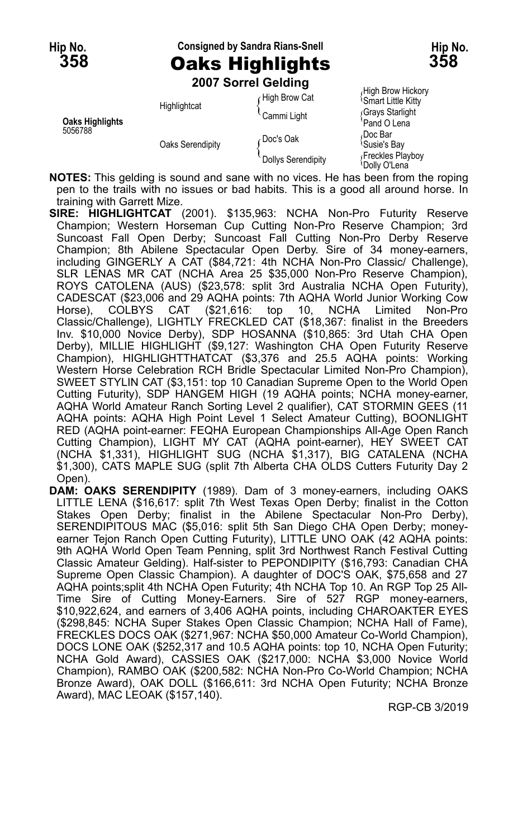# **Hip No. Consigned by Sandra Rians-Snell Hip No. 358** Oaks Highlights **358**

**2007 Sorrel Gelding**

|                                   | <b>LUVI JULICI UCIUIIIU</b> |                    |                                                  |
|-----------------------------------|-----------------------------|--------------------|--------------------------------------------------|
| <b>Oaks Highlights</b><br>5056788 | Highlightcat                | High Brow Cat      | High Brow Hickory<br><b>Smart Little Kitty</b>   |
|                                   |                             | Cammi Light        | Grays Starlight<br>Pand O Lena                   |
|                                   | Oaks Serendipity            | ∠Doc's Oak         | <sub>≀</sub> Doc Bar<br><sup>1</sup> Susie's Bay |
|                                   |                             | Dollys Serendipity | Freckles Playboy<br>'Dolly O'Lena                |

**NOTES:** This gelding is sound and sane with no vices. He has been from the roping pen to the trails with no issues or bad habits. This is a good all around horse. In training with Garrett Mize.

- **SIRE: HIGHLIGHTCAT** (2001). \$135,963: NCHA Non-Pro Futurity Reserve Champion; Western Horseman Cup Cutting Non-Pro Reserve Champion; 3rd Suncoast Fall Open Derby; Suncoast Fall Cutting Non-Pro Derby Reserve Champion; 8th Abilene Spectacular Open Derby. Sire of 34 money-earners, including GINGERLY A CAT (\$84,721: 4th NCHA Non-Pro Classic/ Challenge), SLR LENAS MR CAT (NCHA Area 25 \$35,000 Non-Pro Reserve Champion), ROYS CATOLENA (AUS) (\$23,578: split 3rd Australia NCHA Open Futurity), CADESCAT (\$23,006 and 29 AQHA points: 7th AQHA World Junior Working Cow Horse), COLBYS CAT (\$21,616: top 10, NCHA Limited Non-Pro Classic/Challenge), LIGHTLY FRECKLED CAT (\$18,367: finalist in the Breeders Inv. \$10,000 Novice Derby), SDP HOSANNA (\$10,865: 3rd Utah CHA Open Derby), MILLIE HIGHLIGHT (\$9,127: Washington CHA Open Futurity Reserve Champion), HIGHLIGHTTHATCAT (\$3,376 and 25.5 AQHA points: Working Western Horse Celebration RCH Bridle Spectacular Limited Non-Pro Champion), SWEET STYLIN CAT (\$3,151: top 10 Canadian Supreme Open to the World Open Cutting Futurity), SDP HANGEM HIGH (19 AQHA points; NCHA money-earner, AQHA World Amateur Ranch Sorting Level 2 qualifier), CAT STORMIN GEES (11 AQHA points: AQHA High Point Level 1 Select Amateur Cutting), BOONLIGHT RED (AQHA point-earner: FEQHA European Championships All-Age Open Ranch Cutting Champion), LIGHT MY CAT (AQHA point-earner), HEY SWEET CAT (NCHA \$1,331), HIGHLIGHT SUG (NCHA \$1,317), BIG CATALENA (NCHA \$1,300), CATS MAPLE SUG (split 7th Alberta CHA OLDS Cutters Futurity Day 2 Open).
- **DAM: OAKS SERENDIPITY** (1989). Dam of 3 money-earners, including OAKS LITTLE LENA (\$16,617: split 7th West Texas Open Derby; finalist in the Cotton Stakes Open Derby; finalist in the Abilene Spectacular Non-Pro Derby), SERENDIPITOUS MAC (\$5,016: split 5th San Diego CHA Open Derby; moneyearner Tejon Ranch Open Cutting Futurity), LITTLE UNO OAK (42 AQHA points: 9th AQHA World Open Team Penning, split 3rd Northwest Ranch Festival Cutting Classic Amateur Gelding). Half-sister to PEPONDIPITY (\$16,793: Canadian CHA Supreme Open Classic Champion). A daughter of DOC'S OAK, \$75,658 and 27 AQHA points;split 4th NCHA Open Futurity; 4th NCHA Top 10. An RGP Top 25 All-Time Sire of Cutting Money-Earners. Sire of 527 RGP money-earners, \$10,922,624, and earners of 3,406 AQHA points, including CHAROAKTER EYES (\$298,845: NCHA Super Stakes Open Classic Champion; NCHA Hall of Fame), FRECKLES DOCS OAK (\$271,967: NCHA \$50,000 Amateur Co-World Champion), DOCS LONE OAK (\$252,317 and 10.5 AQHA points: top 10, NCHA Open Futurity; NCHA Gold Award), CASSIES OAK (\$217,000: NCHA \$3,000 Novice World Champion), RAMBO OAK (\$200,582: NCHA Non-Pro Co-World Champion; NCHA Bronze Award), OAK DOLL (\$166,611: 3rd NCHA Open Futurity; NCHA Bronze Award), MAC LEOAK (\$157,140).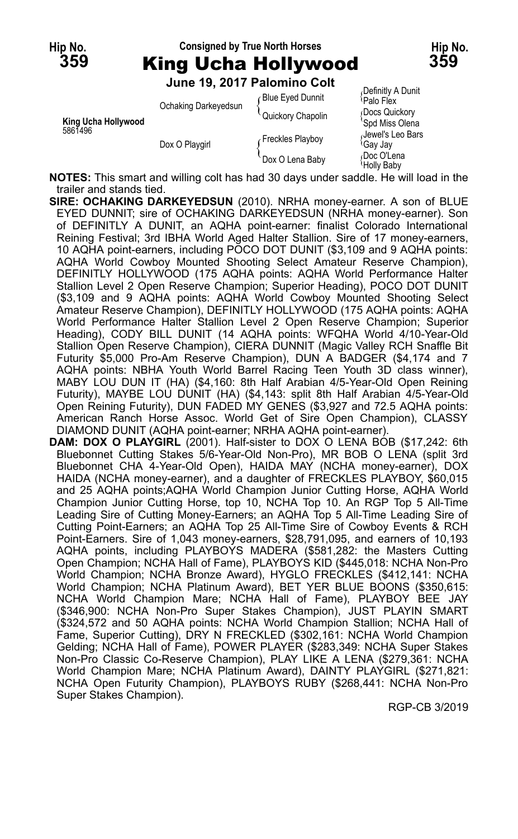

**NOTES:** This smart and willing colt has had 30 days under saddle. He will load in the trailer and stands tied.

- **SIRE: OCHAKING DARKEYEDSUN** (2010). NRHA money-earner. A son of BLUE EYED DUNNIT; sire of OCHAKING DARKEYEDSUN (NRHA money-earner). Son of DEFINITLY A DUNIT, an AQHA point-earner: finalist Colorado International Reining Festival; 3rd IBHA World Aged Halter Stallion. Sire of 17 money-earners, 10 AQHA point-earners, including POCO DOT DUNIT (\$3,109 and 9 AQHA points: AQHA World Cowboy Mounted Shooting Select Amateur Reserve Champion), DEFINITLY HOLLYWOOD (175 AQHA points: AQHA World Performance Halter Stallion Level 2 Open Reserve Champion; Superior Heading), POCO DOT DUNIT (\$3,109 and 9 AQHA points: AQHA World Cowboy Mounted Shooting Select Amateur Reserve Champion), DEFINITLY HOLLYWOOD (175 AQHA points: AQHA World Performance Halter Stallion Level 2 Open Reserve Champion; Superior Heading), CODY BILL DUNIT (14 AQHA points: WFQHA World 4/10-Year-Old Stallion Open Reserve Champion), CIERA DUNNIT (Magic Valley RCH Snaffle Bit Futurity \$5,000 Pro-Am Reserve Champion), DUN A BADGER (\$4,174 and 7 AQHA points: NBHA Youth World Barrel Racing Teen Youth 3D class winner), MABY LOU DUN IT (HA) (\$4,160: 8th Half Arabian 4/5-Year-Old Open Reining Futurity), MAYBE LOU DUNIT (HA) (\$4,143: split 8th Half Arabian 4/5-Year-Old Open Reining Futurity), DUN FADED MY GENES (\$3,927 and 72.5 AQHA points: American Ranch Horse Assoc. World Get of Sire Open Champion), CLASSY DIAMOND DUNIT (AQHA point-earner; NRHA AQHA point-earner).
- **DAM: DOX O PLAYGIRL** (2001). Half-sister to DOX O LENA BOB (\$17,242: 6th Bluebonnet Cutting Stakes 5/6-Year-Old Non-Pro), MR BOB O LENA (split 3rd Bluebonnet CHA 4-Year-Old Open), HAIDA MAY (NCHA money-earner), DOX HAIDA (NCHA money-earner), and a daughter of FRECKLES PLAYBOY, \$60,015 and 25 AQHA points;AQHA World Champion Junior Cutting Horse, AQHA World Champion Junior Cutting Horse, top 10, NCHA Top 10. An RGP Top 5 All-Time Leading Sire of Cutting Money-Earners; an AQHA Top 5 All-Time Leading Sire of Cutting Point-Earners; an AQHA Top 25 All-Time Sire of Cowboy Events & RCH Point-Earners. Sire of 1,043 money-earners, \$28,791,095, and earners of 10,193 AQHA points, including PLAYBOYS MADERA (\$581,282: the Masters Cutting Open Champion; NCHA Hall of Fame), PLAYBOYS KID (\$445,018: NCHA Non-Pro World Champion; NCHA Bronze Award), HYGLO FRECKLES (\$412,141: NCHA World Champion; NCHA Platinum Award), BET YER BLUE BOONS (\$350,615: NCHA World Champion Mare; NCHA Hall of Fame), PLAYBOY BEE JAY (\$346,900: NCHA Non-Pro Super Stakes Champion), JUST PLAYIN SMART (\$324,572 and 50 AQHA points: NCHA World Champion Stallion; NCHA Hall of Fame, Superior Cutting), DRY N FRECKLED (\$302,161: NCHA World Champion Gelding; NCHA Hall of Fame), POWER PLAYER (\$283,349: NCHA Super Stakes Non-Pro Classic Co-Reserve Champion), PLAY LIKE A LENA (\$279,361: NCHA World Champion Mare; NCHA Platinum Award), DAINTY PLAYGIRL (\$271,821: NCHA Open Futurity Champion), PLAYBOYS RUBY (\$268,441: NCHA Non-Pro Super Stakes Champion).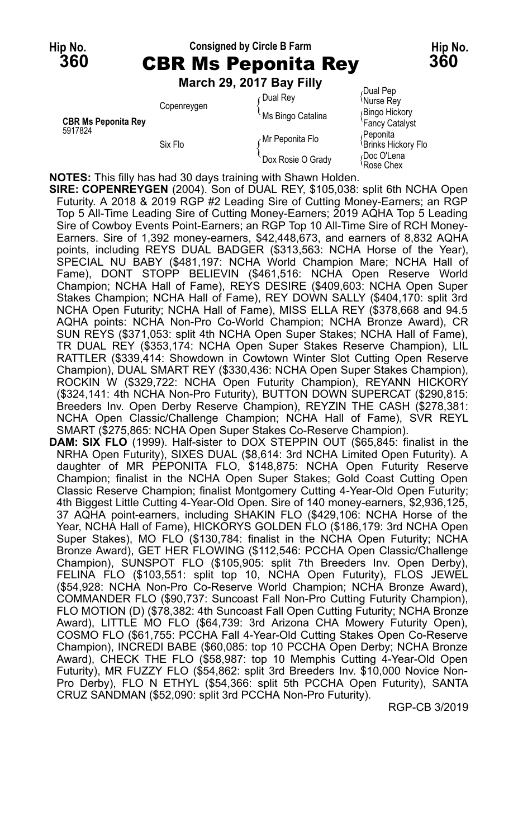## **Hip No. Consigned by Circle B Farm Hip No. 360** CBR Ms Peponita Rey **360**

**March 29, 2017 Bay Filly**

|                                       | Copenreygen | Dual Rev<br>Ms Bingo Catalina | Dual Pep<br>Murse Rey<br>Bingo Hickory             |
|---------------------------------------|-------------|-------------------------------|----------------------------------------------------|
| <b>CBR Ms Peponita Rey</b><br>5917824 | Six Flo     | Mr Peponita Flo               | 'Fancy Catalyst<br>∂Peponita<br>Brinks Hickory Flo |
|                                       |             | Dox Rosie O Grady             | Doc O'Lena<br>Rose Chex                            |

**NOTES:** This filly has had 30 days training with Shawn Holden.

**SIRE: COPENREYGEN** (2004). Son of DUAL REY, \$105,038: split 6th NCHA Open Futurity. A 2018 & 2019 RGP #2 Leading Sire of Cutting Money-Earners; an RGP Top 5 All-Time Leading Sire of Cutting Money-Earners; 2019 AQHA Top 5 Leading Sire of Cowboy Events Point-Earners; an RGP Top 10 All-Time Sire of RCH Money-Earners. Sire of 1,392 money-earners, \$42,448,673, and earners of 8,832 AQHA points, including REYS DUAL BADGER (\$313,563: NCHA Horse of the Year), SPECIAL NU BABY (\$481,197: NCHA World Champion Mare; NCHA Hall of Fame), DONT STOPP BELIEVIN (\$461,516: NCHA Open Reserve World Champion; NCHA Hall of Fame), REYS DESIRE (\$409,603: NCHA Open Super Stakes Champion; NCHA Hall of Fame), REY DOWN SALLY (\$404,170: split 3rd NCHA Open Futurity; NCHA Hall of Fame), MISS ELLA REY (\$378,668 and 94.5 AQHA points: NCHA Non-Pro Co-World Champion; NCHA Bronze Award), CR SUN REYS (\$371,053: split 4th NCHA Open Super Stakes; NCHA Hall of Fame), TR DUAL REY (\$353,174: NCHA Open Super Stakes Reserve Champion), LIL RATTLER (\$339,414: Showdown in Cowtown Winter Slot Cutting Open Reserve Champion), DUAL SMART REY (\$330,436: NCHA Open Super Stakes Champion), ROCKIN W (\$329,722: NCHA Open Futurity Champion), REYANN HICKORY (\$324,141: 4th NCHA Non-Pro Futurity), BUTTON DOWN SUPERCAT (\$290,815: Breeders Inv. Open Derby Reserve Champion), REYZIN THE CASH (\$278,381: NCHA Open Classic/Challenge Champion; NCHA Hall of Fame), SVR REYL SMART (\$275,865: NCHA Open Super Stakes Co-Reserve Champion).

**DAM: SIX FLO** (1999). Half-sister to DOX STEPPIN OUT (\$65,845: finalist in the NRHA Open Futurity), SIXES DUAL (\$8,614: 3rd NCHA Limited Open Futurity). A daughter of MR PEPONITA FLO, \$148,875: NCHA Open Futurity Reserve Champion; finalist in the NCHA Open Super Stakes; Gold Coast Cutting Open Classic Reserve Champion; finalist Montgomery Cutting 4-Year-Old Open Futurity; 4th Biggest Little Cutting 4-Year-Old Open. Sire of 140 money-earners, \$2,936,125, 37 AQHA point-earners, including SHAKIN FLO (\$429,106: NCHA Horse of the Year, NCHA Hall of Fame), HICKORYS GOLDEN FLO (\$186,179: 3rd NCHA Open Super Stakes), MO FLO (\$130,784: finalist in the NCHA Open Futurity; NCHA Bronze Award), GET HER FLOWING (\$112,546: PCCHA Open Classic/Challenge Champion), SUNSPOT FLO (\$105,905: split 7th Breeders Inv. Open Derby), FELINA FLO (\$103,551: split top 10, NCHA Open Futurity), FLOS JEWEL (\$54,928: NCHA Non-Pro Co-Reserve World Champion; NCHA Bronze Award), COMMANDER FLO (\$90,737: Suncoast Fall Non-Pro Cutting Futurity Champion), FLO MOTION (D) (\$78,382: 4th Suncoast Fall Open Cutting Futurity; NCHA Bronze Award), LITTLE MO FLO (\$64,739: 3rd Arizona CHA Mowery Futurity Open), COSMO FLO (\$61,755: PCCHA Fall 4-Year-Old Cutting Stakes Open Co-Reserve Champion), INCREDI BABE (\$60,085: top 10 PCCHA Open Derby; NCHA Bronze Award), CHECK THE FLO (\$58,987: top 10 Memphis Cutting 4-Year-Old Open Futurity), MR FUZZY FLO (\$54,862: split 3rd Breeders Inv. \$10,000 Novice Non-Pro Derby), FLO N ETHYL (\$54,366: split 5th PCCHA Open Futurity), SANTA CRUZ SANDMAN (\$52,090: split 3rd PCCHA Non-Pro Futurity).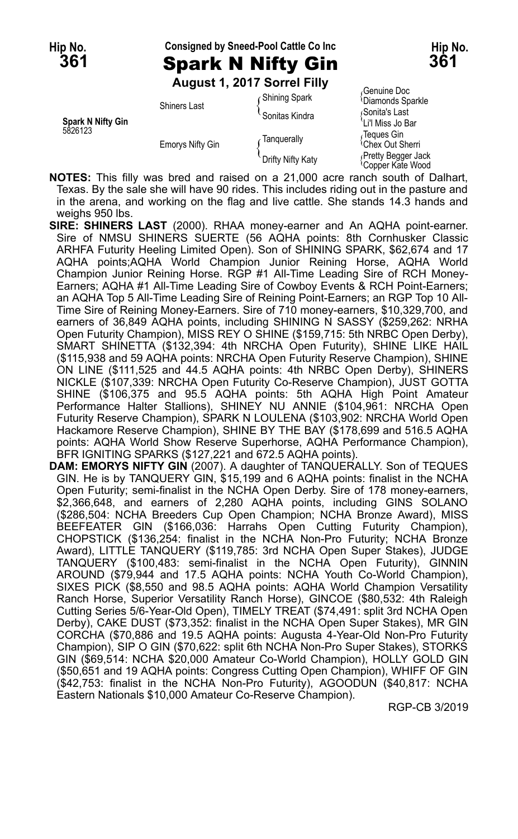# **Hip No. Consigned by Sneed-Pool Cattle Co Inc Hip No. 361** Spark N Nifty Gin **361**

**August 1, 2017 Sorrel Filly**

| <b>Spark N Nifty Gin</b> | <b>Shiners Last</b>     | Ghining Spark<br>Sonitas Kindra | <sup><i>i</i></sup> Diamonds Sparkle<br>Sonita's Last<br>'Li'l Miss Jo Bar |
|--------------------------|-------------------------|---------------------------------|----------------------------------------------------------------------------|
| 5826123                  | <b>Emorys Nifty Gin</b> | Tanguerally                     | Teques Gin<br><sup><i>i</i></sup> Chex Out Sherri                          |
|                          |                         | Drifty Nifty Katy               | Pretty Begger Jack<br><sup><i>Copper Kate Wood</i></sup>                   |

<sub>/</sub>Genuine Doc<br><sup>{</sup>Diamonds Sparkle

**NOTES:** This filly was bred and raised on a 21,000 acre ranch south of Dalhart, Texas. By the sale she will have 90 rides. This includes riding out in the pasture and in the arena, and working on the flag and live cattle. She stands 14.3 hands and weighs 950 lbs.

**SIRE: SHINERS LAST** (2000). RHAA money-earner and An AQHA point-earner. Sire of NMSU SHINERS SUERTE (56 AQHA points: 8th Cornhusker Classic ARHFA Futurity Heeling Limited Open). Son of SHINING SPARK, \$62,674 and 17 AQHA points;AQHA World Champion Junior Reining Horse, AQHA World Champion Junior Reining Horse. RGP #1 All-Time Leading Sire of RCH Money-Earners; AQHA #1 All-Time Leading Sire of Cowboy Events & RCH Point-Earners; an AQHA Top 5 All-Time Leading Sire of Reining Point-Earners; an RGP Top 10 All-Time Sire of Reining Money-Earners. Sire of 710 money-earners, \$10,329,700, and earners of 36,849 AQHA points, including SHINING N SASSY (\$259,262: NRHA Open Futurity Champion), MISS REY O SHINE (\$159,715: 5th NRBC Open Derby), SMART SHINETTA (\$132,394: 4th NRCHA Open Futurity), SHINE LIKE HAIL (\$115,938 and 59 AQHA points: NRCHA Open Futurity Reserve Champion), SHINE ON LINE (\$111,525 and 44.5 AQHA points: 4th NRBC Open Derby), SHINERS NICKLE (\$107,339: NRCHA Open Futurity Co-Reserve Champion), JUST GOTTA SHINE (\$106,375 and 95.5 AQHA points: 5th AQHA High Point Amateur Performance Halter Stallions), SHINEY NU ANNIE (\$104,961: NRCHA Open Futurity Reserve Champion), SPARK N LOULENA (\$103,902: NRCHA World Open Hackamore Reserve Champion), SHINE BY THE BAY (\$178,699 and 516.5 AQHA points: AQHA World Show Reserve Superhorse, AQHA Performance Champion), BFR IGNITING SPARKS (\$127,221 and 672.5 AQHA points).

**DAM: EMORYS NIFTY GIN** (2007). A daughter of TANQUERALLY. Son of TEQUES GIN. He is by TANQUERY GIN, \$15,199 and 6 AQHA points: finalist in the NCHA Open Futurity; semi-finalist in the NCHA Open Derby. Sire of 178 money-earners, \$2,366,648, and earners of 2,280 AQHA points, including GINS SOLANO (\$286,504: NCHA Breeders Cup Open Champion; NCHA Bronze Award), MISS BEEFEATER GIN (\$166,036: Harrahs Open Cutting Futurity Champion), CHOPSTICK (\$136,254: finalist in the NCHA Non-Pro Futurity; NCHA Bronze Award), LITTLE TANQUERY (\$119,785: 3rd NCHA Open Super Stakes), JUDGE TANQUERY (\$100,483: semi-finalist in the NCHA Open Futurity), GINNIN AROUND (\$79,944 and 17.5 AQHA points: NCHA Youth Co-World Champion), SIXES PICK (\$8,550 and 98.5 AQHA points: AQHA World Champion Versatility Ranch Horse, Superior Versatility Ranch Horse), GINCOE (\$80,532: 4th Raleigh Cutting Series 5/6-Year-Old Open), TIMELY TREAT (\$74,491: split 3rd NCHA Open Derby), CAKE DUST (\$73,352: finalist in the NCHA Open Super Stakes), MR GIN CORCHA (\$70,886 and 19.5 AQHA points: Augusta 4-Year-Old Non-Pro Futurity Champion), SIP O GIN (\$70,622: split 6th NCHA Non-Pro Super Stakes), STORKS GIN (\$69,514: NCHA \$20,000 Amateur Co-World Champion), HOLLY GOLD GIN (\$50,651 and 19 AQHA points: Congress Cutting Open Champion), WHIFF OF GIN (\$42,753: finalist in the NCHA Non-Pro Futurity), AGOODUN (\$40,817: NCHA Eastern Nationals \$10,000 Amateur Co-Reserve Champion).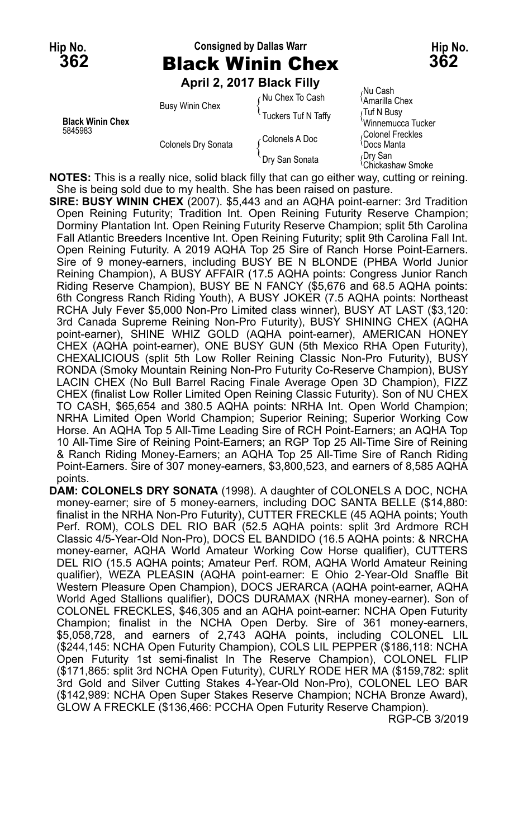# **Hip No. Consigned by Dallas Warr Hip No. 362** Black Winin Chex **362**

**April 2, 2017 Black Filly**

|                                    |                        | - - - - - - - - - - - - - - - - - - - - |                                                       |
|------------------------------------|------------------------|-----------------------------------------|-------------------------------------------------------|
| <b>Black Winin Chex</b><br>5845983 | <b>Busy Winin Chex</b> | ∩Nu Chex To Cash                        | Nu Cash<br><sup>∖</sup> Amarilla Chex                 |
|                                    |                        | Tuckers Tuf N Taffy                     | ∫Tuf N Busy                                           |
|                                    | Colonels Dry Sonata    | Colonels A Doc                          | 'Winnemucca Tucker<br>Colonel Freckles<br>≀Docs Manta |
|                                    |                        | Dry San Sonata                          | ∩Dry San<br><sup><i>i</i></sup> Chickashaw Smoke      |

**NOTES:** This is a really nice, solid black filly that can go either way, cutting or reining. She is being sold due to my health. She has been raised on pasture.

**SIRE: BUSY WININ CHEX** (2007). \$5,443 and an AQHA point-earner: 3rd Tradition Open Reining Futurity; Tradition Int. Open Reining Futurity Reserve Champion; Dorminy Plantation Int. Open Reining Futurity Reserve Champion; split 5th Carolina Fall Atlantic Breeders Incentive Int. Open Reining Futurity; split 9th Carolina Fall Int. Open Reining Futurity. A 2019 AQHA Top 25 Sire of Ranch Horse Point-Earners. Sire of 9 money-earners, including BUSY BE N BLONDE (PHBA World Junior Reining Champion), A BUSY AFFAIR (17.5 AQHA points: Congress Junior Ranch Riding Reserve Champion), BUSY BE N FANCY (\$5,676 and 68.5 AQHA points: 6th Congress Ranch Riding Youth), A BUSY JOKER (7.5 AQHA points: Northeast RCHA July Fever \$5,000 Non-Pro Limited class winner), BUSY AT LAST (\$3,120: 3rd Canada Supreme Reining Non-Pro Futurity), BUSY SHINING CHEX (AQHA point-earner), SHINE WHIZ GOLD (AQHA point-earner), AMERICAN HONEY CHEX (AQHA point-earner), ONE BUSY GUN (5th Mexico RHA Open Futurity), CHEXALICIOUS (split 5th Low Roller Reining Classic Non-Pro Futurity), BUSY RONDA (Smoky Mountain Reining Non-Pro Futurity Co-Reserve Champion), BUSY LACIN CHEX (No Bull Barrel Racing Finale Average Open 3D Champion), FIZZ CHEX (finalist Low Roller Limited Open Reining Classic Futurity). Son of NU CHEX TO CASH, \$65,654 and 380.5 AQHA points: NRHA Int. Open World Champion; NRHA Limited Open World Champion; Superior Reining; Superior Working Cow Horse. An AQHA Top 5 All-Time Leading Sire of RCH Point-Earners; an AQHA Top 10 All-Time Sire of Reining Point-Earners; an RGP Top 25 All-Time Sire of Reining & Ranch Riding Money-Earners; an AQHA Top 25 All-Time Sire of Ranch Riding Point-Earners. Sire of 307 money-earners, \$3,800,523, and earners of 8,585 AQHA points.

**DAM: COLONELS DRY SONATA** (1998). A daughter of COLONELS A DOC, NCHA money-earner; sire of 5 money-earners, including DOC SANTA BELLE (\$14,880: finalist in the NRHA Non-Pro Futurity), CUTTER FRECKLE (45 AQHA points; Youth Perf. ROM), COLS DEL RIO BAR (52.5 AQHA points: split 3rd Ardmore RCH Classic 4/5-Year-Old Non-Pro), DOCS EL BANDIDO (16.5 AQHA points: & NRCHA money-earner, AQHA World Amateur Working Cow Horse qualifier), CUTTERS DEL RIO (15.5 AQHA points; Amateur Perf. ROM, AQHA World Amateur Reining qualifier), WEZA PLEASIN (AQHA point-earner: E Ohio 2-Year-Old Snaffle Bit Western Pleasure Open Champion), DOCS JERARCA (AQHA point-earner, AQHA World Aged Stallions qualifier), DOCS DURAMAX (NRHA money-earner). Son of COLONEL FRECKLES, \$46,305 and an AQHA point-earner: NCHA Open Futurity Champion; finalist in the NCHA Open Derby. Sire of 361 money-earners, \$5,058,728, and earners of 2,743 AQHA points, including COLONEL LIL (\$244,145: NCHA Open Futurity Champion), COLS LIL PEPPER (\$186,118: NCHA Open Futurity 1st semi-finalist In The Reserve Champion), COLONEL FLIP (\$171,865: split 3rd NCHA Open Futurity), CURLY RODE HER MA (\$159,782: split 3rd Gold and Silver Cutting Stakes 4-Year-Old Non-Pro), COLONEL LEO BAR (\$142,989: NCHA Open Super Stakes Reserve Champion; NCHA Bronze Award), GLOW A FRECKLE (\$136,466: PCCHA Open Futurity Reserve Champion).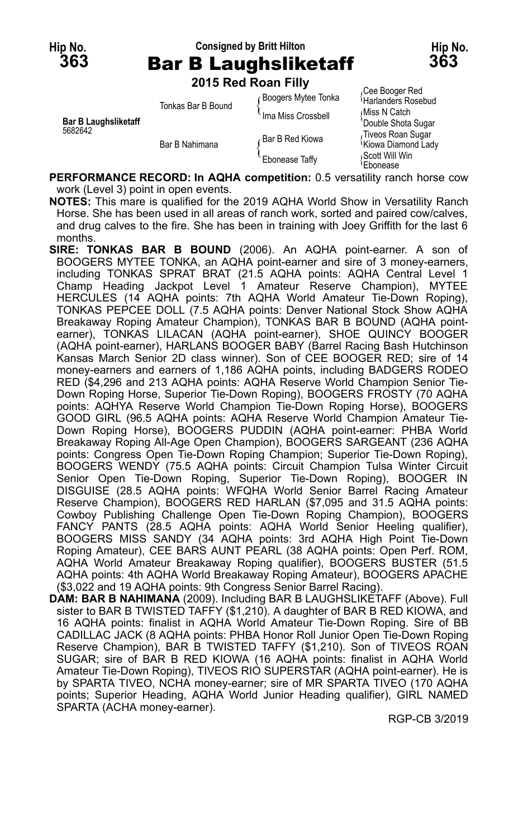### **Hip No. Consigned by Britt Hilton Hip No. 363** Bar B Laughsliketaff **363**

**2015 Red Roan Filly**

|                                        | <b>ZUTU INGU INUGILI IIIV</b> |                            |                                                      |
|----------------------------------------|-------------------------------|----------------------------|------------------------------------------------------|
| <b>Bar B Laughsliketaff</b><br>5682642 | Tonkas Bar B Bound            | <b>Boogers Mytee Tonka</b> | Cee Booger Red<br>Harlanders Rosebud                 |
|                                        |                               | Ima Miss Crossbell         | Miss N Catch<br>'Double Shota Sugar                  |
|                                        | Bar B Nahimana                | Bar B Red Kiowa            | Tiveos Roan Sugar<br><sup>1</sup> Kiowa Diamond Lady |
|                                        |                               | <b>Ebonease Taffy</b>      | Scott Will Win،<br><b>Ebonease</b>                   |

**PERFORMANCE RECORD: In AQHA competition:** 0.5 versatility ranch horse cow work (Level 3) point in open events.

**NOTES:** This mare is qualified for the 2019 AQHA World Show in Versatility Ranch Horse. She has been used in all areas of ranch work, sorted and paired cow/calves, and drug calves to the fire. She has been in training with Joey Griffith for the last 6 months.

**SIRE: TONKAS BAR B BOUND** (2006). An AQHA point-earner. A son of BOOGERS MYTEE TONKA, an AQHA point-earner and sire of 3 money-earners, including TONKAS SPRAT BRAT (21.5 AQHA points: AQHA Central Level 1 Champ Heading Jackpot Level 1 Amateur Reserve Champion), MYTEE HERCULES (14 AQHA points: 7th AQHA World Amateur Tie-Down Roping), TONKAS PEPCEE DOLL (7.5 AQHA points: Denver National Stock Show AQHA Breakaway Roping Amateur Champion), TONKAS BAR B BOUND (AQHA pointearner), TONKAS LILACAN (AQHA point-earner), SHOE QUINCY BOOGER (AQHA point-earner), HARLANS BOOGER BABY (Barrel Racing Bash Hutchinson Kansas March Senior 2D class winner). Son of CEE BOOGER RED; sire of 14 money-earners and earners of 1,186 AQHA points, including BADGERS RODEO RED (\$4,296 and 213 AQHA points: AQHA Reserve World Champion Senior Tie-Down Roping Horse, Superior Tie-Down Roping), BOOGERS FROSTY (70 AQHA points: AQHYA Reserve World Champion Tie-Down Roping Horse), BOOGERS GOOD GIRL (96.5 AQHA points: AQHA Reserve World Champion Amateur Tie-Down Roping Horse), BOOGERS PUDDIN (AQHA point-earner: PHBA World Breakaway Roping All-Age Open Champion), BOOGERS SARGEANT (236 AQHA points: Congress Open Tie-Down Roping Champion; Superior Tie-Down Roping), BOOGERS WENDY (75.5 AQHA points: Circuit Champion Tulsa Winter Circuit Senior Open Tie-Down Roping, Superior Tie-Down Roping), BOOGER IN DISGUISE (28.5 AQHA points: WFQHA World Senior Barrel Racing Amateur Reserve Champion), BOOGERS RED HARLAN (\$7,095 and 31.5 AQHA points: Cowboy Publishing Challenge Open Tie-Down Roping Champion), BOOGERS FANCY PANTS (28.5 AQHA points: AQHA World Senior Heeling qualifier), BOOGERS MISS SANDY (34 AQHA points: 3rd AQHA High Point Tie-Down Roping Amateur), CEE BARS AUNT PEARL (38 AQHA points: Open Perf. ROM, AQHA World Amateur Breakaway Roping qualifier), BOOGERS BUSTER (51.5 AQHA points: 4th AQHA World Breakaway Roping Amateur), BOOGERS APACHE (\$3,022 and 19 AQHA points: 9th Congress Senior Barrel Racing).

**DAM: BAR B NAHIMANA** (2009). Including BAR B LAUGHSLIKETAFF (Above). Full sister to BAR B TWISTED TAFFY (\$1,210). A daughter of BAR B RED KIOWA, and 16 AQHA points: finalist in AQHA World Amateur Tie-Down Roping. Sire of BB CADILLAC JACK (8 AQHA points: PHBA Honor Roll Junior Open Tie-Down Roping Reserve Champion), BAR B TWISTED TAFFY (\$1,210). Son of TIVEOS ROAN SUGAR; sire of BAR B RED KIOWA (16 AQHA points: finalist in AQHA World Amateur Tie-Down Roping), TIVEOS RIO SUPERSTAR (AQHA point-earner). He is by SPARTA TIVEO, NCHA money-earner; sire of MR SPARTA TIVEO (170 AQHA points; Superior Heading, AQHA World Junior Heading qualifier), GIRL NAMED SPARTA (ACHA money-earner).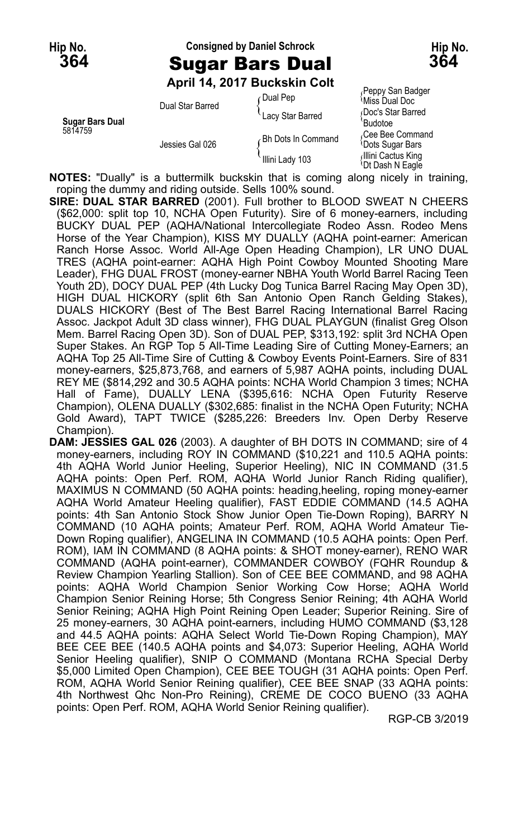#### **Hip No. Consigned by Daniel Schrock Hip No. 364** Sugar Bars Dual **364**

**April 14, 2017 Buckskin Colt**

|                                   |                  | ∩Dual Pep          | Peppy San Badger<br>ੈMiss Dual Doc                 |
|-----------------------------------|------------------|--------------------|----------------------------------------------------|
| <b>Sugar Bars Dual</b><br>5814759 | Dual Star Barred | Lacy Star Barred   | Doc's Star Barred<br>'Budotoe                      |
|                                   | Jessies Gal 026  | Bh Dots In Command | Cee Bee Command<br><b>Dots Sugar Bars</b>          |
|                                   |                  | Illini Lady 103    | Illini Cactus King<br><sup>1</sup> Dt Dash N Eagle |

**NOTES:** "Dually" is a buttermilk buckskin that is coming along nicely in training, roping the dummy and riding outside. Sells 100% sound.

**SIRE: DUAL STAR BARRED** (2001). Full brother to BLOOD SWEAT N CHEERS (\$62,000: split top 10, NCHA Open Futurity). Sire of 6 money-earners, including BUCKY DUAL PEP (AQHA/National Intercollegiate Rodeo Assn. Rodeo Mens Horse of the Year Champion), KISS MY DUALLY (AQHA point-earner: American Ranch Horse Assoc. World All-Age Open Heading Champion), LR UNO DUAL TRES (AQHA point-earner: AQHA High Point Cowboy Mounted Shooting Mare Leader), FHG DUAL FROST (money-earner NBHA Youth World Barrel Racing Teen Youth 2D), DOCY DUAL PEP (4th Lucky Dog Tunica Barrel Racing May Open 3D), HIGH DUAL HICKORY (split 6th San Antonio Open Ranch Gelding Stakes), DUALS HICKORY (Best of The Best Barrel Racing International Barrel Racing Assoc. Jackpot Adult 3D class winner), FHG DUAL PLAYGUN (finalist Greg Olson Mem. Barrel Racing Open 3D). Son of DUAL PEP, \$313,192: split 3rd NCHA Open Super Stakes. An RGP Top 5 All-Time Leading Sire of Cutting Money-Earners; an AQHA Top 25 All-Time Sire of Cutting & Cowboy Events Point-Earners. Sire of 831 money-earners, \$25,873,768, and earners of 5,987 AQHA points, including DUAL REY ME (\$814,292 and 30.5 AQHA points: NCHA World Champion 3 times; NCHA Hall of Fame), DUALLY LENA (\$395,616: NCHA Open Futurity Reserve Champion), OLENA DUALLY (\$302,685: finalist in the NCHA Open Futurity; NCHA Gold Award), TAPT TWICE (\$285,226: Breeders Inv. Open Derby Reserve Champion).

**DAM: JESSIES GAL 026** (2003). A daughter of BH DOTS IN COMMAND; sire of 4 money-earners, including ROY IN COMMAND (\$10,221 and 110.5 AQHA points: 4th AQHA World Junior Heeling, Superior Heeling), NIC IN COMMAND (31.5 AQHA points: Open Perf. ROM, AQHA World Junior Ranch Riding qualifier), MAXIMUS N COMMAND (50 AQHA points: heading,heeling, roping money-earner AQHA World Amateur Heeling qualifier), FAST EDDIE COMMAND (14.5 AQHA points: 4th San Antonio Stock Show Junior Open Tie-Down Roping), BARRY N COMMAND (10 AQHA points; Amateur Perf. ROM, AQHA World Amateur Tie-Down Roping qualifier), ANGELINA IN COMMAND (10.5 AQHA points: Open Perf. ROM), IAM IN COMMAND (8 AQHA points: & SHOT money-earner), RENO WAR COMMAND (AQHA point-earner), COMMANDER COWBOY (FQHR Roundup & Review Champion Yearling Stallion). Son of CEE BEE COMMAND, and 98 AQHA points: AQHA World Champion Senior Working Cow Horse; AQHA World Champion Senior Reining Horse; 5th Congress Senior Reining; 4th AQHA World Senior Reining; AQHA High Point Reining Open Leader; Superior Reining. Sire of 25 money-earners, 30 AQHA point-earners, including HUMO COMMAND (\$3,128 and 44.5 AQHA points: AQHA Select World Tie-Down Roping Champion), MAY BEE CEE BEE (140.5 AQHA points and \$4,073: Superior Heeling, AQHA World Senior Heeling qualifier), SNIP O COMMAND (Montana RCHA Special Derby \$5,000 Limited Open Champion), CEE BEE TOUGH (31 AQHA points: Open Perf. ROM, AQHA World Senior Reining qualifier), CEE BEE SNAP (33 AQHA points: 4th Northwest Qhc Non-Pro Reining), CREME DE COCO BUENO (33 AQHA points: Open Perf. ROM, AQHA World Senior Reining qualifier).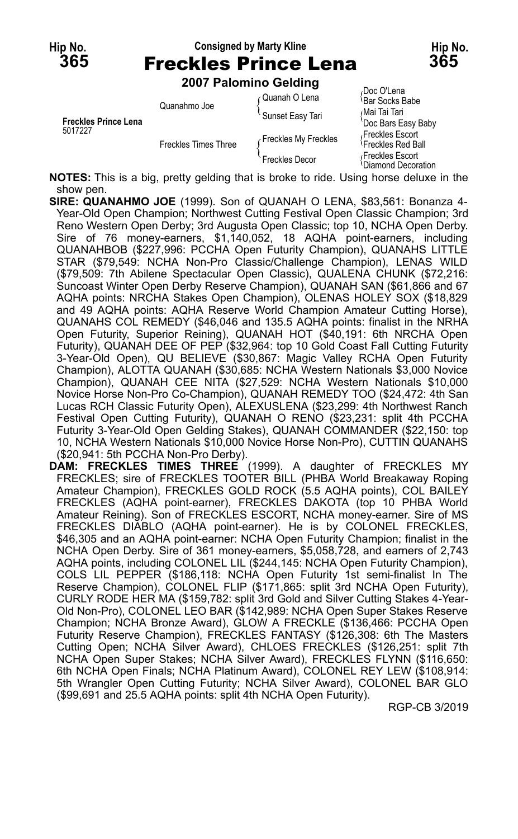**NOTES:** This is a big, pretty gelding that is broke to ride. Using horse deluxe in the show pen.

- **SIRE: QUANAHMO JOE** (1999). Son of QUANAH O LENA, \$83,561: Bonanza 4- Year-Old Open Champion; Northwest Cutting Festival Open Classic Champion; 3rd Reno Western Open Derby; 3rd Augusta Open Classic; top 10, NCHA Open Derby. Sire of 76 money-earners, \$1,140,052, 18 AQHA point-earners, including QUANAHBOB (\$227,996: PCCHA Open Futurity Champion), QUANAHS LITTLE STAR (\$79,549: NCHA Non-Pro Classic/Challenge Champion), LENAS WILD (\$79,509: 7th Abilene Spectacular Open Classic), QUALENA CHUNK (\$72,216: Suncoast Winter Open Derby Reserve Champion), QUANAH SAN (\$61,866 and 67 AQHA points: NRCHA Stakes Open Champion), OLENAS HOLEY SOX (\$18,829 and 49 AQHA points: AQHA Reserve World Champion Amateur Cutting Horse), QUANAHS COL REMEDY (\$46,046 and 135.5 AQHA points: finalist in the NRHA Open Futurity, Superior Reining), QUANAH HOT (\$40,191: 6th NRCHA Open Futurity), QUANAH DEE OF PEP (\$32,964: top 10 Gold Coast Fall Cutting Futurity 3-Year-Old Open), QU BELIEVE (\$30,867: Magic Valley RCHA Open Futurity Champion), ALOTTA QUANAH (\$30,685: NCHA Western Nationals \$3,000 Novice Champion), QUANAH CEE NITA (\$27,529: NCHA Western Nationals \$10,000 Novice Horse Non-Pro Co-Champion), QUANAH REMEDY TOO (\$24,472: 4th San Lucas RCH Classic Futurity Open), ALEXUSLENA (\$23,299: 4th Northwest Ranch Festival Open Cutting Futurity), QUANAH O RENO (\$23,231: split 4th PCCHA Futurity 3-Year-Old Open Gelding Stakes), QUANAH COMMANDER (\$22,150: top 10, NCHA Western Nationals \$10,000 Novice Horse Non-Pro), CUTTIN QUANAHS (\$20,941: 5th PCCHA Non-Pro Derby).
- **DAM: FRECKLES TIMES THREE** (1999). A daughter of FRECKLES MY FRECKLES; sire of FRECKLES TOOTER BILL (PHBA World Breakaway Roping Amateur Champion), FRECKLES GOLD ROCK (5.5 AQHA points), COL BAILEY FRECKLES (AQHA point-earner), FRECKLES DAKOTA (top 10 PHBA World Amateur Reining). Son of FRECKLES ESCORT, NCHA money-earner. Sire of MS FRECKLES DIABLO (AQHA point-earner). He is by COLONEL FRECKLES, \$46,305 and an AQHA point-earner: NCHA Open Futurity Champion; finalist in the NCHA Open Derby. Sire of 361 money-earners, \$5,058,728, and earners of 2,743 AQHA points, including COLONEL LIL (\$244,145: NCHA Open Futurity Champion), COLS LIL PEPPER (\$186,118: NCHA Open Futurity 1st semi-finalist In The Reserve Champion), COLONEL FLIP (\$171,865: split 3rd NCHA Open Futurity), CURLY RODE HER MA (\$159,782: split 3rd Gold and Silver Cutting Stakes 4-Year-Old Non-Pro), COLONEL LEO BAR (\$142,989: NCHA Open Super Stakes Reserve Champion; NCHA Bronze Award), GLOW A FRECKLE (\$136,466: PCCHA Open Futurity Reserve Champion), FRECKLES FANTASY (\$126,308: 6th The Masters Cutting Open; NCHA Silver Award), CHLOES FRECKLES (\$126,251: split 7th NCHA Open Super Stakes; NCHA Silver Award), FRECKLES FLYNN (\$116,650: 6th NCHA Open Finals; NCHA Platinum Award), COLONEL REY LEW (\$108,914: 5th Wrangler Open Cutting Futurity; NCHA Silver Award), COLONEL BAR GLO (\$99,691 and 25.5 AQHA points: split 4th NCHA Open Futurity).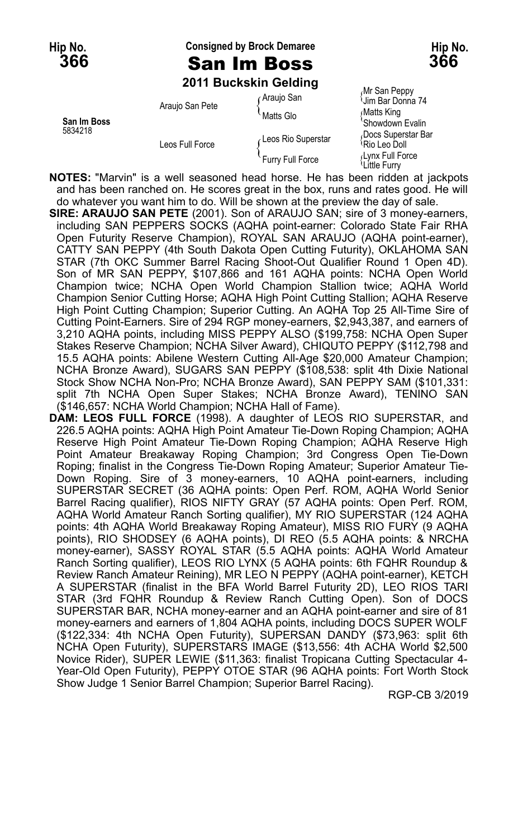#### **Hip No. Consigned by Brock Demaree Hip No. 366** San Im Boss **366**

#### **2011 Buckskin Gelding**

|                        | <b>ZUTT DUCKSKIII OBIUIIIU</b> |                    |                                               |
|------------------------|--------------------------------|--------------------|-----------------------------------------------|
| San Im Boss<br>5834218 | Araujo San Pete                | ∩Araujo San        | Mr San Peppy<br><sup>(</sup> Jim Bar Donna 74 |
|                        |                                | Matts Glo          | Matts King<br>'Showdown Evalin                |
|                        | Leos Full Force                | Leos Rio Superstar | Docs Superstar Bar،<br>Rio Leo Doll           |
|                        |                                | Furry Full Force   | رار Lynx Full Force<br>الـLittle Furry        |

**NOTES:** "Marvin" is a well seasoned head horse. He has been ridden at jackpots and has been ranched on. He scores great in the box, runs and rates good. He will do whatever you want him to do. Will be shown at the preview the day of sale.

**SIRE: ARAUJO SAN PETE** (2001). Son of ARAUJO SAN; sire of 3 money-earners, including SAN PEPPERS SOCKS (AQHA point-earner: Colorado State Fair RHA Open Futurity Reserve Champion), ROYAL SAN ARAUJO (AQHA point-earner), CATTY SAN PEPPY (4th South Dakota Open Cutting Futurity), OKLAHOMA SAN STAR (7th OKC Summer Barrel Racing Shoot-Out Qualifier Round 1 Open 4D). Son of MR SAN PEPPY, \$107,866 and 161 AQHA points: NCHA Open World Champion twice; NCHA Open World Champion Stallion twice; AQHA World Champion Senior Cutting Horse; AQHA High Point Cutting Stallion; AQHA Reserve High Point Cutting Champion; Superior Cutting. An AQHA Top 25 All-Time Sire of Cutting Point-Earners. Sire of 294 RGP money-earners, \$2,943,387, and earners of 3,210 AQHA points, including MISS PEPPY ALSO (\$199,758: NCHA Open Super Stakes Reserve Champion; NCHA Silver Award), CHIQUTO PEPPY (\$112,798 and 15.5 AQHA points: Abilene Western Cutting All-Age \$20,000 Amateur Champion; NCHA Bronze Award), SUGARS SAN PEPPY (\$108,538: split 4th Dixie National Stock Show NCHA Non-Pro; NCHA Bronze Award), SAN PEPPY SAM (\$101,331: split 7th NCHA Open Super Stakes; NCHA Bronze Award), TENINO SAN (\$146,657: NCHA World Champion; NCHA Hall of Fame).

**DAM: LEOS FULL FORCE** (1998). A daughter of LEOS RIO SUPERSTAR, and 226.5 AQHA points: AQHA High Point Amateur Tie-Down Roping Champion; AQHA Reserve High Point Amateur Tie-Down Roping Champion; AQHA Reserve High Point Amateur Breakaway Roping Champion; 3rd Congress Open Tie-Down Roping; finalist in the Congress Tie-Down Roping Amateur; Superior Amateur Tie-Down Roping. Sire of 3 money-earners, 10 AQHA point-earners, including SUPERSTAR SECRET (36 AQHA points: Open Perf. ROM, AQHA World Senior Barrel Racing qualifier), RIOS NIFTY GRAY (57 AQHA points: Open Perf. ROM, AQHA World Amateur Ranch Sorting qualifier), MY RIO SUPERSTAR (124 AQHA points: 4th AQHA World Breakaway Roping Amateur), MISS RIO FURY (9 AQHA points), RIO SHODSEY (6 AQHA points), DI REO (5.5 AQHA points: & NRCHA money-earner), SASSY ROYAL STAR (5.5 AQHA points: AQHA World Amateur Ranch Sorting qualifier), LEOS RIO LYNX (5 AQHA points: 6th FQHR Roundup & Review Ranch Amateur Reining), MR LEO N PEPPY (AQHA point-earner), KETCH A SUPERSTAR (finalist in the BFA World Barrel Futurity 2D), LEO RIOS TARI STAR (3rd FQHR Roundup & Review Ranch Cutting Open). Son of DOCS SUPERSTAR BAR, NCHA money-earner and an AQHA point-earner and sire of 81 money-earners and earners of 1,804 AQHA points, including DOCS SUPER WOLF (\$122,334: 4th NCHA Open Futurity), SUPERSAN DANDY (\$73,963: split 6th NCHA Open Futurity), SUPERSTARS IMAGE (\$13,556: 4th ACHA World \$2,500 Novice Rider), SUPER LEWIE (\$11,363: finalist Tropicana Cutting Spectacular 4- Year-Old Open Futurity), PEPPY OTOE STAR (96 AQHA points: Fort Worth Stock Show Judge 1 Senior Barrel Champion; Superior Barrel Racing).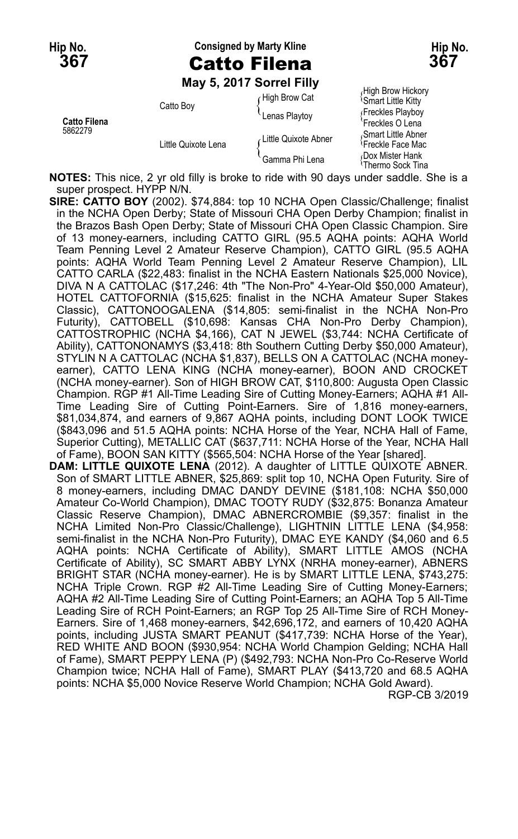**Hip No. Consigned by Marty Kline Hip No. 367** Catto Filena **367**

**May 5, 2017 Sorrel Filly**

|                                |                     | <b>IVIQY J. ZUIT JUITELI IIIV</b> |                                                                         |
|--------------------------------|---------------------|-----------------------------------|-------------------------------------------------------------------------|
|                                | Catto Boy           | High Brow Cat<br>Lenas Playtoy    | High Brow Hickory<br><b>Smart Little Kitty</b><br>Freckles Playboy      |
| <b>Catto Filena</b><br>5862279 | Little Quixote Lena | Little Quixote Abner              | 'Freckles O Lena<br>Smart Little Abner<br><sup>1</sup> Freckle Face Mac |
|                                |                     | Gamma Phi Lena                    | Dox Mister Hank<br>≀Thermo Sock Tina                                    |

**NOTES:** This nice, 2 yr old filly is broke to ride with 90 days under saddle. She is a super prospect. HYPP N/N.

**SIRE: CATTO BOY** (2002). \$74,884: top 10 NCHA Open Classic/Challenge; finalist in the NCHA Open Derby; State of Missouri CHA Open Derby Champion; finalist in the Brazos Bash Open Derby; State of Missouri CHA Open Classic Champion. Sire of 13 money-earners, including CATTO GIRL (95.5 AQHA points: AQHA World Team Penning Level 2 Amateur Reserve Champion), CATTO GIRL (95.5 AQHA points: AQHA World Team Penning Level 2 Amateur Reserve Champion), LIL CATTO CARLA (\$22,483: finalist in the NCHA Eastern Nationals \$25,000 Novice), DIVA N A CATTOLAC (\$17,246: 4th "The Non-Pro" 4-Year-Old \$50,000 Amateur), HOTEL CATTOFORNIA (\$15,625: finalist in the NCHA Amateur Super Stakes Classic), CATTONOOGALENA (\$14,805: semi-finalist in the NCHA Non-Pro Futurity), CATTOBELL (\$10,698: Kansas CHA Non-Pro Derby Champion), CATTOSTROPHIC (NCHA \$4,166), CAT N JEWEL (\$3,744: NCHA Certificate of Ability), CATTONONAMYS (\$3,418: 8th Southern Cutting Derby \$50,000 Amateur), STYLIN N A CATTOLAC (NCHA \$1,837), BELLS ON A CATTOLAC (NCHA moneyearner), CATTO LENA KING (NCHA money-earner), BOON AND CROCKET (NCHA money-earner). Son of HIGH BROW CAT, \$110,800: Augusta Open Classic Champion. RGP #1 All-Time Leading Sire of Cutting Money-Earners; AQHA #1 All-Time Leading Sire of Cutting Point-Earners. Sire of 1,816 money-earners, \$81,034,874, and earners of 9,867 AQHA points, including DONT LOOK TWICE (\$843,096 and 51.5 AQHA points: NCHA Horse of the Year, NCHA Hall of Fame, Superior Cutting), METALLIC CAT (\$637,711: NCHA Horse of the Year, NCHA Hall of Fame), BOON SAN KITTY (\$565,504: NCHA Horse of the Year [shared]. **DAM: LITTLE QUIXOTE LENA** (2012). A daughter of LITTLE QUIXOTE ABNER. Son of SMART LITTLE ABNER, \$25,869: split top 10, NCHA Open Futurity. Sire of 8 money-earners, including DMAC DANDY DEVINE (\$181,108: NCHA \$50,000 Amateur Co-World Champion), DMAC TOOTY RUDY (\$32,875: Bonanza Amateur Classic Reserve Champion), DMAC ABNERCROMBIE (\$9,357: finalist in the NCHA Limited Non-Pro Classic/Challenge), LIGHTNIN LITTLE LENA (\$4,958: semi-finalist in the NCHA Non-Pro Futurity), DMAC EYE KANDY (\$4,060 and 6.5 AQHA points: NCHA Certificate of Ability), SMART LITTLE AMOS (NCHA Certificate of Ability), SC SMART ABBY LYNX (NRHA money-earner), ABNERS BRIGHT STAR (NCHA money-earner). He is by SMART LITTLE LENA, \$743,275: NCHA Triple Crown. RGP #2 All-Time Leading Sire of Cutting Money-Earners; AQHA #2 All-Time Leading Sire of Cutting Point-Earners; an AQHA Top 5 All-Time Leading Sire of RCH Point-Earners; an RGP Top 25 All-Time Sire of RCH Money-Earners. Sire of 1,468 money-earners, \$42,696,172, and earners of 10,420 AQHA points, including JUSTA SMART PEANUT (\$417,739: NCHA Horse of the Year),

RED WHITE AND BOON (\$930,954: NCHA World Champion Gelding; NCHA Hall of Fame), SMART PEPPY LENA (P) (\$492,793: NCHA Non-Pro Co-Reserve World Champion twice; NCHA Hall of Fame), SMART PLAY (\$413,720 and 68.5 AQHA points: NCHA \$5,000 Novice Reserve World Champion; NCHA Gold Award).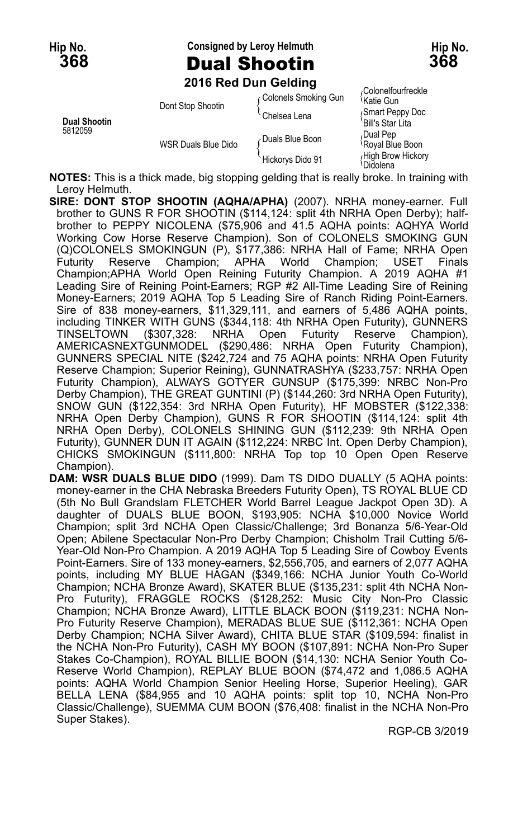**Hip No. Consigned by Leroy Helmuth Hip No. 368** Dual Shootin **368**



**2016 Red Dun Gelding**

|                         | <b>LUTU INGU DUIT OCIUIIIU</b> |                      |                                               |
|-------------------------|--------------------------------|----------------------|-----------------------------------------------|
|                         | Dont Stop Shootin              | Colonels Smoking Gun | ،Colonelfourfreckle<br><sup>≀</sup> Katie Gun |
| Dual Shootin<br>5812059 |                                | <b>Chelsea Lena</b>  | Smart Peppy Doc<br>'Bill's Star Lita          |
|                         | <b>WSR Duals Blue Dido</b>     | ∠Duals Blue Boon     | Dual Pep،<br>Royal Blue Boon                  |
|                         |                                | Hickorys Dido 91     | High Brow Hickory<br>Didolena                 |

**NOTES:** This is a thick made, big stopping gelding that is really broke. In training with Leroy Helmuth.

- **SIRE: DONT STOP SHOOTIN (AQHA/APHA)** (2007). NRHA money-earner. Full brother to GUNS R FOR SHOOTIN (\$114,124: split 4th NRHA Open Derby); halfbrother to PEPPY NICOLENA (\$75,906 and 41.5 AQHA points: AQHYA World Working Cow Horse Reserve Champion). Son of COLONELS SMOKING GUN (Q)COLONELS SMOKINGUN (P), \$177,386: NRHA Hall of Fame; NRHA Open Futurity Reserve Champion; APHA World Champion; USET Finals Champion;APHA World Open Reining Futurity Champion. A 2019 AQHA #1 Leading Sire of Reining Point-Earners; RGP #2 All-Time Leading Sire of Reining Money-Earners; 2019 AQHA Top 5 Leading Sire of Ranch Riding Point-Earners. Sire of 838 money-earners, \$11,329,111, and earners of 5,486 AQHA points, including TINKER WITH GUNS (\$344,118: 4th NRHA Open Futurity), GUNNERS TINSELTOWN (\$307,328: NRHA Open Futurity Reserve Champion), AMERICASNEXTGUNMODEL (\$290,486: NRHA Open Futurity Champion), GUNNERS SPECIAL NITE (\$242,724 and 75 AQHA points: NRHA Open Futurity Reserve Champion; Superior Reining), GUNNATRASHYA (\$233,757: NRHA Open Futurity Champion), ALWAYS GOTYER GUNSUP (\$175,399: NRBC Non-Pro Derby Champion), THE GREAT GUNTINI (P) (\$144,260: 3rd NRHA Open Futurity), SNOW GUN (\$122,354: 3rd NRHA Open Futurity), HF MOBSTER (\$122,338: NRHA Open Derby Champion), GUNS R FOR SHOOTIN (\$114,124: split 4th NRHA Open Derby), COLONELS SHINING GUN (\$112,239: 9th NRHA Open Futurity), GUNNER DUN IT AGAIN (\$112,224: NRBC Int. Open Derby Champion), CHICKS SMOKINGUN (\$111,800: NRHA Top top 10 Open Open Reserve Champion).
- **DAM: WSR DUALS BLUE DIDO** (1999). Dam TS DIDO DUALLY (5 AQHA points: money-earner in the CHA Nebraska Breeders Futurity Open), TS ROYAL BLUE CD (5th No Bull Grandslam FLETCHER World Barrel League Jackpot Open 3D). A daughter of DUALS BLUE BOON, \$193,905: NCHA \$10,000 Novice World Champion; split 3rd NCHA Open Classic/Challenge; 3rd Bonanza 5/6-Year-Old Open; Abilene Spectacular Non-Pro Derby Champion; Chisholm Trail Cutting 5/6- Year-Old Non-Pro Champion. A 2019 AQHA Top 5 Leading Sire of Cowboy Events Point-Earners. Sire of 133 money-earners, \$2,556,705, and earners of 2,077 AQHA points, including MY BLUE HAGAN (\$349,166: NCHA Junior Youth Co-World Champion; NCHA Bronze Award), SKATER BLUE (\$135,231: split 4th NCHA Non-Pro Futurity), FRAGGLE ROCKS (\$128,252: Music City Non-Pro Classic Champion; NCHA Bronze Award), LITTLE BLACK BOON (\$119,231: NCHA Non-Pro Futurity Reserve Champion), MERADAS BLUE SUE (\$112,361: NCHA Open Derby Champion; NCHA Silver Award), CHITA BLUE STAR (\$109,594: finalist in the NCHA Non-Pro Futurity), CASH MY BOON (\$107,891: NCHA Non-Pro Super Stakes Co-Champion), ROYAL BILLIE BOON (\$14,130: NCHA Senior Youth Co-Reserve World Champion), REPLAY BLUE BOON (\$74,472 and 1,086.5 AQHA points: AQHA World Champion Senior Heeling Horse, Superior Heeling), GAR BELLA LENA (\$84,955 and 10 AQHA points: split top 10, NCHA Non-Pro Classic/Challenge), SUEMMA CUM BOON (\$76,408: finalist in the NCHA Non-Pro Super Stakes).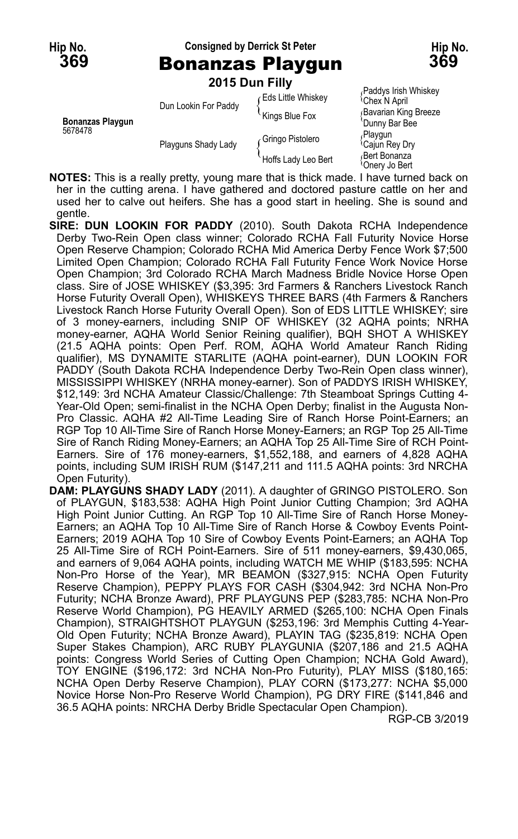**Hip No. Consigned by Derrick St Peter Hip No.**



**369** Bonanzas Playgun **369** 2015 Dun

|  |  | 015 Dun Filly: |  |  |  |  |  |
|--|--|----------------|--|--|--|--|--|
|--|--|----------------|--|--|--|--|--|

|                                    |                      | <b>2015 DUN FIIIV</b>     |                                                   |
|------------------------------------|----------------------|---------------------------|---------------------------------------------------|
| <b>Bonanzas Playgun</b><br>5678478 | Dun Lookin For Paddy | <b>Eds Little Whiskey</b> | Paddys Irish Whiskey<br><sup>l</sup> Chex N April |
|                                    |                      | Kings Blue Fox            | Bavarian King Breeze<br>'Dunny Bar Bee            |
|                                    | Playguns Shady Lady  | Gringo Pistolero          | Playgun<br><sup>1</sup> Cajun Rey Dry             |
|                                    |                      | Hoffs Lady Leo Bert       | <sub>∩</sub> Bert Bonanza<br>≀Onerv Jo Bert       |

**NOTES:** This is a really pretty, young mare that is thick made. I have turned back on her in the cutting arena. I have gathered and doctored pasture cattle on her and used her to calve out heifers. She has a good start in heeling. She is sound and gentle.

**SIRE: DUN LOOKIN FOR PADDY** (2010). South Dakota RCHA Independence Derby Two-Rein Open class winner; Colorado RCHA Fall Futurity Novice Horse Open Reserve Champion; Colorado RCHA Mid America Derby Fence Work \$7;500 Limited Open Champion; Colorado RCHA Fall Futurity Fence Work Novice Horse Open Champion; 3rd Colorado RCHA March Madness Bridle Novice Horse Open class. Sire of JOSE WHISKEY (\$3,395: 3rd Farmers & Ranchers Livestock Ranch Horse Futurity Overall Open), WHISKEYS THREE BARS (4th Farmers & Ranchers Livestock Ranch Horse Futurity Overall Open). Son of EDS LITTLE WHISKEY; sire of 3 money-earners, including SNIP OF WHISKEY (32 AQHA points; NRHA money-earner, AQHA World Senior Reining qualifier), BQH SHOT A WHISKEY (21.5 AQHA points: Open Perf. ROM, AQHA World Amateur Ranch Riding qualifier), MS DYNAMITE STARLITE (AQHA point-earner), DUN LOOKIN FOR PADDY (South Dakota RCHA Independence Derby Two-Rein Open class winner), MISSISSIPPI WHISKEY (NRHA money-earner). Son of PADDYS IRISH WHISKEY, \$12,149: 3rd NCHA Amateur Classic/Challenge: 7th Steamboat Springs Cutting 4- Year-Old Open; semi-finalist in the NCHA Open Derby; finalist in the Augusta Non-Pro Classic. AQHA #2 All-Time Leading Sire of Ranch Horse Point-Earners; an RGP Top 10 All-Time Sire of Ranch Horse Money-Earners; an RGP Top 25 All-Time Sire of Ranch Riding Money-Earners; an AQHA Top 25 All-Time Sire of RCH Point-Earners. Sire of 176 money-earners, \$1,552,188, and earners of 4,828 AQHA points, including SUM IRISH RUM (\$147,211 and 111.5 AQHA points: 3rd NRCHA Open Futurity).

**DAM: PLAYGUNS SHADY LADY** (2011). A daughter of GRINGO PISTOLERO. Son of PLAYGUN, \$183,538: AQHA High Point Junior Cutting Champion; 3rd AQHA High Point Junior Cutting. An RGP Top 10 All-Time Sire of Ranch Horse Money-Earners; an AQHA Top 10 All-Time Sire of Ranch Horse & Cowboy Events Point-Earners; 2019 AQHA Top 10 Sire of Cowboy Events Point-Earners; an AQHA Top 25 All-Time Sire of RCH Point-Earners. Sire of 511 money-earners, \$9,430,065, and earners of 9,064 AQHA points, including WATCH ME WHIP (\$183,595: NCHA Non-Pro Horse of the Year), MR BEAMON (\$327,915: NCHA Open Futurity Reserve Champion), PEPPY PLAYS FOR CASH (\$304,942: 3rd NCHA Non-Pro Futurity; NCHA Bronze Award), PRF PLAYGUNS PEP (\$283,785: NCHA Non-Pro Reserve World Champion), PG HEAVILY ARMED (\$265,100: NCHA Open Finals Champion), STRAIGHTSHOT PLAYGUN (\$253,196: 3rd Memphis Cutting 4-Year-Old Open Futurity; NCHA Bronze Award), PLAYIN TAG (\$235,819: NCHA Open Super Stakes Champion), ARC RUBY PLAYGUNIA (\$207,186 and 21.5 AQHA points: Congress World Series of Cutting Open Champion; NCHA Gold Award), TOY ENGINE (\$196,172: 3rd NCHA Non-Pro Futurity), PLAY MISS (\$180,165: NCHA Open Derby Reserve Champion), PLAY CORN (\$173,277: NCHA \$5,000 Novice Horse Non-Pro Reserve World Champion), PG DRY FIRE (\$141,846 and 36.5 AQHA points: NRCHA Derby Bridle Spectacular Open Champion).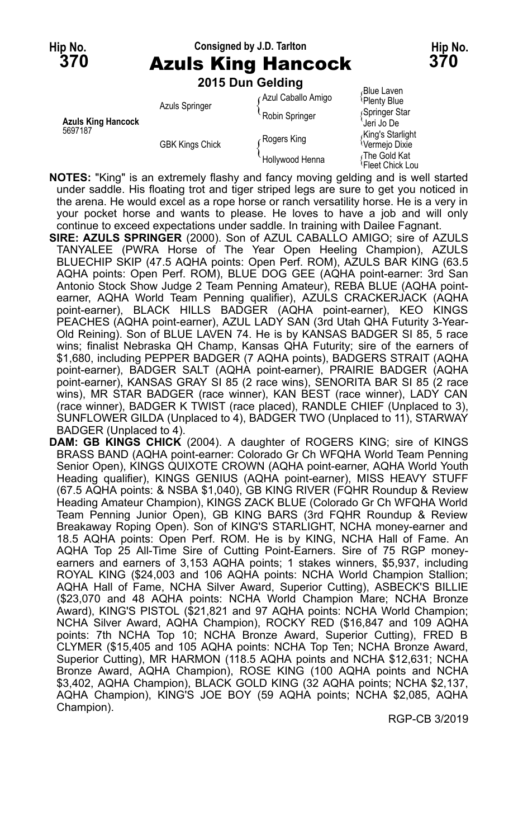#### **Hip No. Consigned by J.D. Tarlton Hip No. 370** Azuls King Hancock **370 2015 Dun Gelding**

|                                      | <b>ZUTS DUIT GEIGHIY</b> |                    |                                                |
|--------------------------------------|--------------------------|--------------------|------------------------------------------------|
|                                      | <b>Azuls Springer</b>    | Azul Caballo Amigo | <sub></sub> Blue Laven<br>Plenty Blue          |
| <b>Azuls King Hancock</b><br>5697187 |                          | Robin Springer     | Springer Star<br>Jeri Jo De                    |
|                                      | <b>GBK Kings Chick</b>   | Rogers King        | King's Starlight<br><sup>{</sup> Vermejo Dixie |
|                                      |                          | Hollywood Henna    | ،The Gold Kat<br>!Fleet Chick Lou              |

- **NOTES:** "King" is an extremely flashy and fancy moving gelding and is well started under saddle. His floating trot and tiger striped legs are sure to get you noticed in the arena. He would excel as a rope horse or ranch versatility horse. He is a very in your pocket horse and wants to please. He loves to have a job and will only continue to exceed expectations under saddle. In training with Dailee Fagnant.
- **SIRE: AZULS SPRINGER** (2000). Son of AZUL CABALLO AMIGO; sire of AZULS TANYALEE (PWRA Horse of The Year Open Heeling Champion), AZULS BLUECHIP SKIP (47.5 AQHA points: Open Perf. ROM), AZULS BAR KING (63.5 AQHA points: Open Perf. ROM), BLUE DOG GEE (AQHA point-earner: 3rd San Antonio Stock Show Judge 2 Team Penning Amateur), REBA BLUE (AQHA pointearner, AQHA World Team Penning qualifier), AZULS CRACKERJACK (AQHA point-earner), BLACK HILLS BADGER (AQHA point-earner), KEO KINGS PEACHES (AQHA point-earner), AZUL LADY SAN (3rd Utah QHA Futurity 3-Year-Old Reining). Son of BLUE LAVEN 74. He is by KANSAS BADGER SI 85, 5 race wins; finalist Nebraska QH Champ, Kansas QHA Futurity; sire of the earners of \$1,680, including PEPPER BADGER (7 AQHA points), BADGERS STRAIT (AQHA point-earner), BADGER SALT (AQHA point-earner), PRAIRIE BADGER (AQHA point-earner), KANSAS GRAY SI 85 (2 race wins), SENORITA BAR SI 85 (2 race wins), MR STAR BADGER (race winner), KAN BEST (race winner), LADY CAN (race winner), BADGER K TWIST (race placed), RANDLE CHIEF (Unplaced to 3), SUNFLOWER GILDA (Unplaced to 4), BADGER TWO (Unplaced to 11), STARWAY BADGER (Unplaced to 4).
- **DAM: GB KINGS CHICK** (2004). A daughter of ROGERS KING; sire of KINGS BRASS BAND (AQHA point-earner: Colorado Gr Ch WFQHA World Team Penning Senior Open), KINGS QUIXOTE CROWN (AQHA point-earner, AQHA World Youth Heading qualifier), KINGS GENIUS (AQHA point-earner), MISS HEAVY STUFF (67.5 AQHA points: & NSBA \$1,040), GB KING RIVER (FQHR Roundup & Review Heading Amateur Champion), KINGS ZACK BLUE (Colorado Gr Ch WFQHA World Team Penning Junior Open), GB KING BARS (3rd FQHR Roundup & Review Breakaway Roping Open). Son of KING'S STARLIGHT, NCHA money-earner and 18.5 AQHA points: Open Perf. ROM. He is by KING, NCHA Hall of Fame. An AQHA Top 25 All-Time Sire of Cutting Point-Earners. Sire of 75 RGP moneyearners and earners of 3,153 AQHA points; 1 stakes winners, \$5,937, including ROYAL KING (\$24,003 and 106 AQHA points: NCHA World Champion Stallion; AQHA Hall of Fame, NCHA Silver Award, Superior Cutting), ASBECK'S BILLIE (\$23,070 and 48 AQHA points: NCHA World Champion Mare; NCHA Bronze Award), KING'S PISTOL (\$21,821 and 97 AQHA points: NCHA World Champion; NCHA Silver Award, AQHA Champion), ROCKY RED (\$16,847 and 109 AQHA points: 7th NCHA Top 10; NCHA Bronze Award, Superior Cutting), FRED B CLYMER (\$15,405 and 105 AQHA points: NCHA Top Ten; NCHA Bronze Award, Superior Cutting), MR HARMON (118.5 AQHA points and NCHA \$12,631; NCHA Bronze Award, AQHA Champion), ROSE KING (100 AQHA points and NCHA \$3,402, AQHA Champion), BLACK GOLD KING (32 AQHA points; NCHA \$2,137, AQHA Champion), KING'S JOE BOY (59 AQHA points; NCHA \$2,085, AQHA Champion).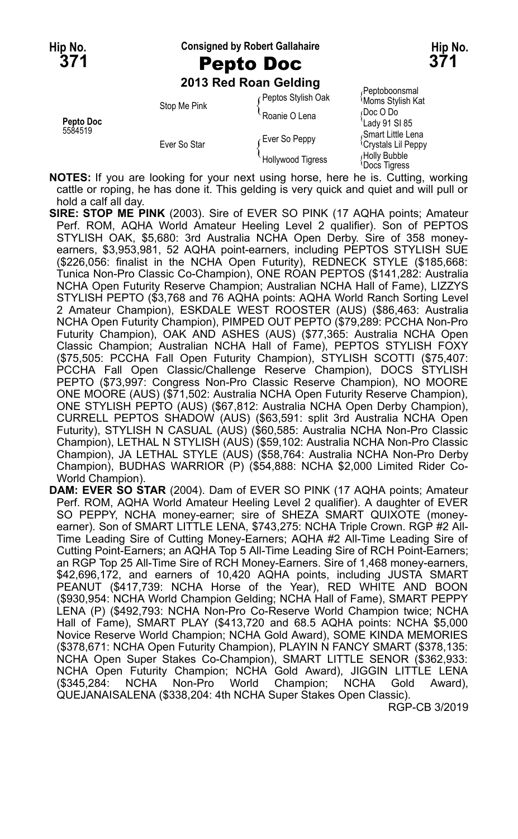**Hip No. Consigned by Robert Gallahaire Hip No.**

## **2013 Red Roan Gelding**

| Pepto Doc | Stop Me Pink | Peptos Stylish Oak<br>Roanie O Lena       | Peptoboonsmal<br><b>Moms Stylish Kat</b><br>Doc O Do<br>Lady 91 SI 85 |
|-----------|--------------|-------------------------------------------|-----------------------------------------------------------------------|
| 5584519   | Ever So Star | Ever So Peppy<br><b>Hollywood Tigress</b> | Smart Little Lena<br><sup>l</sup> Crystals Lil Peppy<br>Holly Bubble  |
|           |              |                                           | Docs Tigress                                                          |

**NOTES:** If you are looking for your next using horse, here he is. Cutting, working cattle or roping, he has done it. This gelding is very quick and quiet and will pull or hold a calf all day.

**SIRE: STOP ME PINK** (2003). Sire of EVER SO PINK (17 AQHA points; Amateur Perf. ROM, AQHA World Amateur Heeling Level 2 qualifier). Son of PEPTOS STYLISH OAK, \$5,680: 3rd Australia NCHA Open Derby. Sire of 358 moneyearners, \$3,953,981, 52 AQHA point-earners, including PEPTOS STYLISH SUE (\$226,056: finalist in the NCHA Open Futurity), REDNECK STYLE (\$185,668: Tunica Non-Pro Classic Co-Champion), ONE ROAN PEPTOS (\$141,282: Australia NCHA Open Futurity Reserve Champion; Australian NCHA Hall of Fame), LIZZYS STYLISH PEPTO (\$3,768 and 76 AQHA points: AQHA World Ranch Sorting Level 2 Amateur Champion), ESKDALE WEST ROOSTER (AUS) (\$86,463: Australia NCHA Open Futurity Champion), PIMPED OUT PEPTO (\$79,289: PCCHA Non-Pro Futurity Champion), OAK AND ASHES (AUS) (\$77,365: Australia NCHA Open Classic Champion; Australian NCHA Hall of Fame), PEPTOS STYLISH FOXY (\$75,505: PCCHA Fall Open Futurity Champion), STYLISH SCOTTI (\$75,407: PCCHA Fall Open Classic/Challenge Reserve Champion), DOCS STYLISH PEPTO (\$73,997: Congress Non-Pro Classic Reserve Champion), NO MOORE ONE MOORE (AUS) (\$71,502: Australia NCHA Open Futurity Reserve Champion), ONE STYLISH PEPTO (AUS) (\$67,812: Australia NCHA Open Derby Champion), CURRELL PEPTOS SHADOW (AUS) (\$63,591: split 3rd Australia NCHA Open Futurity), STYLISH N CASUAL (AUS) (\$60,585: Australia NCHA Non-Pro Classic Champion), LETHAL N STYLISH (AUS) (\$59,102: Australia NCHA Non-Pro Classic Champion), JA LETHAL STYLE (AUS) (\$58,764: Australia NCHA Non-Pro Derby Champion), BUDHAS WARRIOR (P) (\$54,888: NCHA \$2,000 Limited Rider Co-World Champion).

**DAM: EVER SO STAR** (2004). Dam of EVER SO PINK (17 AQHA points; Amateur Perf. ROM, AQHA World Amateur Heeling Level 2 qualifier). A daughter of EVER SO PEPPY, NCHA money-earner; sire of SHEZA SMART QUIXOTE (moneyearner). Son of SMART LITTLE LENA, \$743,275: NCHA Triple Crown. RGP #2 All-Time Leading Sire of Cutting Money-Earners; AQHA #2 All-Time Leading Sire of Cutting Point-Earners; an AQHA Top 5 All-Time Leading Sire of RCH Point-Earners; an RGP Top 25 All-Time Sire of RCH Money-Earners. Sire of 1,468 money-earners, \$42,696,172, and earners of 10,420 AQHA points, including JUSTA SMART PEANUT (\$417,739: NCHA Horse of the Year), RED WHITE AND BOON (\$930,954: NCHA World Champion Gelding; NCHA Hall of Fame), SMART PEPPY LENA (P) (\$492,793: NCHA Non-Pro Co-Reserve World Champion twice; NCHA Hall of Fame), SMART PLAY (\$413,720 and 68.5 AQHA points: NCHA \$5,000 Novice Reserve World Champion; NCHA Gold Award), SOME KINDA MEMORIES (\$378,671: NCHA Open Futurity Champion), PLAYIN N FANCY SMART (\$378,135: NCHA Open Super Stakes Co-Champion), SMART LITTLE SENOR (\$362,933: NCHA Open Futurity Champion; NCHA Gold Award), JIGGIN LITTLE LENA (\$345,284: NCHA Non-Pro World Champion; NCHA Gold Award), QUEJANAISALENA (\$338,204: 4th NCHA Super Stakes Open Classic).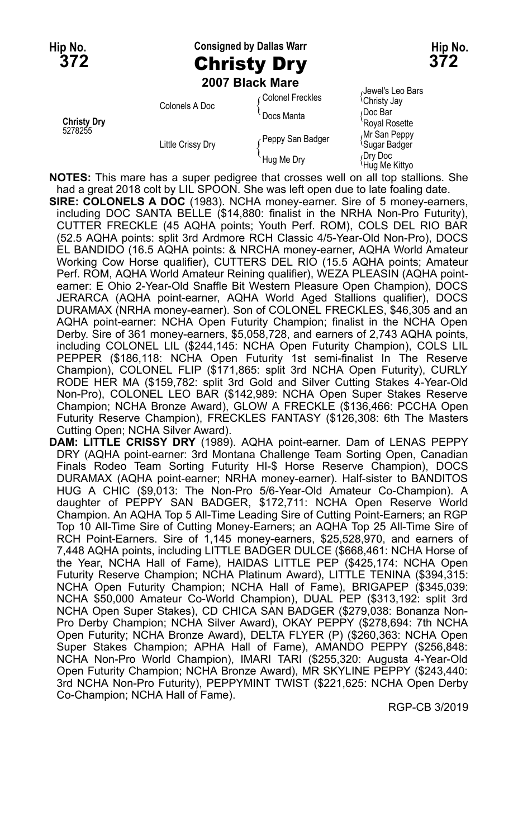**Hip No. Consigned by Dallas Warr Hip No. 372** Christy Dry **372**

**2007 Black Mare**

|                               |                          | ZUVI DIACN MAIE  |                                              |
|-------------------------------|--------------------------|------------------|----------------------------------------------|
| <b>Christy Dry</b><br>5278255 | Colonels A Doc           | Colonel Freckles | Jewel's Leo Bars<br><sup>l</sup> Christy Jay |
|                               |                          | Docs Manta       | Doc Bar<br>'Royal Rosette                    |
|                               | <b>Little Crissy Dry</b> | Peppy San Badger | Mr San Peppy<br><sup>t</sup> Sugar Badger    |
|                               |                          | Hug Me Dry       | Drv Doc<br>Hug Me Kittyo                     |

**NOTES:** This mare has a super pedigree that crosses well on all top stallions. She had a great 2018 colt by LIL SPOON. She was left open due to late foaling date.

**SIRE: COLONELS A DOC** (1983). NCHA money-earner. Sire of 5 money-earners, including DOC SANTA BELLE (\$14,880: finalist in the NRHA Non-Pro Futurity), CUTTER FRECKLE (45 AQHA points; Youth Perf. ROM), COLS DEL RIO BAR (52.5 AQHA points: split 3rd Ardmore RCH Classic 4/5-Year-Old Non-Pro), DOCS EL BANDIDO (16.5 AQHA points: & NRCHA money-earner, AQHA World Amateur Working Cow Horse qualifier), CUTTERS DEL RIO (15.5 AQHA points; Amateur Perf. ROM, AQHA World Amateur Reining qualifier), WEZA PLEASIN (AQHA pointearner: E Ohio 2-Year-Old Snaffle Bit Western Pleasure Open Champion), DOCS JERARCA (AQHA point-earner, AQHA World Aged Stallions qualifier), DOCS DURAMAX (NRHA money-earner). Son of COLONEL FRECKLES, \$46,305 and an AQHA point-earner: NCHA Open Futurity Champion; finalist in the NCHA Open Derby. Sire of 361 money-earners, \$5,058,728, and earners of 2,743 AQHA points, including COLONEL LIL (\$244,145: NCHA Open Futurity Champion), COLS LIL PEPPER (\$186,118: NCHA Open Futurity 1st semi-finalist In The Reserve Champion), COLONEL FLIP (\$171,865: split 3rd NCHA Open Futurity), CURLY RODE HER MA (\$159,782: split 3rd Gold and Silver Cutting Stakes 4-Year-Old Non-Pro), COLONEL LEO BAR (\$142,989: NCHA Open Super Stakes Reserve Champion; NCHA Bronze Award), GLOW A FRECKLE (\$136,466: PCCHA Open Futurity Reserve Champion), FRECKLES FANTASY (\$126,308: 6th The Masters Cutting Open; NCHA Silver Award).

**DAM: LITTLE CRISSY DRY** (1989). AQHA point-earner. Dam of LENAS PEPPY DRY (AQHA point-earner: 3rd Montana Challenge Team Sorting Open, Canadian Finals Rodeo Team Sorting Futurity HI-\$ Horse Reserve Champion), DOCS DURAMAX (AQHA point-earner; NRHA money-earner). Half-sister to BANDITOS HUG A CHIC (\$9,013: The Non-Pro 5/6-Year-Old Amateur Co-Champion). A daughter of PEPPY SAN BADGER, \$172,711: NCHA Open Reserve World Champion. An AQHA Top 5 All-Time Leading Sire of Cutting Point-Earners; an RGP Top 10 All-Time Sire of Cutting Money-Earners; an AQHA Top 25 All-Time Sire of RCH Point-Earners. Sire of 1,145 money-earners, \$25,528,970, and earners of 7,448 AQHA points, including LITTLE BADGER DULCE (\$668,461: NCHA Horse of the Year, NCHA Hall of Fame), HAIDAS LITTLE PEP (\$425,174: NCHA Open Futurity Reserve Champion; NCHA Platinum Award), LITTLE TENINA (\$394,315: NCHA Open Futurity Champion; NCHA Hall of Fame), BRIGAPEP (\$345,039: NCHA \$50,000 Amateur Co-World Champion), DUAL PEP (\$313,192: split 3rd NCHA Open Super Stakes), CD CHICA SAN BADGER (\$279,038: Bonanza Non-Pro Derby Champion; NCHA Silver Award), OKAY PEPPY (\$278,694: 7th NCHA Open Futurity; NCHA Bronze Award), DELTA FLYER (P) (\$260,363: NCHA Open Super Stakes Champion; APHA Hall of Fame), AMANDO PEPPY (\$256,848: NCHA Non-Pro World Champion), IMARI TARI (\$255,320: Augusta 4-Year-Old Open Futurity Champion; NCHA Bronze Award), MR SKYLINE PEPPY (\$243,440: 3rd NCHA Non-Pro Futurity), PEPPYMINT TWIST (\$221,625: NCHA Open Derby Co-Champion; NCHA Hall of Fame).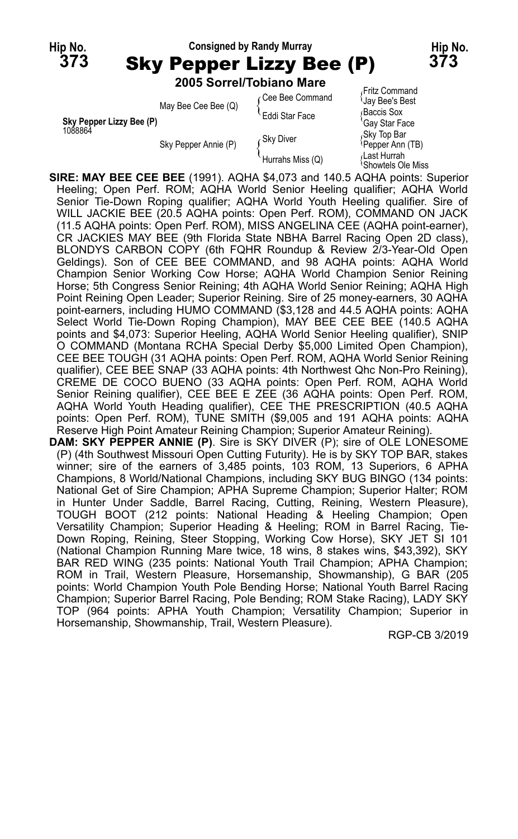

| Sky Pepper Lizzy Bee (P) | May Bee Cee Bee (Q)  | ⊊Cee Bee Command<br>Eddi Star Face | <b>Jay Bee's Best</b><br>Baccis Sox<br>'Gay Star Face                      |
|--------------------------|----------------------|------------------------------------|----------------------------------------------------------------------------|
| 1088864                  | Sky Pepper Annie (P) | ∠Skv Diver<br>Hurrahs Miss (Q)     | Sky Top Bar<br>Pepper Ann (TB)<br>Last Hurrah،<br><b>Showtels Ole Miss</b> |

**SIRE: MAY BEE CEE BEE** (1991). AQHA \$4,073 and 140.5 AQHA points: Superior Heeling; Open Perf. ROM; AQHA World Senior Heeling qualifier; AQHA World Senior Tie-Down Roping qualifier; AQHA World Youth Heeling qualifier. Sire of WILL JACKIE BEE (20.5 AQHA points: Open Perf. ROM), COMMAND ON JACK (11.5 AQHA points: Open Perf. ROM), MISS ANGELINA CEE (AQHA point-earner), CR JACKIES MAY BEE (9th Florida State NBHA Barrel Racing Open 2D class), BLONDYS CARBON COPY (6th FQHR Roundup & Review 2/3-Year-Old Open Geldings). Son of CEE BEE COMMAND, and 98 AQHA points: AQHA World Champion Senior Working Cow Horse; AQHA World Champion Senior Reining Horse; 5th Congress Senior Reining; 4th AQHA World Senior Reining; AQHA High Point Reining Open Leader; Superior Reining. Sire of 25 money-earners, 30 AQHA point-earners, including HUMO COMMAND (\$3,128 and 44.5 AQHA points: AQHA Select World Tie-Down Roping Champion), MAY BEE CEE BEE (140.5 AQHA points and \$4,073: Superior Heeling, AQHA World Senior Heeling qualifier), SNIP O COMMAND (Montana RCHA Special Derby \$5,000 Limited Open Champion), CEE BEE TOUGH (31 AQHA points: Open Perf. ROM, AQHA World Senior Reining qualifier), CEE BEE SNAP (33 AQHA points: 4th Northwest Qhc Non-Pro Reining), CREME DE COCO BUENO (33 AQHA points: Open Perf. ROM, AQHA World Senior Reining qualifier), CEE BEE E ZEE (36 AQHA points: Open Perf. ROM, AQHA World Youth Heading qualifier), CEE THE PRESCRIPTION (40.5 AQHA points: Open Perf. ROM), TUNE SMITH (\$9,005 and 191 AQHA points: AQHA Reserve High Point Amateur Reining Champion; Superior Amateur Reining).

**DAM: SKY PEPPER ANNIE (P)**. Sire is SKY DIVER (P); sire of OLE LONESOME (P) (4th Southwest Missouri Open Cutting Futurity). He is by SKY TOP BAR, stakes winner; sire of the earners of 3,485 points, 103 ROM, 13 Superiors, 6 APHA Champions, 8 World/National Champions, including SKY BUG BINGO (134 points: National Get of Sire Champion; APHA Supreme Champion; Superior Halter; ROM in Hunter Under Saddle, Barrel Racing, Cutting, Reining, Western Pleasure), TOUGH BOOT (212 points: National Heading & Heeling Champion; Open Versatility Champion; Superior Heading & Heeling; ROM in Barrel Racing, Tie-Down Roping, Reining, Steer Stopping, Working Cow Horse), SKY JET SI 101 (National Champion Running Mare twice, 18 wins, 8 stakes wins, \$43,392), SKY BAR RED WING (235 points: National Youth Trail Champion; APHA Champion; ROM in Trail, Western Pleasure, Horsemanship, Showmanship), G BAR (205 points: World Champion Youth Pole Bending Horse; National Youth Barrel Racing Champion; Superior Barrel Racing, Pole Bending; ROM Stake Racing), LADY SKY TOP (964 points: APHA Youth Champion; Versatility Champion; Superior in Horsemanship, Showmanship, Trail, Western Pleasure).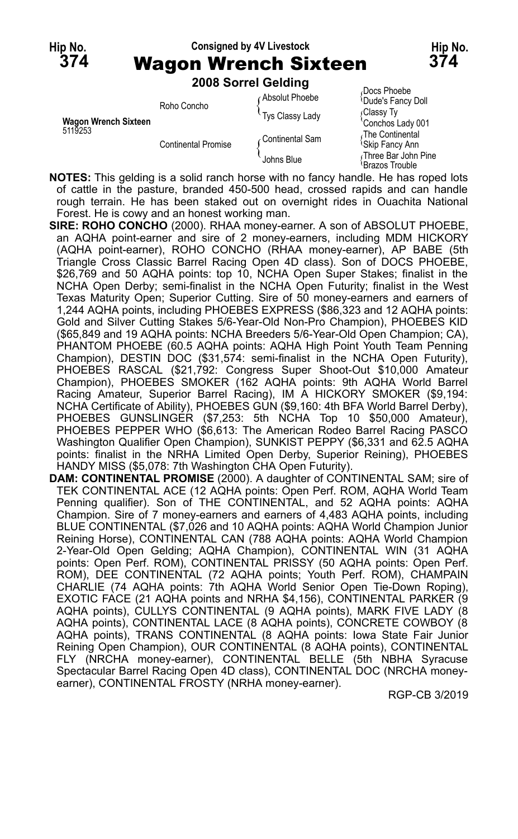#### **Hip No. Consigned by 4V Livestock Hip No. 374** Wagon Wrench Sixteen **374**

**2008 Sorrel Gelding**

|                      |                            | LUUU JUHTI JEIUIHU |                                                |
|----------------------|----------------------------|--------------------|------------------------------------------------|
|                      | Roho Concho                | ∩Absolut Phoebe    | Docs Phoebe<br>Dude's Fancy Doll               |
| Wagon Wrench Sixteen |                            | Tys Classy Lady    | Classy Ty<br>Conchos Lady 001                  |
| 5119253              | <b>Continental Promise</b> | ∠Continental Sam   | The Continental<br><sup>l</sup> Skip Fancy Ann |
|                      |                            | Johns Blue         | Three Bar John Pine<br>Brazos Trouble          |

**NOTES:** This gelding is a solid ranch horse with no fancy handle. He has roped lots of cattle in the pasture, branded 450-500 head, crossed rapids and can handle rough terrain. He has been staked out on overnight rides in Ouachita National Forest. He is cowy and an honest working man.

- **SIRE: ROHO CONCHO** (2000). RHAA money-earner. A son of ABSOLUT PHOEBE, an AQHA point-earner and sire of 2 money-earners, including MDM HICKORY (AQHA point-earner), ROHO CONCHO (RHAA money-earner), AP BABE (5th Triangle Cross Classic Barrel Racing Open 4D class). Son of DOCS PHOEBE, \$26,769 and 50 AQHA points: top 10, NCHA Open Super Stakes; finalist in the NCHA Open Derby; semi-finalist in the NCHA Open Futurity; finalist in the West Texas Maturity Open; Superior Cutting. Sire of 50 money-earners and earners of 1,244 AQHA points, including PHOEBES EXPRESS (\$86,323 and 12 AQHA points: Gold and Silver Cutting Stakes 5/6-Year-Old Non-Pro Champion), PHOEBES KID (\$65,849 and 19 AQHA points: NCHA Breeders 5/6-Year-Old Open Champion; CA), PHANTOM PHOEBE (60.5 AQHA points: AQHA High Point Youth Team Penning Champion), DESTIN DOC (\$31,574: semi-finalist in the NCHA Open Futurity), PHOEBES RASCAL (\$21,792: Congress Super Shoot-Out \$10,000 Amateur Champion), PHOEBES SMOKER (162 AQHA points: 9th AQHA World Barrel Racing Amateur, Superior Barrel Racing), IM A HICKORY SMOKER (\$9,194: NCHA Certificate of Ability), PHOEBES GUN (\$9,160: 4th BFA World Barrel Derby), PHOEBES GUNSLINGER (\$7,253: 5th NCHA Top 10 \$50,000 Amateur), PHOEBES PEPPER WHO (\$6,613: The American Rodeo Barrel Racing PASCO Washington Qualifier Open Champion), SUNKIST PEPPY (\$6,331 and 62.5 AQHA points: finalist in the NRHA Limited Open Derby, Superior Reining), PHOEBES HANDY MISS (\$5,078: 7th Washington CHA Open Futurity).
- **DAM: CONTINENTAL PROMISE** (2000). A daughter of CONTINENTAL SAM; sire of TEK CONTINENTAL ACE (12 AQHA points: Open Perf. ROM, AQHA World Team Penning qualifier). Son of THE CONTINENTAL, and 52 AQHA points: AQHA Champion. Sire of 7 money-earners and earners of 4,483 AQHA points, including BLUE CONTINENTAL (\$7,026 and 10 AQHA points: AQHA World Champion Junior Reining Horse), CONTINENTAL CAN (788 AQHA points: AQHA World Champion 2-Year-Old Open Gelding; AQHA Champion), CONTINENTAL WIN (31 AQHA points: Open Perf. ROM), CONTINENTAL PRISSY (50 AQHA points: Open Perf. ROM), DEE CONTINENTAL (72 AQHA points; Youth Perf. ROM), CHAMPAIN CHARLIE (74 AQHA points: 7th AQHA World Senior Open Tie-Down Roping), EXOTIC FACE (21 AQHA points and NRHA \$4,156), CONTINENTAL PARKER (9 AQHA points), CULLYS CONTINENTAL (9 AQHA points), MARK FIVE LADY (8 AQHA points), CONTINENTAL LACE (8 AQHA points), CONCRETE COWBOY (8 AQHA points), TRANS CONTINENTAL (8 AQHA points: Iowa State Fair Junior Reining Open Champion), OUR CONTINENTAL (8 AQHA points), CONTINENTAL FLY (NRCHA money-earner), CONTINENTAL BELLE (5th NBHA Syracuse Spectacular Barrel Racing Open 4D class), CONTINENTAL DOC (NRCHA moneyearner), CONTINENTAL FROSTY (NRHA money-earner).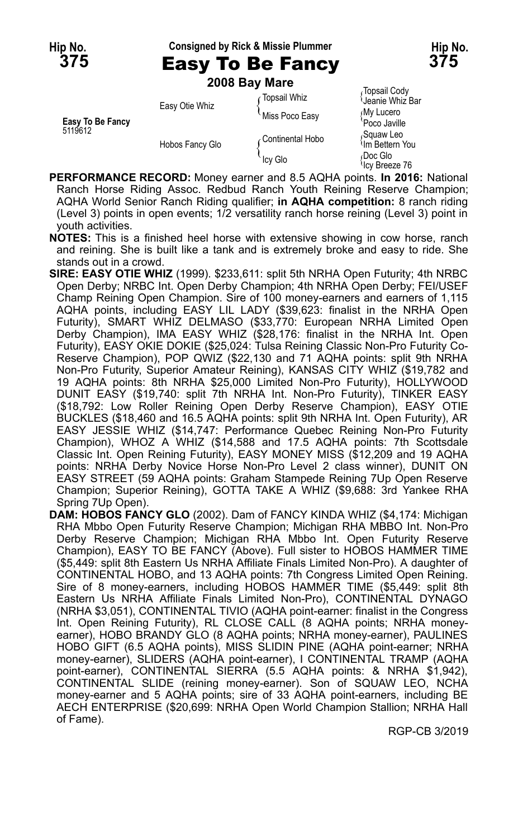**Hip No. Consigned by Rick & Missie Plummer Hip No.**

**2008 Bay Mare**

| Easy To Be Fancy<br>5119612 | Easy Otie Whiz  | Topsail Whiz<br>Miss Poco Easy | Topsail Cody<br>Jeanie Whiz Bar<br>∫My Lucero<br>Poco Javille |
|-----------------------------|-----------------|--------------------------------|---------------------------------------------------------------|
|                             | Hobos Fancy Glo | ∠Continental Hobo              | Squaw Leo،<br><sup>≀</sup> Im Bettern You                     |
|                             |                 | Icy Glo                        | Doc Glo،<br><sup>l</sup> lcy Breeze 76                        |

- **PERFORMANCE RECORD:** Money earner and 8.5 AQHA points. **In 2016:** National Ranch Horse Riding Assoc. Redbud Ranch Youth Reining Reserve Champion; AQHA World Senior Ranch Riding qualifier; **in AQHA competition:** 8 ranch riding (Level 3) points in open events; 1/2 versatility ranch horse reining (Level 3) point in youth activities.
- **NOTES:** This is a finished heel horse with extensive showing in cow horse, ranch and reining. She is built like a tank and is extremely broke and easy to ride. She stands out in a crowd.
- **SIRE: EASY OTIE WHIZ** (1999). \$233,611: split 5th NRHA Open Futurity; 4th NRBC Open Derby; NRBC Int. Open Derby Champion; 4th NRHA Open Derby; FEI/USEF Champ Reining Open Champion. Sire of 100 money-earners and earners of 1,115 AQHA points, including EASY LIL LADY (\$39,623: finalist in the NRHA Open Futurity), SMART WHIZ DELMASO (\$33,770: European NRHA Limited Open Derby Champion), IMA EASY WHIZ (\$28,176: finalist in the NRHA Int. Open Futurity), EASY OKIE DOKIE (\$25,024: Tulsa Reining Classic Non-Pro Futurity Co-Reserve Champion), POP QWIZ (\$22,130 and 71 AQHA points: split 9th NRHA Non-Pro Futurity, Superior Amateur Reining), KANSAS CITY WHIZ (\$19,782 and 19 AQHA points: 8th NRHA \$25,000 Limited Non-Pro Futurity), HOLLYWOOD DUNIT EASY (\$19,740: split 7th NRHA Int. Non-Pro Futurity), TINKER EASY (\$18,792: Low Roller Reining Open Derby Reserve Champion), EASY OTIE BUCKLES (\$18,460 and 16.5 AQHA points: split 9th NRHA Int. Open Futurity), AR EASY JESSIE WHIZ (\$14,747: Performance Quebec Reining Non-Pro Futurity Champion), WHOZ A WHIZ (\$14,588 and 17.5 AQHA points: 7th Scottsdale Classic Int. Open Reining Futurity), EASY MONEY MISS (\$12,209 and 19 AQHA points: NRHA Derby Novice Horse Non-Pro Level 2 class winner), DUNIT ON EASY STREET (59 AQHA points: Graham Stampede Reining 7Up Open Reserve Champion; Superior Reining), GOTTA TAKE A WHIZ (\$9,688: 3rd Yankee RHA Spring 7Up Open).
- **DAM: HOBOS FANCY GLO** (2002). Dam of FANCY KINDA WHIZ (\$4,174: Michigan RHA Mbbo Open Futurity Reserve Champion; Michigan RHA MBBO Int. Non-Pro Derby Reserve Champion; Michigan RHA Mbbo Int. Open Futurity Reserve Champion), EASY TO BE FANCY (Above). Full sister to HOBOS HAMMER TIME (\$5,449: split 8th Eastern Us NRHA Affiliate Finals Limited Non-Pro). A daughter of CONTINENTAL HOBO, and 13 AQHA points: 7th Congress Limited Open Reining. Sire of 8 money-earners, including HOBOS HAMMER TIME (\$5,449: split 8th Eastern Us NRHA Affiliate Finals Limited Non-Pro), CONTINENTAL DYNAGO (NRHA \$3,051), CONTINENTAL TIVIO (AQHA point-earner: finalist in the Congress Int. Open Reining Futurity), RL CLOSE CALL (8 AQHA points; NRHA moneyearner), HOBO BRANDY GLO (8 AQHA points; NRHA money-earner), PAULINES HOBO GIFT (6.5 AQHA points), MISS SLIDIN PINE (AQHA point-earner; NRHA money-earner), SLIDERS (AQHA point-earner), I CONTINENTAL TRAMP (AQHA point-earner), CONTINENTAL SIERRA (5.5 AQHA points: & NRHA \$1,942), CONTINENTAL SLIDE (reining money-earner). Son of SQUAW LEO, NCHA money-earner and 5 AQHA points; sire of 33 AQHA point-earners, including BE AECH ENTERPRISE (\$20,699: NRHA Open World Champion Stallion; NRHA Hall of Fame).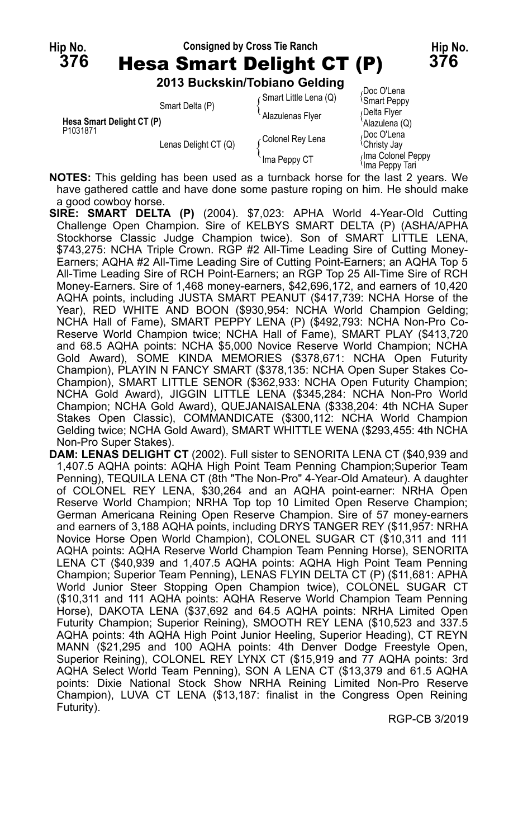# **Hip No. Consigned by Cross Tie Ranch Hip No. 376** Hesa Smart Delight CT (P) **376**

**2013 Buckskin/Tobiano Gelding**

|                           |                                                                                | <b>2013 BUCKSKIII/TODIAIIO GEIGING</b> |                                               |
|---------------------------|--------------------------------------------------------------------------------|----------------------------------------|-----------------------------------------------|
| Hesa Smart Delight CT (P) | Smart Delta (P)                                                                | (Smart Little Lena (Q)                 | Doc O'Lena<br><b>Smart Peppy</b>              |
|                           |                                                                                | Alazulenas Flyer                       | Delta Flyer<br>Alazulena (Q)                  |
| P1031871                  | Lenas Delight CT (Q)                                                           | Colonel Rey Lena                       | Doc O'Lena<br><sup><i>I</i></sup> Christy Jay |
|                           |                                                                                | Ima Peppy CT                           | Ima Colonel Peppy<br>Ima Peppy Tari           |
|                           | $10750$ , This solding has been used as a turnheal; being for the lest $2$ yes |                                        |                                               |

**NOTES:** This gelding has been used as a turnback horse for the last 2 years. We have gathered cattle and have done some pasture roping on him. He should make a good cowboy horse.

**SIRE: SMART DELTA (P)** (2004). \$7,023: APHA World 4-Year-Old Cutting Challenge Open Champion. Sire of KELBYS SMART DELTA (P) (ASHA/APHA Stockhorse Classic Judge Champion twice). Son of SMART LITTLE LENA, \$743,275: NCHA Triple Crown. RGP #2 All-Time Leading Sire of Cutting Money-Earners; AQHA #2 All-Time Leading Sire of Cutting Point-Earners; an AQHA Top 5 All-Time Leading Sire of RCH Point-Earners; an RGP Top 25 All-Time Sire of RCH Money-Earners. Sire of 1,468 money-earners, \$42,696,172, and earners of 10,420 AQHA points, including JUSTA SMART PEANUT (\$417,739: NCHA Horse of the Year), RED WHITE AND BOON (\$930,954: NCHA World Champion Gelding; NCHA Hall of Fame), SMART PEPPY LENA (P) (\$492,793: NCHA Non-Pro Co-Reserve World Champion twice; NCHA Hall of Fame), SMART PLAY (\$413,720 and 68.5 AQHA points: NCHA \$5,000 Novice Reserve World Champion; NCHA Gold Award), SOME KINDA MEMORIES (\$378,671: NCHA Open Futurity Champion), PLAYIN N FANCY SMART (\$378,135: NCHA Open Super Stakes Co-Champion), SMART LITTLE SENOR (\$362,933: NCHA Open Futurity Champion; NCHA Gold Award), JIGGIN LITTLE LENA (\$345,284: NCHA Non-Pro World Champion; NCHA Gold Award), QUEJANAISALENA (\$338,204: 4th NCHA Super Stakes Open Classic), COMMANDICATE (\$300,112: NCHA World Champion Gelding twice; NCHA Gold Award), SMART WHITTLE WENA (\$293,455: 4th NCHA Non-Pro Super Stakes).

**DAM: LENAS DELIGHT CT** (2002). Full sister to SENORITA LENA CT (\$40,939 and 1,407.5 AQHA points: AQHA High Point Team Penning Champion;Superior Team Penning), TEQUILA LENA CT (8th "The Non-Pro" 4-Year-Old Amateur). A daughter of COLONEL REY LENA, \$30,264 and an AQHA point-earner: NRHA Open Reserve World Champion; NRHA Top top 10 Limited Open Reserve Champion; German Americana Reining Open Reserve Champion. Sire of 57 money-earners and earners of 3,188 AQHA points, including DRYS TANGER REY (\$11,957: NRHA Novice Horse Open World Champion), COLONEL SUGAR CT (\$10,311 and 111 AQHA points: AQHA Reserve World Champion Team Penning Horse), SENORITA LENA CT (\$40,939 and 1,407.5 AQHA points: AQHA High Point Team Penning Champion; Superior Team Penning), LENAS FLYIN DELTA CT (P) (\$11,681: APHA World Junior Steer Stopping Open Champion twice), COLONEL SUGAR CT (\$10,311 and 111 AQHA points: AQHA Reserve World Champion Team Penning Horse), DAKOTA LENA (\$37,692 and 64.5 AQHA points: NRHA Limited Open Futurity Champion; Superior Reining), SMOOTH REY LENA (\$10,523 and 337.5 AQHA points: 4th AQHA High Point Junior Heeling, Superior Heading), CT REYN MANN (\$21,295 and 100 AQHA points: 4th Denver Dodge Freestyle Open, Superior Reining), COLONEL REY LYNX CT (\$15,919 and 77 AQHA points: 3rd AQHA Select World Team Penning), SON A LENA CT (\$13,379 and 61.5 AQHA points: Dixie National Stock Show NRHA Reining Limited Non-Pro Reserve Champion), LUVA CT LENA (\$13,187: finalist in the Congress Open Reining Futurity).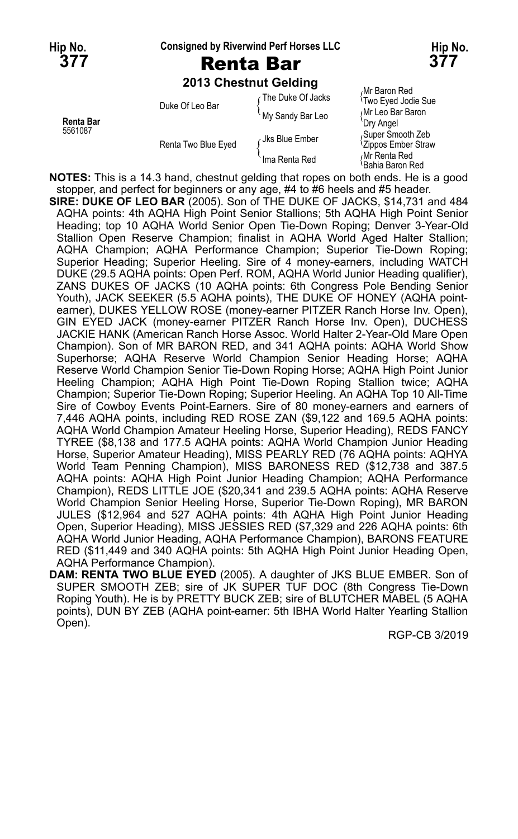**Hip No. Consigned by Riverwind Perf Horses LLC Hip No.**

## **377** Renta Bar **377**

**2013 Chestnut Gelding**

| <b>Renta Bar</b><br>5561087 | Duke Of Leo Bar     | ∩The Duke Of Jacks | Mr Baron Red<br><sup>1</sup> Two Eyed Jodie Sue     |
|-----------------------------|---------------------|--------------------|-----------------------------------------------------|
|                             |                     | My Sandy Bar Leo   | Mr Leo Bar Baron<br>'Dry Angel                      |
|                             | Renta Two Blue Eyed | Jks Blue Ember     | Super Smooth Zeb<br><sup>1</sup> Zippos Ember Straw |
|                             |                     | Ima Renta Red      | Mr Renta Red<br>Bahia Baron Red                     |

**NOTES:** This is a 14.3 hand, chestnut gelding that ropes on both ends. He is a good stopper, and perfect for beginners or any age, #4 to #6 heels and #5 header.

**SIRE: DUKE OF LEO BAR** (2005). Son of THE DUKE OF JACKS, \$14,731 and 484 AQHA points: 4th AQHA High Point Senior Stallions; 5th AQHA High Point Senior Heading; top 10 AQHA World Senior Open Tie-Down Roping; Denver 3-Year-Old Stallion Open Reserve Champion; finalist in AQHA World Aged Halter Stallion; AQHA Champion; AQHA Performance Champion; Superior Tie-Down Roping; Superior Heading; Superior Heeling. Sire of 4 money-earners, including WATCH DUKE (29.5 AQHA points: Open Perf. ROM, AQHA World Junior Heading qualifier), ZANS DUKES OF JACKS (10 AQHA points: 6th Congress Pole Bending Senior Youth), JACK SEEKER (5.5 AQHA points), THE DUKE OF HONEY (AQHA pointearner), DUKES YELLOW ROSE (money-earner PITZER Ranch Horse Inv. Open), GIN EYED JACK (money-earner PITZER Ranch Horse Inv. Open), DUCHESS JACKIE HANK (American Ranch Horse Assoc. World Halter 2-Year-Old Mare Open Champion). Son of MR BARON RED, and 341 AQHA points: AQHA World Show Superhorse; AQHA Reserve World Champion Senior Heading Horse; AQHA Reserve World Champion Senior Tie-Down Roping Horse; AQHA High Point Junior Heeling Champion; AQHA High Point Tie-Down Roping Stallion twice; AQHA Champion; Superior Tie-Down Roping; Superior Heeling. An AQHA Top 10 All-Time Sire of Cowboy Events Point-Earners. Sire of 80 money-earners and earners of 7,446 AQHA points, including RED ROSE ZAN (\$9,122 and 169.5 AQHA points: AQHA World Champion Amateur Heeling Horse, Superior Heading), REDS FANCY TYREE (\$8,138 and 177.5 AQHA points: AQHA World Champion Junior Heading Horse, Superior Amateur Heading), MISS PEARLY RED (76 AQHA points: AQHYA World Team Penning Champion), MISS BARONESS RED (\$12,738 and 387.5 AQHA points: AQHA High Point Junior Heading Champion; AQHA Performance Champion), REDS LITTLE JOE (\$20,341 and 239.5 AQHA points: AQHA Reserve World Champion Senior Heeling Horse, Superior Tie-Down Roping), MR BARON JULES (\$12,964 and 527 AQHA points: 4th AQHA High Point Junior Heading Open, Superior Heading), MISS JESSIES RED (\$7,329 and 226 AQHA points: 6th AQHA World Junior Heading, AQHA Performance Champion), BARONS FEATURE RED (\$11,449 and 340 AQHA points: 5th AQHA High Point Junior Heading Open, AQHA Performance Champion).

**DAM: RENTA TWO BLUE EYED** (2005). A daughter of JKS BLUE EMBER. Son of SUPER SMOOTH ZEB; sire of JK SUPER TUF DOC (8th Congress Tie-Down Roping Youth). He is by PRETTY BUCK ZEB; sire of BLUTCHER MABEL (5 AQHA points), DUN BY ZEB (AQHA point-earner: 5th IBHA World Halter Yearling Stallion Open).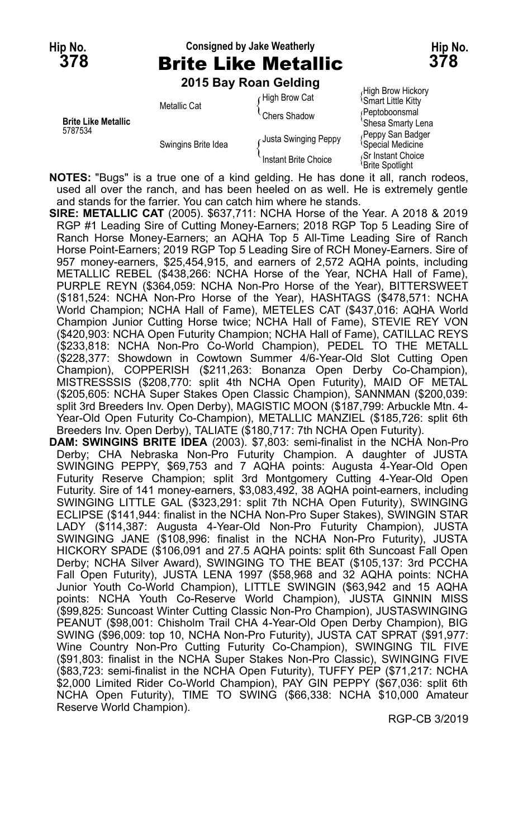## **Hip No. Consigned by Jake Weatherly Hip No. 378** Brite Like Metallic **378**

**2015 Bay Roan Gelding**

|                                       |                     | LUIJ DAY INJAH UCIUIIIY |                                                   |
|---------------------------------------|---------------------|-------------------------|---------------------------------------------------|
| <b>Brite Like Metallic</b><br>5787534 | Metallic Cat        | High Brow Cat           | High Brow Hickory<br><b>Smart Little Kitty</b>    |
|                                       |                     | Chers Shadow            | ∩Peptoboonsmal<br>'Shesa Smarty Lena              |
|                                       | Swingins Brite Idea | Justa Swinging Peppy    | Peppy San Badger<br><sup>l</sup> Special Medicine |
|                                       |                     | Instant Brite Choice    | Sr Instant Choice<br>≀Brite Spotliaht             |

**NOTES:** "Bugs" is a true one of a kind gelding. He has done it all, ranch rodeos, used all over the ranch, and has been heeled on as well. He is extremely gentle and stands for the farrier. You can catch him where he stands.

**SIRE: METALLIC CAT** (2005). \$637,711: NCHA Horse of the Year. A 2018 & 2019 RGP #1 Leading Sire of Cutting Money-Earners; 2018 RGP Top 5 Leading Sire of Ranch Horse Money-Earners; an AQHA Top 5 All-Time Leading Sire of Ranch Horse Point-Earners; 2019 RGP Top 5 Leading Sire of RCH Money-Earners. Sire of 957 money-earners, \$25,454,915, and earners of 2,572 AQHA points, including METALLIC REBEL (\$438,266: NCHA Horse of the Year, NCHA Hall of Fame), PURPLE REYN (\$364,059: NCHA Non-Pro Horse of the Year), BITTERSWEET (\$181,524: NCHA Non-Pro Horse of the Year), HASHTAGS (\$478,571: NCHA World Champion; NCHA Hall of Fame), METELES CAT (\$437,016: AQHA World Champion Junior Cutting Horse twice; NCHA Hall of Fame), STEVIE REY VON (\$420,903: NCHA Open Futurity Champion; NCHA Hall of Fame), CATILLAC REYS (\$233,818: NCHA Non-Pro Co-World Champion), PEDEL TO THE METALL (\$228,377: Showdown in Cowtown Summer 4/6-Year-Old Slot Cutting Open Champion), COPPERISH (\$211,263: Bonanza Open Derby Co-Champion), MISTRESSSIS (\$208,770: split 4th NCHA Open Futurity), MAID OF METAL (\$205,605: NCHA Super Stakes Open Classic Champion), SANNMAN (\$200,039: split 3rd Breeders Inv. Open Derby), MAGISTIC MOON (\$187,799: Arbuckle Mtn. 4- Year-Old Open Futurity Co-Champion), METALLIC MANZIEL (\$185,726: split 6th Breeders Inv. Open Derby), TALIATE (\$180,717: 7th NCHA Open Futurity).

**DAM: SWINGINS BRITE IDEA** (2003). \$7,803: semi-finalist in the NCHA Non-Pro Derby; CHA Nebraska Non-Pro Futurity Champion. A daughter of JUSTA SWINGING PEPPY, \$69,753 and 7 AQHA points: Augusta 4-Year-Old Open Futurity Reserve Champion; split 3rd Montgomery Cutting 4-Year-Old Open Futurity. Sire of 141 money-earners, \$3,083,492, 38 AQHA point-earners, including SWINGING LITTLE GAL (\$323,291: split 7th NCHA Open Futurity), SWINGING ECLIPSE (\$141,944: finalist in the NCHA Non-Pro Super Stakes), SWINGIN STAR LADY (\$114,387: Augusta 4-Year-Old Non-Pro Futurity Champion), JUSTA SWINGING JANE (\$108,996: finalist in the NCHA Non-Pro Futurity), JUSTA HICKORY SPADE (\$106,091 and 27.5 AQHA points: split 6th Suncoast Fall Open Derby; NCHA Silver Award), SWINGING TO THE BEAT (\$105,137: 3rd PCCHA Fall Open Futurity), JUSTA LENA 1997 (\$58,968 and 32 AQHA points: NCHA Junior Youth Co-World Champion), LITTLE SWINGIN (\$63,942 and 15 AQHA points: NCHA Youth Co-Reserve World Champion), JUSTA GINNIN MISS (\$99,825: Suncoast Winter Cutting Classic Non-Pro Champion), JUSTASWINGING PEANUT (\$98,001: Chisholm Trail CHA 4-Year-Old Open Derby Champion), BIG SWING (\$96,009: top 10, NCHA Non-Pro Futurity), JUSTA CAT SPRAT (\$91,977: Wine Country Non-Pro Cutting Futurity Co-Champion), SWINGING TIL FIVE (\$91,803: finalist in the NCHA Super Stakes Non-Pro Classic), SWINGING FIVE (\$83,723: semi-finalist in the NCHA Open Futurity), TUFFY PEP (\$71,217: NCHA \$2,000 Limited Rider Co-World Champion), PAY GIN PEPPY (\$67,036: split 6th NCHA Open Futurity), TIME TO SWING (\$66,338: NCHA \$10,000 Amateur Reserve World Champion).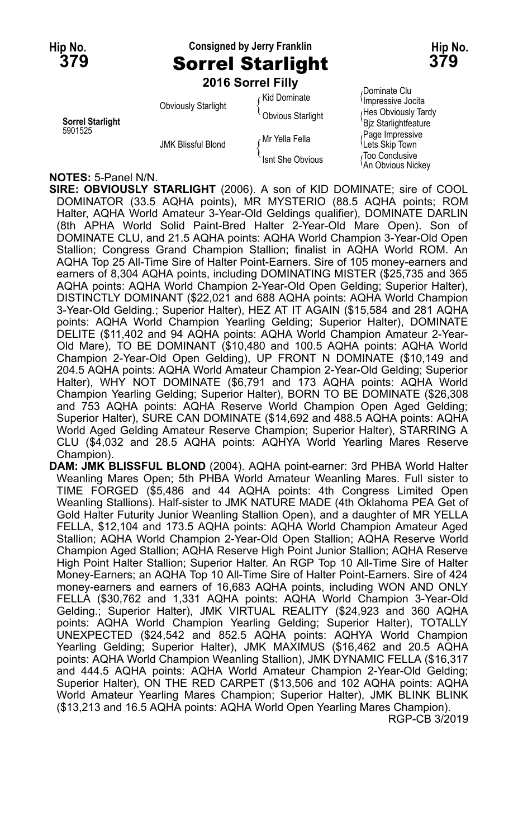## **Hip No. Consigned by Jerry Franklin Hip No. 379** Sorrel Starlight **379**

**2016 Sorrel Filly** Dominate Clu Kid Dominate { Obviously Starlight  $\{\begin{matrix} 1 & 0 & 0 & 0 \\ 0 & 0 & 0 & 0 \\ 0 & 0 & 0 & 0 \end{matrix} \}$  (Hes Obviously Tardy **Sorrel Starlight**<br>5901525 **Page Interventional Startight Community** Page Interventional Page Interventional Page Interventional Page Fage Impressive Mr Yella Fella Muslem of Page Impressive Mr Yella Fella<br>Lets Skip Town  $\int$  Isnt She Obvious  $\int$  Too Conclusive

An Obvious Nickey

#### **NOTES:** 5-Panel N/N.

**SIRE: OBVIOUSLY STARLIGHT** (2006). A son of KID DOMINATE; sire of COOL DOMINATOR (33.5 AQHA points), MR MYSTERIO (88.5 AQHA points; ROM Halter, AQHA World Amateur 3-Year-Old Geldings qualifier), DOMINATE DARLIN (8th APHA World Solid Paint-Bred Halter 2-Year-Old Mare Open). Son of DOMINATE CLU, and 21.5 AQHA points: AQHA World Champion 3-Year-Old Open Stallion; Congress Grand Champion Stallion; finalist in AQHA World ROM. An AQHA Top 25 All-Time Sire of Halter Point-Earners. Sire of 105 money-earners and earners of 8,304 AQHA points, including DOMINATING MISTER (\$25,735 and 365 AQHA points: AQHA World Champion 2-Year-Old Open Gelding; Superior Halter), DISTINCTLY DOMINANT (\$22,021 and 688 AQHA points: AQHA World Champion 3-Year-Old Gelding.; Superior Halter), HEZ AT IT AGAIN (\$15,584 and 281 AQHA points: AQHA World Champion Yearling Gelding; Superior Halter), DOMINATE DELITE (\$11,402 and 94 AQHA points: AQHA World Champion Amateur 2-Year-Old Mare), TO BE DOMINANT (\$10,480 and 100.5 AQHA points: AQHA World Champion 2-Year-Old Open Gelding), UP FRONT N DOMINATE (\$10,149 and 204.5 AQHA points: AQHA World Amateur Champion 2-Year-Old Gelding; Superior Halter), WHY NOT DOMINATE (\$6,791 and 173 AQHA points: AQHA World Champion Yearling Gelding; Superior Halter), BORN TO BE DOMINATE (\$26,308 and 753 AQHA points: AQHA Reserve World Champion Open Aged Gelding; Superior Halter), SURE CAN DOMINATE (\$14,692 and 488.5 AQHA points: AQHA World Aged Gelding Amateur Reserve Champion; Superior Halter), STARRING A CLU (\$4,032 and 28.5 AQHA points: AQHYA World Yearling Mares Reserve Champion).

**DAM: JMK BLISSFUL BLOND** (2004). AQHA point-earner: 3rd PHBA World Halter Weanling Mares Open; 5th PHBA World Amateur Weanling Mares. Full sister to TIME FORGED (\$5,486 and 44 AQHA points: 4th Congress Limited Open Weanling Stallions). Half-sister to JMK NATURE MADE (4th Oklahoma PEA Get of Gold Halter Futurity Junior Weanling Stallion Open), and a daughter of MR YELLA FELLA, \$12,104 and 173.5 AQHA points: AQHA World Champion Amateur Aged Stallion; AQHA World Champion 2-Year-Old Open Stallion; AQHA Reserve World Champion Aged Stallion; AQHA Reserve High Point Junior Stallion; AQHA Reserve High Point Halter Stallion; Superior Halter. An RGP Top 10 All-Time Sire of Halter Money-Earners; an AQHA Top 10 All-Time Sire of Halter Point-Earners. Sire of 424 money-earners and earners of 16,683 AQHA points, including WON AND ONLY FELLA (\$30,762 and 1,331 AQHA points: AQHA World Champion 3-Year-Old Gelding.; Superior Halter), JMK VIRTUAL REALITY (\$24,923 and 360 AQHA points: AQHA World Champion Yearling Gelding; Superior Halter), TOTALLY UNEXPECTED (\$24,542 and 852.5 AQHA points: AQHYA World Champion Yearling Gelding; Superior Halter), JMK MAXIMUS (\$16,462 and 20.5 AQHA points: AQHA World Champion Weanling Stallion), JMK DYNAMIC FELLA (\$16,317 and 444.5 AQHA points: AQHA World Amateur Champion 2-Year-Old Gelding; Superior Halter), ON THE RED CARPET (\$13,506 and 102 AQHA points: AQHA World Amateur Yearling Mares Champion; Superior Halter), JMK BLINK BLINK (\$13,213 and 16.5 AQHA points: AQHA World Open Yearling Mares Champion). RGP-CB 3/2019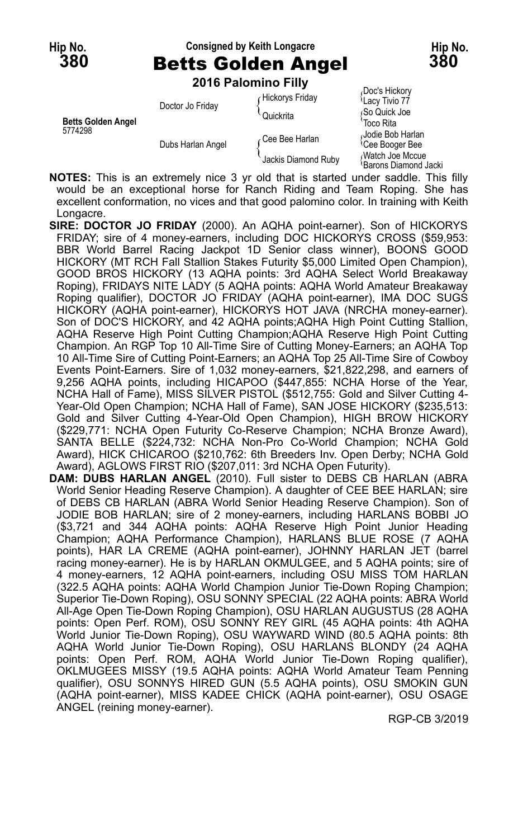#### **Hip No. Consigned by Keith Longacre Hip No. 380** Betts Golden Angel **380**

Jacki

Doc's Hickory

**2016 Palomino Filly**

| <b>Betts Golden Angel</b><br>5774298 | Doctor Jo Friday  | Hickorys Friday     | (DUC 3 THUNUI Y<br><sup>1</sup> Lacy Tivio 77   |
|--------------------------------------|-------------------|---------------------|-------------------------------------------------|
|                                      |                   | Quickrita           | So Quick Joe<br>'Toco Rita                      |
|                                      | Dubs Harlan Angel | Cee Bee Harlan      | Jodie Bob Harlan<br><sup>l</sup> Cee Booger Bee |
|                                      |                   | Jackis Diamond Ruby | Watch Joe Mccue<br>! Rarons Diamond!            |

**NOTES:** This is an extremely nice 3 yr old that is started under saddle. This filly would be an exceptional horse for Ranch Riding and Team Roping. She has excellent conformation, no vices and that good palomino color. In training with Keith Longacre.

- **SIRE: DOCTOR JO FRIDAY** (2000). An AQHA point-earner). Son of HICKORYS FRIDAY; sire of 4 money-earners, including DOC HICKORYS CROSS (\$59,953: BBR World Barrel Racing Jackpot 1D Senior class winner), BOONS GOOD HICKORY (MT RCH Fall Stallion Stakes Futurity \$5,000 Limited Open Champion), GOOD BROS HICKORY (13 AQHA points: 3rd AQHA Select World Breakaway Roping), FRIDAYS NITE LADY (5 AQHA points: AQHA World Amateur Breakaway Roping qualifier), DOCTOR JO FRIDAY (AQHA point-earner), IMA DOC SUGS HICKORY (AQHA point-earner), HICKORYS HOT JAVA (NRCHA money-earner). Son of DOC'S HICKORY, and 42 AQHA points;AQHA High Point Cutting Stallion, AQHA Reserve High Point Cutting Champion;AQHA Reserve High Point Cutting Champion. An RGP Top 10 All-Time Sire of Cutting Money-Earners; an AQHA Top 10 All-Time Sire of Cutting Point-Earners; an AQHA Top 25 All-Time Sire of Cowboy Events Point-Earners. Sire of 1,032 money-earners, \$21,822,298, and earners of 9,256 AQHA points, including HICAPOO (\$447,855: NCHA Horse of the Year, NCHA Hall of Fame), MISS SILVER PISTOL (\$512,755: Gold and Silver Cutting 4- Year-Old Open Champion; NCHA Hall of Fame), SAN JOSE HICKORY (\$235,513: Gold and Silver Cutting 4-Year-Old Open Champion), HIGH BROW HICKORY (\$229,771: NCHA Open Futurity Co-Reserve Champion; NCHA Bronze Award), SANTA BELLE (\$224,732: NCHA Non-Pro Co-World Champion; NCHA Gold Award), HICK CHICAROO (\$210,762: 6th Breeders Inv. Open Derby; NCHA Gold Award), AGLOWS FIRST RIO (\$207,011: 3rd NCHA Open Futurity).
- **DAM: DUBS HARLAN ANGEL** (2010). Full sister to DEBS CB HARLAN (ABRA World Senior Heading Reserve Champion). A daughter of CEE BEE HARLAN; sire of DEBS CB HARLAN (ABRA World Senior Heading Reserve Champion). Son of JODIE BOB HARLAN; sire of 2 money-earners, including HARLANS BOBBI JO (\$3,721 and 344 AQHA points: AQHA Reserve High Point Junior Heading Champion; AQHA Performance Champion), HARLANS BLUE ROSE (7 AQHA points), HAR LA CREME (AQHA point-earner), JOHNNY HARLAN JET (barrel racing money-earner). He is by HARLAN OKMULGEE, and 5 AQHA points; sire of 4 money-earners, 12 AQHA point-earners, including OSU MISS TOM HARLAN (322.5 AQHA points: AQHA World Champion Junior Tie-Down Roping Champion; Superior Tie-Down Roping), OSU SONNY SPECIAL (22 AQHA points: ABRA World All-Age Open Tie-Down Roping Champion), OSU HARLAN AUGUSTUS (28 AQHA points: Open Perf. ROM), OSU SONNY REY GIRL (45 AQHA points: 4th AQHA World Junior Tie-Down Roping), OSU WAYWARD WIND (80.5 AQHA points: 8th AQHA World Junior Tie-Down Roping), OSU HARLANS BLONDY (24 AQHA points: Open Perf. ROM, AQHA World Junior Tie-Down Roping qualifier), OKLMUGEES MISSY (19.5 AQHA points: AQHA World Amateur Team Penning qualifier), OSU SONNYS HIRED GUN (5.5 AQHA points), OSU SMOKIN GUN (AQHA point-earner), MISS KADEE CHICK (AQHA point-earner), OSU OSAGE ANGEL (reining money-earner).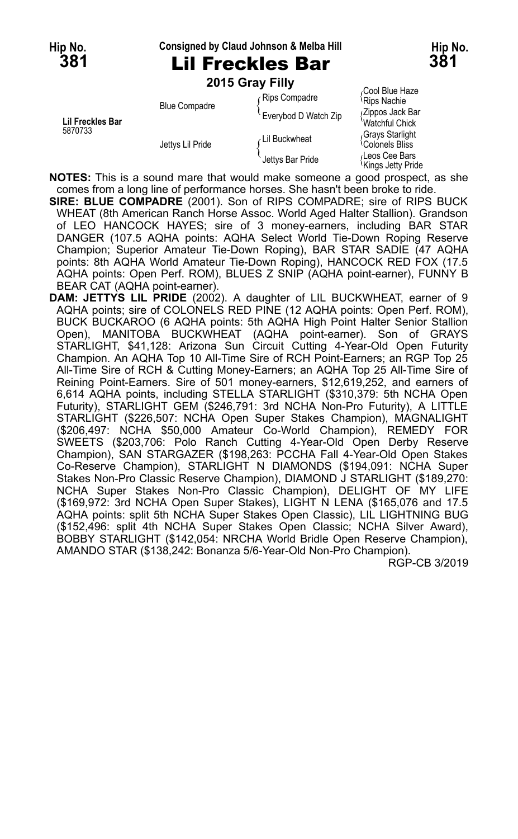#### **Hip No. Consigned by Claud Johnson & Melba Hill Hip No.**

# **381** Lil Freckles Bar **381**

**2015 Gray Filly**

|                                    | <b>Blue Compadre</b> | r Rips Compadre      | <sup>1</sup> Rips Nachie                       |
|------------------------------------|----------------------|----------------------|------------------------------------------------|
| <b>Lil Freckles Bar</b><br>5870733 |                      | Everybod D Watch Zip | (Zippos Jack Bar<br>'Watchful Chick            |
|                                    | Jettys Lil Pride     | ∠Lil Buckwheat       | Grays Starlight<br><sup>1</sup> Colonels Bliss |
|                                    |                      | Jettys Bar Pride     | Leos Cee Bars<br>≀Kinαs Jettv Pride            |

Gool Blue Haze <mark>Zippos Jack Bar</mark><br>Watchful Chick<br>Gravs Starlight Kings Jetty Pride

**NOTES:** This is a sound mare that would make someone a good prospect, as she comes from a long line of performance horses. She hasn't been broke to ride.

**SIRE: BLUE COMPADRE** (2001). Son of RIPS COMPADRE; sire of RIPS BUCK WHEAT (8th American Ranch Horse Assoc. World Aged Halter Stallion). Grandson of LEO HANCOCK HAYES; sire of 3 money-earners, including BAR STAR DANGER (107.5 AQHA points: AQHA Select World Tie-Down Roping Reserve Champion; Superior Amateur Tie-Down Roping), BAR STAR SADIE (47 AQHA points: 8th AQHA World Amateur Tie-Down Roping), HANCOCK RED FOX (17.5 AQHA points: Open Perf. ROM), BLUES Z SNIP (AQHA point-earner), FUNNY B BEAR CAT (AQHA point-earner).

**DAM: JETTYS LIL PRIDE** (2002). A daughter of LIL BUCKWHEAT, earner of 9 AQHA points; sire of COLONELS RED PINE (12 AQHA points: Open Perf. ROM), BUCK BUCKAROO (6 AQHA points: 5th AQHA High Point Halter Senior Stallion Open), MANITOBA BUCKWHEAT (AQHA point-earner). Son of GRAYS STARLIGHT, \$41,128: Arizona Sun Circuit Cutting 4-Year-Old Open Futurity Champion. An AQHA Top 10 All-Time Sire of RCH Point-Earners; an RGP Top 25 All-Time Sire of RCH & Cutting Money-Earners; an AQHA Top 25 All-Time Sire of Reining Point-Earners. Sire of 501 money-earners, \$12,619,252, and earners of 6,614 AQHA points, including STELLA STARLIGHT (\$310,379: 5th NCHA Open Futurity), STARLIGHT GEM (\$246,791: 3rd NCHA Non-Pro Futurity), A LITTLE STARLIGHT (\$226,507: NCHA Open Super Stakes Champion), MAGNALIGHT (\$206,497: NCHA \$50,000 Amateur Co-World Champion), REMEDY FOR SWEETS (\$203,706: Polo Ranch Cutting 4-Year-Old Open Derby Reserve Champion), SAN STARGAZER (\$198,263: PCCHA Fall 4-Year-Old Open Stakes Co-Reserve Champion), STARLIGHT N DIAMONDS (\$194,091: NCHA Super Stakes Non-Pro Classic Reserve Champion), DIAMOND J STARLIGHT (\$189,270: NCHA Super Stakes Non-Pro Classic Champion), DELIGHT OF MY LIFE (\$169,972: 3rd NCHA Open Super Stakes), LIGHT N LENA (\$165,076 and 17.5 AQHA points: split 5th NCHA Super Stakes Open Classic), LIL LIGHTNING BUG (\$152,496: split 4th NCHA Super Stakes Open Classic; NCHA Silver Award), BOBBY STARLIGHT (\$142,054: NRCHA World Bridle Open Reserve Champion), AMANDO STAR (\$138,242: Bonanza 5/6-Year-Old Non-Pro Champion).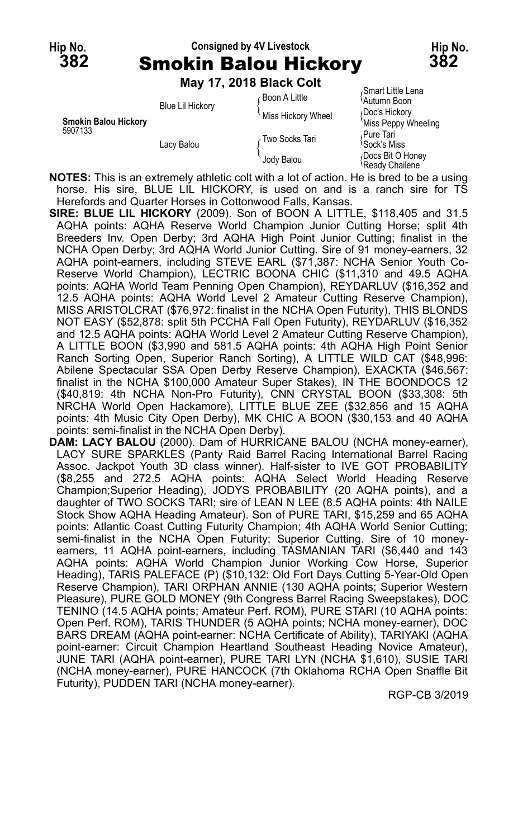## **Hip No. Consigned by 4V Livestock Hip No. 382** Smokin Balou Hickory **382**

**May 17, 2018 Black Colt**

|                                        | May 17, 2018 Black Colt               |                    | Smart Little Lena                     |
|----------------------------------------|---------------------------------------|--------------------|---------------------------------------|
| <b>Smokin Balou Hickory</b><br>5907133 | <b>Blue Lil Hickory</b><br>Lacy Balou | ∙Boon A Little     | <sup>1</sup> Autumn Boon              |
|                                        |                                       | Miss Hickory Wheel | Doc's Hickory<br>'Miss Peppy Wheeling |
|                                        |                                       | Two Socks Tari     | Pure Tari<br><sup>∖</sup> Sock's Miss |
|                                        |                                       | Jody Balou         | Docs Bit O Honey<br>Ready Chailene    |

**NOTES:** This is an extremely athletic colt with a lot of action. He is bred to be a using horse. His sire, BLUE LIL HICKORY, is used on and is a ranch sire for TS Herefords and Quarter Horses in Cottonwood Falls, Kansas.

- **SIRE: BLUE LIL HICKORY** (2009). Son of BOON A LITTLE, \$118,405 and 31.5 AQHA points: AQHA Reserve World Champion Junior Cutting Horse; split 4th Breeders Inv. Open Derby; 3rd AQHA High Point Junior Cutting; finalist in the NCHA Open Derby; 3rd AQHA World Junior Cutting. Sire of 91 money-earners, 32 AQHA point-earners, including STEVE EARL (\$71,387: NCHA Senior Youth Co-Reserve World Champion), LECTRIC BOONA CHIC (\$11,310 and 49.5 AQHA points: AQHA World Team Penning Open Champion), REYDARLUV (\$16,352 and 12.5 AQHA points: AQHA World Level 2 Amateur Cutting Reserve Champion), MISS ARISTOLCRAT (\$76,972: finalist in the NCHA Open Futurity), THIS BLONDS NOT EASY (\$52,878: split 5th PCCHA Fall Open Futurity), REYDARLUV (\$16,352 and 12.5 AQHA points: AQHA World Level 2 Amateur Cutting Reserve Champion), A LITTLE BOON (\$3,990 and 581.5 AQHA points: 4th AQHA High Point Senior Ranch Sorting Open, Superior Ranch Sorting), A LITTLE WILD CAT (\$48,996: Abilene Spectacular SSA Open Derby Reserve Champion), EXACKTA (\$46,567: finalist in the NCHA \$100,000 Amateur Super Stakes), IN THE BOONDOCS 12 (\$40,819: 4th NCHA Non-Pro Futurity), CNN CRYSTAL BOON (\$33,308: 5th NRCHA World Open Hackamore), LITTLE BLUE ZEE (\$32,856 and 15 AQHA points: 4th Music City Open Derby), MK CHIC A BOON (\$30,153 and 40 AQHA points: semi-finalist in the NCHA Open Derby).
- **DAM: LACY BALOU** (2000). Dam of HURRICANE BALOU (NCHA money-earner), LACY SURE SPARKLES (Panty Raid Barrel Racing International Barrel Racing Assoc. Jackpot Youth 3D class winner). Half-sister to IVE GOT PROBABILITY (\$8,255 and 272.5 AQHA points: AQHA Select World Heading Reserve Champion;Superior Heading), JODYS PROBABILITY (20 AQHA points), and a daughter of TWO SOCKS TARI; sire of LEAN N LEE (8.5 AQHA points: 4th NAILE Stock Show AQHA Heading Amateur). Son of PURE TARI, \$15,259 and 65 AQHA points: Atlantic Coast Cutting Futurity Champion; 4th AQHA World Senior Cutting; semi-finalist in the NCHA Open Futurity; Superior Cutting. Sire of 10 moneyearners, 11 AQHA point-earners, including TASMANIAN TARI (\$6,440 and 143 AQHA points: AQHA World Champion Junior Working Cow Horse, Superior Heading), TARIS PALEFACE (P) (\$10,132: Old Fort Days Cutting 5-Year-Old Open Reserve Champion), TARI ORPHAN ANNIE (130 AQHA points; Superior Western Pleasure), PURE GOLD MONEY (9th Congress Barrel Racing Sweepstakes), DOC TENINO (14.5 AQHA points; Amateur Perf. ROM), PURE STARI (10 AQHA points: Open Perf. ROM), TARIS THUNDER (5 AQHA points; NCHA money-earner), DOC BARS DREAM (AQHA point-earner: NCHA Certificate of Ability), TARIYAKI (AQHA point-earner: Circuit Champion Heartland Southeast Heading Novice Amateur), JUNE TARI (AQHA point-earner), PURE TARI LYN (NCHA \$1,610), SUSIE TARI (NCHA money-earner), PURE HANCOCK (7th Oklahoma RCHA Open Snaffle Bit Futurity), PUDDEN TARI (NCHA money-earner).